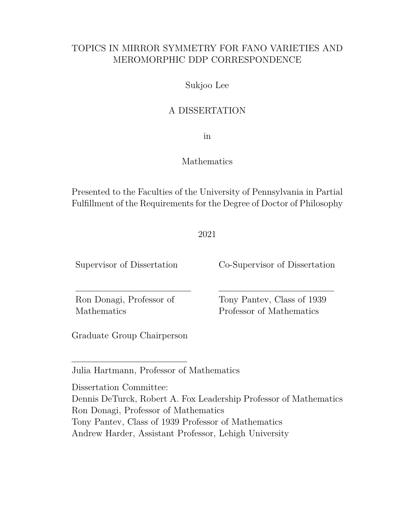## TOPICS IN MIRROR SYMMETRY FOR FANO VARIETIES AND MEROMORPHIC DDP CORRESPONDENCE

## Sukjoo Lee

## A DISSERTATION

in

## Mathematics

Presented to the Faculties of the University of Pennsylvania in Partial Fulfillment of the Requirements for the Degree of Doctor of Philosophy

2021

Supervisor of Dissertation Co-Supervisor of Dissertation

Mathematics Professor of Mathematics

Ron Donagi, Professor of Tony Pantev, Class of 1939

Graduate Group Chairperson

Julia Hartmann, Professor of Mathematics

Dissertation Committee: Dennis DeTurck, Robert A. Fox Leadership Professor of Mathematics Ron Donagi, Professor of Mathematics Tony Pantev, Class of 1939 Professor of Mathematics Andrew Harder, Assistant Professor, Lehigh University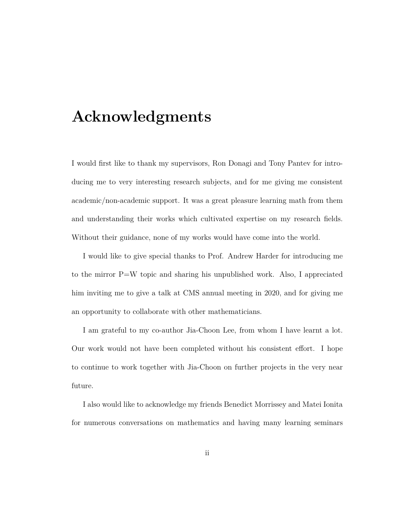# **Acknowledgments**

I would first like to thank my supervisors, Ron Donagi and Tony Pantev for introducing me to very interesting research subjects, and for me giving me consistent academic/non-academic support. It was a great pleasure learning math from them and understanding their works which cultivated expertise on my research fields. Without their guidance, none of my works would have come into the world.

I would like to give special thanks to Prof. Andrew Harder for introducing me to the mirror P=W topic and sharing his unpublished work. Also, I appreciated him inviting me to give a talk at CMS annual meeting in 2020, and for giving me an opportunity to collaborate with other mathematicians.

I am grateful to my co-author Jia-Choon Lee, from whom I have learnt a lot. Our work would not have been completed without his consistent effort. I hope to continue to work together with Jia-Choon on further projects in the very near future.

I also would like to acknowledge my friends Benedict Morrissey and Matei Ionita for numerous conversations on mathematics and having many learning seminars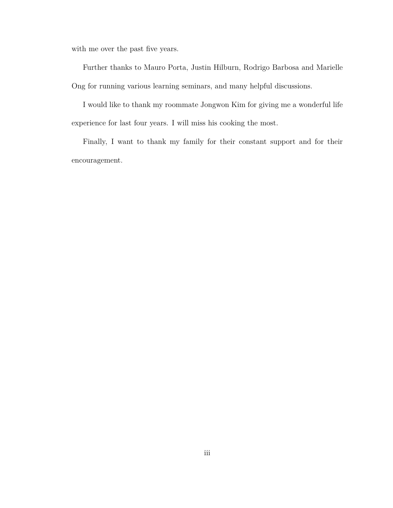with me over the past five years.

Further thanks to Mauro Porta, Justin Hilburn, Rodrigo Barbosa and Marielle Ong for running various learning seminars, and many helpful discussions.

I would like to thank my roommate Jongwon Kim for giving me a wonderful life experience for last four years. I will miss his cooking the most.

Finally, I want to thank my family for their constant support and for their encouragement.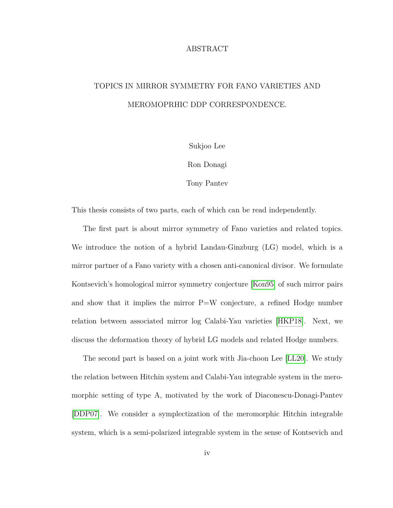### ABSTRACT

## TOPICS IN MIRROR SYMMETRY FOR FANO VARIETIES AND MEROMOPRHIC DDP CORRESPONDENCE.

Sukjoo Lee

Ron Donagi

Tony Pantev

This thesis consists of two parts, each of which can be read independently.

The first part is about mirror symmetry of Fano varieties and related topics. We introduce the notion of a hybrid Landau-Ginzburg (LG) model, which is a mirror partner of a Fano variety with a chosen anti-canonical divisor. We formulate Kontsevich's homological mirror symmetry conjecture [\[Kon95\]](#page-159-0) of such mirror pairs and show that it implies the mirror  $P=W$  conjecture, a refined Hodge number relation between associated mirror log Calabi-Yau varieties [\[HKP18\]](#page-158-0). Next, we discuss the deformation theory of hybrid LG models and related Hodge numbers.

The second part is based on a joint work with Jia-choon Lee [\[LL20\]](#page-160-0). We study the relation between Hitchin system and Calabi-Yau integrable system in the meromorphic setting of type A, motivated by the work of Diaconescu-Donagi-Pantev [\[DDP07\]](#page-155-0). We consider a symplectization of the meromorphic Hitchin integrable system, which is a semi-polarized integrable system in the sense of Kontsevich and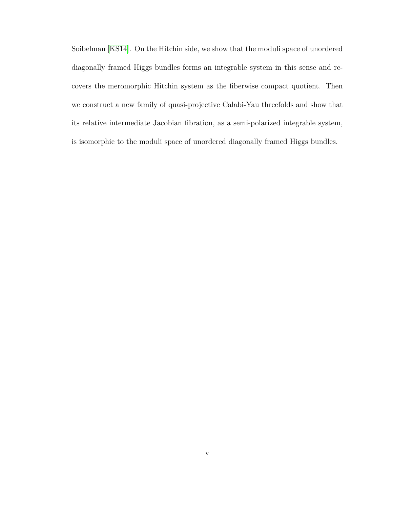Soibelman [\[KS14\]](#page-160-1). On the Hitchin side, we show that the moduli space of unordered diagonally framed Higgs bundles forms an integrable system in this sense and recovers the meromorphic Hitchin system as the fiberwise compact quotient. Then we construct a new family of quasi-projective Calabi-Yau threefolds and show that its relative intermediate Jacobian fibration, as a semi-polarized integrable system, is isomorphic to the moduli space of unordered diagonally framed Higgs bundles.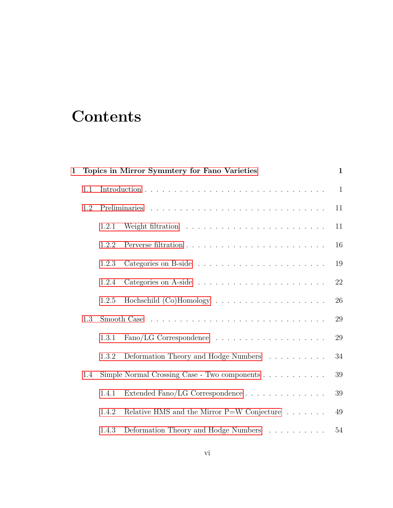# **Contents**

| $\mathbf{1}$ | Topics in Mirror Symmtery for Fano Varieties |                                              | $\mathbf{1}$                                                  |              |
|--------------|----------------------------------------------|----------------------------------------------|---------------------------------------------------------------|--------------|
|              | 1.1                                          |                                              |                                                               | $\mathbf{1}$ |
|              | 1.2                                          |                                              |                                                               | 11           |
|              |                                              | 1.2.1                                        |                                                               | 11           |
|              |                                              | 1.2.2                                        |                                                               | 16           |
|              |                                              | 1.2.3                                        |                                                               | 19           |
|              |                                              | 1.2.4                                        |                                                               | 22           |
|              |                                              | 1.2.5                                        |                                                               | 26           |
|              | 1.3                                          |                                              |                                                               | 29           |
|              |                                              | 1.3.1                                        |                                                               | 29           |
|              |                                              | 1.3.2                                        | Deformation Theory and Hodge Numbers                          | 34           |
| 1.4          |                                              | Simple Normal Crossing Case - Two components | 39                                                            |              |
|              |                                              | 1.4.1                                        | Extended Fano/LG Correspondence                               | 39           |
|              |                                              | 1.4.2                                        | Relative HMS and the Mirror $P=$ W Conjecture $\ldots \ldots$ | 49           |
|              |                                              | 1.4.3                                        | Deformation Theory and Hodge Numbers                          | $54\,$       |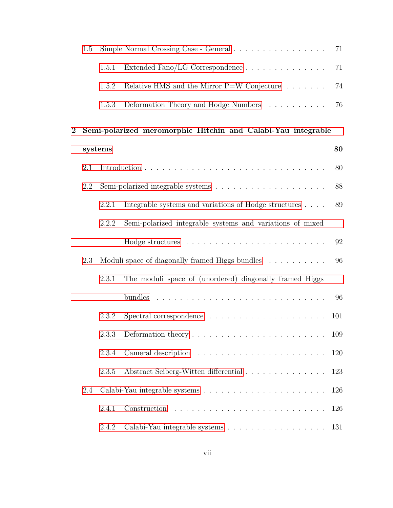|                | 1.5     | Simple Normal Crossing Case - General<br>71 |                                                                               |     |
|----------------|---------|---------------------------------------------|-------------------------------------------------------------------------------|-----|
|                |         | 1.5.1                                       |                                                                               | 71  |
|                |         | 1.5.2                                       | Relative HMS and the Mirror $P=$ W Conjecture $\ldots \ldots$                 | 74  |
|                |         | 1.5.3                                       | Deformation Theory and Hodge Numbers                                          | 76  |
| $\overline{2}$ |         |                                             | Semi-polarized meromorphic Hitchin and Calabi-Yau integrable                  |     |
|                | systems |                                             |                                                                               | 80  |
|                | 2.1     |                                             |                                                                               | 80  |
|                | 2.2     |                                             | Semi-polarized integrable systems $\ldots \ldots \ldots \ldots \ldots \ldots$ | 88  |
|                |         | 2.2.1                                       | Integrable systems and variations of Hodge structures                         | 89  |
|                |         | 2.2.2                                       | Semi-polarized integrable systems and variations of mixed                     |     |
|                |         |                                             |                                                                               | 92  |
|                | 2.3     |                                             | Moduli space of diagonally framed Higgs bundles                               | 96  |
|                |         | 2.3.1                                       | The moduli space of (unordered) diagonally framed Higgs                       |     |
|                |         |                                             |                                                                               | 96  |
|                |         | 2.3.2                                       |                                                                               | 101 |
|                |         | 2.3.3                                       | Deformation theory $\dots \dots \dots \dots \dots \dots \dots \dots \dots$    | 109 |
|                |         | 2.3.4                                       |                                                                               | 120 |
|                |         | 2.3.5                                       | Abstract Seiberg-Witten differential                                          | 123 |
|                | 2.4     |                                             |                                                                               | 126 |
|                |         | 2.4.1                                       |                                                                               | 126 |
|                |         | 2.4.2                                       | Calabi-Yau integrable systems                                                 | 131 |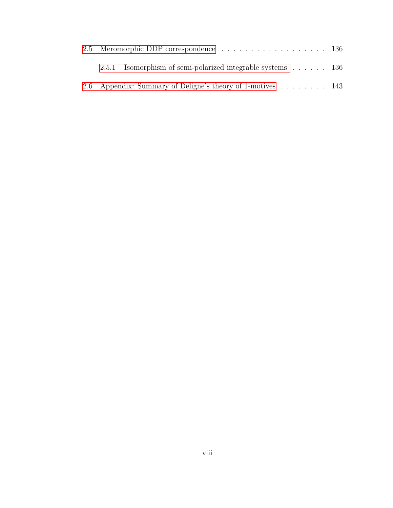|  | 2.5.1 Isomorphism of semi-polarized integrable systems $\ldots$ 136 |  |
|--|---------------------------------------------------------------------|--|
|  | 2.6 Appendix: Summary of Deligne's theory of 1-motives 143          |  |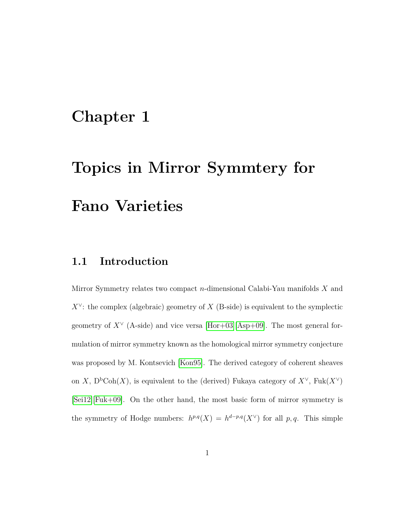## <span id="page-8-0"></span>**Chapter 1**

# **Topics in Mirror Symmtery for Fano Varieties**

## <span id="page-8-1"></span>**1.1 Introduction**

Mirror Symmetry relates two compact *n*-dimensional Calabi-Yau manifolds *X* and  $X^{\vee}$ : the complex (algebraic) geometry of *X* (B-side) is equivalent to the symplectic geometry of  $X^{\vee}$  (A-side) and vice versa [\[Hor+03\]](#page-158-1)[\[Asp+09\]](#page-153-0). The most general formulation of mirror symmetry known as the homological mirror symmetry conjecture was proposed by M. Kontsevich [\[Kon95\]](#page-159-0). The derived category of coherent sheaves on *X*,  $D<sup>b</sup>Coh(X)$ , is equivalent to the (derived) Fukaya category of  $X<sup>\vee</sup>$ , Fuk $(X<sup>\vee</sup>)$ [\[Sei12\]](#page-161-0)[\[Fuk+09\]](#page-157-0). On the other hand, the most basic form of mirror symmetry is the symmetry of Hodge numbers:  $h^{p,q}(X) = h^{d-p,q}(X^{\vee})$  for all p, q. This simple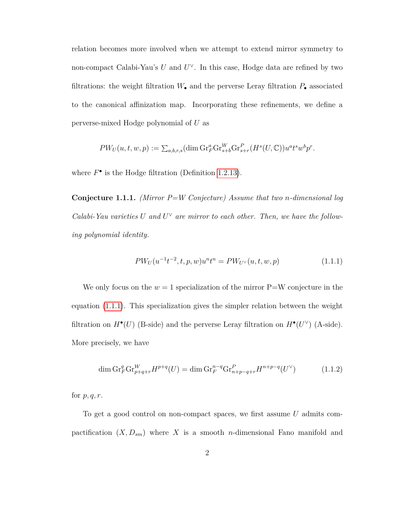relation becomes more involved when we attempt to extend mirror symmetry to non-compact Calabi-Yau's *U* and *U*<sup>∨</sup>. In this case, Hodge data are refined by two filtrations: the weight filtration  $W_{\bullet}$  and the perverse Leray filtration  $P_{\bullet}$  associated to the canonical affinization map. Incorporating these refinements, we define a perverse-mixed Hodge polynomial of *U* as

$$
PW_U(u,t,w,p):=\sum_{a,b,r,s}(\dim \mathrm{Gr}_F^a\mathrm{Gr}_{s+b}^W\mathrm{Gr}_{s+r}^P(H^s(U,\mathbb{C}))u^at^sw^bp^r.
$$

<span id="page-9-1"></span>where  $F^{\bullet}$  is the Hodge filtration (Definition [1.2.13\)](#page-26-1).

**Conjecture 1.1.1.** *(Mirror P=W Conjecture) Assume that two n-dimensional log Calabi-Yau varieties*  $U$  and  $U^{\vee}$  are mirror to each other. Then, we have the follow*ing polynomial identity.*

<span id="page-9-0"></span>
$$
PW_U(u^{-1}t^{-2}, t, p, w)u^n t^n = PW_{U^{\vee}}(u, t, w, p) \tag{1.1.1}
$$

We only focus on the  $w = 1$  specialization of the mirror  $P=$ W conjecture in the equation [\(1.1.1\)](#page-9-0). This specialization gives the simpler relation between the weight filtration on  $H^{\bullet}(U)$  (B-side) and the perverse Leray filtration on  $H^{\bullet}(U^{\vee})$  (A-side). More precisely, we have

$$
\dim \mathrm{Gr}_F^q \mathrm{Gr}_{p+q+r}^W H^{p+q}(U) = \dim \mathrm{Gr}_F^{n-q} \mathrm{Gr}_{n+p-q+r}^P H^{n+p-q}(U^\vee) \tag{1.1.2}
$$

for *p, q, r*.

To get a good control on non-compact spaces, we first assume *U* admits compactification  $(X, D_{sm})$  where X is a smooth *n*-dimensional Fano manifold and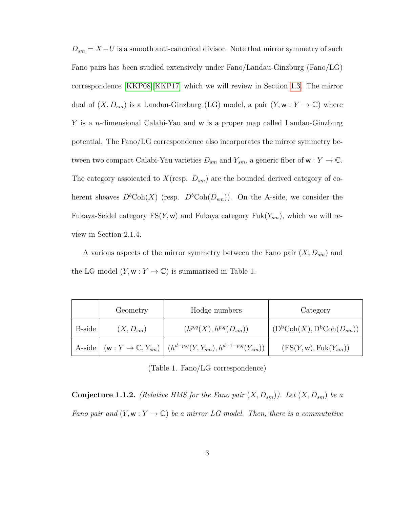$D_{sm} = X-U$  is a smooth anti-canonical divisor. Note that mirror symmetry of such Fano pairs has been studied extensively under Fano/Landau-Ginzburg (Fano/LG) correspondence [\[KKP08\]](#page-159-1)[\[KKP17\]](#page-159-2) which we will review in Section [1.3.](#page-36-0) The mirror dual of  $(X, D_{sm})$  is a Landau-Ginzburg (LG) model, a pair  $(Y, w : Y \to \mathbb{C})$  where *Y* is a *n*-dimensional Calabi-Yau and w is a proper map called Landau-Ginzburg potential. The Fano/LG correspondence also incorporates the mirror symmetry between two compact Calabi-Yau varieties  $D_{sm}$  and  $Y_{sm}$ , a generic fiber of  $w: Y \to \mathbb{C}$ . The category assoicated to *X*(resp. *Dsm*) are the bounded derived category of coherent sheaves  $D^b \text{Coh}(X)$  (resp.  $D^b \text{Coh}(D_{sm})$ ). On the A-side, we consider the Fukaya-Seidel category  $FS(Y, w)$  and Fukaya category  $Fuk(Y_{sm})$ , which we will review in Section 2.1.4.

A various aspects of the mirror symmetry between the Fano pair  $(X, D_{sm})$  and the LG model  $(Y, w : Y \to \mathbb{C})$  is summarized in Table 1.

|        | Geometry                        | Hodge numbers                               | Category                                                      |
|--------|---------------------------------|---------------------------------------------|---------------------------------------------------------------|
| B-side | $(X, D_{sm})$                   | $(h^{p,q}(X), h^{p,q}(D_{sm}))$             | $(D^{\text{b}}\text{Coh}(X), D^{\text{b}}\text{Coh}(D_{sm}))$ |
| A-side | $(w: Y \to \mathbb{C}, Y_{sm})$ | $(h^{d-p,q}(Y,Y_{sm}),h^{d-1-p,q}(Y_{sm}))$ | $(FS(Y, w), Fuk(Y_{sm}))$                                     |

(Table 1. Fano/LG correspondence)

**Conjecture 1.1.2.** *(Relative HMS for the Fano pair*  $(X, D_{sm})$ *). Let*  $(X, D_{sm})$  *be a Fano pair and*  $(Y, w: Y \to \mathbb{C})$  *be a mirror LG model. Then, there is a commutative*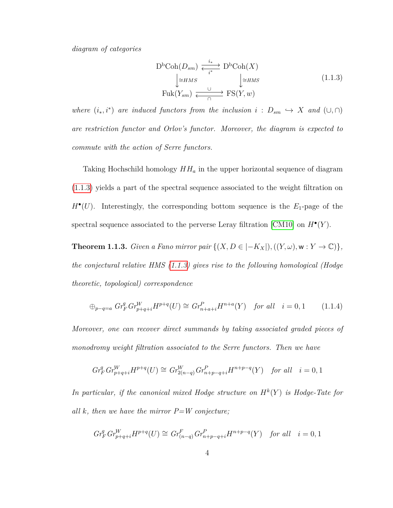*diagram of categories*

<span id="page-11-0"></span>
$$
D^{b}Coh(D_{sm}) \xleftarrow{\underset{i^{*}}{\downarrow \cong HMS}} D^{b}Coh(X)
$$
  
\n
$$
\downarrow \cong HMS \qquad \qquad \downarrow \cong HMS
$$
  
\n
$$
Fuk(Y_{sm}) \xleftarrow{\underset{\cap}{\cup}} FS(Y, w)
$$
\n(1.1.3)

*where*  $(i_*, i^*)$  *are induced functors from the inclusion*  $i : D_{sm} \hookrightarrow X$  *and*  $(\cup, \cap)$ *are restriction functor and Orlov's functor. Moreover, the diagram is expected to commute with the action of Serre functors.*

Taking Hochschild homology  $HH_a$  in the upper horizontal sequence of diagram [\(1.1.3\)](#page-11-0) yields a part of the spectral sequence associated to the weight filtration on  $H^{\bullet}(U)$ . Interestingly, the corresponding bottom sequence is the  $E_1$ -page of the spectral sequence associated to the perverse Leray filtration [\[CM10\]](#page-155-1) on  $H^{\bullet}(Y)$ .

**Theorem 1.1.3.** *Given a Fano mirror pair*  $\{(X, D \in |-K_X|), ((Y, \omega), w : Y \to \mathbb{C})\},\$ *the conjectural relative HMS [\(1.1.3\)](#page-11-0) gives rise to the following homological (Hodge theoretic, topological) correspondence*

$$
\oplus_{p-q=a} \; Gr_F^q \, Gr_{p+q+i}^W H^{p+q}(U) \cong Gr_{n+a+i}^P H^{n+a}(Y) \quad \text{for all} \quad i = 0, 1 \tag{1.1.4}
$$

*Moreover, one can recover direct summands by taking associated graded pieces of monodromy weight filtration associated to the Serre functors. Then we have*

$$
Gr_F^q Gr_{p+q+i}^W H^{p+q}(U) \cong Gr_{2(n-q)}^W Gr_{n+p-q+i}^P H^{n+p-q}(Y) \quad \text{for all} \quad i=0,1
$$

In particular, if the canonical mixed Hodge structure on  $H^k(Y)$  is Hodge-Tate for *all k, then we have the mirror P=W conjecture;*

$$
Gr_F^q Gr_{p+q+i}^W H^{p+q}(U) \cong Gr_{(n-q)}^F Gr_{n+p-q+i}^P H^{n+p-q}(Y)
$$
 for all  $i = 0, 1$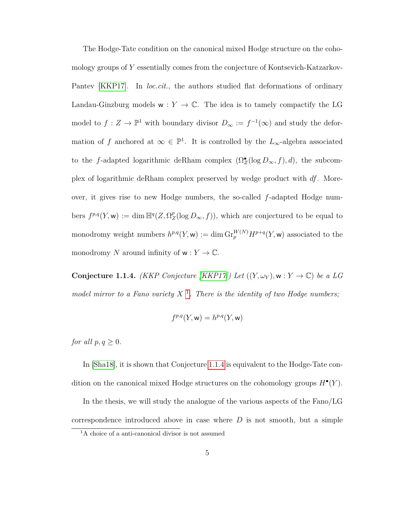The Hodge-Tate condition on the canonical mixed Hodge structure on the cohomology groups of *Y* essentially comes from the conjecture of Kontsevich-Katzarkov-Pantev [\[KKP17\]](#page-159-2). In *loc.cit.*, the authors studied flat deformations of ordinary Landau-Ginzburg models  $w: Y \to \mathbb{C}$ . The idea is to tamely compactify the LG model to  $f: Z \to \mathbb{P}^1$  with boundary divisor  $D_{\infty} := f^{-1}(\infty)$  and study the deformation of *f* anchored at  $\infty \in \mathbb{P}^1$ . It is controlled by the  $L_{\infty}$ -algebra associated to the *f*-adapted logarithmic deRham complex  $(\Omega_Z^{\bullet}(\log D_{\infty}, f), d)$ , the subcomplex of logarithmic deRham complex preserved by wedge product with *df*. Moreover, it gives rise to new Hodge numbers, the so-called *f*-adapted Hodge num- $\text{bers } f^{p,q}(Y, \mathsf{w}) := \dim \mathbb{H}^q(Z, \Omega_Z^p)$  $Z^p(Z(\log D_{\infty}, f))$ , which are conjectured to be equal to monodromy weight numbers  $h^{p,q}(Y, \mathsf{w}) := \dim \mathrm{Gr}_{p}^{W(N)} H^{p+q}(Y, \mathsf{w})$  associated to the monodromy *N* around infinity of  $w: Y \to \mathbb{C}$ .

<span id="page-12-1"></span>**Conjecture 1.1.4.** *(KKP Conjecture [\[KKP17\]](#page-159-2)) Let*  $((Y, \omega_Y), w : Y \to \mathbb{C})$  *be a LG* model mirror to a Fano variety  $X^{-1}$  $X^{-1}$  $X^{-1}$ . There is the identity of two Hodge numbers;

$$
f^{p,q}(Y, \mathsf{w}) = h^{p,q}(Y, \mathsf{w})
$$

*for all*  $p, q \geq 0$ *.* 

In [\[Sha18\]](#page-161-1), it is shown that Conjecture [1.1.4](#page-12-1) is equivalent to the Hodge-Tate condition on the canonical mixed Hodge structures on the cohomology groups *H*• (*Y* ).

In the thesis, we will study the analogue of the various aspects of the Fano/LG correspondence introduced above in case where *D* is not smooth, but a simple

<span id="page-12-0"></span><sup>&</sup>lt;sup>1</sup>A choice of a anti-canonical divisor is not assumed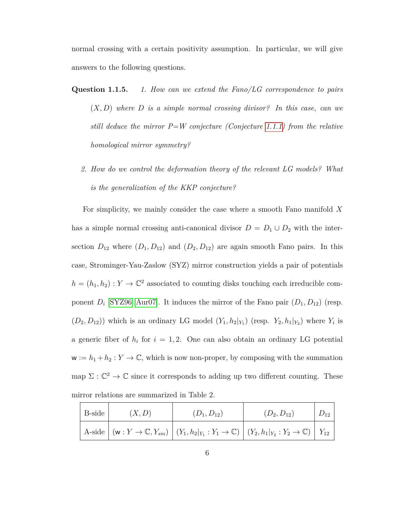normal crossing with a certain positivity assumption. In particular, we will give answers to the following questions.

- **Question 1.1.5.** *1. How can we extend the Fano/LG correspondence to pairs* (*X, D*) *where D is a simple normal crossing divisor? In this case, can we still deduce the mirror P=W conjecture (Conjecture [1.1.1\)](#page-9-1) from the relative homological mirror symmetry?*
	- *2. How do we control the deformation theory of the relevant LG models? What is the generalization of the KKP conjecture?*

For simplicity, we mainly consider the case where a smooth Fano manifold *X* has a simple normal crossing anti-canonical divisor  $D = D_1 \cup D_2$  with the intersection  $D_{12}$  where  $(D_1, D_{12})$  and  $(D_2, D_{12})$  are again smooth Fano pairs. In this case, Strominger-Yau-Zaslow (SYZ) mirror construction yields a pair of potentials  $h = (h_1, h_2) : Y \to \mathbb{C}^2$  associated to counting disks touching each irreducible component  $D_i$  [\[SYZ96\]](#page-162-0)[\[Aur07\]](#page-154-0). It induces the mirror of the Fano pair  $(D_1, D_{12})$  (resp.  $(D_2, D_{12})$  which is an ordinary LG model  $(Y_1, h_2|_{Y_1})$  (resp.  $Y_2, h_1|_{Y_2}$ ) where  $Y_i$  is a generic fiber of  $h_i$  for  $i = 1, 2$ . One can also obtain an ordinary LG potential  $w := h_1 + h_2 : Y \to \mathbb{C}$ , which is now non-proper, by composing with the summation map  $\Sigma : \mathbb{C}^2 \to \mathbb{C}$  since it corresponds to adding up two different counting. These mirror relations are summarized in Table 2.

| B-side | (X,D) | $(D_1, D_{12})$                                                                                                            | $(D_2, D_{12})$ |  |
|--------|-------|----------------------------------------------------------------------------------------------------------------------------|-----------------|--|
|        |       | A-side $ (w: Y \to \mathbb{C}, Y_{sm}) (Y_1, h_2 _{Y_1}: Y_1 \to \mathbb{C}) (Y_2, h_1 _{Y_2}: Y_2 \to \mathbb{C}) Y_{12}$ |                 |  |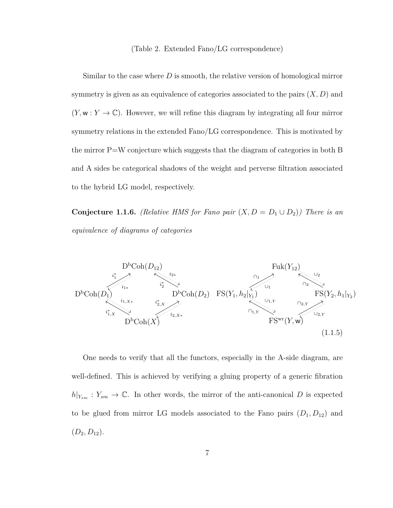#### (Table 2. Extended Fano/LG correspondence)

Similar to the case where *D* is smooth, the relative version of homological mirror symmetry is given as an equivalence of categories associated to the pairs (*X, D*) and  $(Y, w: Y \to \mathbb{C})$ . However, we will refine this diagram by integrating all four mirror symmetry relations in the extended Fano/LG correspondence. This is motivated by the mirror P=W conjecture which suggests that the diagram of categories in both B and A sides be categorical shadows of the weight and perverse filtration associated to the hybrid LG model, respectively.

**Conjecture 1.1.6.** *(Relative HMS for Fano pair*  $(X, D = D_1 \cup D_2)$ *) There is an equivalence of diagrams of categories*

<span id="page-14-1"></span>

<span id="page-14-0"></span>One needs to verify that all the functors, especially in the A-side diagram, are well-defined. This is achieved by verifying a gluing property of a generic fibration  $h|_{Y_{sm}}: Y_{sm} \to \mathbb{C}$ . In other words, the mirror of the anti-canonical *D* is expected to be glued from mirror LG models associated to the Fano pairs  $(D_1, D_{12})$  and  $(D_2, D_{12}).$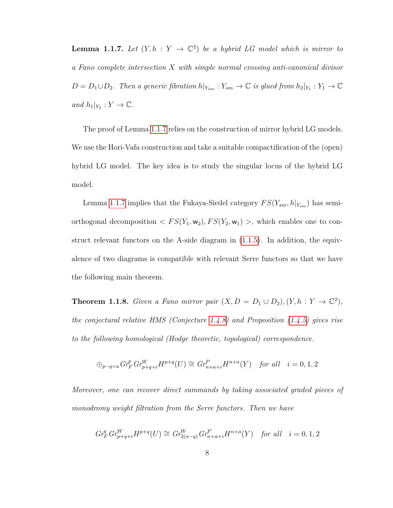**Lemma 1.1.7.** Let  $(Y, h : Y \to \mathbb{C}^2)$  be a hybrid LG model which is mirror to *a Fano complete intersection X with simple normal crossing anti-canonical divisor*  $D = D_1 \cup D_2$ . Then a generic fibration  $h|_{Y_{sm}} : Y_{sm} \to \mathbb{C}$  is glued from  $h_2|_{Y_1} : Y_1 \to \mathbb{C}$  $and h_1|_{Y_2}: Y \to \mathbb{C}.$ 

The proof of Lemma [1.1.7](#page-14-0) relies on the construction of mirror hybrid LG models. We use the Hori-Vafa construction and take a suitable compactification of the (open) hybrid LG model. The key idea is to study the singular locus of the hybrid LG model.

Lemma [1.1.7](#page-14-0) implies that the Fukaya-Siedel category  $FS(Y_{sm}, h|_{Y_{sm}})$  has semiorthogonal decomposition  $\langle FS(Y_1, w_2), FS(Y_2, w_1) \rangle$ , which enables one to construct relevant functors on the A-side diagram in  $(1.1.5)$ . In addition, the equivalence of two diagrams is compatible with relevant Serre functors so that we have the following main theorem.

**Theorem 1.1.8.** *Given a Fano mirror pair*  $(X, D = D_1 \cup D_2)$ ,  $(Y, h : Y \to \mathbb{C}^2)$ *, the conjectural relative HMS (Conjecture [1.4.8\)](#page-56-1) and Proposition [\(1.4.5\)](#page-54-0) gives rise to the following homological (Hodge theoretic, topological) correspondence.*

$$
\oplus_{p-q=a} Gr_F^p Gr_{p+q+i}^W H^{p+q}(U) \cong Gr_{n+a+i}^P H^{n+a}(Y) \quad \text{for all} \quad i=0,1,2
$$

*Moreover, one can recover direct summands by taking associated graded pieces of monodromy weight filtration from the Serre functors. Then we have*

$$
Gr_F^q Gr_{p+q+i}^W H^{p+q}(U) \cong Gr_{2(n-q)}^W Gr_{n+a+i}^P H^{n+a}(Y) \text{ for all } i = 0, 1, 2
$$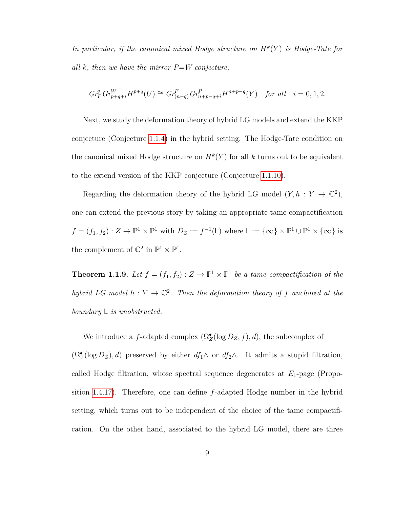In particular, if the canonical mixed Hodge structure on  $H^k(Y)$  is Hodge-Tate for *all k, then we have the mirror P=W conjecture;*

$$
Gr_F^qGr_{p+q+i}^WH^{p+q}(U)\cong Gr_{(n-q)}^FGr_{n+p-q+i}^PH^{n+p-q}(Y)\quad \textit{for all}\quad i=0,1,2.
$$

Next, we study the deformation theory of hybrid LG models and extend the KKP conjecture (Conjecture [1.1.4\)](#page-12-1) in the hybrid setting. The Hodge-Tate condition on the canonical mixed Hodge structure on  $H^k(Y)$  for all k turns out to be equivalent to the extend version of the KKP conjecture (Conjecture [1.1.10\)](#page-17-0).

Regarding the deformation theory of the hybrid LG model  $(Y, h : Y \to \mathbb{C}^2)$ , one can extend the previous story by taking an appropriate tame compactification  $f = (f_1, f_2) : Z \to \mathbb{P}^1 \times \mathbb{P}^1$  with  $D_Z := f^{-1}(\mathsf{L})$  where  $\mathsf{L} := \{\infty\} \times \mathbb{P}^1 \cup \mathbb{P}^1 \times \{\infty\}$  is the complement of  $\mathbb{C}^2$  in  $\mathbb{P}^1 \times \mathbb{P}^1$ .

**Theorem 1.1.9.** Let  $f = (f_1, f_2) : Z \to \mathbb{P}^1 \times \mathbb{P}^1$  be a tame compactification of the *hybrid LG model*  $h: Y \to \mathbb{C}^2$ . Then the deformation theory of f anchored at the *boundary* L *is unobstructed.*

We introduce a *f*-adapted complex  $(\Omega_Z^{\bullet}(\log D_Z, f), d)$ , the subcomplex of  $(\Omega_Z^{\bullet}(\log D_Z), d)$  preserved by either  $df_1 \wedge$  or  $df_2 \wedge$ . It admits a stupid filtration, called Hodge filtration, whose spectral sequence degenerates at *E*1-page (Proposition [1.4.17\)](#page-68-0). Therefore, one can define *f*-adapted Hodge number in the hybrid setting, which turns out to be independent of the choice of the tame compactification. On the other hand, associated to the hybrid LG model, there are three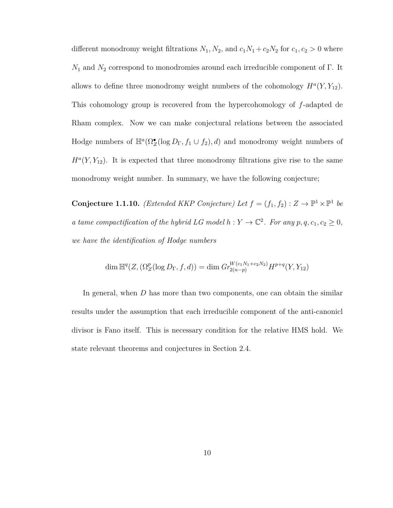different monodromy weight filtrations  $N_1$ ,  $N_2$ , and  $c_1N_1 + c_2N_2$  for  $c_1, c_2 > 0$  where  $N_1$  and  $N_2$  correspond to monodromies around each irreducible component of  $\Gamma.$  It allows to define three monodromy weight numbers of the cohomology  $H^a(Y, Y_{12})$ . This cohomology group is recovered from the hypercohomology of *f*-adapted de Rham complex. Now we can make conjectural relations between the associated Hodge numbers of  $\mathbb{H}^a(\Omega_Z^{\bullet}(\log D_{\Gamma}, f_1 \cup f_2), d)$  and monodromy weight numbers of  $H<sup>a</sup>(Y, Y<sub>12</sub>)$ . It is expected that three monodromy filtrations give rise to the same monodromy weight number. In summary, we have the following conjecture;

<span id="page-17-0"></span>**Conjecture 1.1.10.** *(Extended KKP Conjecture)* Let  $f = (f_1, f_2) : Z \to \mathbb{P}^1 \times \mathbb{P}^1$  be *a tame compactification of the hybrid LG model*  $h: Y \to \mathbb{C}^2$ *. For any*  $p, q, c_1, c_2 \geq 0$ , *we have the identification of Hodge numbers*

$$
\dim \mathbb{H}^q(Z, (\Omega_Z^p(\log D_\Gamma, f, d)) = \dim Gr_{2(n-p)}^{W(c_1N_1 + c_2N_2)} H^{p+q}(Y, Y_{12})
$$

In general, when *D* has more than two components, one can obtain the similar results under the assumption that each irreducible component of the anti-canonicl divisor is Fano itself. This is necessary condition for the relative HMS hold. We state relevant theorems and conjectures in Section 2.4.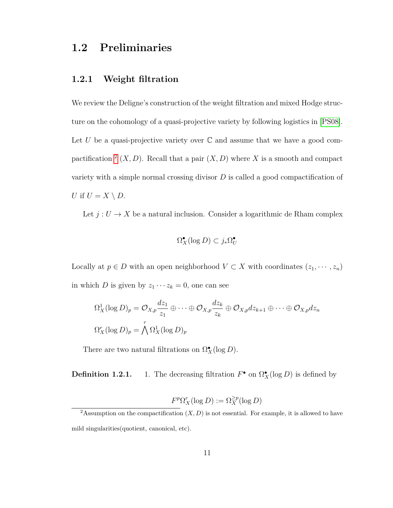## <span id="page-18-0"></span>**1.2 Preliminaries**

## <span id="page-18-1"></span>**1.2.1 Weight filtration**

We review the Deligne's construction of the weight filtration and mixed Hodge structure on the cohomology of a quasi-projective variety by following logistics in [\[PS08\]](#page-161-2). Let  $U$  be a quasi-projective variety over  $\mathbb C$  and assume that we have a good compactification  $^2$  $^2$   $(X, D)$ . Recall that a pair  $(X, D)$  where X is a smooth and compact variety with a simple normal crossing divisor *D* is called a good compactification of *U* if  $U = X \setminus D$ .

Let  $j: U \to X$  be a natural inclusion. Consider a logarithmic de Rham complex

$$
\Omega_X^{\bullet}(\log D) \subset j_* \Omega_U^{\bullet}
$$

Locally at  $p \in D$  with an open neighborhood  $V \subset X$  with coordinates  $(z_1, \dots, z_n)$ in which *D* is given by  $z_1 \cdots z_k = 0$ , one can see

$$
\Omega_X^1(\log D)_p = \mathcal{O}_{X,p} \frac{dz_1}{z_1} \oplus \cdots \oplus \mathcal{O}_{X,p} \frac{dz_k}{z_k} \oplus \mathcal{O}_{X,p} dz_{k+1} \oplus \cdots \oplus \mathcal{O}_{X,p} dz_n
$$
  

$$
\Omega_X^r(\log D)_p = \bigwedge^r \Omega_X^1(\log D)_p
$$

There are two natural filtrations on  $\Omega_X^{\bullet}(\log D)$ .

**Definition 1.2.1.** 1. The decreasing filtration  $F^{\bullet}$  on  $\Omega_X^{\bullet}(\log D)$  is defined by

$$
F^p \Omega^r_X(\log D) := \Omega^{\geq p}_X(\log D)
$$

<span id="page-18-2"></span><sup>&</sup>lt;sup>2</sup>Assumption on the compactification  $(X, D)$  is not essential. For example, it is allowed to have mild singularities(quotient, canonical, etc).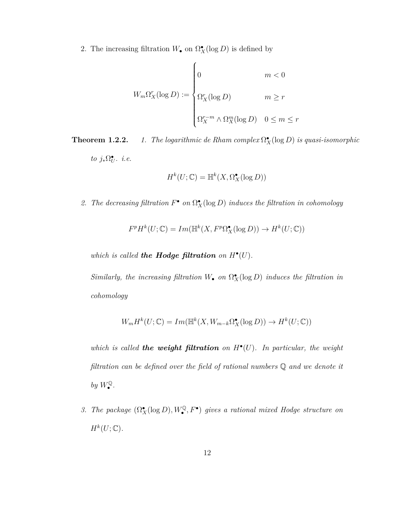2. The increasing filtration  $W_{\bullet}$  on  $\Omega_X^{\bullet}(\log D)$  is defined by

$$
W_m \Omega_X^r(\log D) := \begin{cases} 0 & m < 0 \\ \\ \Omega_X^r(\log D) & m \ge r \\ \\ \Omega_X^{r-m} \wedge \Omega_X^m(\log D) & 0 \le m \le r \end{cases}
$$

**Theorem 1.2.2.** *1. The logarithmic de Rham complex*  $\Omega_X^{\bullet}(\log D)$  *is quasi-isomorphic to*  $j_*\Omega_U^{\bullet}$ *. i.e.* 

$$
H^k(U; \mathbb{C}) = \mathbb{H}^k(X, \Omega_X^{\bullet}(\log D))
$$

2. The decreasing filtration  $F^{\bullet}$  on  $\Omega_X^{\bullet}(\log D)$  induces the filtration in cohomology

$$
F^p H^k(U; \mathbb{C}) = Im(\mathbb{H}^k(X, F^p \Omega_X^{\bullet}(\log D)) \to H^k(U; \mathbb{C}))
$$

which is called the Hodge filtration on  $H^{\bullet}(U)$ .

*Similarly, the increasing filtration*  $W_{\bullet}$  *on*  $\Omega_{X}^{\bullet}(\log D)$  *induces the filtration in cohomology*

$$
W_m H^k(U; \mathbb{C}) = Im(\mathbb{H}^k(X, W_{m-k}\Omega_X^{\bullet}(\log D)) \to H^k(U; \mathbb{C}))
$$

which is called **the weight filtration** on  $H^{\bullet}(U)$ . In particular, the weight *filtration can be defined over the field of rational numbers* Q *and we denote it*  $by$   $W^{\mathbb{Q}}_{\bullet}$ .

*3. The package*  $(\Omega_X^{\bullet}(\log D), W_{\bullet}^{\mathbb{Q}}, F^{\bullet})$  *gives a rational mixed Hodge structure on*  $H^k(U; \mathbb{C})$ .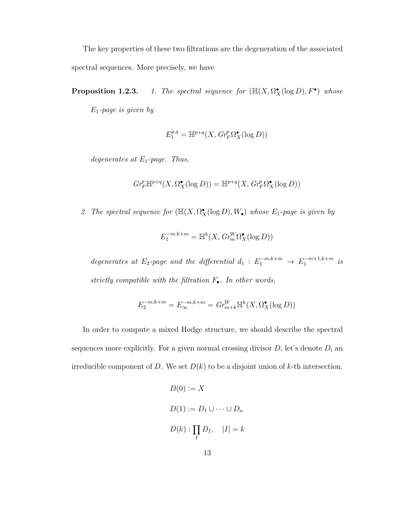The key properties of these two filtrations are the degeneration of the associated spectral sequences. More precisely, we have

**Proposition 1.2.3.** *1. The spectral sequence for*  $(\mathbb{H}(X, \Omega_X^{\bullet}(\log D), F^{\bullet})$  *whose E*1*-page is given by*

$$
E_1^{p,q} = \mathbb{H}^{p+q}(X, Gr_F^p \Omega_X^{\bullet}(\log D))
$$

*degenerates at E*1*-page. Thus,*

$$
Gr_F^p \mathbb{H}^{p+q}(X,\Omega_X^\bullet(\log D)) = \mathbb{H}^{p+q}(X,Gr_F^p \Omega_X^\bullet(\log D))
$$

2. *The spectral sequence for*  $(\mathbb{H}(X, \Omega_X^{\bullet})(\log D), W_{\bullet})$  *whose*  $E_1$ *-page is given by* 

$$
E_1^{-m,k+m}=\mathbb{H}^k(X,\,Gr_m^W\Omega_X^\bullet(\log D))
$$

*degenerates at*  $E_2$ -page and the differential  $d_1 : E_1^{-m,k+m} \to E_1^{-m+1,k+m}$  $i^{m+1,k+m}$  *is strictly compatible with the filtration F*•*. In other words,*

$$
E_2^{-m,k+m} = E_{\infty}^{-m,k+m} = Gr_{m+k}^W \mathbb{H}^k(X, \Omega_X^{\bullet}(\log D))
$$

In order to compute a mixed Hodge structure, we should describe the spectral sequences more explicitly. For a given normal crossing divisor  $D$ , let's denote  $D_i$  and irreducible component of *D*. We set  $D(k)$  to be a disjoint union of *k*-th intersection.

$$
D(0) := X
$$
  

$$
D(1) := D_1 \cup \dots \cup D_n
$$
  

$$
D(k) : \prod_I D_I, \quad |I| = k
$$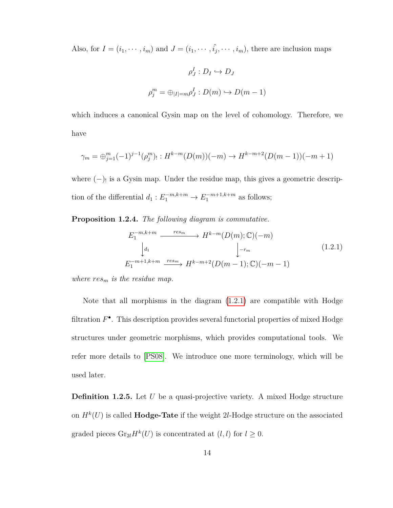Also, for  $I = (i_1, \dots, i_m)$  and  $J = (i_1, \dots, \hat{i_j}, \dots, i_m)$ , there are inclusion maps

$$
\rho_J^I : D_I \hookrightarrow D_J
$$

$$
\rho_j^m = \bigoplus_{|I|=m} \rho_J^I : D(m) \hookrightarrow D(m-1)
$$

which induces a canonical Gysin map on the level of cohomology. Therefore, we have

$$
\gamma_m = \bigoplus_{j=1}^m (-1)^{j-1} (\rho_j^m)_{!} : H^{k-m}(D(m))(-m) \to H^{k-m+2}(D(m-1))(-m+1)
$$

where  $(-)$  is a Gysin map. Under the residue map, this gives a geometric description of the differential  $d_1: E_1^{-m,k+m} \to E_1^{-m+1,k+m}$  as follows;

**Proposition 1.2.4.** *The following diagram is commutative.*

<span id="page-21-0"></span>
$$
E_1^{-m,k+m} \xrightarrow{res_m} H^{k-m}(D(m); \mathbb{C})(-m)
$$

$$
\downarrow d_1 \qquad \qquad \downarrow -r_m
$$

$$
E_1^{-m+1,k+m} \xrightarrow{res_m} H^{k-m+2}(D(m-1); \mathbb{C})(-m-1)
$$

$$
(1.2.1)
$$

*where res<sup>m</sup> is the residue map.*

Note that all morphisms in the diagram  $(1.2.1)$  are compatible with Hodge filtration  $F^{\bullet}$ . This description provides several functorial properties of mixed Hodge structures under geometric morphisms, which provides computational tools. We refer more details to [\[PS08\]](#page-161-2). We introduce one more terminology, which will be used later.

**Definition 1.2.5.** Let *U* be a quasi-projective variety. A mixed Hodge structure on  $H^k(U)$  is called **Hodge-Tate** if the weight 2*l*-Hodge structure on the associated graded pieces  $\text{Gr}_{2l}H^k(U)$  is concentrated at  $(l, l)$  for  $l \geq 0$ .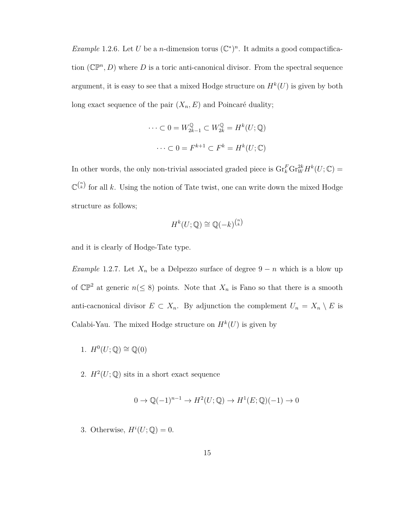*Example* 1.2.6. Let *U* be a *n*-dimension torus  $(\mathbb{C}^*)^n$ . It admits a good compactification  $(\mathbb{CP}^n, D)$  where *D* is a toric anti-canonical divisor. From the spectral sequence argument, it is easy to see that a mixed Hodge structure on  $H^k(U)$  is given by both long exact sequence of the pair (*Xn, E*) and Poincaré duality;

$$
\cdots \subset 0 = W_{2k-1}^{\mathbb{Q}} \subset W_{2k}^{\mathbb{Q}} = H^k(U; \mathbb{Q})
$$

$$
\cdots \subset 0 = F^{k+1} \subset F^k = H^k(U; \mathbb{C})
$$

In other words, the only non-trivial associated graded piece is  $\mathrm{Gr}_{k}^{F} \mathrm{Gr}_{W}^{2k} H^{k}(U; \mathbb{C}) =$  $\mathbb{C}^{n \choose k}$  for all *k*. Using the notion of Tate twist, one can write down the mixed Hodge structure as follows;

$$
H^k(U; \mathbb{Q}) \cong \mathbb{Q}(-k)^{\binom{n}{k}}
$$

and it is clearly of Hodge-Tate type.

*Example* 1.2.7*.* Let  $X_n$  be a Delpezzo surface of degree  $9 - n$  which is a blow up of  $\mathbb{CP}^2$  at generic  $n \leq 8$ ) points. Note that  $X_n$  is Fano so that there is a smooth anti-cacnonical divisor  $E \subset X_n$ . By adjunction the complement  $U_n = X_n \setminus E$  is Calabi-Yau. The mixed Hodge structure on  $H^k(U)$  is given by

- 1.  $H^0(U; \mathbb{Q}) \cong \mathbb{Q}(0)$
- 2.  $H^2(U; \mathbb{Q})$  sits in a short exact sequence

$$
0 \to \mathbb{Q}(-1)^{n-1} \to H^2(U; \mathbb{Q}) \to H^1(E; \mathbb{Q})(-1) \to 0
$$

3. Otherwise,  $H^i(U; \mathbb{Q}) = 0$ .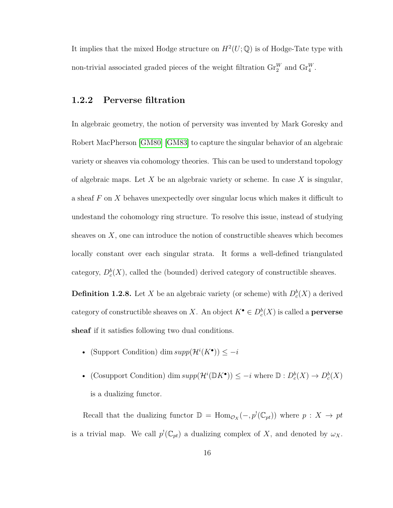It implies that the mixed Hodge structure on  $H^2(U; \mathbb{Q})$  is of Hodge-Tate type with non-trivial associated graded pieces of the weight filtration  $\text{Gr}_2^W$  and  $\text{Gr}_4^W$ .

## <span id="page-23-0"></span>**1.2.2 Perverse filtration**

In algebraic geometry, the notion of perversity was invented by Mark Goresky and Robert MacPherson [\[GM80\]](#page-157-1) [\[GM83\]](#page-157-2) to capture the singular behavior of an algebraic variety or sheaves via cohomology theories. This can be used to understand topology of algebraic maps. Let *X* be an algebraic variety or scheme. In case *X* is singular, a sheaf *F* on *X* behaves unexpectedly over singular locus which makes it difficult to undestand the cohomology ring structure. To resolve this issue, instead of studying sheaves on *X*, one can introduce the notion of constructible sheaves which becomes locally constant over each singular strata. It forms a well-defined triangulated category,  $D_c^b(X)$ , called the (bounded) derived category of constructible sheaves.

**Definition 1.2.8.** Let *X* be an algebraic variety (or scheme) with  $D_c^b(X)$  a derived category of constructible sheaves on *X*. An object  $K^{\bullet} \in D_{c}^{b}(X)$  is called a **perverse sheaf** if it satisfies following two dual conditions.

- (Support Condition) dim  $supp(\mathcal{H}^i(K^{\bullet})) \leq -i$
- (Cosupport Condition) dim  $supp(\mathcal{H}^i(\mathbb{D}K^{\bullet})) \leq -i$  where  $\mathbb{D}: D_c^b(X) \to D_c^b(X)$ is a dualizing functor.

Recall that the dualizing functor  $\mathbb{D} = \text{Hom}_{\mathcal{O}_X}(-, p^!(\mathbb{C}_{pt}))$  where  $p: X \to pt$ is a trivial map. We call  $p^{!}(\mathbb{C}_{pt})$  a dualizing complex of *X*, and denoted by  $\omega_X$ .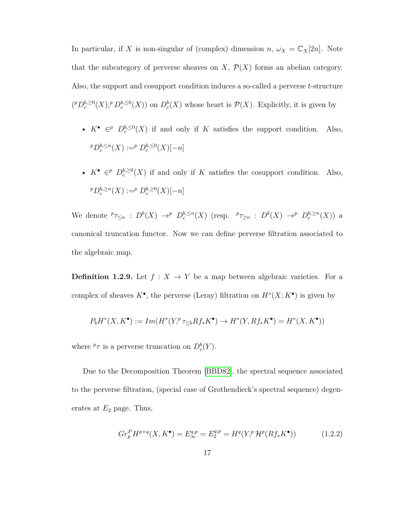In particular, if *X* is non-singular of (complex) dimension  $n, \omega_X = \mathbb{C}_X[2n]$ . Note that the subcategory of perverse sheaves on  $X$ ,  $\mathcal{P}(X)$  forms an abelian category. Also, the support and cosupport condition induces a so-called a perverse *t*-structure  $({}^pD^{b, \geq 0}_c(X), {}^pD^{b, \leq 0}_c(X)$  on  $D^b_c(X)$  whose heart is  $\mathcal{P}(X)$ . Explicitly, it is given by

- $K^{\bullet} \in \mathbb{P}$   $D_c^{b,\leq 0}(X)$  if and only if *K* satisfies the support condition. Also,  $p^p D_c^{b, \leq n}(X) := p^p D_c^{b, \leq 0}(X)[-n]$
- $K^{\bullet} \in \mathbb{P}$   $D_c^{b, \geq 0}(X)$  if and only if *K* satisfies the cosupport condition. Also,  $p^p D_c^{b, \ge n}(X) := p^p D_c^{b, \ge 0}(X)[-n]$

We denote  ${}^p\tau_{\leq n}$  :  $D^b(X) \to^p D_c^{b, \leq n}(X)$  (resp.  ${}^p\tau_{\geq n}$  :  $D^b(X) \to^p D_c^{b, \geq n}(X)$ ) a canonical truncation functor. Now we can define perverse filtration associated to the algebraic map.

**Definition 1.2.9.** Let  $f: X \to Y$  be a map between algebraic varieties. For a complex of sheaves  $K^{\bullet}$ , the perverse (Leray) filtration on  $H^*(X; K^{\bullet})$  is given by

$$
P_b H^*(X, K^{\bullet}) := Im(H^*(Y, \mathcal{P}_{\leq b} Rf_* K^{\bullet}) \to H^*(Y, Rf_* K^{\bullet}) = H^*(X, K^{\bullet}))
$$

where  ${}^p\tau$  is a perverse truncation on  $D_c^b(Y)$ .

Due to the Decomposition Theorem [\[BBD82\]](#page-154-1), the spectral sequence associated to the perverse filtration, (special case of Grothendieck's spectral sequence) degenerates at  $E_2$  page. Thus,

$$
Gr_p^P H^{p+q}(X, K^{\bullet}) = E_{\infty}^{q,p} = E_2^{q,p} = H^q(Y,^p \mathcal{H}^p(Rf_*K^{\bullet}))
$$
(1.2.2)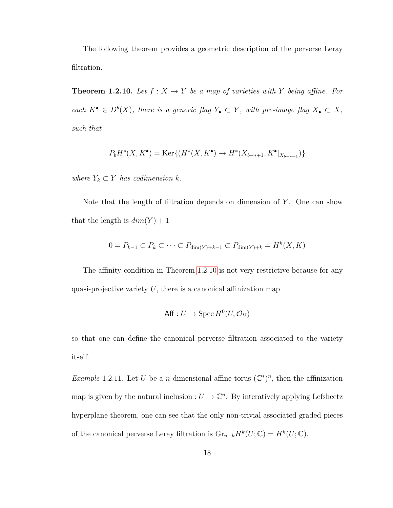The following theorem provides a geometric description of the perverse Leray filtration.

<span id="page-25-0"></span>**Theorem 1.2.10.** Let  $f: X \to Y$  be a map of varieties with Y being affine. For *each*  $K^{\bullet} \in D^{b}(X)$ *, there is a generic flag*  $Y_{\bullet} \subset Y$ *, with pre-image flag*  $X_{\bullet} \subset X$ *, such that*

$$
P_b H^*(X, K^{\bullet}) = \text{Ker}\{(H^*(X, K^{\bullet}) \to H^*(X_{b-*+1}, K^{\bullet}|_{X_{b-*+1}})\}
$$

*where*  $Y_k \subset Y$  *has codimension*  $k$ *.* 

Note that the length of filtration depends on dimension of *Y* . One can show that the length is  $dim(Y) + 1$ 

$$
0 = P_{k-1} \subset P_k \subset \cdots \subset P_{\dim(Y)+k-1} \subset P_{\dim(Y)+k} = H^k(X, K)
$$

The affinity condition in Theorem [1.2.10](#page-25-0) is not very restrictive because for any quasi-projective variety  $U$ , there is a canonical affinization map

$$
\mathsf{Aff}: U \to \operatorname{Spec} H^0(U, \mathcal{O}_U)
$$

so that one can define the canonical perverse filtration associated to the variety itself.

*Example* 1.2.11. Let *U* be a *n*-dimensional affine torus  $(\mathbb{C}^*)^n$ , then the affinization map is given by the natural inclusion :  $U \to \mathbb{C}^n$ . By interatively applying Lefshcetz hyperplane theorem, one can see that the only non-trivial associated graded pieces of the canonical perverse Leray filtration is  $\mathrm{Gr}_{n-k} H^k(U; \mathbb{C}) = H^k(U; \mathbb{C}).$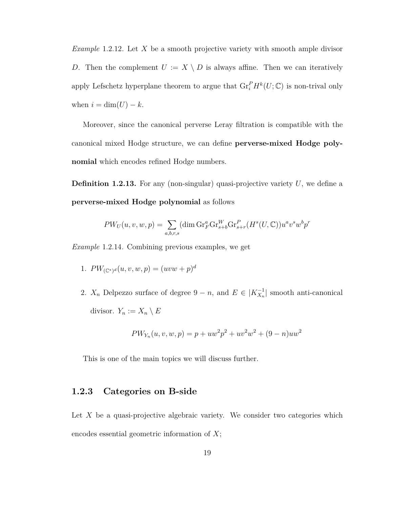*Example* 1.2.12*.* Let *X* be a smooth projective variety with smooth ample divisor *D*. Then the complement  $U := X \setminus D$  is always affine. Then we can iteratively apply Lefschetz hyperplane theorem to argue that  $\mathrm{Gr}_{i}^{P} H^{k}(U; \mathbb{C})$  is non-trival only when  $i = \dim(U) - k$ .

Moreover, since the canonical perverse Leray filtration is compatible with the canonical mixed Hodge structure, we can define **perverse-mixed Hodge polynomial** which encodes refined Hodge numbers.

<span id="page-26-1"></span>**Definition 1.2.13.** For any (non-singular) quasi-projective variety U, we define a **perverse-mixed Hodge polynomial** as follows

$$
PW_U(u, v, w, p) = \sum_{a, b, r, s} (\dim \mathrm{Gr}_F^a \mathrm{Gr}_{s+b}^W \mathrm{Gr}_{s+r}^P (H^s(U, \mathbb{C})) u^a v^s w^b p^r
$$

*Example* 1.2.14*.* Combining previous examples, we get

- 1.  $PW_{(\mathbb{C}^*)^d}(u, v, w, p) = (uvw + p)^d$
- 2.  $X_n$  Delpezzo surface of degree  $9 n$ , and  $E \in |K_{X_n}^{-1}|$  smooth anti-canonical divisor.  $Y_n := X_n \setminus E$

$$
PW_{Y_n}(u, v, w, p) = p + uw^2p^2 + uv^2w^2 + (9 - n)uw^2
$$

This is one of the main topics we will discuss further.

### <span id="page-26-0"></span>**1.2.3 Categories on B-side**

Let *X* be a quasi-projective algebraic variety. We consider two categories which encodes essential geometric information of *X*;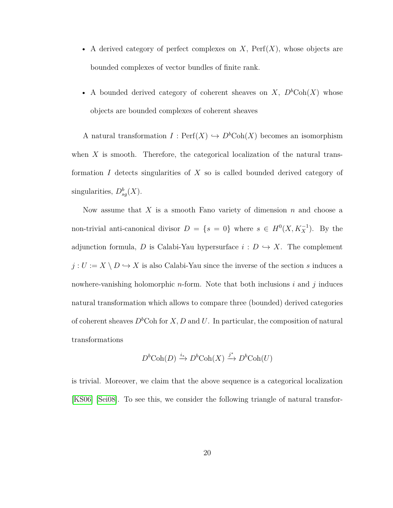- A derived category of perfect complexes on *X*, Perf(*X*), whose objects are bounded complexes of vector bundles of finite rank.
- A bounded derived category of coherent sheaves on  $X$ ,  $D<sup>b</sup>Coh(X)$  whose objects are bounded complexes of coherent sheaves

A natural transformation  $I: \mathrm{Perf}(X) \hookrightarrow D^b\mathrm{Coh}(X)$  becomes an isomorphism when *X* is smooth. Therefore, the categorical localization of the natural transformation *I* detects singularities of *X* so is called bounded derived category of singularities,  $D_{sg}^b(X)$ .

Now assume that *X* is a smooth Fano variety of dimension *n* and choose a non-trivial anti-canonical divisor  $D = \{s = 0\}$  where  $s \in H^0(X, K_X^{-1})$ . By the adjunction formula, *D* is Calabi-Yau hypersurface  $i : D \hookrightarrow X$ . The complement  $j: U:= X \setminus D \hookrightarrow X$  is also Calabi-Yau since the inverse of the section  $s$  induces a nowhere-vanishing holomorphic *n*-form. Note that both inclusions *i* and *j* induces natural transformation which allows to compare three (bounded) derived categories of coherent sheaves  $D<sup>b</sup>$ Coh for *X*, *D* and *U*. In particular, the composition of natural transformations

$$
D^b \text{Coh}(D) \xrightarrow{i_*} D^b \text{Coh}(X) \xrightarrow{j^*} D^b \text{Coh}(U)
$$

is trivial. Moreover, we claim that the above sequence is a categorical localization [\[KS06\]](#page-160-2) [\[Sei08\]](#page-161-3). To see this, we consider the following triangle of natural transfor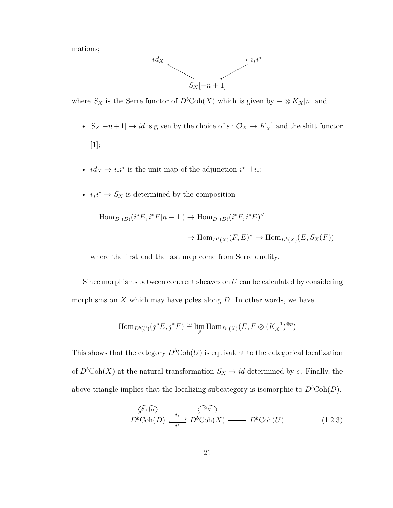mations;



where  $S_X$  is the Serre functor of  $D^b \text{Coh}(X)$  which is given by  $-\otimes K_X[n]$  and

- $S_X[-n+1] \to id$  is given by the choice of  $s: \mathcal{O}_X \to K_X^{-1}$  and the shift functor [1];
- $id_X \to i_*i^*$  is the unit map of the adjunction  $i^* \to i_*;$
- $i_*i^* \to S_X$  is determined by the composition

$$
\text{Hom}_{D^b(D)}(i^*E, i^*F[n-1]) \to \text{Hom}_{D^b(D)}(i^*F, i^*E)^\vee
$$

$$
\to \text{Hom}_{D^b(X)}(F, E)^\vee \to \text{Hom}_{D^b(X)}(E, S_X(F))
$$

where the first and the last map come from Serre duality.

Since morphisms between coherent sheaves on *U* can be calculated by considering morphisms on *X* which may have poles along *D*. In other words, we have

$$
\operatorname{Hom}_{D^b(U)}(j^*E, j^*F) \cong \lim_p \operatorname{Hom}_{D^b(X)}(E, F \otimes (K_X^{-1})^{\otimes p})
$$

This shows that the category  $D^b\text{Coh}(U)$  is equivalent to the categorical localization of  $D<sup>b</sup>Coh(X)$  at the natural transformation  $S_X \to id$  determined by *s*. Finally, the above triangle implies that the localizing subcategory is isomorphic to  $D<sup>b</sup>Coh(D)$ .

<span id="page-28-0"></span>
$$
\begin{array}{ccc}\n\sqrt{S_{X|D}} & \sqrt{S_{X}} \\
D^{b}\text{Coh}(D) & \xrightarrow{i_{*}} & D^{b}\text{Coh}(X) & \longrightarrow D^{b}\text{Coh}(U)\n\end{array} \tag{1.2.3}
$$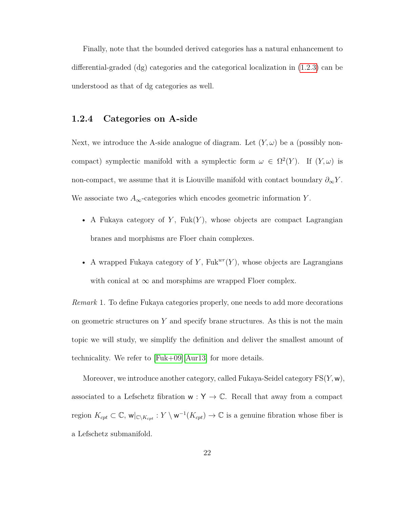Finally, note that the bounded derived categories has a natural enhancement to differential-graded (dg) categories and the categorical localization in [\(1.2.3\)](#page-28-0) can be understood as that of dg categories as well.

### <span id="page-29-0"></span>**1.2.4 Categories on A-side**

Next, we introduce the A-side analogue of diagram. Let  $(Y, \omega)$  be a (possibly noncompact) symplectic manifold with a symplectic form  $\omega \in \Omega^2(Y)$ . If  $(Y, \omega)$  is non-compact, we assume that it is Liouville manifold with contact boundary  $\partial_{\infty}Y$ . We associate two  $A_{\infty}$ -categories which encodes geometric information *Y*.

- A Fukaya category of  $Y$ ,  $Fuk(Y)$ , whose objects are compact Lagrangian branes and morphisms are Floer chain complexes.
- A wrapped Fukaya category of  $Y$ , Fuk<sup>*wr*</sup>( $Y$ ), whose objects are Lagrangians with conical at  $\infty$  and morsphims are wrapped Floer complex.

*Remark* 1*.* To define Fukaya categories properly, one needs to add more decorations on geometric structures on *Y* and specify brane structures. As this is not the main topic we will study, we simplify the definition and deliver the smallest amount of technicality. We refer to [\[Fuk+09\]](#page-157-0)[\[Aur13\]](#page-154-2) for more details.

Moreover, we introduce another category, called Fukaya-Seidel category FS(*Y,* w), associated to a Lefschetz fibration  ${\sf w} : {\sf Y} \to \mathbb{C}.$  Recall that away from a compact region  $K_{cpt} \subset \mathbb{C}$ ,  $\mathsf{w}|_{\mathbb{C}\setminus K_{cpt}}: Y \setminus \mathsf{w}^{-1}(K_{cpt}) \to \mathbb{C}$  is a genuine fibration whose fiber is a Lefschetz submanifold.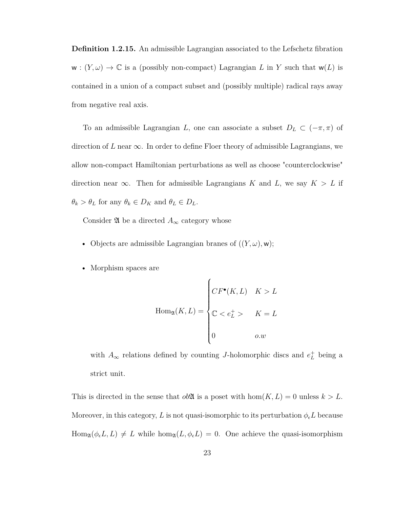**Definition 1.2.15.** An admissible Lagrangian associated to the Lefschetz fibration  $w : (Y, \omega) \to \mathbb{C}$  is a (possibly non-compact) Lagrangian *L* in *Y* such that  $w(L)$  is contained in a union of a compact subset and (possibly multiple) radical rays away from negative real axis.

To an admissible Lagrangian *L*, one can associate a subset  $D_L \subset (-\pi, \pi)$  of direction of *L* near  $\infty$ . In order to define Floer theory of admissible Lagrangians, we allow non-compact Hamiltonian perturbations as well as choose "counterclockwise" direction near  $\infty$ . Then for admissible Lagrangians *K* and *L*, we say  $K > L$  if  $\theta_k > \theta_L$  for any  $\theta_k \in D_K$  and  $\theta_L \in D_L$ .

Consider  $\mathfrak A$  be a directed  $A_\infty$  category whose

- Objects are admissible Lagrangian branes of  $((Y, \omega), w)$ ;
- Morphism spaces are

$$
\text{Hom}_{\mathfrak{A}}(K, L) = \begin{cases} CF^{\bullet}(K, L) & K > L \\ \mathbb{C} < e_L^+ > K = L \\ 0 & o.w \end{cases}
$$

with  $A_{\infty}$  relations defined by counting *J*-holomorphic discs and  $e^{\pm}_L$  being a strict unit.

This is directed in the sense that  $ob\mathfrak{A}$  is a poset with  $hom(K, L) = 0$  unless  $k > L$ . Moreover, in this category, L is not quasi-isomorphic to its perturbation  $\phi_{\epsilon}L$  because  $\text{Hom}_{\mathfrak{A}}(\phi_{\epsilon}L, L) \neq L$  while  $\text{hom}_{\mathfrak{A}}(L, \phi_{\epsilon}L) = 0$ . One achieve the quasi-isomorphism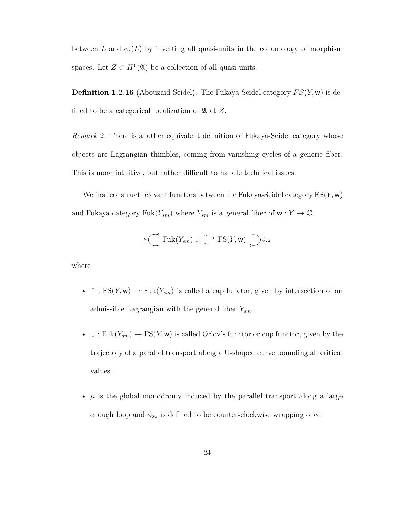between *L* and  $\phi_{\epsilon}(L)$  by inverting all quasi-units in the cohomology of morphism spaces. Let  $Z \subset H^0(\mathfrak{A})$  be a collection of all quasi-units.

**Definition 1.2.16** (Abouzaid-Seidel)**.** The Fukaya-Seidel category *F S*(*Y,* w) is defined to be a categorical localization of A at *Z*.

*Remark* 2*.* There is another equivalent definition of Fukaya-Seidel category whose objects are Lagrangian thimbles, coming from vanishing cycles of a generic fiber. This is more intuitive, but rather difficult to handle technical issues.

We first construct relevant functors between the Fukaya-Seidel category FS(*Y,* w) and Fukaya category  $Fuk(Y_{sm})$  where  $Y_{sm}$  is a general fiber of  $w: Y \to \mathbb{C}$ ;

$$
\mu
$$
  $\longrightarrow$  Fuk $(Y_{sm}) \xrightarrow{\cup} \text{FS}(Y, \mathbf{w}) \longrightarrow \phi_{2\pi}$ 

where

- $\cap$ : FS(*Y*, w)  $\rightarrow$  Fuk(*Y<sub>sm</sub>*) is called a cap functor, given by intersection of an admissible Lagrangian with the general fiber *Ysm*.
- $\cup: \text{Fuk}(Y_{sm}) \to \text{FS}(Y, \mathsf{w})$  is called Orlov's functor or cup functor, given by the trajectory of a parallel transport along a U-shaped curve bounding all critical values.
- $\mu$  is the global monodromy induced by the parallel transport along a large enough loop and  $\phi_{2\pi}$  is defined to be counter-clockwise wrapping once.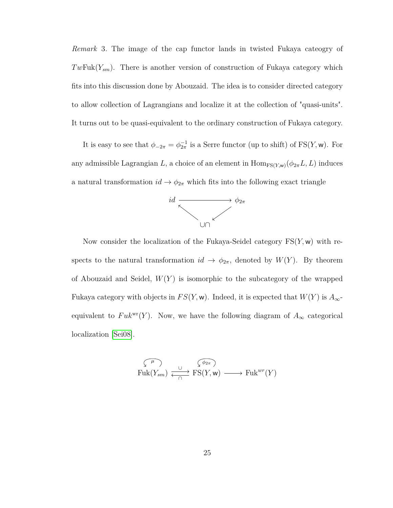*Remark* 3*.* The image of the cap functor lands in twisted Fukaya cateogry of *Tw*Fuk(*Ysm*). There is another version of construction of Fukaya category which fits into this discussion done by Abouzaid. The idea is to consider directed category to allow collection of Lagrangians and localize it at the collection of "quasi-units". It turns out to be quasi-equivalent to the ordinary construction of Fukaya category.

It is easy to see that  $\phi_{-2\pi} = \phi_{2\pi}^{-1}$  is a Serre functor (up to shift) of FS(*Y*, w). For any admissible Lagrangian *L*, a choice of an element in  $\text{Hom}_{\text{FS}(Y,\text{w})}(\phi_{2\pi}L, L)$  induces a natural transformation  $id \to \phi_{2\pi}$  which fits into the following exact triangle



Now consider the localization of the Fukaya-Seidel category FS(*Y,* w) with respects to the natural transformation  $id \rightarrow \phi_{2\pi}$ , denoted by  $W(Y)$ . By theorem of Abouzaid and Seidel, *W*(*Y* ) is isomorphic to the subcategory of the wrapped Fukaya category with objects in  $FS(Y, w)$ . Indeed, it is expected that  $W(Y)$  is  $A_{\infty}$ equivalent to  $Fuk^{wr}(Y)$ . Now, we have the following diagram of  $A_{\infty}$  categorical localization [\[Sei08\]](#page-161-3).

$$
\overbrace{\mathrm{Fuk}(Y_{sm})}^{\hspace{1cm} \mu} \xrightarrow[\hspace{1cm}]{\hspace{1cm} \alpha \hspace{1cm}} \overbrace{\mathrm{FS}(Y,\mathsf{w})}^{\hspace{1cm} \widehat{\phi_{2\pi}}})}^{\hspace{1cm} \widehat{\phi_{2\pi}}}
$$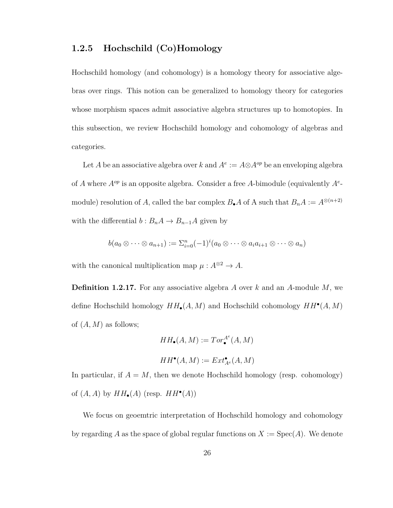## <span id="page-33-0"></span>**1.2.5 Hochschild (Co)Homology**

Hochschild homology (and cohomology) is a homology theory for associative algebras over rings. This notion can be generalized to homology theory for categories whose morphism spaces admit associative algebra structures up to homotopies. In this subsection, we review Hochschild homology and cohomology of algebras and categories.

Let *A* be an associative algebra over *k* and  $A^e := A \otimes A^{op}$  be an enveloping algebra of *A* where *Aop* is an opposite algebra. Consider a free *A*-bimodule (equivalently *A<sup>e</sup>* module) resolution of *A*, called the bar complex  $B_{\bullet}A$  of A such that  $B_nA := A^{\otimes (n+2)}$ with the differential  $b: B_nA \to B_{n-1}A$  given by

$$
b(a_0\otimes\cdots\otimes a_{n+1}) := \sum_{i=0}^n (-1)^i (a_0\otimes\cdots\otimes a_i a_{i+1}\otimes\cdots\otimes a_n)
$$

with the canonical multiplication map  $\mu : A^{\otimes 2} \to A$ .

**Definition 1.2.17.** For any associative algebra *A* over *k* and an *A*-module *M*, we define Hochschild homology *HH*•(*A, M*) and Hochschild cohomology *HH*• (*A, M*) of (*A, M*) as follows;

$$
HH_{\bullet}(A, M) := Tor_{\bullet}^{A^e}(A, M)
$$

$$
HH^{\bullet}(A, M) := Ext_{A^e}^{\bullet}(A, M)
$$

In particular, if  $A = M$ , then we denote Hochschild homology (resp. cohomology) of  $(A, A)$  by  $HH_{\bullet}(A)$  (resp.  $HH^{\bullet}(A)$ )

We focus on geoemtric interpretation of Hochschild homology and cohomology by regarding A as the space of global regular functions on  $X := \text{Spec}(A)$ . We denote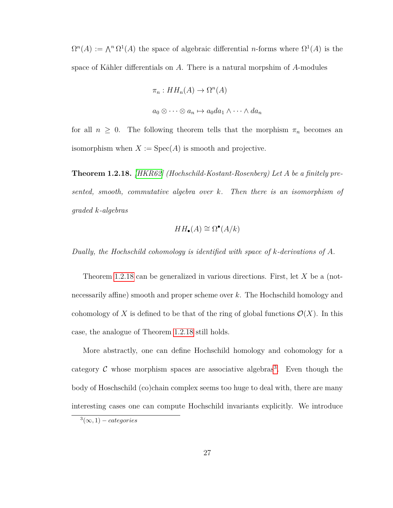$\Omega^{n}(A) := \Lambda^{n} \Omega^{1}(A)$  the space of algebraic differential *n*-forms where  $\Omega^{1}(A)$  is the space of Kähler differentials on *A*. There is a natural morpshim of *A*-modules

$$
\pi_n: HH_n(A) \to \Omega^n(A)
$$
  

$$
a_0 \otimes \cdots \otimes a_n \mapsto a_0 da_1 \wedge \cdots \wedge da_n
$$

for all  $n \geq 0$ . The following theorem tells that the morphism  $\pi_n$  becomes an isomorphism when  $X := \text{Spec}(A)$  is smooth and projective.

<span id="page-34-0"></span>**Theorem 1.2.18.** *[\[HKR62\]](#page-158-2) (Hochschild-Kostant-Rosenberg) Let A be a finitely presented, smooth, commutative algebra over k. Then there is an isomorphism of graded k-algebras*

$$
HH_{\bullet}(A) \cong \Omega^{\bullet}(A/k)
$$

*Dually, the Hochschild cohomology is identified with space of k-derivations of A.*

Theorem [1.2.18](#page-34-0) can be generalized in various directions. First, let *X* be a (notnecessarily affine) smooth and proper scheme over *k*. The Hochschild homology and cohomology of X is defined to be that of the ring of global functions  $\mathcal{O}(X)$ . In this case, the analogue of Theorem [1.2.18](#page-34-0) still holds.

More abstractly, one can define Hochschild homology and cohomology for a category  $\mathcal C$  whose morphism spaces are associative algebras<sup>[3](#page-34-1)</sup>. Even though the body of Hoschschild (co)chain complex seems too huge to deal with, there are many interesting cases one can compute Hochschild invariants explicitly. We introduce

<span id="page-34-1"></span> $^{3}(\infty,1)-categories$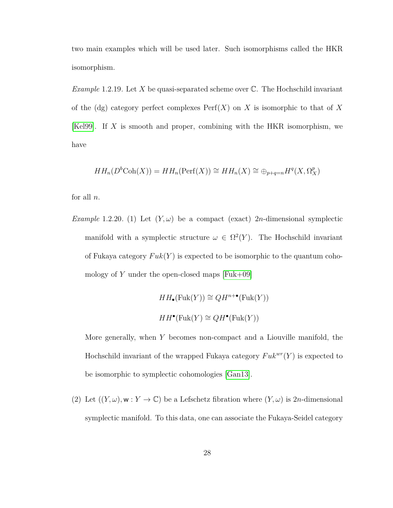two main examples which will be used later. Such isomorphisms called the HKR isomorphism.

*Example* 1.2.19*.* Let *X* be quasi-separated scheme over C. The Hochschild invariant of the  $\text{dg}$  category perfect complexes  $\text{Perf}(X)$  on X is isomorphic to that of X [\[Kel99\]](#page-159-3). If *X* is smooth and proper, combining with the HKR isomorphism, we have

$$
HH_n(D^b \text{Coh}(X)) = HH_n(\text{Perf}(X)) \cong HH_n(X) \cong \bigoplus_{p+q=n} H^q(X, \Omega_X^p)
$$

for all *n*.

*Example* 1.2.20. (1) Let  $(Y, \omega)$  be a compact (exact) 2*n*-dimensional symplectic manifold with a symplectic structure  $\omega \in \Omega^2(Y)$ . The Hochschild invariant of Fukaya category  $Fuk(Y)$  is expected to be isomorphic to the quantum cohomology of  $Y$  under the open-closed maps  $[Fuk+09]$ 

> $HH_{\bullet}(\text{Fuk}(Y)) \cong QH^{n+\bullet}(\text{Fuk}(Y))$  $HH^{\bullet}(\text{Fuk}(Y) \cong QH^{\bullet}(\text{Fuk}(Y)))$

More generally, when *Y* becomes non-compact and a Liouville manifold, the Hochschild invariant of the wrapped Fukaya category  $Fuk^{wr}(Y)$  is expected to be isomorphic to symplectic cohomologies [\[Gan13\]](#page-157-3).

(2) Let  $((Y, \omega), \mathbf{w}: Y \to \mathbb{C})$  be a Lefschetz fibration where  $(Y, \omega)$  is 2*n*-dimensional symplectic manifold. To this data, one can associate the Fukaya-Seidel category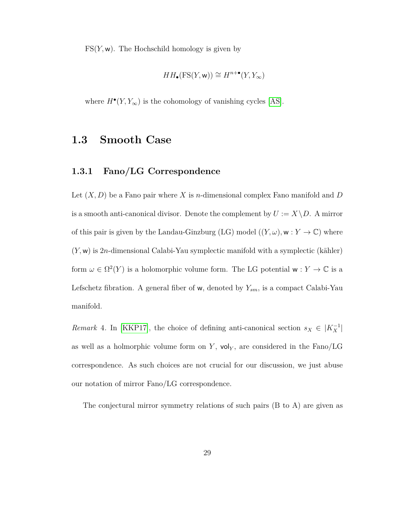$FS(Y, w)$ . The Hochschild homology is given by

$$
HH_{\bullet}(FS(Y, w)) \cong H^{n+\bullet}(Y, Y_{\infty})
$$

where  $H^{\bullet}(Y, Y_{\infty})$  is the cohomology of vanishing cycles [\[AS\]](#page-153-0).

## **1.3 Smooth Case**

## **1.3.1 Fano/LG Correspondence**

Let (*X, D*) be a Fano pair where *X* is *n*-dimensional complex Fano manifold and *D* is a smooth anti-canonical divisor. Denote the complement by  $U := X \setminus D$ . A mirror of this pair is given by the Landau-Ginzburg (LG) model  $((Y, \omega), \mathbf{w}: Y \to \mathbb{C})$  where (*Y,* w) is 2*n*-dimensional Calabi-Yau symplectic manifold with a symplectic (kähler) form  $\omega \in \Omega^2(Y)$  is a holomorphic volume form. The LG potential  $w: Y \to \mathbb{C}$  is a Lefschetz fibration. A general fiber of w, denoted by *Ysm*, is a compact Calabi-Yau manifold.

*Remark* 4. In [\[KKP17\]](#page-159-0), the choice of defining anti-canonical section  $s_X \in |K_X^{-1}|$ as well as a holmorphic volume form on  $Y$ ,  $\mathsf{vol}_Y$ , are considered in the  $\text{Fano}/\text{LG}$ correspondence. As such choices are not crucial for our discussion, we just abuse our notation of mirror Fano/LG correspondence.

The conjectural mirror symmetry relations of such pairs (B to A) are given as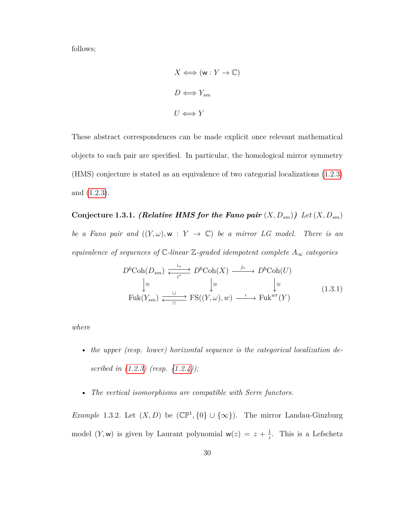follows;

$$
X \iff (\mathbf{w} : Y \to \mathbb{C})
$$

$$
D \iff Y_{sm}
$$

$$
U \iff Y
$$

These abstract correspondences can be made explicit once relevant mathematical objects to each pair are specified. In particular, the homological mirror symmetry (HMS) conjecture is stated as an equivalence of two categorial localizations [\(1.2.3\)](#page-28-0) and [\(1.2.3\)](#page-28-0).

<span id="page-37-1"></span>**Conjecture 1.3.1.** *(Relative HMS for the Fano pair*  $(X, D_{sm})$ *) Let*  $(X, D_{sm})$ *be a Fano pair and*  $((Y, \omega), w : Y \rightarrow \mathbb{C})$  *be a mirror LG model. There is an equivalence of sequences of* C*-linear* Z*-graded idempotent complete A*<sup>∞</sup> *categories*

<span id="page-37-0"></span>
$$
D^{b}\text{Coh}(D_{sm}) \xrightarrow{\quad i_{*} \quad \longrightarrow \quad} D^{b}\text{Coh}(X) \xrightarrow{\quad j_{*} \quad \longrightarrow \quad} D^{b}\text{Coh}(U)
$$

$$
\downarrow \cong \qquad \qquad \downarrow \cong \qquad \qquad \downarrow \cong
$$

$$
\text{Fuk}(Y_{sm}) \xrightarrow{\cup \qquad \qquad \longmapsto \quad} \text{FS}((Y,\omega),w) \xrightarrow{\quad \iota \quad \longrightarrow \quad} \text{Fuk}^{wr}(Y)
$$
(1.3.1)

*where*

- *the upper (resp. lower) horizontal sequence is the categorical localization described in [\(1.2.3\)](#page-28-0) (resp. [\(1.2.4\)](#page-31-0));*
- *The vertical isomorphisms are compatible with Serre functors.*

*Example* 1.3.2*.* Let  $(X, D)$  be  $(\mathbb{CP}^1, \{0\} \cup \{\infty\})$ . The mirror Landau-Ginzburg model  $(Y, w)$  is given by Laurant polynomial  $w(z) = z + \frac{1}{z}$  $\frac{1}{z}$ . This is a Lefschetz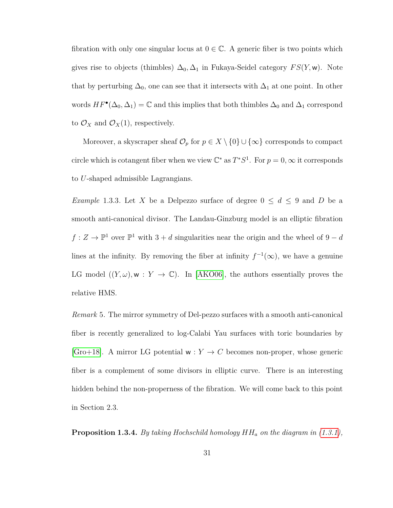fibration with only one singular locus at  $0 \in \mathbb{C}$ . A generic fiber is two points which gives rise to objects (thimbles)  $\Delta_0$ ,  $\Delta_1$  in Fukaya-Seidel category  $FS(Y, w)$ . Note that by perturbing  $\Delta_0$ , one can see that it intersects with  $\Delta_1$  at one point. In other words  $HF^{\bullet}(\Delta_0, \Delta_1) = \mathbb{C}$  and this implies that both thimbles  $\Delta_0$  and  $\Delta_1$  correspond to  $\mathcal{O}_X$  and  $\mathcal{O}_X(1)$ , respectively.

Moreover, a skyscraper sheaf  $\mathcal{O}_p$  for  $p \in X \setminus \{0\} \cup \{\infty\}$  corresponds to compact circle which is cotangent fiber when we view  $\mathbb{C}^*$  as  $T^*S^1$ . For  $p = 0$ ,  $\infty$  it corresponds to *U*-shaped admissible Lagrangians.

<span id="page-38-0"></span>*Example* 1.3.3*.* Let *X* be a Delpezzo surface of degree  $0 \le d \le 9$  and *D* be a smooth anti-canonical divisor. The Landau-Ginzburg model is an elliptic fibration  $f: Z \to \mathbb{P}^1$  over  $\mathbb{P}^1$  with  $3 + d$  singularities near the origin and the wheel of  $9 - d$ lines at the infinity. By removing the fiber at infinity  $f^{-1}(\infty)$ , we have a genuine LG model  $((Y,\omega),\mathbf{w}:Y\to\mathbb{C})$ . In [\[AKO06\]](#page-153-1), the authors essentially proves the relative HMS.

*Remark* 5*.* The mirror symmetry of Del-pezzo surfaces with a smooth anti-canonical fiber is recently generalized to log-Calabi Yau surfaces with toric boundaries by [\[Gro+18\]](#page-158-0). A mirror LG potential  $w: Y \to C$  becomes non-proper, whose generic fiber is a complement of some divisors in elliptic curve. There is an interesting hidden behind the non-properness of the fibration. We will come back to this point in Section 2.3.

<span id="page-38-1"></span>**Proposition 1.3.4.** *By taking Hochschild homology HH<sup>a</sup> on the diagram in [\(1.3.1\)](#page-37-0),*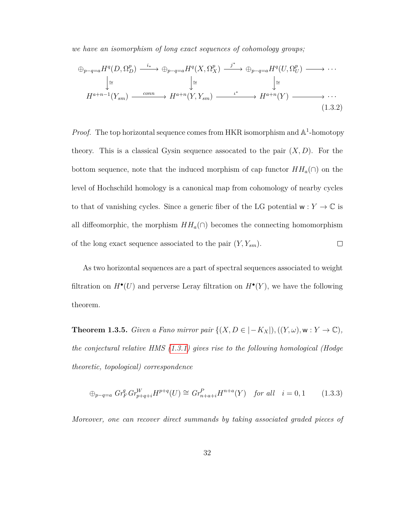*we have an isomorphism of long exact sequences of cohomology groups;*

<span id="page-39-0"></span>
$$
\oplus_{p-q=a} H^q(D, \Omega_D^p) \xrightarrow{i_*} \oplus_{p-q=a} H^q(X, \Omega_X^p) \xrightarrow{j^*} \oplus_{p-q=a} H^q(U, \Omega_U^p) \longrightarrow \cdots
$$
  
\n
$$
\downarrow \cong
$$
  
\n
$$
H^{a+n-1}(Y_{sm}) \xrightarrow{conn} H^{a+n}(Y, Y_{sm}) \xrightarrow{i^*} H^{a+n}(Y) \longrightarrow \cdots
$$
  
\n
$$
(1.3.2)
$$

*Proof.* The top horizontal sequence comes from HKR isomorphism and  $\mathbb{A}^1$ -homotopy theory. This is a classical Gysin sequence assocated to the pair  $(X, D)$ . For the bottom sequence, note that the induced morphism of cap functor  $HH_a(\cap)$  on the level of Hochschild homology is a canonical map from cohomology of nearby cycles to that of vanishing cycles. Since a generic fiber of the LG potential  $w: Y \to \mathbb{C}$  is all diffeomorphic, the morphism  $HH_a(\cap)$  becomes the connecting homomorphism of the long exact sequence associated to the pair  $(Y, Y_{sm})$ .  $\Box$ 

As two horizontal sequences are a part of spectral sequences associated to weight filtration on  $H^{\bullet}(U)$  and perverse Leray filtration on  $H^{\bullet}(Y)$ , we have the following theorem.

**Theorem 1.3.5.** *Given a Fano mirror pair*  $\{(X, D \in |-K_X|), ((Y, \omega), w : Y \to \mathbb{C}),$ *the conjectural relative HMS [\(1.3.1\)](#page-37-0) gives rise to the following homological (Hodge theoretic, topological) correspondence*

$$
\oplus_{p-q=a} \; Gr_F^q \; Gr_{p+q+i}^W H^{p+q}(U) \cong \; Gr_{n+a+i}^P H^{n+a}(Y) \quad \text{for all} \quad i = 0, 1 \tag{1.3.3}
$$

*Moreover, one can recover direct summands by taking associated graded pieces of*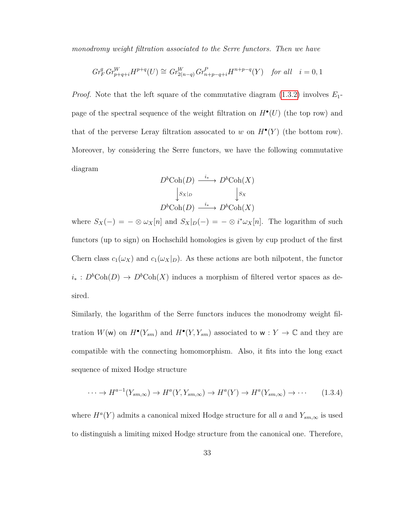*monodromy weight filtration associated to the Serre functors. Then we have*

$$
Gr_F^q Gr_{p+q+i}^W H^{p+q}(U) \cong Gr_{2(n-q)}^W Gr_{n+p-q+i}^P H^{n+p-q}(Y) \quad \text{for all} \quad i=0,1
$$

*Proof.* Note that the left square of the commutative diagram [\(1.3.2\)](#page-39-0) involves *E*1 page of the spectral sequence of the weight filtration on  $H^{\bullet}(U)$  (the top row) and that of the perverse Leray filtration assocated to *w* on  $H^{\bullet}(Y)$  (the bottom row). Moreover, by considering the Serre functors, we have the following commutative diagram

$$
D^{b}\text{Coh}(D) \xrightarrow{i_{*}} D^{b}\text{Coh}(X)
$$

$$
\downarrow s_{X|D} \qquad \qquad \downarrow s_{X}
$$

$$
D^{b}\text{Coh}(D) \xrightarrow{i_{*}} D^{b}\text{Coh}(X)
$$

where  $S_X(-) = -\otimes \omega_X[n]$  and  $S_X|_{D}(-) = -\otimes i^*\omega_X[n]$ . The logarithm of such functors (up to sign) on Hochschild homologies is given by cup product of the first Chern class  $c_1(\omega_X)$  and  $c_1(\omega_X|_D)$ . As these actions are both nilpotent, the functor  $i_* : D<sup>b</sup>Coh(D) \rightarrow D<sup>b</sup>Coh(X)$  induces a morphism of filtered vertor spaces as desired.

Similarly, the logarithm of the Serre functors induces the monodromy weight filtration  $W(\mathsf{w})$  on  $H^{\bullet}(Y_{sm})$  and  $H^{\bullet}(Y, Y_{sm})$  associated to  $\mathsf{w}: Y \to \mathbb{C}$  and they are compatible with the connecting homomorphism. Also, it fits into the long exact sequence of mixed Hodge structure

$$
\cdots \to H^{a-1}(Y_{sm,\infty}) \to H^a(Y,Y_{sm,\infty}) \to H^a(Y) \to H^a(Y_{sm,\infty}) \to \cdots
$$
 (1.3.4)

where  $H^a(Y)$  admits a canonical mixed Hodge structure for all *a* and  $Y_{sm,\infty}$  is used to distinguish a limiting mixed Hodge structure from the canonical one. Therefore,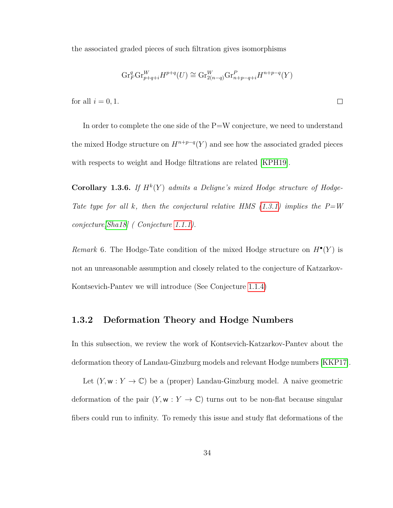the associated graded pieces of such filtration gives isomorphisms

$$
\operatorname{Gr}_F^q \operatorname{Gr}_{p+q+i}^W H^{p+q}(U) \cong \operatorname{Gr}_{2(n-q)}^W \operatorname{Gr}_{n+p-q+i}^P H^{n+p-q}(Y)
$$

 $\Box$ 

for all  $i = 0, 1$ .

In order to complete the one side of the P=W conjecture, we need to understand the mixed Hodge structure on  $H^{n+p-q}(Y)$  and see how the associated graded pieces with respects to weight and Hodge filtrations are related [\[KPH19\]](#page-159-1).

**Corollary 1.3.6.** If  $H^k(Y)$  admits a Deligne's mixed Hodge structure of Hodge-*Tate type for all k, then the conjectural relative HMS [\(1.3.1\)](#page-37-0) implies the P=W conjecture[\[Sha18\]](#page-161-0) ( Conjecture [1.1.1\)](#page-9-0).*

*Remark* 6. The Hodge-Tate condition of the mixed Hodge structure on  $H^{\bullet}(Y)$  is not an unreasonable assumption and closely related to the conjecture of Katzarkov-Kontsevich-Pantev we will introduce (See Conjecture [1.1.4\)](#page-12-0)

## **1.3.2 Deformation Theory and Hodge Numbers**

In this subsection, we review the work of Kontsevich-Katzarkov-Pantev about the deformation theory of Landau-Ginzburg models and relevant Hodge numbers [\[KKP17\]](#page-159-0).

Let  $(Y, w : Y \to \mathbb{C})$  be a (proper) Landau-Ginzburg model. A naive geometric deformation of the pair  $(Y, w : Y \to \mathbb{C})$  turns out to be non-flat because singular fibers could run to infinity. To remedy this issue and study flat deformations of the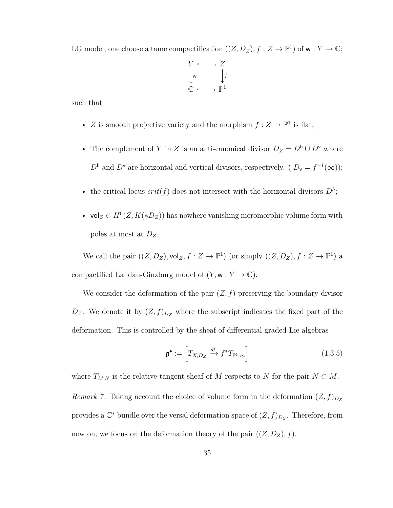LG model, one choose a tame compactification  $((Z, D_Z), f : Z \to \mathbb{P}^1)$  of  $w : Y \to \mathbb{C}$ ;



such that

- *Z* is smooth projective variety and the morphism  $f: Z \to \mathbb{P}^1$  is flat;
- The complement of *Y* in *Z* is an anti-canonical divisor  $D_Z = D^h \cup D^v$  where  $D<sup>h</sup>$  and  $D<sup>v</sup>$  are horizontal and vertical divisors, respectively. ( $D<sub>v</sub> = f<sup>-1</sup>(\infty)$ );
- the critical locus  $crit(f)$  does not intersect with the horizontal divisors  $D^h$ ;
- vol<sub>Z</sub>  $\in$   $H^0(Z, K(*D_Z))$  has nowhere vanishing meromorphic volume form with poles at most at *DZ*.

We call the pair  $((Z, D_Z), \text{vol}_Z, f : Z \to \mathbb{P}^1)$  (or simply  $((Z, D_Z), f : Z \to \mathbb{P}^1)$  a compactified Landau-Ginzburg model of  $(Y, w : Y \to \mathbb{C})$ .

We consider the deformation of the pair  $(Z, f)$  preserving the boundary divisor  $D_Z$ . We denote it by  $(Z, f)_{D_Z}$  where the subscript indicates the fixed part of the deformation. This is controlled by the sheaf of differential graded Lie algebras

$$
\mathfrak{g}^{\bullet} := \left[ T_{X,D_Z} \xrightarrow{df} f^* T_{\mathbb{P}^1, \infty} \right] \tag{1.3.5}
$$

<span id="page-42-1"></span><span id="page-42-0"></span>where  $T_{M,N}$  is the relative tangent sheaf of *M* respects to *N* for the pair  $N \subset M$ . *Remark* 7. Taking account the choice of volume form in the deformation  $(Z, f)_{D_Z}$ provides a  $\mathbb{C}^*$  bundle over the versal deformation space of  $(Z, f)_{D_Z}$ . Therefore, from now on, we focus on the deformation theory of the pair  $((Z, D_Z), f)$ .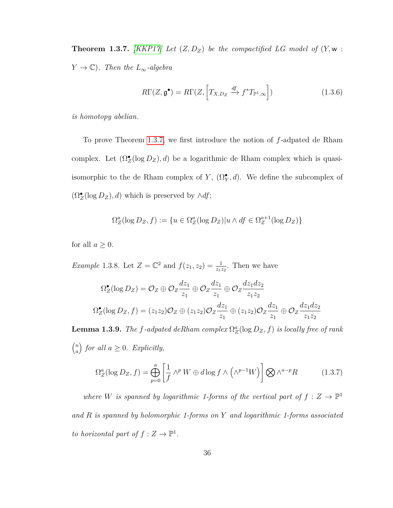**Theorem 1.3.7.** *[\[KKP17\]](#page-159-0) Let*  $(Z, D_Z)$  *be the compactified LG model of*  $(Y, w :$ *Y*  $\rightarrow$  *C*)*. Then the L*<sub>∞</sub>*-algebra* 

$$
R\Gamma(Z, \mathfrak{g}^{\bullet}) = R\Gamma(Z, \left[T_{X, D_Z} \xrightarrow{df} f^*T_{\mathbb{P}^1, \infty}\right])
$$
\n(1.3.6)

*is homotopy abelian.*

To prove Theorem [1.3.7,](#page-42-0) we first introduce the notion of *f*-adpated de Rham complex. Let  $(\Omega_Z^{\bullet}(\log D_Z), d)$  be a logarithmic de Rham complex which is quasiisomorphic to the de Rham complex of *Y*,  $(\Omega_Y^{\bullet}, d)$ . We define the subcomplex of  $(\Omega_Z^{\bullet}(\log D_Z), d)$  which is preserved by  $\wedge df$ ;

$$
\Omega_Z^a(\log D_Z, f) := \{ u \in \Omega_Z^a(\log D_Z) | u \wedge df \in \Omega_Z^{a+1}(\log D_Z) \}
$$

for all  $a \geq 0$ .

*Example* 1.3.8*.* Let  $Z = \mathbb{C}^2$  and  $f(z_1, z_2) = \frac{1}{z_1 z_2}$ . Then we have

$$
\Omega_Z^{\bullet}(\log D_Z) = \mathcal{O}_Z \oplus \mathcal{O}_Z \frac{dz_1}{z_1} \oplus \mathcal{O}_Z \frac{dz_1}{z_1} \oplus \mathcal{O}_Z \frac{dz_1 dz_2}{z_1 z_2}
$$
  

$$
\Omega_Z^{\bullet}(\log D_Z, f) = (z_1 z_2) \mathcal{O}_Z \oplus (z_1 z_2) \mathcal{O}_Z \frac{dz_1}{z_1} \oplus (z_1 z_2) \mathcal{O}_Z \frac{dz_1}{z_1} \oplus \mathcal{O}_Z \frac{dz_1 dz_2}{z_1 z_2}
$$

<span id="page-43-0"></span>**Lemma 1.3.9.** *The f*-adpated deRham complex  $\Omega_Z^a(\log D_Z, f)$  *is locally free of rank n a for all*  $a \geq 0$ *. Explicitly,* 

$$
\Omega_Z^a(\log D_Z, f) = \bigoplus_{p=0}^a \left[ \frac{1}{f} \wedge^p W \oplus d \log f \wedge \left( \wedge^{p-1} W \right) \right] \bigotimes \wedge^{a-p} R \tag{1.3.7}
$$

*where W is spanned by logarithmic 1-forms of the vertical part of*  $f : Z \to \mathbb{P}^1$ *and R is spanned by holomorphic 1-forms on Y and logarithmic 1-forms associated to horizontal part of*  $f: Z \to \mathbb{P}^1$ *.*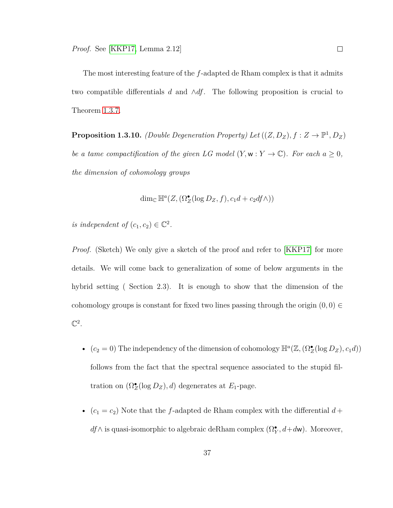The most interesting feature of the *f*-adapted de Rham complex is that it admits two compatible differentials *d* and ∧*df*. The following proposition is crucial to Theorem [1.3.7.](#page-42-0)

<span id="page-44-0"></span>**Proposition 1.3.10.** *(Double Degeneration Property) Let*  $((Z, D_Z), f : Z \to \mathbb{P}^1, D_Z)$ *be a tame compactification of the given LG model*  $(Y, \mathbf{w} : Y \to \mathbb{C})$ *. For each*  $a \geq 0$ *, the dimension of cohomology groups*

$$
\dim_{\mathbb{C}} \mathbb{H}^{a}(Z, (\Omega^{\bullet}_{Z}(\log D_{Z}, f), c_{1}d + c_{2}df \wedge))
$$

*is independent of*  $(c_1, c_2) \in \mathbb{C}^2$ .

*Proof.* (Sketch) We only give a sketch of the proof and refer to [\[KKP17\]](#page-159-0) for more details. We will come back to generalization of some of below arguments in the hybrid setting ( Section 2.3). It is enough to show that the dimension of the cohomology groups is constant for fixed two lines passing through the origin  $(0,0) \in$  $\mathbb{C}^2$ .

- $(c_2 = 0)$  The independency of the dimension of cohomology  $\mathbb{H}^a(\mathbb{Z}, (\Omega_Z^{\bullet}(\log D_Z), c_1 d))$ follows from the fact that the spectral sequence associated to the stupid filtration on  $(\Omega_Z^{\bullet}(\log D_Z), d)$  degenerates at  $E_1$ -page.
- $(c_1 = c_2)$  Note that the *f*-adapted de Rham complex with the differential  $d +$  $df \wedge$  is quasi-isomorphic to algebraic deRham complex  $(\Omega_Y^{\bullet}, d + d\mathbf{w})$ . Moreover,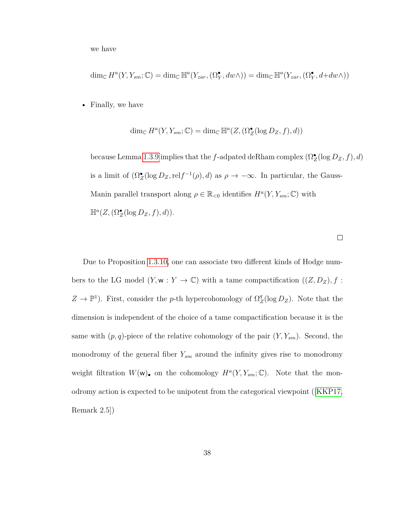we have

$$
\dim_{\mathbb{C}} H^{a}(Y, Y_{sm}; \mathbb{C}) = \dim_{\mathbb{C}} \mathbb{H}^{a}(Y_{zar}, (\Omega^{\bullet}_{Y}, dw \wedge)) = \dim_{\mathbb{C}} \mathbb{H}^{a}(Y_{zar}, (\Omega^{\bullet}_{Y}, d+dw \wedge))
$$

• Finally, we have

$$
\dim_{\mathbb{C}} H^{a}(Y, Y_{sm}; \mathbb{C}) = \dim_{\mathbb{C}} \mathbb{H}^{a}(Z, (\Omega^{\bullet}_{Z}(\log D_{Z}, f), d))
$$

because Lemma [1.3.9](#page-43-0) implies that the *f*-adpated deRham complex  $(\Omega_{Z}^{\bullet}(\log D_{Z},f), d)$ is a limit of  $(\Omega_Z^{\bullet}(\log D_Z, \text{rel} f^{-1}(\rho), d)$  as  $\rho \to -\infty$ . In particular, the Gauss-Manin parallel transport along  $\rho \in \mathbb{R}_{<0}$  identifies  $H^a(Y, Y_{sm}; \mathbb{C})$  with  $\mathbb{H}^a(Z, (\Omega_Z^{\bullet}(\log D_Z, f), d)).$ 

Due to Proposition [1.3.10,](#page-44-0) one can associate two different kinds of Hodge numbers to the LG model  $(Y, \mathbf{w} : Y \to \mathbb{C})$  with a tame compactification  $((Z, D_Z), f :$  $Z \to \mathbb{P}^1$ ). First, consider the *p*-th hypercohomology of  $\Omega_Z^q$  $Z^q$ (log  $D_Z$ ). Note that the dimension is independent of the choice of a tame compactification because it is the same with  $(p, q)$ -piece of the relative cohomology of the pair  $(Y, Y_{sm})$ . Second, the monodromy of the general fiber  $Y_{sm}$  around the infinity gives rise to monodromy weight filtration  $W(\mathbf{w})_{\bullet}$  on the cohomology  $H^a(Y, Y_{sm}; \mathbb{C})$ . Note that the monodromy action is expected to be unipotent from the categorical viewpoint ([\[KKP17,](#page-159-0) Remark 2.5])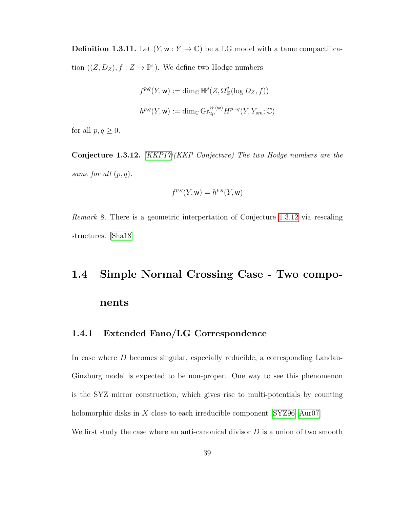**Definition 1.3.11.** Let  $(Y, w: Y \to \mathbb{C})$  be a LG model with a tame compactification  $((Z, D_Z), f : Z \to \mathbb{P}^1)$ . We define two Hodge numbers

$$
f^{p,q}(Y, \mathbf{w}) := \dim_{\mathbb{C}} \mathbb{H}^p(Z, \Omega_Z^q(\log D_Z, f))
$$
  

$$
h^{p,q}(Y, \mathbf{w}) := \dim_{\mathbb{C}} \operatorname{Gr}_{2p}^{W(\mathbf{w})} H^{p+q}(Y, Y_{sm}; \mathbb{C})
$$

for all  $p, q \geq 0$ .

<span id="page-46-0"></span>**Conjecture 1.3.12.** *[\[KKP17\]](#page-159-0)(KKP Conjecture) The two Hodge numbers are the same for all* (*p, q*)*.*

$$
f^{p,q}(Y, \mathsf{w}) = h^{p,q}(Y, \mathsf{w})
$$

*Remark* 8*.* There is a geometric interpertation of Conjecture [1.3.12](#page-46-0) via rescaling structures. [\[Sha18\]](#page-161-0)

# **1.4 Simple Normal Crossing Case - Two components**

## **1.4.1 Extended Fano/LG Correspondence**

In case where *D* becomes singular, especially reducible, a corresponding Landau-Ginzburg model is expected to be non-proper. One way to see this phenomenon is the SYZ mirror construction, which gives rise to multi-potentials by counting holomorphic disks in *X* close to each irreducible component [\[SYZ96\]](#page-162-0)[\[Aur07\]](#page-154-0) We first study the case where an anti-canonical divisor *D* is a union of two smooth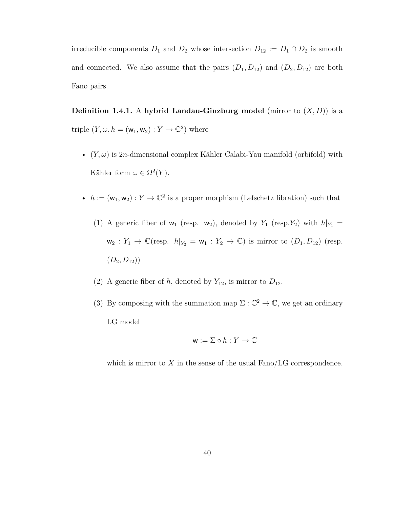irreducible components  $D_1$  and  $D_2$  whose intersection  $D_{12} := D_1 \cap D_2$  is smooth and connected. We also assume that the pairs  $(D_1, D_{12})$  and  $(D_2, D_{12})$  are both Fano pairs.

<span id="page-47-0"></span>**Definition 1.4.1.** A hybrid Landau-Ginzburg model (mirror to  $(X, D)$ ) is a triple  $(Y, \omega, h = (\mathsf{w}_1, \mathsf{w}_2) : Y \to \mathbb{C}^2)$  where

- $(Y, \omega)$  is 2*n*-dimensional complex Kähler Calabi-Yau manifold (orbifold) with Kähler form  $\omega \in \Omega^2(Y)$ .
- $h := (w_1, w_2) : Y \to \mathbb{C}^2$  is a proper morphism (Lefschetz fibration) such that
	- (1) A generic fiber of  $w_1$  (resp.  $w_2$ ), denoted by  $Y_1$  (resp.  $Y_2$ ) with  $h|_{Y_1} =$  $w_2: Y_1 \to \mathbb{C}(\text{resp. } h|_{Y_2} = w_1: Y_2 \to \mathbb{C})$  is mirror to  $(D_1, D_{12})$  (resp.  $(D_2, D_{12})$
	- (2) A generic fiber of *h*, denoted by  $Y_{12}$ , is mirror to  $D_{12}$ .
	- (3) By composing with the summation map  $\Sigma : \mathbb{C}^2 \to \mathbb{C}$ , we get an ordinary LG model

$$
\mathbf{w} := \Sigma \circ h : Y \to \mathbb{C}
$$

which is mirror to  $X$  in the sense of the usual  $Fano/LG$  correspondence.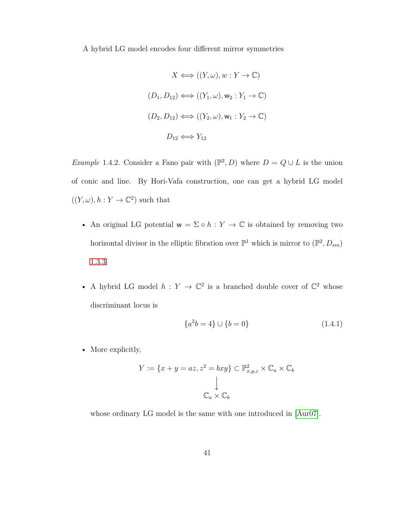A hybrid LG model encodes four different mirror symmetries

$$
X \iff ((Y, \omega), w : Y \to \mathbb{C})
$$
  

$$
(D_1, D_{12}) \iff ((Y_1, \omega), \mathbf{w}_2 : Y_1 \to \mathbb{C})
$$
  

$$
(D_2, D_{12}) \iff ((Y_2, \omega), \mathbf{w}_1 : Y_2 \to \mathbb{C})
$$
  

$$
D_{12} \iff Y_{12}
$$

*Example* 1.4.2. Consider a Fano pair with  $(\mathbb{P}^2, D)$  where  $D = Q \cup L$  is the union of conic and line. By Hori-Vafa construction, one can get a hybrid LG model  $((Y, \omega), h: Y \to \mathbb{C}^2)$  such that

- An original LG potential  $w = \Sigma \circ h : Y \to \mathbb{C}$  is obtained by removing two horizontal divisor in the elliptic fibration over  $\mathbb{P}^1$  which is mirror to  $(\mathbb{P}^2, D_{sm})$ [1.3.3](#page-38-0)
- A hybrid LG model  $h: Y \to \mathbb{C}^2$  is a branched double cover of  $\mathbb{C}^2$  whose discriminant locus is

$$
\{a^2b = 4\} \cup \{b = 0\} \tag{1.4.1}
$$

• More explicitly,

$$
Y := \{x + y = az, z^2 = bxy\} \subset \mathbb{P}^2_{x,y,z} \times \mathbb{C}_a \times \mathbb{C}_b
$$
  

$$
\downarrow
$$
  

$$
\mathbb{C}_a \times \mathbb{C}_b
$$

<span id="page-48-0"></span>whose ordinary LG model is the same with one introduced in [\[Aur07\]](#page-154-0).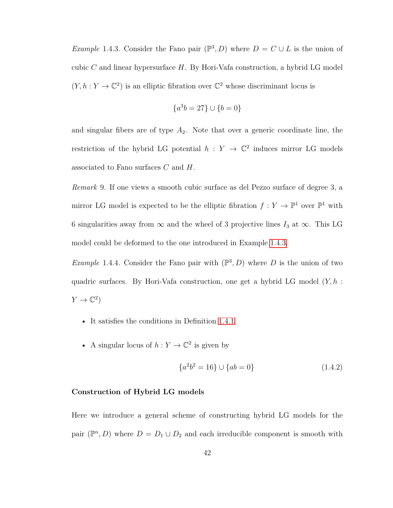*Example* 1.4.3. Consider the Fano pair  $(\mathbb{P}^3, D)$  where  $D = C \cup L$  is the union of cubic *C* and linear hypersurface *H*. By Hori-Vafa construction, a hybrid LG model  $(Y, h: Y \to \mathbb{C}^2)$  is an elliptic fibration over  $\mathbb{C}^2$  whose discriminant locus is

$$
\{a^3b = 27\} \cup \{b = 0\}
$$

and singular fibers are of type *A*2. Note that over a generic coordinate line, the restriction of the hybrid LG potential  $h: Y \to \mathbb{C}^2$  induces mirror LG models associated to Fano surfaces *C* and *H*.

*Remark* 9*.* If one views a smooth cubic surface as del Pezzo surface of degree 3, a mirror LG model is expected to be the elliptic fibration  $f: Y \to \mathbb{P}^1$  over  $\mathbb{P}^1$  with 6 singularities away from  $\infty$  and the wheel of 3 projective lines *I*<sub>3</sub> at  $\infty$ . This LG model could be deformed to the one introduced in Example [1.4.3.](#page-48-0)

*Example* 1.4.4. Consider the Fano pair with  $(\mathbb{P}^3, D)$  where *D* is the union of two quadric surfaces. By Hori-Vafa construction, one get a hybrid LG model (*Y, h* :  $Y \to \mathbb{C}^2$ 

- It satisfies the conditions in Definition [1.4.1.](#page-47-0)
- A singular locus of  $h: Y \to \mathbb{C}^2$  is given by

$$
\{a^2b^2 = 16\} \cup \{ab = 0\} \tag{1.4.2}
$$

#### **Construction of Hybrid LG models**

Here we introduce a general scheme of constructing hybrid LG models for the pair  $(\mathbb{P}^n, D)$  where  $D = D_1 \cup D_2$  and each irreducible component is smooth with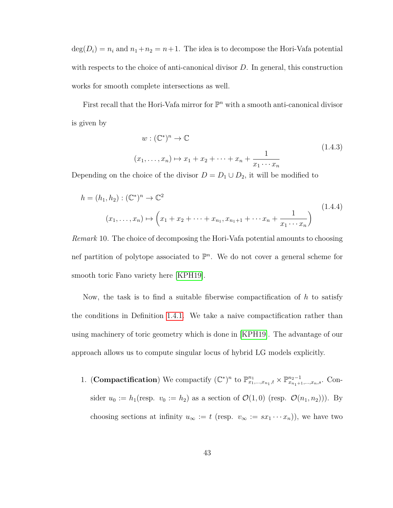$deg(D_i) = n_i$  and  $n_1 + n_2 = n + 1$ . The idea is to decompose the Hori-Vafa potential with respects to the choice of anti-canonical divisor *D*. In general, this construction works for smooth complete intersections as well.

First recall that the Hori-Vafa mirror for  $\mathbb{P}^n$  with a smooth anti-canonical divisor is given by

$$
w: (\mathbb{C}^*)^n \to \mathbb{C}
$$
  

$$
(x_1, \dots, x_n) \mapsto x_1 + x_2 + \dots + x_n + \frac{1}{x_1 \cdots x_n}
$$
 (1.4.3)

Depending on the choice of the divisor  $D = D_1 \cup D_2$ , it will be modified to

$$
h = (h_1, h_2) : (\mathbb{C}^*)^n \to \mathbb{C}^2
$$
  

$$
(x_1, \dots, x_n) \mapsto \left(x_1 + x_2 + \dots + x_{n_1}, x_{n_1+1} + \dots + x_n + \frac{1}{x_1 \cdots x_n}\right)
$$
  
(1.4.4)

*Remark* 10*.* The choice of decomposing the Hori-Vafa potential amounts to choosing nef partition of polytope associated to  $\mathbb{P}^n$ . We do not cover a general scheme for smooth toric Fano variety here [\[KPH19\]](#page-159-1).

Now, the task is to find a suitable fiberwise compactification of *h* to satisfy the conditions in Definition [1.4.1.](#page-47-0) We take a naive compactification rather than using machinery of toric geometry which is done in [\[KPH19\]](#page-159-1). The advantage of our approach allows us to compute singular locus of hybrid LG models explicitly.

1. (**Compactification**) We compactify  $(\mathbb{C}^*)^n$  to  $\mathbb{P}^{n_1}_{x_1,\dots,x_{n_1},t} \times \mathbb{P}^{n_2-1}_{x_{n_1+1},\dots,x_n,s}$ . Consider  $u_0 := h_1(\text{resp. } v_0 := h_2)$  as a section of  $\mathcal{O}(1,0)$  (resp.  $\mathcal{O}(n_1, n_2)$ )). By choosing sections at infinity  $u_{\infty} := t$  (resp.  $v_{\infty} := sx_1 \cdots x_n$ )), we have two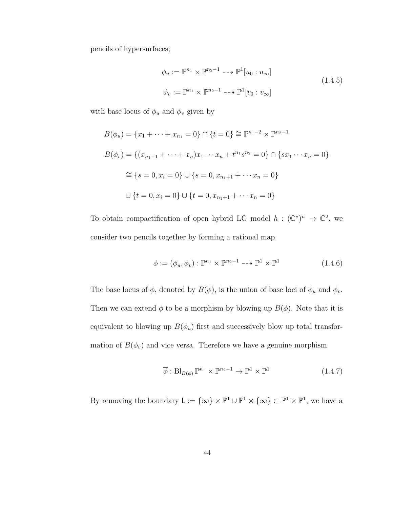pencils of hypersurfaces;

$$
\phi_u := \mathbb{P}^{n_1} \times \mathbb{P}^{n_2 - 1} \longrightarrow \mathbb{P}^1[u_0 : u_\infty]
$$
  
\n
$$
\phi_v := \mathbb{P}^{n_1} \times \mathbb{P}^{n_2 - 1} \longrightarrow \mathbb{P}^1[v_0 : v_\infty]
$$
\n(1.4.5)

with base locus of  $\phi_u$  and  $\phi_v$  given by

$$
B(\phi_u) = \{x_1 + \dots + x_{n_1} = 0\} \cap \{t = 0\} \cong \mathbb{P}^{n_1 - 2} \times \mathbb{P}^{n_2 - 1}
$$
  
\n
$$
B(\phi_v) = \{(x_{n_1 + 1} + \dots + x_n)x_1 \dots x_n + t^{n_1} s^{n_2} = 0\} \cap \{sx_1 \dots x_n = 0\}
$$
  
\n
$$
\cong \{s = 0, x_i = 0\} \cup \{s = 0, x_{n_1 + 1} + \dots + x_n = 0\}
$$
  
\n
$$
\cup \{t = 0, x_i = 0\} \cup \{t = 0, x_{n_1 + 1} + \dots + x_n = 0\}
$$

To obtain compactification of open hybrid LG model  $h: (\mathbb{C}^*)^n \to \mathbb{C}^2$ , we consider two pencils together by forming a rational map

$$
\phi := (\phi_u, \phi_v) : \mathbb{P}^{n_1} \times \mathbb{P}^{n_2 - 1} \dashrightarrow \mathbb{P}^1 \times \mathbb{P}^1 \tag{1.4.6}
$$

The base locus of  $\phi$ , denoted by  $B(\phi)$ , is the union of base loci of  $\phi_u$  and  $\phi_v$ . Then we can extend  $\phi$  to be a morphism by blowing up  $B(\phi)$ . Note that it is equivalent to blowing up  $B(\phi_u)$  first and successively blow up total transformation of  $B(\phi_v)$  and vice versa. Therefore we have a genuine morphism

$$
\overline{\phi}: \text{Bl}_{B(\phi)} \mathbb{P}^{n_1} \times \mathbb{P}^{n_2 - 1} \to \mathbb{P}^1 \times \mathbb{P}^1 \tag{1.4.7}
$$

By removing the boundary  $\mathsf{L} := \{ \infty \} \times \mathbb{P}^1 \cup \mathbb{P}^1 \times \{ \infty \} \subset \mathbb{P}^1 \times \mathbb{P}^1$ , we have a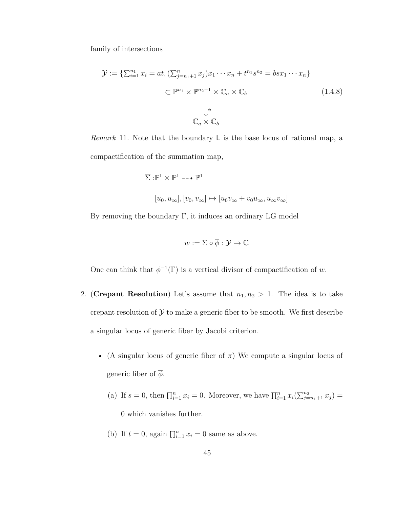family of intersections

$$
\mathcal{Y} := \left\{ \sum_{i=1}^{n_1} x_i = at, \left( \sum_{j=n_1+1}^{n_1} x_j \right) x_1 \cdots x_n + t^{n_1} s^{n_2} = b s x_1 \cdots x_n \right\}
$$

$$
\subset \mathbb{P}^{n_1} \times \mathbb{P}^{n_2 - 1} \times \mathbb{C}_a \times \mathbb{C}_b
$$

$$
\downarrow \overline{\phi}
$$

$$
\mathbb{C}_a \times \mathbb{C}_b
$$

$$
(1.4.8)
$$

*Remark* 11*.* Note that the boundary L is the base locus of rational map, a compactification of the summation map,

$$
\overline{\Sigma}: \mathbb{P}^1 \times \mathbb{P}^1 \dashrightarrow \mathbb{P}^1
$$
  

$$
[u_0, u_{\infty}], [v_0, v_{\infty}] \mapsto [u_0 v_{\infty} + v_0 u_{\infty}, u_{\infty} v_{\infty}]
$$

By removing the boundary  $\Gamma$ , it induces an ordinary LG model

$$
w:=\Sigma\circ\overline{\phi}:\mathcal{Y}\to\mathbb{C}
$$

One can think that  $\phi^{-1}(\Gamma)$  is a vertical divisor of compactification of *w*.

- 2. (**Crepant Resolution**) Let's assume that  $n_1, n_2 > 1$ . The idea is to take crepant resolution of  $\mathcal Y$  to make a generic fiber to be smooth. We first describe a singular locus of generic fiber by Jacobi criterion.
	- (A singular locus of generic fiber of *π*) We compute a singular locus of generic fiber of  $\overline{\phi}$ .
		- (a) If  $s = 0$ , then  $\prod_{i=1}^{n} x_i = 0$ . Moreover, we have  $\prod_{i=1}^{n} x_i (\sum_{j=n_1+1}^{n_2} x_j) =$ 0 which vanishes further.
		- (b) If  $t = 0$ , again  $\prod_{i=1}^{n} x_i = 0$  same as above.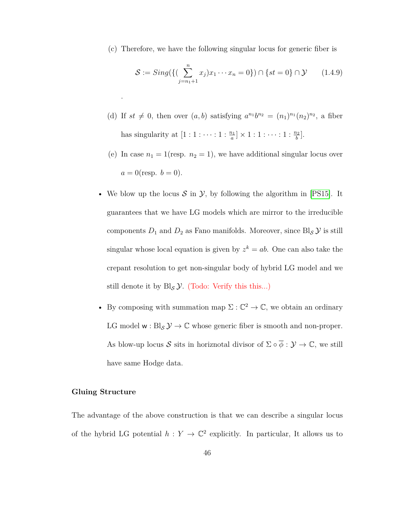(c) Therefore, we have the following singular locus for generic fiber is

$$
S := Sing(\{(\sum_{j=n_1+1}^n x_j)x_1 \cdots x_n = 0\}) \cap \{st = 0\} \cap \mathcal{Y} \qquad (1.4.9)
$$

- (d) If  $st \neq 0$ , then over  $(a, b)$  satisfying  $a^{n_1}b^{n_2} = (n_1)^{n_1}(n_2)^{n_2}$ , a fiber has singularity at  $[1:1:\cdots:1:\frac{n_1}{a}]\times 1:1:\cdots:1:\frac{n_2}{b}$ .
- (e) In case  $n_1 = 1$ (resp.  $n_2 = 1$ ), we have additional singular locus over  $a = 0$ (resp.  $b = 0$ ).
- We blow up the locus  $S$  in  $\mathcal{Y}$ , by following the algorithm in [\[PS15\]](#page-161-1). It guarantees that we have LG models which are mirror to the irreducible components  $D_1$  and  $D_2$  as Fano manifolds. Moreover, since  $\text{Bl}_\mathcal{S} \mathcal{Y}$  is still singular whose local equation is given by  $z^k = ab$ . One can also take the crepant resolution to get non-singular body of hybrid LG model and we still denote it by  $Bl_{\mathcal{S}}\mathcal{Y}$ . (Todo: Verify this this...)
- By composing with summation map  $\Sigma : \mathbb{C}^2 \to \mathbb{C}$ , we obtain an ordinary LG model  $w : Bl_{S} \mathcal{Y} \to \mathbb{C}$  whose generic fiber is smooth and non-proper. As blow-up locus  $S$  sits in horiznotal divisor of  $\Sigma \circ \overline{\phi} : \mathcal{Y} \to \mathbb{C}$ , we still have same Hodge data.

#### **Gluing Structure**

.

The advantage of the above construction is that we can describe a singular locus of the hybrid LG potential  $h: Y \to \mathbb{C}^2$  explicitly. In particular, It allows us to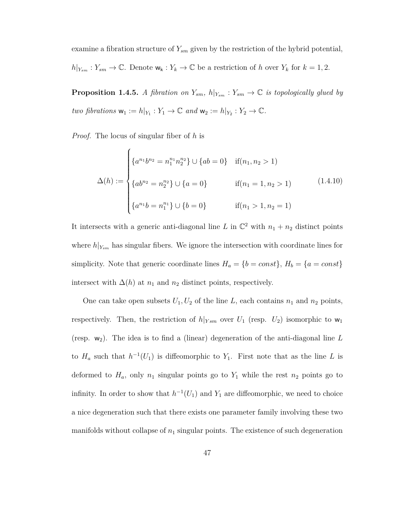examine a fibration structure of *Ysm* given by the restriction of the hybrid potential,  $h|_{Y_{sm}}: Y_{sm} \to \mathbb{C}$ . Denote  $\mathsf{w}_{\mathsf{k}}: Y_{\mathsf{k}} \to \mathbb{C}$  be a restriction of *h* over  $Y_{\mathsf{k}}$  for  $k = 1, 2$ .

<span id="page-54-0"></span>**Proposition 1.4.5.** *A fibration on*  $Y_{sm}$ *, h* $|_{Y_{sm}}$  :  $Y_{sm} \to \mathbb{C}$  *is topologically glued by two fibrations*  $\mathbf{w}_1 := h|_{Y_1} : Y_1 \to \mathbb{C}$  *and*  $\mathbf{w}_2 := h|_{Y_2} : Y_2 \to \mathbb{C}$ *.* 

*Proof.* The locus of singular fiber of *h* is

$$
\Delta(h) := \begin{cases} \{a^{n_1}b^{n_2} = n_1^{n_1}n_2^{n_2}\} \cup \{ab = 0\} & \text{if } (n_1, n_2 > 1) \\ \{ab^{n_2} = n_2^{n_2}\} \cup \{a = 0\} & \text{if } (n_1 = 1, n_2 > 1) \\ \{a^{n_1}b = n_1^{n_1}\} \cup \{b = 0\} & \text{if } (n_1 > 1, n_2 = 1) \end{cases}
$$
(1.4.10)

It intersects with a generic anti-diagonal line *L* in  $\mathbb{C}^2$  with  $n_1 + n_2$  distinct points where  $h|_{Y_{sm}}$  has singular fibers. We ignore the intersection with coordinate lines for simplicity. Note that generic coordinate lines  $H_a = \{b = const\}$ ,  $H_b = \{a = const\}$ intersect with  $\Delta(h)$  at  $n_1$  and  $n_2$  distinct points, respectively.

One can take open subsets  $U_1, U_2$  of the line  $L$ , each contains  $n_1$  and  $n_2$  points, respectively. Then, the restriction of  $h|_{Y_{sm}}$  over  $U_1$  (resp.  $U_2$ ) isomorphic to  $w_1$ (resp.  $w_2$ ). The idea is to find a (linear) degeneration of the anti-diagonal line L to  $H_a$  such that  $h^{-1}(U_1)$  is diffeomorphic to  $Y_1$ . First note that as the line *L* is deformed to  $H_a$ , only  $n_1$  singular points go to  $Y_1$  while the rest  $n_2$  points go to infinity. In order to show that  $h^{-1}(U_1)$  and  $Y_1$  are diffeomorphic, we need to choice a nice degeneration such that there exists one parameter family involving these two manifolds without collapse of  $n_1$  singular points. The existence of such degeneration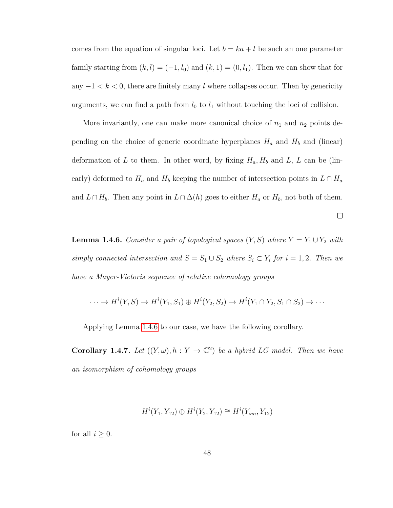comes from the equation of singular loci. Let  $b = ka + l$  be such an one parameter family starting from  $(k, l) = (-1, l_0)$  and  $(k, 1) = (0, l_1)$ . Then we can show that for any  $-1 < k < 0$ , there are finitely many *l* where collapses occur. Then by genericity arguments, we can find a path from  $l_0$  to  $l_1$  without touching the loci of collision.

More invariantly, one can make more canonical choice of  $n_1$  and  $n_2$  points depending on the choice of generic coordinate hyperplanes  $H_a$  and  $H_b$  and (linear) deformation of *L* to them. In other word, by fixing  $H_a$ ,  $H_b$  and *L*, *L* can be (linearly) deformed to  $H_a$  and  $H_b$  keeping the number of intersection points in  $L \cap H_a$ and *L*∩ *H*<sub>*b*</sub>. Then any point in *L*∩  $\Delta(h)$  goes to either *H<sub>a</sub>* or *H<sub>b</sub>*, not both of them.

 $\Box$ 

<span id="page-55-0"></span>**Lemma 1.4.6.** *Consider a pair of topological spaces*  $(Y, S)$  *where*  $Y = Y_1 \cup Y_2$  *with simply connected intersection and*  $S = S_1 \cup S_2$  *where*  $S_i \subset Y_i$  *for*  $i = 1, 2$ *. Then we have a Mayer-Vietoris sequence of relative cohomology groups*

$$
\cdots \to H^i(Y, S) \to H^i(Y_1, S_1) \oplus H^i(Y_2, S_2) \to H^i(Y_1 \cap Y_2, S_1 \cap S_2) \to \cdots
$$

Applying Lemma [1.4.6](#page-55-0) to our case, we have the following corollary.

**Corollary 1.4.7.** Let  $((Y, \omega), h : Y \to \mathbb{C}^2)$  be a hybrid LG model. Then we have *an isomorphism of cohomology groups*

$$
H^i(Y_1, Y_{12}) \oplus H^i(Y_2, Y_{12}) \cong H^i(Y_{sm}, Y_{12})
$$

for all  $i \geq 0$ .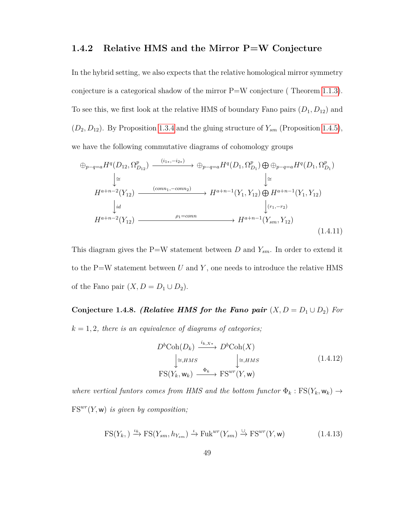## **1.4.2 Relative HMS and the Mirror P=W Conjecture**

In the hybrid setting, we also expects that the relative homological mirror symmetry conjecture is a categorical shadow of the mirror  $P=W$  conjecture (Theorem [1.1.3\)](#page-11-0). To see this, we first look at the relative HMS of boundary Fano pairs (*D*1*, D*12) and  $(D_2, D_{12})$ . By Proposition [1.3.4](#page-38-1) and the gluing structure of  $Y_{sm}$  (Proposition [1.4.5\)](#page-54-0), we have the following commutative diagrams of cohomology groups

<span id="page-56-0"></span>
$$
\oplus_{p-q=a} H^{q}(D_{12}, \Omega_{D_{12}}^{p}) \xrightarrow{(i_{1*}, -i_{2*})} \oplus_{p-q=a} H^{q}(D_{1}, \Omega_{D_{1}}^{p}) \oplus \oplus_{p-q=a} H^{q}(D_{1}, \Omega_{D_{1}}^{p})
$$
\n
$$
\downarrow \cong
$$
\n
$$
H^{a+n-2}(Y_{12}) \xrightarrow{(conn, -conn_{2})} H^{a+n-1}(Y_{1}, Y_{12}) \oplus H^{a+n-1}(Y_{1}, Y_{12})
$$
\n
$$
\downarrow id \qquad \qquad \downarrow (r_{1}, -r_{2})
$$
\n
$$
H^{a+n-2}(Y_{12}) \xrightarrow{\rho_{1}=conn} H^{a+n-1}(Y_{sm}, Y_{12})
$$
\n(1.4.11)

This diagram gives the P=W statement between *D* and  $Y_{sm}$ . In order to extend it to the P=W statement between *U* and *Y* , one needs to introduce the relative HMS of the Fano pair  $(X, D = D_1 \cup D_2)$ .

<span id="page-56-1"></span>**Conjecture 1.4.8.** *(Relative HMS for the Fano pair*  $(X, D = D_1 \cup D_2)$  *For*  $k = 1, 2$ *, there is an equivalence of diagrams of categories;* 

$$
D^{b}\text{Coh}(D_{k}) \xrightarrow{i_{k,X^{*}}} D^{b}\text{Coh}(X)
$$
  
\n
$$
\downarrow \cong_{,HMS} \qquad \qquad \downarrow \cong_{,HMS}
$$
  
\n
$$
\text{FS}(Y_{k}, \mathbf{w}_{k}) \xrightarrow{\Phi_{k}} \text{FS}^{wr}(Y, \mathbf{w})
$$
\n(1.4.12)

*where vertical funtors comes from HMS and the bottom functor*  $\Phi_k$ :  $\text{FS}(Y_k, \mathbf{w}_k) \rightarrow$  $FS^{wr}(Y, w)$  *is given by composition;* 

$$
\text{FS}(Y_k, ) \xrightarrow{\iota_k} \text{FS}(Y_{sm}, h_{Y_{sm}}) \xrightarrow{\iota} \text{Fuk}^{wr}(Y_{sm}) \xrightarrow{\cup} \text{FS}^{wr}(Y, \mathbf{w})
$$
 (1.4.13)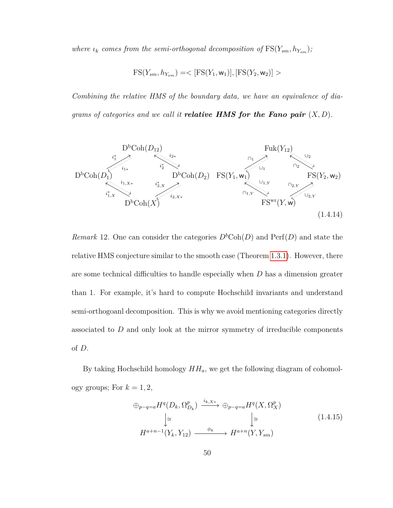*where*  $\iota_k$  *comes from the semi-orthogonal decomposition of*  $\text{FS}(Y_{sm}, h_{Y_{sm}})$ *;* 

$$
FS(Y_{sm}, h_{Y_{sm}}) = <[FS(Y_1, w_1)], [FS(Y_2, w_2)]>
$$

*Combining the relative HMS of the boundary data, we have an equivalence of diagrams of categories and we call it relative HMS for the Fano pair* (*X, D*)*.*



*Remark* 12. One can consider the categories  $D<sup>b</sup>Coh(D)$  and Perf(*D*) and state the relative HMS conjecture similar to the smooth case (Theorem [1.3.1\)](#page-37-1). However, there are some technical difficulties to handle especially when *D* has a dimension greater than 1. For example, it's hard to compute Hochschild invariants and understand semi-orthogoanl decomposition. This is why we avoid mentioning categories directly associated to *D* and only look at the mirror symmetry of irreducible components of *D*.

By taking Hochschild homology *HHa*, we get the following diagram of cohomology groups; For  $k = 1, 2$ ,

$$
\oplus_{p-q=a} H^{q}(D_{k}, \Omega_{D_{k}}^{p}) \xrightarrow{i_{k, X^{*}}} \oplus_{p-q=a} H^{q}(X, \Omega_{X}^{p})
$$
\n
$$
\downarrow \cong \qquad \qquad \downarrow \cong
$$
\n
$$
H^{a+n-1}(Y_{k}, Y_{12}) \xrightarrow{\phi_{k}} H^{a+n}(Y, Y_{sm})
$$
\n
$$
(1.4.15)
$$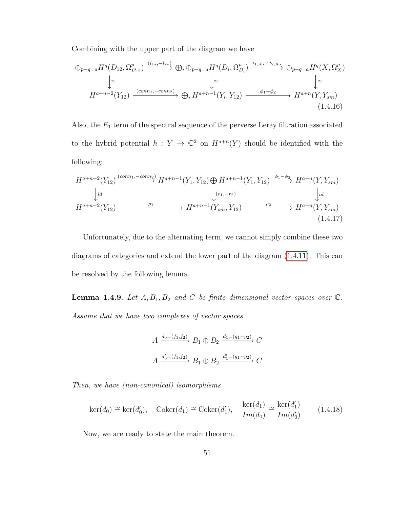Combining with the upper part of the diagram we have

$$
\oplus_{p-q=a} H^{q}(D_{12}, \Omega_{D_{12}}^{p}) \xrightarrow{(i_{1*}, -i_{2*})} \oplus_{i} \oplus_{p-q=a} H^{q}(D_{i}, \Omega_{D_{i}}^{p}) \xrightarrow{i_{1,X*}+i_{2,X*}} \oplus_{p-q=a} H^{q}(X, \Omega_{X}^{p})
$$
  
\n
$$
\downarrow \cong
$$
  
\n
$$
H^{a+n-2}(Y_{12}) \xrightarrow{(conn_{1}, -conn_{2})} \oplus_{i} H^{a+n-1}(Y_{i}, Y_{12}) \xrightarrow{\phi_{1}+\phi_{2}} H^{a+n}(Y, Y_{sm})
$$
  
\n(1.4.16)

Also, the *E*<sup>1</sup> term of the spectral sequence of the perverse Leray filtration associated to the hybrid potential  $h: Y \to \mathbb{C}^2$  on  $H^{a+n}(Y)$  should be identified with the following;

$$
H^{a+n-2}(Y_{12}) \xrightarrow{(conn_1, -conn_2)} H^{a+n-1}(Y_1, Y_{12}) \oplus H^{a+n-1}(Y_1, Y_{12}) \xrightarrow{\phi_1 - \phi_2} H^{a+n}(Y, Y_{sm})
$$
\n
$$
\downarrow id \qquad \qquad \downarrow (r_1, -r_2) \qquad \qquad \downarrow id
$$
\n
$$
H^{a+n-2}(Y_{12}) \xrightarrow{\rho_1} H^{a+n-1}(Y_{sm}, Y_{12}) \xrightarrow{\rho_2} H^{a+n}(Y, Y_{sm})
$$
\n
$$
(1.4.17)
$$

Unfortunately, due to the alternating term, we cannot simply combine these two diagrams of categories and extend the lower part of the diagram [\(1.4.11\)](#page-56-0). This can be resolved by the following lemma.

**Lemma 1.4.9.** Let  $A, B_1, B_2$  and  $C$  be finite dimensional vector spaces over  $\mathbb{C}$ . *Assume that we have two complexes of vector spaces*

$$
A \xrightarrow{d_0 = (f_1, f_2)} B_1 \oplus B_2 \xrightarrow{d_1 = (g_1 + g_2)} C
$$

$$
A \xrightarrow{d'_0 = (f_1, f_2)} B_1 \oplus B_2 \xrightarrow{d'_1 = (g_1 - g_2)} C
$$

*Then, we have (non-canonical) isomorphisms*

$$
\ker(d_0) \cong \ker(d'_0), \quad \text{Coker}(d_1) \cong \text{Coker}(d'_1), \quad \frac{\ker(d_1)}{Im(d_0)} \cong \frac{\ker(d'_1)}{Im(d'_0)} \tag{1.4.18}
$$

<span id="page-58-0"></span>Now, we are ready to state the main theorem.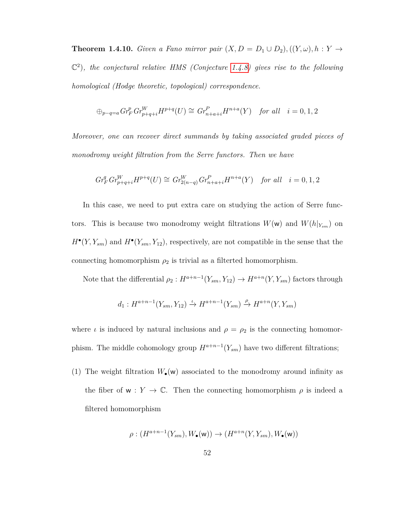**Theorem 1.4.10.** *Given a Fano mirror pair*  $(X, D = D_1 \cup D_2)$ ,  $((Y, \omega), h : Y \rightarrow$ C 2 )*, the conjectural relative HMS (Conjecture [1.4.8\)](#page-56-1) gives rise to the following homological (Hodge theoretic, topological) correspondence.*

$$
\oplus_{p-q=a} Gr^p_F Gr^W_{p+q+i} H^{p+q}(U) \cong Gr^P_{n+a+i} H^{n+a}(Y) \quad \text{for all} \quad i=0,1,2
$$

*Moreover, one can recover direct summands by taking associated graded pieces of monodromy weight filtration from the Serre functors. Then we have*

$$
Gr_F^q Gr_{p+q+i}^W H^{p+q}(U) \cong Gr_{2(n-q)}^W Gr_{n+a+i}^P H^{n+a}(Y) \quad \text{for all} \quad i = 0, 1, 2
$$

In this case, we need to put extra care on studying the action of Serre functors. This is because two monodromy weight filtrations  $W(\mathbf{w})$  and  $W(h|_{Y_{sm}})$  on  $H^{\bullet}(Y, Y_{sm})$  and  $H^{\bullet}(Y_{sm}, Y_{12})$ , respectively, are not compatible in the sense that the connecting homomorphism  $\rho_2$  is trivial as a filterted homomorphism.

Note that the differential  $\rho_2: H^{a+n-1}(Y_{sm}, Y_{12}) \to H^{a+n}(Y, Y_{sm})$  factors through

$$
d_1: H^{a+n-1}(Y_{sm}, Y_{12}) \xrightarrow{\iota} H^{a+n-1}(Y_{sm}) \xrightarrow{\rho} H^{a+n}(Y, Y_{sm})
$$

where *ι* is induced by natural inclusions and  $\rho = \rho_2$  is the connecting homomorphism. The middle cohomology group  $H^{a+n-1}(Y_{sm})$  have two different filtrations;

(1) The weight filtration  $W_{\bullet}(\mathsf{w})$  associated to the monodromy around infinity as the fiber of  $w: Y \to \mathbb{C}$ . Then the connecting homomorphism  $\rho$  is indeed a filtered homomorphism

$$
\rho: (H^{a+n-1}(Y_{sm}), W_{\bullet}(\mathbf{w})) \to (H^{a+n}(Y, Y_{sm}), W_{\bullet}(\mathbf{w}))
$$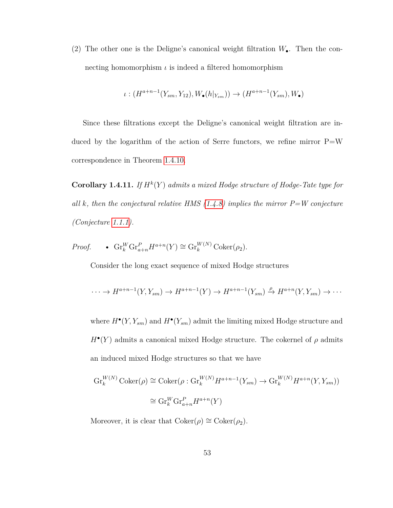(2) The other one is the Deligne's canonical weight filtration *W*•. Then the connecting homomorphism *ι* is indeed a filtered homomorphism

$$
\iota: (H^{a+n-1}(Y_{sm}, Y_{12}), W_{\bullet}(h|_{Y_{sm}})) \to (H^{a+n-1}(Y_{sm}), W_{\bullet})
$$

Since these filtrations except the Deligne's canonical weight filtration are induced by the logarithm of the action of Serre functors, we refine mirror  $P=W$ correspondence in Theorem [1.4.10.](#page-58-0)

**Corollary 1.4.11.** If  $H^k(Y)$  admits a mixed Hodge structure of Hodge-Tate type for *all k, then the conjectural relative HMS [\(1.4.8\)](#page-56-1) implies the mirror P=W conjecture (Conjecture [1.1.1\)](#page-9-0).*

*Proof.* 
$$
\bullet
$$
  $\mathrm{Gr}_{k}^{W} \mathrm{Gr}_{a+n}^{P} H^{a+n}(Y) \cong \mathrm{Gr}_{k}^{W(N)} \mathrm{Coker}(\rho_{2}).$ 

Consider the long exact sequence of mixed Hodge structures

$$
\cdots \to H^{a+n-1}(Y,Y_{sm}) \to H^{a+n-1}(Y) \to H^{a+n-1}(Y_{sm}) \xrightarrow{\rho} H^{a+n}(Y,Y_{sm}) \to \cdots
$$

where  $H^{\bullet}(Y, Y_{sm})$  and  $H^{\bullet}(Y_{sm})$  admit the limiting mixed Hodge structure and  $H^{\bullet}(Y)$  admits a canonical mixed Hodge structure. The cokernel of  $\rho$  admits an induced mixed Hodge structures so that we have

$$
Gr_k^{W(N)} \operatorname{Coker}(\rho) \cong \operatorname{Coker}(\rho : Gr_k^{W(N)} H^{a+n-1}(Y_{sm}) \to Gr_k^{W(N)} H^{a+n}(Y, Y_{sm}))
$$
  

$$
\cong Gr_k^W Gr_{a+n}^P H^{a+n}(Y)
$$

Moreover, it is clear that  $Coker(\rho) \cong Coker(\rho_2)$ .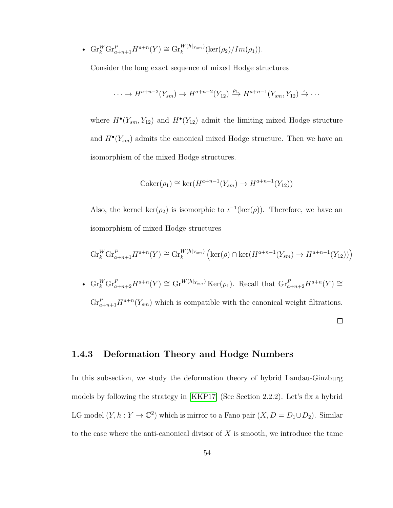•  $\mathrm{Gr}_{k}^{W} \mathrm{Gr}_{a+n+1}^{P} H^{a+n}(Y) \cong \mathrm{Gr}_{k}^{W(h|_{Y_{sm}})}(\mathrm{ker}(\rho_{2})/Im(\rho_{1})).$ 

Consider the long exact sequence of mixed Hodge structures

$$
\cdots \to H^{a+n-2}(Y_{sm}) \to H^{a+n-2}(Y_{12}) \xrightarrow{\rho_1} H^{a+n-1}(Y_{sm}, Y_{12}) \xrightarrow{\iota} \cdots
$$

where  $H^{\bullet}(Y_{sm}, Y_{12})$  and  $H^{\bullet}(Y_{12})$  admit the limiting mixed Hodge structure and  $H^{\bullet}(Y_{sm})$  admits the canonical mixed Hodge structure. Then we have an isomorphism of the mixed Hodge structures.

$$
Coker(\rho_1) \cong ker(H^{a+n-1}(Y_{sm}) \to H^{a+n-1}(Y_{12}))
$$

Also, the kernel  $\text{ker}(\rho_2)$  is isomorphic to  $\iota^{-1}(\text{ker}(\rho))$ . Therefore, we have an isomorphism of mixed Hodge structures

$$
\operatorname{Gr}_{k}^{W} \operatorname{Gr}_{a+n+1}^{P} H^{a+n}(Y) \cong \operatorname{Gr}_{k}^{W(h|_{Y_{sm}})} \left( \ker(\rho) \cap \ker(H^{a+n-1}(Y_{sm}) \to H^{a+n-1}(Y_{12})) \right)
$$

•  $\operatorname{Gr}_{k}^{W} \operatorname{Gr}_{a+n+2}^{P} H^{a+n}(Y) \cong \operatorname{Gr}^{W(h|_{Y_{sm}})} \operatorname{Ker}(\rho_1)$ . Recall that  $\operatorname{Gr}_{a+n+2}^{P} H^{a+n}(Y) \cong$  $\mathrm{Gr}_{a+n+1}^P H^{a+n}(Y_{sm})$  which is compatible with the canonical weight filtrations.

 $\Box$ 

## **1.4.3 Deformation Theory and Hodge Numbers**

In this subsection, we study the deformation theory of hybrid Landau-Ginzburg models by following the strategy in [\[KKP17\]](#page-159-0) (See Section 2.2.2). Let's fix a hybrid LG model  $(Y, h: Y \to \mathbb{C}^2)$  which is mirror to a Fano pair  $(X, D = D_1 \cup D_2)$ . Similar to the case where the anti-canonical divisor of *X* is smooth, we introduce the tame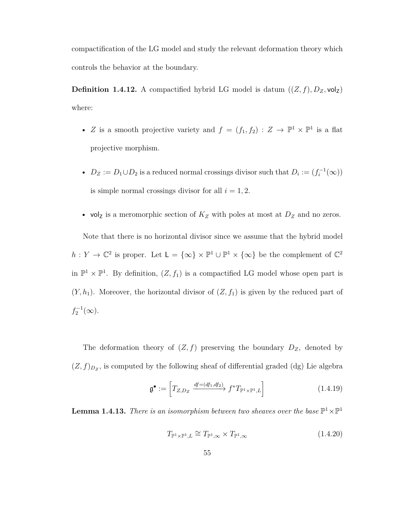compactification of the LG model and study the relevant deformation theory which controls the behavior at the boundary.

**Definition 1.4.12.** A compactified hybrid LG model is datum  $((Z, f), D_Z, \text{vol}_Z)$ where:

- *Z* is a smooth projective variety and  $f = (f_1, f_2) : Z \to \mathbb{P}^1 \times \mathbb{P}^1$  is a flat projective morphism.
- $D_Z := D_1 \cup D_2$  is a reduced normal crossings divisor such that  $D_i := (f_i^{-1}(\infty))$ is simple normal crossings divisor for all  $i = 1, 2$ .
- vol<sub>Z</sub> is a meromorphic section of  $K_Z$  with poles at most at  $D_Z$  and no zeros.

Note that there is no horizontal divisor since we assume that the hybrid model  $h: Y \to \mathbb{C}^2$  is proper. Let  $\mathsf{L} = \{\infty\} \times \mathbb{P}^1 \cup \mathbb{P}^1 \times \{\infty\}$  be the complement of  $\mathbb{C}^2$ in  $\mathbb{P}^1 \times \mathbb{P}^1$ . By definition,  $(Z, f_1)$  is a compactified LG model whose open part is  $(Y, h_1)$ . Moreover, the horizontal divisor of  $(Z, f_1)$  is given by the reduced part of  $f_2^{-1}(\infty)$ .

The deformation theory of  $(Z, f)$  preserving the boundary  $D_Z$ , denoted by  $(Z, f)_{D_Z}$ , is computed by the following sheaf of differential graded (dg) Lie algebra

<span id="page-62-0"></span>
$$
\mathfrak{g}^{\bullet} := \left[ T_{Z,D_Z} \xrightarrow{df = (df_1, df_2)} f^* T_{\mathbb{P}^1 \times \mathbb{P}^1, L} \right] \tag{1.4.19}
$$

**Lemma 1.4.13.** *There is an isomorphism between two sheaves over the base*  $\mathbb{P}^1 \times \mathbb{P}^1$ 

$$
T_{\mathbb{P}^1 \times \mathbb{P}^1, L} \cong T_{\mathbb{P}^1, \infty} \times T_{\mathbb{P}^1, \infty}
$$
\n(1.4.20)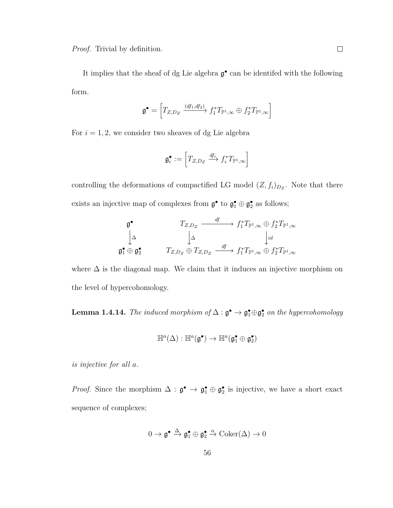*Proof.* Trivial by definition.

It implies that the sheaf of dg Lie algebra  $\mathfrak{g}^{\bullet}$  can be identifed with the following form.

$$
\mathfrak{g}^{\bullet} = \left[T_{Z,D_Z} \xrightarrow{(df_1, df_2)} f_1^* T_{\mathbb{P}^1, \infty} \oplus f_2^* T_{\mathbb{P}^1, \infty}\right]
$$

For  $i = 1, 2$ , we consider two sheaves of dg Lie algebra

$$
\mathfrak{g}_i^{\bullet} := \left[T_{Z,D_Z} \xrightarrow{df_i} f_i^* T_{\mathbb{P}^1,\infty}\right]
$$

controlling the deformations of compactified LG model  $(Z, f_i)_{D_Z}$ . Note that there exists an injective map of complexes from  $\mathfrak{g}^{\bullet}$  to  $\mathfrak{g}^{\bullet}_1 \oplus \mathfrak{g}^{\bullet}_2$  as follows;

$$
\begin{array}{ccccc}\n\mathfrak{g}^{\bullet} & & T_{Z,D_Z} & \xrightarrow{df} & f_1^*T_{\mathbb{P}^1,\infty} \oplus f_2^*T_{\mathbb{P}^1,\infty} \\
\downarrow^{\Delta} & & \downarrow^{\Delta} & & \downarrow^{id} \\
\mathfrak{g}_1^{\bullet} \oplus \mathfrak{g}_2^{\bullet} & & T_{Z,D_Z} \oplus T_{Z,D_Z} & \xrightarrow{df} & f_1^*T_{\mathbb{P}^1,\infty} \oplus f_2^*T_{\mathbb{P}^1,\infty}\n\end{array}
$$

where  $\Delta$  is the diagonal map. We claim that it induces an injective morphism on the level of hypercohomology.

**Lemma 1.4.14.** *The induced morphism of*  $\Delta$  :  $\mathfrak{g}^{\bullet} \to \mathfrak{g}_1^{\bullet} \oplus \mathfrak{g}_2^{\bullet}$  *on the hypercohomology* 

$$
\mathbb{H}^a(\Delta):\mathbb{H}^a(\mathfrak{g}^\bullet)\rightarrow\mathbb{H}^a(\mathfrak{g}_1^\bullet\oplus\mathfrak{g}_2^\bullet)
$$

*is injective for all a.*

*Proof.* Since the morphism  $\Delta : \mathfrak{g}^{\bullet} \to \mathfrak{g}_1^{\bullet} \oplus \mathfrak{g}_2^{\bullet}$  is injective, we have a short exact sequence of complexes;

$$
0 \to \mathfrak{g}^\bullet \xrightarrow{\Delta} \mathfrak{g}_1^\bullet \oplus \mathfrak{g}_2^\bullet \xrightarrow{\alpha} \mathrm{Coker}(\Delta) \to 0
$$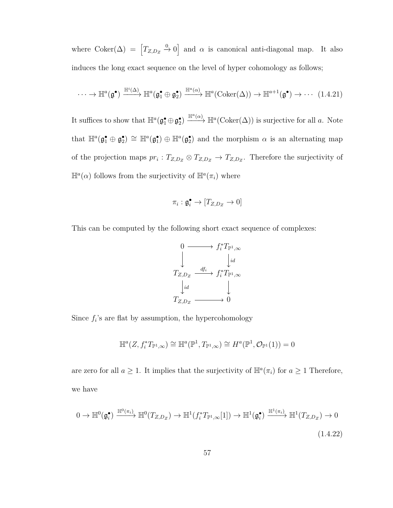where  $Coker(\Delta) = [T_{Z,D_Z} \xrightarrow{0} 0]$  and  $\alpha$  is canonical anti-diagonal map. It also induces the long exact sequence on the level of hyper cohomology as follows;

$$
\cdots \to \mathbb{H}^{a}(\mathfrak{g}^{\bullet}) \xrightarrow{\mathbb{H}^{a}(\Delta)} \mathbb{H}^{a}(\mathfrak{g}_{1}^{\bullet} \oplus \mathfrak{g}_{2}^{\bullet}) \xrightarrow{\mathbb{H}^{a}(\alpha)} \mathbb{H}^{a}(\mathrm{Coker}(\Delta)) \to \mathbb{H}^{a+1}(\mathfrak{g}^{\bullet}) \to \cdots \tag{1.4.21}
$$

It suffices to show that  $\mathbb{H}^a(\mathfrak{g}_1^{\bullet} \oplus \mathfrak{g}_2^{\bullet}) \xrightarrow{\mathbb{H}^a(\alpha)} \mathbb{H}^a(\text{Coker}(\Delta))$  is surjective for all *a*. Note that  $\mathbb{H}^a(\mathfrak{g}_1^{\bullet} \oplus \mathfrak{g}_2^{\bullet}) \cong \mathbb{H}^a(\mathfrak{g}_1^{\bullet}) \oplus \mathbb{H}^a(\mathfrak{g}_2^{\bullet})$  and the morphism  $\alpha$  is an alternating map of the projection maps  $pr_i: T_{Z,D_Z} \otimes T_{Z,D_Z} \rightarrow T_{Z,D_Z}$ . Therefore the surjectivity of  $\mathbb{H}^a(\alpha)$  follows from the surjectivity of  $\mathbb{H}^a(\pi_i)$  where

$$
\pi_i: \mathfrak{g}_i^\bullet \to [T_{Z,D_Z} \to 0]
$$

This can be computed by the following short exact sequence of complexes:



Since  $f_i$ 's are flat by assumption, the hypercohomology

$$
\mathbb{H}^a(Z, f_i^*T_{\mathbb{P}^1,\infty}) \cong \mathbb{H}^a(\mathbb{P}^1, T_{\mathbb{P}^1,\infty}) \cong H^a(\mathbb{P}^1, \mathcal{O}_{\mathbb{P}^1}(1)) = 0
$$

are zero for all  $a \geq 1$ . It implies that the surjectivity of  $\mathbb{H}^a(\pi_i)$  for  $a \geq 1$  Therefore, we have

$$
0 \to \mathbb{H}^0(\mathfrak{g}_i^{\bullet}) \xrightarrow{\mathbb{H}^0(\pi_i)} \mathbb{H}^0(T_{Z,D_Z}) \to \mathbb{H}^1(f_i^*T_{\mathbb{P}^1,\infty}[1]) \to \mathbb{H}^1(\mathfrak{g}_i^{\bullet}) \xrightarrow{\mathbb{H}^1(\pi_i)} \mathbb{H}^1(T_{Z,D_Z}) \to 0
$$
\n(1.4.22)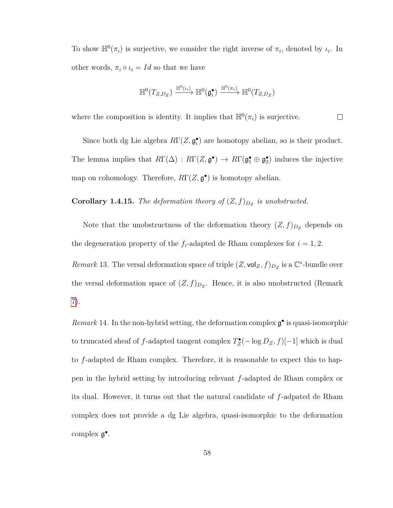To show  $\mathbb{H}^0(\pi_i)$  is surjective, we consider the right inverse of  $\pi_i$ , denoted by  $\iota_i$ . In other words,  $\pi_i \circ \iota_i = Id$  so that we have

$$
\mathbb{H}^0(T_{Z,D_Z}) \xrightarrow{\mathbb{H}^0(\iota_i)} \mathbb{H}^0(\mathfrak{g}_i^{\bullet}) \xrightarrow{\mathbb{H}^0(\pi_i)} \mathbb{H}^0(T_{Z,D_Z})
$$

where the composition is identity. It implies that  $\mathbb{H}^0(\pi_i)$  is surjective.  $\Box$ 

Since both dg Lie algebra  $R\Gamma(Z, \mathfrak{g}_i^{\bullet})$  are homotopy abelian, so is their product. The lemma implies that  $R\Gamma(\Delta) : R\Gamma(Z, \mathfrak{g}^{\bullet}) \to R\Gamma(\mathfrak{g}^{\bullet}_1 \oplus \mathfrak{g}^{\bullet}_2)$  induces the injective map on cohomology. Therefore,  $R\Gamma(Z, \mathfrak{g}^{\bullet})$  is homotopy abelian.

**Corollary 1.4.15.** *The deformation theory of*  $(Z, f)_{D_Z}$  *is unobstructed.* 

Note that the unobstructness of the deformation theory  $(Z, f)_{D_Z}$  depends on the degeneration property of the  $f_i$ -adapted de Rham complexes for  $i = 1, 2$ .

*Remark* 13. The versal deformation space of triple  $(Z, \text{vol}_Z, f)_{D_Z}$  is a  $\mathbb{C}^*$ -bundle over the versal deformation space of  $(Z, f)_{D_Z}$ . Hence, it is also unobstructed (Remark [7\)](#page-42-1).

*Remark* 14. In the non-hybrid setting, the deformation complex  $\mathfrak{g}^{\bullet}$  is quasi-isomorphic to truncated sheaf of *f*-adapted tangent complex  $T_Z^{\bullet}(- \log D_Z, f)[-1]$  which is dual to *f*-adapted de Rham complex. Therefore, it is reasonable to expect this to happen in the hybrid setting by introducing relevant *f*-adapted de Rham complex or its dual. However, it turns out that the natural candidate of *f*-adpated de Rham complex does not provide a dg Lie algebra, quasi-isomorphic to the deformation complex  $\mathfrak{g}^{\bullet}$ .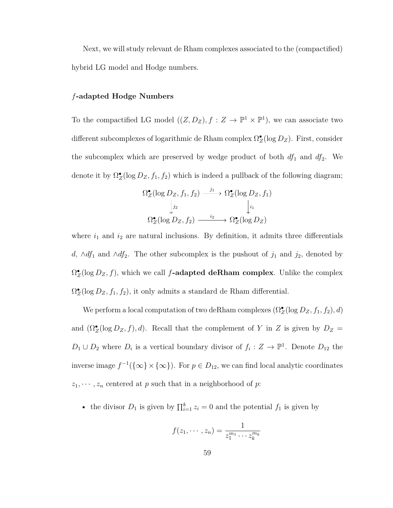Next, we will study relevant de Rham complexes associated to the (compactified) hybrid LG model and Hodge numbers.

#### *f***-adapted Hodge Numbers**

To the compactified LG model  $((Z, D_Z), f : Z \to \mathbb{P}^1 \times \mathbb{P}^1)$ , we can associate two different subcomplexes of logarithmic de Rham complex  $\Omega_Z^{\bullet}(\log D_Z)$ . First, consider the subcomplex which are preserved by wedge product of both  $df_1$  and  $df_2$ . We denote it by  $\Omega_Z^{\bullet}(\log D_Z, f_1, f_2)$  which is indeed a pullback of the following diagram;

$$
\Omega_Z^{\bullet}(\log D_Z, f_1, f_2) \xrightarrow{j_1} \Omega_Z^{\bullet}(\log D_Z, f_1)
$$
\n
$$
\downarrow_{j_2}^{\downarrow_2} \qquad \qquad \downarrow_{i_1}
$$
\n
$$
\Omega_Z^{\bullet}(\log D_Z, f_2) \xrightarrow{i_2} \Omega_Z^{\bullet}(\log D_Z)
$$

where  $i_1$  and  $i_2$  are natural inclusions. By definition, it admits three differentials *d*, ∧*df*<sub>1</sub> and ∧*df*<sub>2</sub>. The other subcomplex is the pushout of *j*<sub>1</sub> and *j*<sub>2</sub>, denoted by  $\Omega_Z^{\bullet}(\log D_Z, f)$ , which we call *f***-adapted deRham complex**. Unlike the complex  $\Omega_Z^{\bullet}(\log D_Z, f_1, f_2)$ , it only admits a standard de Rham differential.

We perform a local computation of two deRham complexes  $(\Omega_{\mathbb{Z}}^{\bullet}(\log D_{Z},f_{1},f_{2}),d)$ and  $(\Omega_Z^{\bullet}(\log D_Z, f), d)$ . Recall that the complement of *Y* in *Z* is given by  $D_Z =$  $D_1 \cup D_2$  where  $D_i$  is a vertical boundary divisor of  $f_i : Z \to \mathbb{P}^1$ . Denote  $D_{12}$  the inverse image  $f^{-1}(\{\infty\} \times {\{\infty\}})$ . For  $p \in D_{12}$ , we can find local analytic coordinates  $z_1, \dots, z_n$  centered at *p* such that in a neighborhood of *p*:

• the divisor  $D_1$  is given by  $\prod_{i=1}^k z_i = 0$  and the potential  $f_1$  is given by

$$
f(z_1, \dots, z_n) = \frac{1}{z_1^{m_1} \cdots z_k^{m_k}}
$$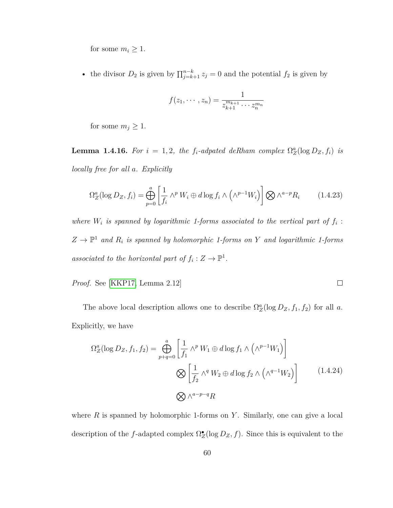for some  $m_i \geq 1$ .

• the divisor  $D_2$  is given by  $\prod_{j=k+1}^{n-k} z_j = 0$  and the potential  $f_2$  is given by

$$
f(z_1,\dots, z_n)=\frac{1}{z_{k+1}^{m_{k+1}}\cdots z_n^{m_n}}
$$

for some  $m_j \geq 1$ .

**Lemma 1.4.16.** For  $i = 1, 2$ , the  $f_i$ -adpated deRham complex  $\Omega_Z^a(\log D_Z, f_i)$  is *locally free for all a. Explicitly*

$$
\Omega_Z^a(\log D_Z, f_i) = \bigoplus_{p=0}^a \left[ \frac{1}{f_i} \wedge^p W_i \oplus d \log f_i \wedge \left( \wedge^{p-1} W_i \right) \right] \bigotimes \wedge^{a-p} R_i \tag{1.4.23}
$$

*where*  $W_i$  *is spanned by logarithmic 1-forms associated to the vertical part of*  $f_i$ :  $Z \to \mathbb{P}^1$  and  $R_i$  is spanned by holomorphic 1-forms on Y and logarithmic 1-forms associated to the horizontal part of  $f_i: Z \to \mathbb{P}^1$ .

*Proof.* See [\[KKP17,](#page-159-0) Lemma 2.12]

The above local description allows one to describe  $\Omega_Z^a(\log D_Z, f_1, f_2)$  for all *a*. Explicitly, we have

 $\Box$ 

<span id="page-67-0"></span>
$$
\Omega_Z^a(\log D_Z, f_1, f_2) = \bigoplus_{p+q=0}^a \left[ \frac{1}{f_1} \wedge^p W_1 \oplus d \log f_1 \wedge \left( \wedge^{p-1} W_1 \right) \right]
$$
  

$$
\bigotimes \left[ \frac{1}{f_2} \wedge^q W_2 \oplus d \log f_2 \wedge \left( \wedge^{q-1} W_2 \right) \right]
$$
(1.4.24)  

$$
\bigotimes \wedge^{a-p-q} R
$$

where  $R$  is spanned by holomorphic 1-forms on  $Y$ . Similarly, one can give a local description of the *f*-adapted complex  $\Omega_Z^{\bullet}(\log D_Z, f)$ . Since this is equivalent to the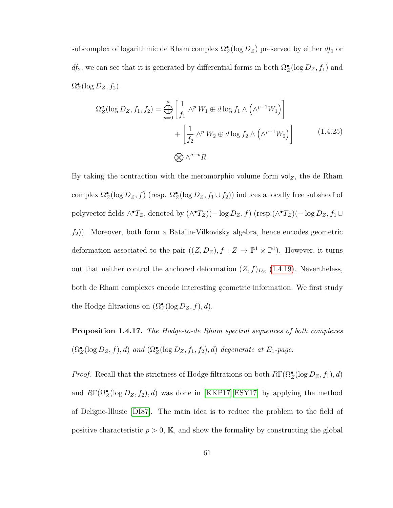subcomplex of logarithmic de Rham complex  $\Omega_Z^{\bullet}(\log D_Z)$  preserved by either  $df_1$  or *df*<sub>2</sub>, we can see that it is generated by differential forms in both  $\Omega_Z^{\bullet}(\log D_Z, f_1)$  and  $\Omega_Z^{\bullet}(\log D_Z, f_2).$ 

$$
\Omega_Z^a(\log D_Z, f_1, f_2) = \bigoplus_{p=0}^a \left[ \frac{1}{f_1} \wedge^p W_1 \oplus d \log f_1 \wedge \left( \wedge^{p-1} W_1 \right) \right] + \left[ \frac{1}{f_2} \wedge^p W_2 \oplus d \log f_2 \wedge \left( \wedge^{p-1} W_2 \right) \right]
$$
\n
$$
\bigotimes \wedge^{a-p} R
$$
\n(1.4.25)

By taking the contraction with the meromorphic volume form  $vol_Z$ , the de Rham complex  $\Omega_Z^{\bullet}(\log D_Z, f)$  (resp.  $\Omega_Z^{\bullet}(\log D_Z, f_1 \cup f_2)$ ) induces a locally free subsheaf of polyvector fields  $\wedge$ <sup>•</sup>*T<sub>Z</sub>*, denoted by  $(\wedge$ <sup>•</sup>*T<sub>Z</sub>*)(− log *D<sub>Z</sub>*, *f*) (resp.( $\wedge$ <sup>•</sup>*T<sub>Z</sub>*)(− log *D<sub>Z</sub>*, *f*<sub>1</sub> ∪ *f*2)). Moreover, both form a Batalin-Vilkovisky algebra, hence encodes geometric deformation associated to the pair  $((Z, D_Z), f : Z \to \mathbb{P}^1 \times \mathbb{P}^1)$ . However, it turns out that neither control the anchored deformation  $(Z, f)_{D_Z}$  [\(1.4.19\)](#page-62-0). Nevertheless, both de Rham complexes encode interesting geometric information. We first study the Hodge filtrations on  $(\Omega_Z^{\bullet}(\log D_Z, f), d)$ .

**Proposition 1.4.17.** *The Hodge-to-de Rham spectral sequences of both complexes*  $(\Omega_Z^{\bullet}(\log D_Z, f), d)$  *and*  $(\Omega_Z^{\bullet}(\log D_Z, f_1, f_2), d)$  *degenerate at*  $E_1$ *-page.* 

*Proof.* Recall that the strictness of Hodge filtrations on both  $R\Gamma(\Omega_Z^{\bullet}(\log D_Z, f_1), d)$ and  $R\Gamma(\Omega_Z^{\bullet}(\log D_Z, f_2), d)$  was done in [\[KKP17\]](#page-159-0)[\[ESY17\]](#page-157-0) by applying the method of Deligne-Illusie [\[DI87\]](#page-156-0). The main idea is to reduce the problem to the field of positive characteristic  $p > 0$ , K, and show the formality by constructing the global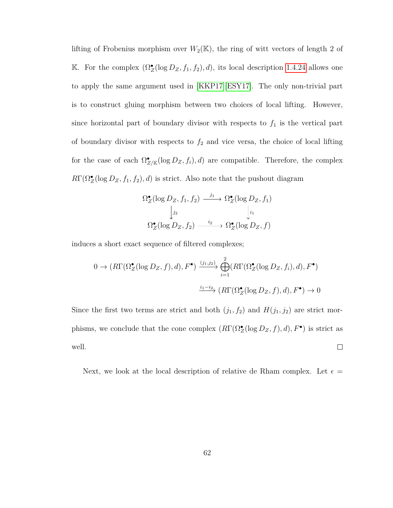lifting of Frobenius morphism over  $W_2(\mathbb{K})$ , the ring of witt vectors of length 2 of K. For the complex  $(\Omega_Z^{\bullet}(\log D_Z, f_1, f_2), d)$ , its local description [1.4.24](#page-67-0) allows one to apply the same argument used in [\[KKP17\]](#page-159-0)[\[ESY17\]](#page-157-0). The only non-trivial part is to construct gluing morphism between two choices of local lifting. However, since horizontal part of boundary divisor with respects to  $f_1$  is the vertical part of boundary divisor with respects to  $f_2$  and vice versa, the choice of local lifting for the case of each  $\Omega^{\bullet}_{Z/\mathbb{K}}(\log D_Z, f_i)$ , *d*) are compatible. Therefore, the complex  $R\Gamma(\Omega_Z^{\bullet}(\log D_Z, f_1, f_2), d)$  is strict. Also note that the pushout diagram

$$
\Omega_Z^{\bullet}(\log D_Z, f_1, f_2) \xrightarrow{j_1} \Omega_Z^{\bullet}(\log D_Z, f_1)
$$

$$
\downarrow_{j_2} \qquad \qquad \downarrow_{i_1}
$$

$$
\Omega_Z^{\bullet}(\log D_Z, f_2) \xrightarrow{i_2} \Omega_Z^{\bullet}(\log D_Z, f)
$$

induces a short exact sequence of filtered complexes;

$$
0 \to (R\Gamma(\Omega_Z^{\bullet}(\log D_Z, f), d), F^{\bullet}) \xrightarrow{\langle j_1, j_2 \rangle} \bigoplus_{i=1}^2 (R\Gamma(\Omega_Z^{\bullet}(\log D_Z, f_i), d), F^{\bullet})
$$

$$
\xrightarrow{i_1 - i_2} (R\Gamma(\Omega_Z^{\bullet}(\log D_Z, f), d), F^{\bullet}) \to 0
$$

Since the first two terms are strict and both  $(j_1, f_2)$  and  $H(j_1, j_2)$  are strict morphisms, we conclude that the cone complex  $(R\Gamma(\Omega_{Z}^{\bullet}(\log D_{Z},f),d),F^{\bullet})$  is strict as well.  $\Box$ 

Next, we look at the local description of relative de Rham complex. Let  $\epsilon =$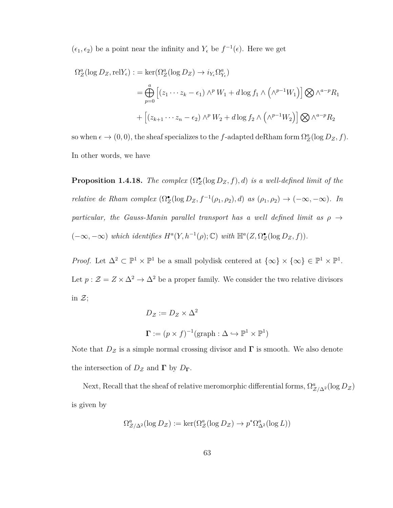$(\epsilon_1, \epsilon_2)$  be a point near the infinity and  $Y_{\epsilon}$  be  $f^{-1}(\epsilon)$ . Here we get

$$
\Omega_Z^a(\log D_Z, \text{rel} Y_\epsilon) := \ker(\Omega_Z^a(\log D_Z) \to i_{Y_\epsilon}\Omega_{Y_\epsilon}^a)
$$
  
= 
$$
\bigoplus_{p=0}^a \left[ (z_1 \cdots z_k - \epsilon_1) \wedge^p W_1 + d \log f_1 \wedge (\wedge^{p-1} W_1) \right] \bigotimes \wedge^{a-p} R_1
$$
  
+ 
$$
\left[ (z_{k+1} \cdots z_n - \epsilon_2) \wedge^p W_2 + d \log f_2 \wedge (\wedge^{p-1} W_2) \right] \bigotimes \wedge^{a-p} R_2
$$

so when  $\epsilon \to (0,0)$ , the sheaf specializes to the *f*-adapted deRham form  $\Omega_Z^a(\log D_Z, f)$ . In other words, we have

**Proposition 1.4.18.** *The complex*  $(\Omega_Z^{\bullet}(\log D_Z, f), d)$  *is a well-defined limit of the relative de Rham complex*  $(\Omega_Z^{\bullet}(\log D_Z, f^{-1}(\rho_1, \rho_2), d)$  *as*  $(\rho_1, \rho_2) \to (-\infty, -\infty)$ *. In particular, the Gauss-Manin parallel transport has a well defined limit as*  $\rho \rightarrow$  $(-\infty, -\infty)$  *which identifies*  $H^a(Y, h^{-1}(\rho); \mathbb{C})$  *with*  $\mathbb{H}^a(Z, \Omega_Z^{\bullet}(\log D_Z, f)).$ 

*Proof.* Let  $\Delta^2 \subset \mathbb{P}^1 \times \mathbb{P}^1$  be a small polydisk centered at  $\{\infty\} \times \{\infty\} \in \mathbb{P}^1 \times \mathbb{P}^1$ . Let  $p: \mathcal{Z} = Z \times \Delta^2 \to \Delta^2$  be a proper family. We consider the two relative divisors in  $\mathcal{Z};$ 

$$
D_{\mathcal{Z}} := D_{Z} \times \Delta^{2}
$$
  

$$
\Gamma := (p \times f)^{-1}(\text{graph} : \Delta \hookrightarrow \mathbb{P}^{1} \times \mathbb{P}^{1})
$$

Note that  $D_z$  is a simple normal crossing divisor and **Γ** is smooth. We also denote the intersection of  $D_z$  and **Γ** by  $D_\Gamma$ .

Next, Recall that the sheaf of relative meromorphic differential forms,  $\Omega_{\mathcal{Z}/\Delta^2}^a(\log D_{\mathcal{Z}})$ is given by

$$
\Omega^a_{\mathcal{Z}/\Delta^2}(\log D_{\mathcal{Z}}) := \ker(\Omega^a_{\mathcal{Z}}(\log D_{\mathcal{Z}}) \to p^*\Omega^a_{\Delta^2}(\log L))
$$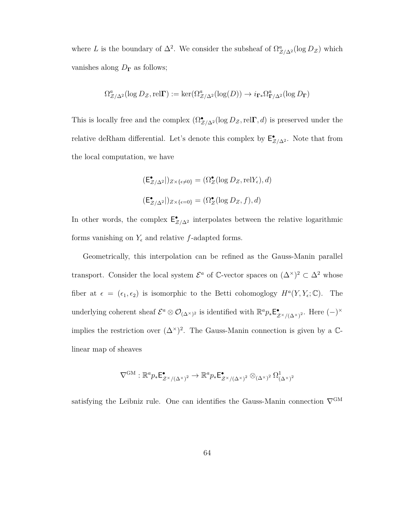where *L* is the boundary of  $\Delta^2$ . We consider the subsheaf of  $\Omega^a_{\mathcal{Z}/\Delta^2}(\log D_{\mathcal{Z}})$  which vanishes along  $D_{\Gamma}$  as follows;

$$
\Omega^a_{\mathcal{Z}/\Delta^2}(\log D_{\mathcal{Z}}, \text{rel}\Gamma) := \ker(\Omega^a_{\mathcal{Z}/\Delta^2}(\log(D)) \to i_{\Gamma^*}\Omega^a_{\Gamma/\Delta^2}(\log D_{\Gamma})
$$

This is locally free and the complex  $(\Omega_{\mathcal{Z}/\Delta^2}^{\bullet}(\log D_{\mathcal{Z}},\text{rel}\Gamma,d))$  is preserved under the relative deRham differential. Let's denote this complex by  $\mathsf{E}^{\bullet}_{\mathcal{Z}/\Delta^2}$ . Note that from the local computation, we have

$$
(\mathsf{E}^{\bullet}_{\mathcal{Z}/\Delta^2}|)_{Z \times \{\epsilon \neq 0\}} = (\Omega^{\bullet}_{Z}(\log D_Z, \mathrm{rel} Y_{\epsilon}), d)
$$

$$
(\mathsf{E}^{\bullet}_{\mathcal{Z}/\Delta^2}|)_{Z \times \{\epsilon = 0\}} = (\Omega^{\bullet}_{Z}(\log D_Z, f), d)
$$

In other words, the complex  $\mathsf{E}^{\bullet}_{Z/\Delta^2}$  interpolates between the relative logarithmic forms vanishing on  $Y_{\epsilon}$  and relative *f*-adapted forms.

Geometrically, this interpolation can be refined as the Gauss-Manin parallel transport. Consider the local system  $\mathcal{E}^a$  of C-vector spaces on  $(\Delta^{\times})^2 \subset \Delta^2$  whose fiber at  $\epsilon = (\epsilon_1, \epsilon_2)$  is isomorphic to the Betti cohomoglogy  $H^a(Y, Y_{\epsilon}; \mathbb{C})$ . The underlying coherent sheaf  $\mathcal{E}^a \otimes \mathcal{O}_{(\Delta^\times)^2}$  is identified with  $\mathbb{R}^a p_* \mathbb{E}^{\bullet}_{\tilde{z}}$ •<br>*z*×<sub>/(∆</sub>×<sub>)</sub><sup>2</sup>· Here (−)<sup>×</sup> implies the restriction over  $({\Delta}^{\times})^2$ . The Gauss-Manin connection is given by a Clinear map of sheaves

$$
\nabla^{\mathrm{GM}} : \mathbb{R}^a p_* \mathsf{E}^\bullet_{\mathcal{Z}^\times/(\Delta^\times)^2} \to \mathbb{R}^a p_* \mathsf{E}^\bullet_{\mathcal{Z}^\times/(\Delta^\times)^2} \otimes_{(\Delta^\times)^2} \Omega^1_{(\Delta^\times)^2}
$$

satisfying the Leibniz rule. One can identifies the Gauss-Manin connection  $\nabla^{\text{GM}}$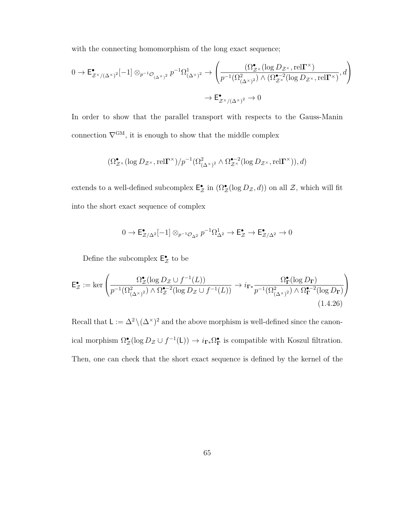with the connecting homomorphism of the long exact sequence;

$$
0 \to \mathsf{E}^{\bullet}_{\mathcal{Z}^{\times}/(\Delta^{\times})^{2}}[-1] \otimes_{p^{-1}\mathcal{O}_{(\Delta^{\times})^{2}}} p^{-1}\Omega^{1}_{(\Delta^{\times})^{2}} \to \left(\frac{(\Omega^{\bullet}_{\mathcal{Z}^{\times}}(\log D_{\mathcal{Z}^{\times}},\mathrm{rel}\Gamma^{\times})}{p^{-1}(\Omega^{2}_{(\Delta^{\times})^{2}}) \wedge (\Omega^{\bullet-2}_{\mathcal{Z}^{\times}}(\log D_{\mathcal{Z}^{\times}},\mathrm{rel}\Gamma^{\times})},d\right) \to \mathsf{E}^{\bullet}_{\mathcal{Z}^{\times}/(\Delta^{\times})^{2}} \to 0
$$

In order to show that the parallel transport with respects to the Gauss-Manin connection  $\nabla^{\text{GM}}$ , it is enough to show that the middle complex

$$
(\Omega^{\bullet}_{\mathcal{Z}^{\times}}(\log D_{\mathcal{Z}^{\times}},\mathrm{rel}\Gamma^{\times})/p^{-1}(\Omega^{2}_{(\Delta^{\times})^{2}} \wedge \Omega^{\bullet-2}_{\mathcal{Z}^{\times}}(\log D_{\mathcal{Z}^{\times}},\mathrm{rel}\Gamma^{\times})),d)
$$

extends to a well-defined subcomplex  $\mathsf{E}_{\mathcal{Z}}^{\bullet}$  in  $(\Omega_{\mathcal{Z}}^{\bullet}(\log D_{\mathcal{Z}},d))$  on all  $\mathcal{Z}$ , which will fit into the short exact sequence of complex

$$
0 \to \mathsf{E}^\bullet_{\mathcal{Z}/\Delta^2}[-1] \otimes_{p^{-1}\mathcal{O}_{\Delta^2}} p^{-1}\Omega^1_{\Delta^2} \to \mathsf{E}^\bullet_{\mathcal{Z}} \to \mathsf{E}^\bullet_{\mathcal{Z}/\Delta^2} \to 0
$$

Define the subcomplex  $\mathsf{E}^{\bullet}_{\mathcal{Z}}$  to be

$$
\mathsf{E}_{\mathcal{Z}}^{\bullet} := \ker \left( \frac{\Omega_{\mathcal{Z}}^{\bullet}(\log D_{\mathcal{Z}} \cup f^{-1}(L))}{p^{-1}(\Omega_{(\Delta^{\times})^2}^2) \wedge \Omega_{\mathcal{Z}}^{\bullet - 2}(\log D_{\mathcal{Z}} \cup f^{-1}(L))} \to i_{\Gamma^*} \frac{\Omega_{\mathbf{\Gamma}}^{\bullet}(\log D_{\mathbf{\Gamma}})}{p^{-1}(\Omega_{(\Delta^{\times})^2}^2) \wedge \Omega_{\mathbf{\Gamma}}^{\bullet - 2}(\log D_{\mathbf{\Gamma}})} \right)
$$
(1.4.26)

Recall that  $\mathsf{L} := \Delta^2 \setminus (\Delta^{\times})^2$  and the above morphism is well-defined since the canonical morphism  $\Omega^{\bullet}_{\mathcal{Z}}(\log D_{\mathcal{Z}} \cup f^{-1}(L)) \to i_{\Gamma^*} \Omega^{\bullet}_{\Gamma}$  is compatible with Koszul filtration. Then, one can check that the short exact sequence is defined by the kernel of the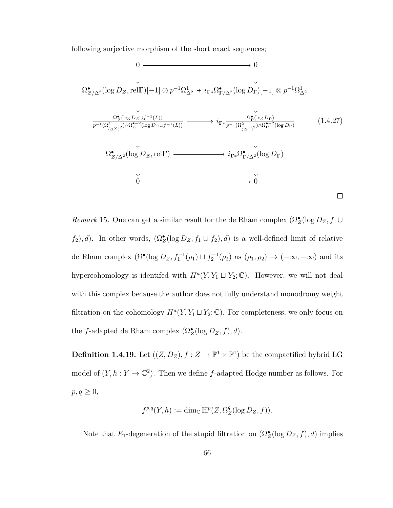following surjective morphism of the short exact sequences;

$$
\begin{array}{ccccccc}\n & 0 & & & 0 \\
 & & & & \downarrow & & \\
\downarrow & & & & & \downarrow & \\
\downarrow & & & & & & \downarrow & \\
\downarrow & & & & & & & \\
\downarrow & & & & & & & \\
\downarrow & & & & & & & \\
\downarrow & & & & & & & \\
\downarrow & & & & & & & \\
\hline\n\frac{\Omega_{\mathcal{Z}}^{\bullet}(\log D_{\mathcal{Z}} \cup f^{-1}(L))}{p^{-1}(\Omega_{(\Delta^{\times})^2}^2) \wedge \Omega_{\mathcal{Z}}^{\bullet - 2}(\log D_{\mathcal{Z}} \cup f^{-1}(L))} & \longrightarrow & i_{\Gamma^*} \frac{\Omega_{\Gamma}^{\bullet}(\log D_{\Gamma})}{p^{-1}(\Omega_{(\Delta^{\times})^2}^2) \wedge \Omega_{\Gamma}^{\bullet - 2}(\log D_{\Gamma})} & & \\
& & & & & \\
\downarrow & & & & & \\
\downarrow & & & & & & \\
\Omega_{\mathcal{Z}/\Delta^2}^{\bullet}(\log D_{\mathcal{Z}}, \text{rel}\Gamma) & \longrightarrow & i_{\Gamma^*} \Omega_{\Gamma/\Delta^2}^{\bullet}(\log D_{\Gamma}) & & \\
& & & & & \\
0 & \longrightarrow & & & & \\
\end{array}
$$
\n
$$
\begin{array}{ccccccc}\n & & 0 & & \\
\downarrow & & & & & \\
\downarrow & & & & & \\
\downarrow & & & & & \\
\downarrow & & & & & \\
0 & \longrightarrow & & & & \\
\end{array}
$$
\n
$$
\begin{array}{ccccccc}\n & & 0 & & \\
\downarrow & & & & & \\
\downarrow & & &
$$

*Remark* 15*.* One can get a similar result for the de Rham complex  $(\Omega_Z^{\bullet}(\log D_Z, f_1 \cup$  $f_2$ , *d*). In other words,  $(\Omega_Z^{\bullet}(\log D_Z, f_1 \cup f_2), d)$  is a well-defined limit of relative de Rham complex  $(\Omega^{\bullet}(\log D_Z, f_1^{-1}(\rho_1) \sqcup f_2^{-1}(\rho_2) \text{ as } (\rho_1, \rho_2) \to (-\infty, -\infty)$  and its hypercohomology is identifed with  $H^a(Y, Y_1 \sqcup Y_2; \mathbb{C})$ . However, we will not deal with this complex because the author does not fully understand monodromy weight filtration on the cohomology  $H^a(Y, Y_1 \sqcup Y_2; \mathbb{C})$ . For completeness, we only focus on the *f*-adapted de Rham complex  $(\Omega_Z^{\bullet}(\log D_Z, f), d)$ .

**Definition 1.4.19.** Let  $((Z, D_Z), f : Z \to \mathbb{P}^1 \times \mathbb{P}^1)$  be the compactified hybrid LG model of  $(Y, h: Y \to \mathbb{C}^2)$ . Then we define *f*-adapted Hodge number as follows. For  $p, q \geq 0$ ,

$$
f^{p,q}(Y,h):=\dim_{\mathbb{C}}\mathbb{H}^p(Z,\Omega^q_Z(\log D_Z,f)).
$$

Note that  $E_1$ -degeneration of the stupid filtration on  $(\Omega_Z^{\bullet}(\log D_Z, f), d)$  implies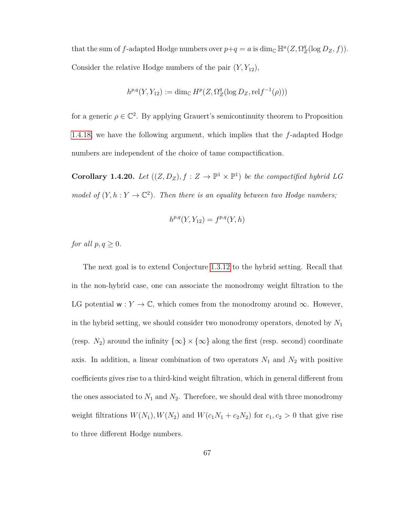that the sum of *f*-adapted Hodge numbers over  $p+q = a$  is  $\dim_{\mathbb{C}} \mathbb{H}^a(Z, \Omega_Z^q)$  $Z^q$ (log  $D_Z, f$ )). Consider the relative Hodge numbers of the pair  $(Y, Y_{12})$ ,

$$
h^{p,q}(Y,Y_{12}) := \dim_{\mathbb{C}} H^p(Z, \Omega_Z^q(\log D_Z, \text{rel} f^{-1}(\rho)))
$$

for a generic  $\rho \in \mathbb{C}^2$ . By applying Grauert's semicontinuity theorem to Proposition [1.4.18,](#page-70-0) we have the following argument, which implies that the *f*-adapted Hodge numbers are independent of the choice of tame compactification.

**Corollary 1.4.20.** Let  $((Z, D_Z), f : Z \to \mathbb{P}^1 \times \mathbb{P}^1)$  be the compactified hybrid LG model of  $(Y, h: Y \to \mathbb{C}^2)$ . Then there is an equality between two Hodge numbers;

$$
h^{p,q}(Y, Y_{12}) = f^{p,q}(Y, h)
$$

*for all*  $p, q \geq 0$ *.* 

The next goal is to extend Conjecture [1.3.12](#page-46-0) to the hybrid setting. Recall that in the non-hybrid case, one can associate the monodromy weight filtration to the LG potential  $\mathsf{w}: Y \to \mathbb{C}$ , which comes from the monodromy around  $\infty$ . However, in the hybrid setting, we should consider two monodromy operators, denoted by *N*<sup>1</sup> (resp.  $N_2$ ) around the infinity  $\{\infty\} \times \{\infty\}$  along the first (resp. second) coordinate axis. In addition, a linear combination of two operators  $N_1$  and  $N_2$  with positive coefficients gives rise to a third-kind weight filtration, which in general different from the ones associated to  $N_1$  and  $N_2$ . Therefore, we should deal with three monodromy weight filtrations  $W(N_1)$ ,  $W(N_2)$  and  $W(c_1N_1 + c_2N_2)$  for  $c_1, c_2 > 0$  that give rise to three different Hodge numbers.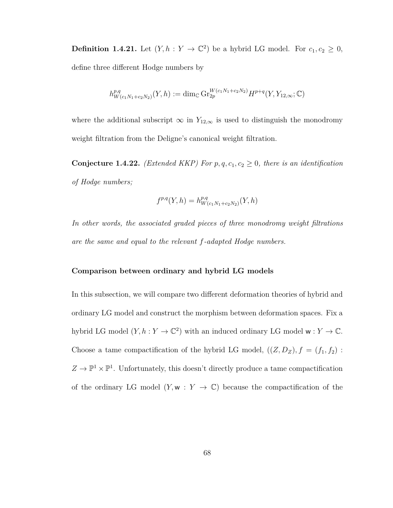**Definition 1.4.21.** Let  $(Y, h: Y \to \mathbb{C}^2)$  be a hybrid LG model. For  $c_1, c_2 \geq 0$ , define three different Hodge numbers by

$$
h_{W(c_1N_1+c_2N_2)}^{p,q}(Y,h) := \dim_{\mathbb{C}} \mathrm{Gr}_{2p}^{W(c_1N_1+c_2N_2)} H^{p+q}(Y,Y_{12,\infty};\mathbb{C})
$$

where the additional subscript  $\infty$  in  $Y_{12,\infty}$  is used to distinguish the monodromy weight filtration from the Deligne's canonical weight filtration.

<span id="page-75-0"></span>**Conjecture 1.4.22.** *(Extended KKP) For*  $p, q, c_1, c_2 \geq 0$ *, there is an identification of Hodge numbers;*

$$
f^{p,q}(Y,h) = h^{p,q}_{W(c_1N_1+c_2N_2)}(Y,h)
$$

*In other words, the associated graded pieces of three monodromy weight filtrations are the same and equal to the relevant f-adapted Hodge numbers.*

#### **Comparison between ordinary and hybrid LG models**

In this subsection, we will compare two different deformation theories of hybrid and ordinary LG model and construct the morphism between deformation spaces. Fix a hybrid LG model  $(Y, h: Y \to \mathbb{C}^2)$  with an induced ordinary LG model  $w: Y \to \mathbb{C}$ . Choose a tame compactification of the hybrid LG model,  $((Z, D_Z), f = (f_1, f_2)$ :  $Z \to \mathbb{P}^1 \times \mathbb{P}^1$ . Unfortunately, this doesn't directly produce a tame compactification of the ordinary LG model  $(Y, \mathbf{w} : Y \to \mathbb{C})$  because the compactification of the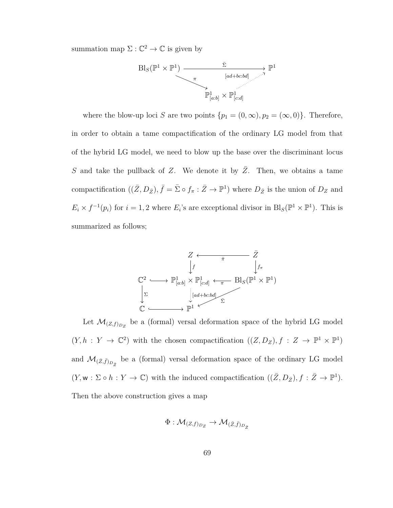summation map  $\Sigma : \mathbb{C}^2 \to \mathbb{C}$  is given by



where the blow-up loci *S* are two points  $\{p_1 = (0, \infty), p_2 = (\infty, 0)\}\.$  Therefore, in order to obtain a tame compactification of the ordinary LG model from that of the hybrid LG model, we need to blow up the base over the discriminant locus *S* and take the pullback of *Z*. We denote it by *Z*. Then, we obtains a tame compactification  $((\bar{Z}, D_{\bar{Z}}), \bar{f} = \bar{\Sigma} \circ f_{\pi} : \bar{Z} \to \mathbb{P}^1)$  where  $D_{\bar{Z}}$  is the union of  $D_Z$  and  $E_i \times f^{-1}(p_i)$  for  $i = 1, 2$  where  $E_i$ 's are exceptional divisor in  $\text{Bl}_S(\mathbb{P}^1 \times \mathbb{P}^1)$ . This is summarized as follows;



Let  $\mathcal{M}_{(Z,f)_{D_Z}}$  be a (formal) versal deformation space of the hybrid LG model  $(Y, h: Y \to \mathbb{C}^2)$  with the chosen compactification  $((Z, D_Z), f: Z \to \mathbb{P}^1 \times \mathbb{P}^1)$ and  $\mathcal{M}_{(\bar{Z}, \bar{f})_{D_{\bar{Z}}}}$  be a (formal) versal deformation space of the ordinary LG model  $(Y, \mathsf{w} : \Sigma \circ h : Y \to \mathbb{C})$  with the induced compactification  $((\bar{Z}, D_{\bar{Z}}), f : \bar{Z} \to \mathbb{P}^1)$ . Then the above construction gives a map

<span id="page-76-0"></span>
$$
\Phi: \mathcal{M}_{(Z, f)_{D_Z}} \to \mathcal{M}_{(\bar{Z}, \bar{f})_{D_{\bar{Z}}}}
$$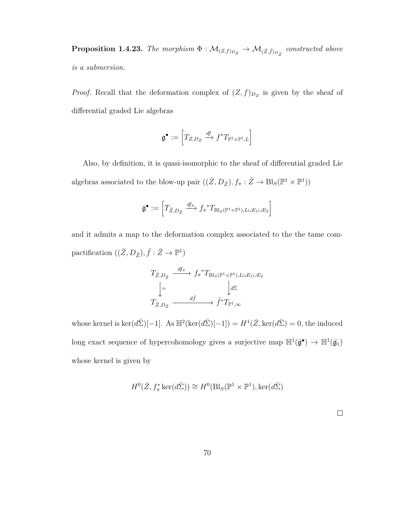**Proposition 1.4.23.** The morphism  $\Phi : \mathcal{M}_{(Z,f)_{D_Z}} \to \mathcal{M}_{(\bar{Z},\bar{f})_{D_{\bar{Z}}}}$  constructed above *is a submersion.*

*Proof.* Recall that the deformation complex of  $(Z, f)_{D_Z}$  is given by the sheaf of differential graded Lie algebras

$$
\mathfrak{g}^\bullet:=\left[T_{Z,D_Z}\xrightarrow{df}f^*T_{\mathbb{P}^1\times\mathbb{P}^1,L}\right]
$$

Also, by definition, it is quasi-isomorphic to the sheaf of differential graded Lie algebras associated to the blow-up pair  $((\bar{Z}, D_{\bar{Z}}), f_{\pi} : \bar{Z} \to \text{Bl}_S(\mathbb{P}^1 \times \mathbb{P}^1))$ 

$$
\bar{\mathfrak{g}}^{\bullet} := \left[T_{\bar{Z}, D_{\bar{Z}}} \stackrel{df_{\pi}}{\longrightarrow} f_{\pi}^* T_{\mathrm{Bl}_S(\mathbb{P}^1 \times \mathbb{P}^1), L \sqcup E_1 \sqcup E_2}\right]
$$

and it admits a map to the deformation complex associated to the the tame compactification  $((\bar{Z}, D_{\bar{Z}}), \bar{f} : \bar{Z} \to \mathbb{P}^1)$ 

$$
T_{\bar{Z},D_{\bar{Z}}} \xrightarrow{df_{\pi}} f_{\pi}^* T_{\text{Bl}_S(\mathbb{P}^1 \times \mathbb{P}^1), L \sqcup E_1 \sqcup E_2}
$$

$$
\downarrow = \qquad \qquad \downarrow d\bar{\Sigma}
$$

$$
T_{\bar{Z},D_{\bar{Z}}} \xrightarrow{d\bar{f}} \bar{f}^* T_{\mathbb{P}^1,\infty}
$$

whose kernel is  $\ker(d\bar{\Sigma})[-1]$ . As  $\mathbb{H}^2(\ker(d\bar{\Sigma})[-1]) = H^1(\bar{Z}, \ker(d\bar{\Sigma}) = 0$ , the induced long exact sequence of hypercohomology gives a surjective map  $\mathbb{H}^1(\bar{\mathfrak{g}}^{\bullet}) \to \mathbb{H}^1(\bar{\mathfrak{g}_1})$ whose kernel is given by

$$
H^0(\bar{Z}, f_\pi^* \ker(d\bar{\Sigma})) \cong H^0(\text{Bl}_S(\mathbb{P}^1 \times \mathbb{P}^1), \ker(d\bar{\Sigma})
$$

 $\Box$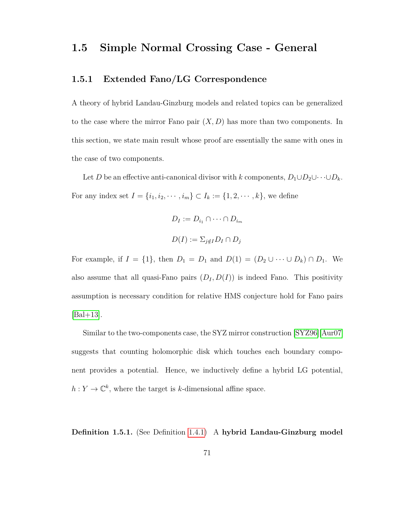### **1.5 Simple Normal Crossing Case - General**

#### **1.5.1 Extended Fano/LG Correspondence**

A theory of hybrid Landau-Ginzburg models and related topics can be generalized to the case where the mirror Fano pair (*X, D*) has more than two components. In this section, we state main result whose proof are essentially the same with ones in the case of two components.

Let *D* be an effective anti-canonical divisor with *k* components,  $D_1 \cup D_2 \cup \cdots \cup D_k$ . For any index set  $I = \{i_1, i_2, \dots, i_m\} \subset I_k := \{1, 2, \dots, k\}$ , we define

$$
D_I := D_{i_1} \cap \dots \cap D_{i_m}
$$

$$
D(I) := \sum_{j \notin I} D_I \cap D_j
$$

For example, if  $I = \{1\}$ , then  $D_1 = D_1$  and  $D(1) = (D_2 \cup \cdots \cup D_k) \cap D_1$ . We also assume that all quasi-Fano pairs  $(D_I, D(I))$  is indeed Fano. This positivity assumption is necessary condition for relative HMS conjecture hold for Fano pairs  $|BaI+13|$ .

Similar to the two-components case, the SYZ mirror construction [\[SYZ96\]](#page-162-0)[\[Aur07\]](#page-154-1) suggests that counting holomorphic disk which touches each boundary component provides a potential. Hence, we inductively define a hybrid LG potential,  $h: Y \to \mathbb{C}^k$ , where the target is *k*-dimensional affine space.

**Definition 1.5.1.** (See Definition [1.4.1\)](#page-47-0) A **hybrid Landau-Ginzburg model**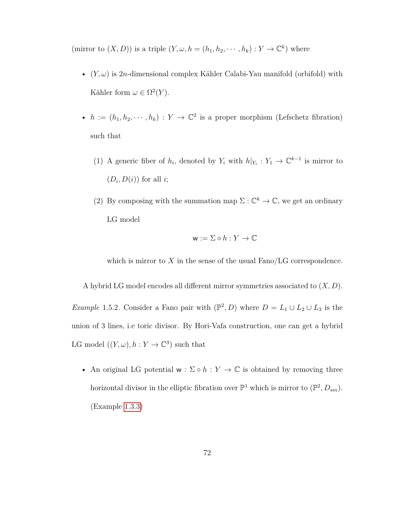(mirror to  $(X, D)$ ) is a triple  $(Y, \omega, h = (h_1, h_2, \dots, h_k) : Y \to \mathbb{C}^k)$  where

- $(Y, \omega)$  is 2*n*-dimensional complex Kähler Calabi-Yau manifold (orbifold) with Kähler form  $\omega \in \Omega^2(Y)$ .
- $h := (h_1, h_2, \dots, h_k) : Y \to \mathbb{C}^2$  is a proper morphism (Lefschetz fibration) such that
	- (1) A generic fiber of  $h_i$ , denoted by  $Y_i$  with  $h|_{Y_i}: Y_1 \to \mathbb{C}^{k-1}$  is mirror to  $(D_i, D(i))$  for all *i*;
	- (2) By composing with the summation map  $\Sigma : \mathbb{C}^k \to \mathbb{C}$ , we get an ordinary LG model

$$
\mathbf{w} := \Sigma \circ h : Y \to \mathbb{C}
$$

which is mirror to  $X$  in the sense of the usual  $Fano/LG$  correspondence.

A hybrid LG model encodes all different mirror symmetries associated to (*X, D*). *Example* 1.5.2. Consider a Fano pair with  $(\mathbb{P}^2, D)$  where  $D = L_1 \cup L_2 \cup L_3$  is the union of 3 lines, i.e toric divisor. By Hori-Vafa construction, one can get a hybrid LG model  $((Y, \omega), h: Y \to \mathbb{C}^3)$  such that

• An original LG potential  $w : \Sigma \circ h : Y \to \mathbb{C}$  is obtained by removing three horizontal divisor in the elliptic fibration over  $\mathbb{P}^1$  which is mirror to  $(\mathbb{P}^2, D_{sm})$ . (Example [1.3.3\)](#page-38-0)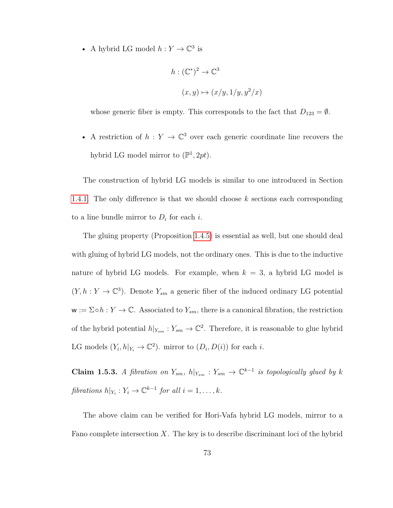• A hybrid LG model  $h: Y \to \mathbb{C}^3$  is

$$
h: (\mathbb{C}^*)^2 \to \mathbb{C}^3
$$

$$
(x, y) \mapsto (x/y, 1/y, y^2/x)
$$

whose generic fiber is empty. This corresponds to the fact that  $D_{123} = \emptyset$ .

• A restriction of  $h: Y \to \mathbb{C}^3$  over each generic coordinate line recovers the hybrid LG model mirror to  $(\mathbb{P}^1, 2pt)$ .

The construction of hybrid LG models is similar to one introduced in Section [1.4.1.](#page-49-0) The only difference is that we should choose *k* sections each corresponding to a line bundle mirror to  $D_i$  for each *i*.

The gluing property (Proposition [1.4.5\)](#page-54-0) is essential as well, but one should deal with gluing of hybrid LG models, not the ordinary ones. This is due to the inductive nature of hybrid LG models. For example, when  $k = 3$ , a hybrid LG model is  $(Y, h: Y \to \mathbb{C}^3)$ . Denote  $Y_{sm}$  a generic fiber of the induced ordinary LG potential  $\mathbf{w} := \Sigma \circ h : Y \to \mathbb{C}$ . Associated to  $Y_{sm}$ , there is a canonical fibration, the restriction of the hybrid potential  $h|_{Y_{sm}} : Y_{sm} \to \mathbb{C}^2$ . Therefore, it is reasonable to glue hybrid LG models  $(Y_i, h|_{Y_i} \to \mathbb{C}^2)$ . mirror to  $(D_i, D(i))$  for each *i*.

**Claim 1.5.3.** *A fibration on*  $Y_{sm}$ ,  $h|_{Y_{sm}}$  :  $Y_{sm} \to \mathbb{C}^{k-1}$  *is topologically glued by k fibrations*  $h|_{Y_i}: Y_i \to \mathbb{C}^{k-1}$  *for all*  $i = 1, \ldots, k$ *.* 

The above claim can be verified for Hori-Vafa hybrid LG models, mirror to a Fano complete intersection *X*. The key is to describe discriminant loci of the hybrid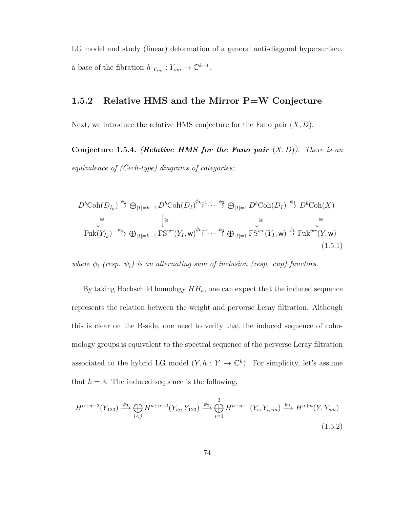LG model and study (linear) deformation of a general anti-diagonal hypersurface, a base of the fibration  $h|_{Y_{sm}}: Y_{sm} \to \mathbb{C}^{k-1}$ .

#### **1.5.2 Relative HMS and the Mirror P=W Conjecture**

Next, we introduce the relative HMS conjecture for the Fano pair (*X, D*).

**Conjecture 1.5.4.** *(Relative HMS for the Fano pair*  $(X, D)$ *). There is an equivalence of (Čech-type) diagrams of categories;*

$$
D^{b}\mathrm{Coh}(D_{I_{k}}) \stackrel{\phi_{k}}{\rightarrow} \bigoplus_{|I|=k-1} D^{b}\mathrm{Coh}(D_{I}) \stackrel{\phi_{k-1}}{\rightarrow} \cdots \stackrel{\phi_{2}}{\rightarrow} \bigoplus_{|I|=1} D^{b}\mathrm{Coh}(D_{I}) \stackrel{\phi_{1}}{\rightarrow} D^{b}\mathrm{Coh}(X)
$$

$$
\downarrow \cong
$$

$$
\mathrm{Fuk}(Y_{I_{k}}) \stackrel{\psi_{k}}{\rightarrow} \bigoplus_{|I|=k-1} \mathrm{FS}^{wr}(Y_{I}, \mathbf{w}) \stackrel{\psi_{k-1}}{\rightarrow} \cdots \stackrel{\psi_{2}}{\rightarrow} \bigoplus_{|I|=1} \mathrm{FS}^{wr}(Y_{I}, \mathbf{w}) \stackrel{\psi_{1}}{\rightarrow} \mathrm{Fuk}^{wr}(Y, \mathbf{w})
$$
(1.5.1)

*where*  $\phi_i$  (resp.  $\psi_i$ ) is an alternating sum of inclusion (resp. cup) functors.

By taking Hochschild homology  $HH_a$ , one can expect that the induced sequence represents the relation between the weight and perverse Leray filtration. Although this is clear on the B-side, one need to verify that the induced sequence of cohomology groups is equivalent to the spectral sequence of the perverse Leray filtration associated to the hybrid LG model  $(Y, h: Y \to \mathbb{C}^k)$ . For simplicity, let's assume that  $k = 3$ . The induced sequence is the following;

<span id="page-81-0"></span>
$$
H^{a+n-3}(Y_{123}) \xrightarrow{\psi_3} \bigoplus_{i < j} H^{a+n-2}(Y_{ij}, Y_{123}) \xrightarrow{\psi_2} \bigoplus_{i=1}^3 H^{a+n-1}(Y_i, Y_{i,sm}) \xrightarrow{\psi_1} H^{a+n}(Y, Y_{sm}) \tag{1.5.2}
$$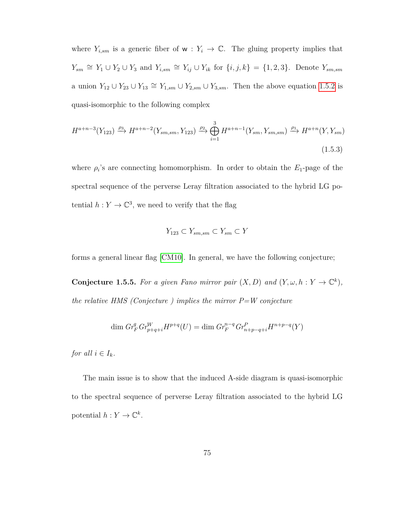where  $Y_{i,sm}$  is a generic fiber of  $w: Y_i \to \mathbb{C}$ . The gluing property implies that  $Y_{sm} \cong Y_1 \cup Y_2 \cup Y_3$  and  $Y_{i,sm} \cong Y_{ij} \cup Y_{ik}$  for  $\{i, j, k\} = \{1, 2, 3\}$ . Denote  $Y_{sm,sm}$ a union  $Y_{12} \cup Y_{23} \cup Y_{13} \cong Y_{1,sm} \cup Y_{2,sm} \cup Y_{3,sm}$ . Then the above equation [1.5.2](#page-81-0) is quasi-isomorphic to the following complex

$$
H^{a+n-3}(Y_{123}) \xrightarrow{\rho_3} H^{a+n-2}(Y_{sm,sm}, Y_{123}) \xrightarrow{\rho_2} \bigoplus_{i=1}^3 H^{a+n-1}(Y_{sm}, Y_{sm,sm}) \xrightarrow{\rho_1} H^{a+n}(Y, Y_{sm})
$$
\n(1.5.3)

where  $\rho_i$ 's are connecting homomorphism. In order to obtain the  $E_1$ -page of the spectral sequence of the perverse Leray filtration associated to the hybrid LG potential  $h: Y \to \mathbb{C}^3$ , we need to verify that the flag

$$
Y_{123} \subset Y_{sm,sm} \subset Y_{sm} \subset Y
$$

forms a general linear flag [\[CM10\]](#page-155-0). In general, we have the following conjecture;

**Conjecture 1.5.5.** For a given Fano mirror pair  $(X, D)$  and  $(Y, \omega, h: Y \to \mathbb{C}^k)$ , *the relative HMS (Conjecture ) implies the mirror P=W conjecture*

$$
\dim Gr_F^q Gr_{p+q+i}^W H^{p+q}(U) = \dim Gr_F^{n-q} Gr_{n+p-q+i}^P H^{n+p-q}(Y)
$$

*for all*  $i \in I_k$ *.* 

The main issue is to show that the induced A-side diagram is quasi-isomorphic to the spectral sequence of perverse Leray filtration associated to the hybrid LG potential  $h: Y \to \mathbb{C}^k$ .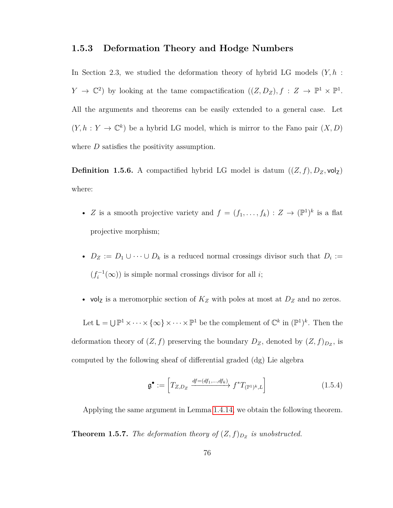#### **1.5.3 Deformation Theory and Hodge Numbers**

In Section 2.3, we studied the deformation theory of hybrid LG models (*Y, h* :  $Y \to \mathbb{C}^2$ ) by looking at the tame compactification  $((Z, D_Z), f : Z \to \mathbb{P}^1 \times \mathbb{P}^1$ . All the arguments and theorems can be easily extended to a general case. Let  $(Y, h: Y \to \mathbb{C}^k)$  be a hybrid LG model, which is mirror to the Fano pair  $(X, D)$ where *D* satisfies the positivity assumption.

**Definition 1.5.6.** A compactified hybrid LG model is datum  $((Z, f), D_Z, \text{vol}_Z)$ where:

- *Z* is a smooth projective variety and  $f = (f_1, \ldots, f_k) : Z \to (\mathbb{P}^1)^k$  is a flat projective morphism;
- $D_Z := D_1 \cup \cdots \cup D_k$  is a reduced normal crossings divisor such that  $D_i :=$  $(f_i^{-1}(\infty))$  is simple normal crossings divisor for all *i*;
- volz is a meromorphic section of  $K_Z$  with poles at most at  $D_Z$  and no zeros.

Let  $\mathsf{L} = \bigcup \mathbb{P}^1 \times \cdots \times \{\infty\} \times \cdots \times \mathbb{P}^1$  be the complement of  $\mathbb{C}^k$  in  $(\mathbb{P}^1)^k$ . Then the deformation theory of  $(Z, f)$  preserving the boundary  $D_Z$ , denoted by  $(Z, f)_{D_Z}$ , is computed by the following sheaf of differential graded (dg) Lie algebra

$$
\mathfrak{g}^{\bullet} := \left[ T_{Z,D_Z} \xrightarrow{df = (df_1, \dots, df_k)} f^* T_{(\mathbb{P}^1)^k, L} \right] \tag{1.5.4}
$$

Applying the same argument in Lemma [1.4.14,](#page-63-0) we obtain the following theorem.

**Theorem 1.5.7.** *The deformation theory of*  $(Z, f)_{D_Z}$  *is unobstructed.*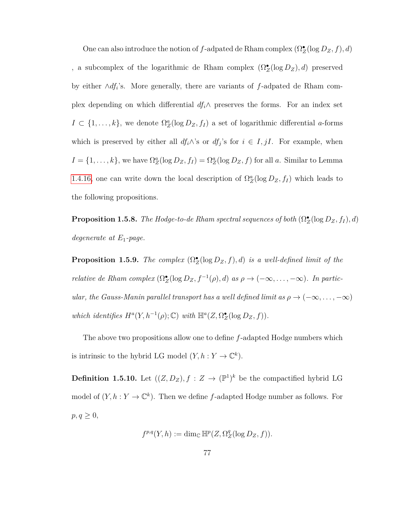One can also introduce the notion of  $f$ -adpated de Rham complex  $(\Omega_Z^{\bullet}(\log D_Z, f), d)$ , a subcomplex of the logarithmic de Rham complex  $(\Omega_Z^{\bullet}(\log D_Z), d)$  preserved by either ∧*df<sup>i</sup>* 's. More generally, there are variants of *f*-adpated de Rham complex depending on which differential  $df_i \wedge$  preserves the forms. For an index set  $I \subset \{1, \ldots, k\}$ , we denote  $\Omega_Z^a(\log D_Z, f_I)$  a set of logarithmic differential *a*-forms which is preserved by either all  $df_i \wedge s$  or  $df_j$ 's for  $i \in I, jI$ . For example, when  $I = \{1, \ldots, k\}$ , we have  $\Omega_Z^a(\log D_Z, f_I) = \Omega_Z^a(\log D_Z, f)$  for all *a*. Similar to Lemma [1.4.16,](#page-67-0) one can write down the local description of  $\Omega_Z^a(\log D_Z, f_I)$  which leads to the following propositions.

**Proposition 1.5.8.** *The Hodge-to-de Rham spectral sequences of both*  $(\Omega_Z^{\bullet}(\log D_Z, f_I), d)$ *degenerate at E*1*-page.*

**Proposition 1.5.9.** *The complex*  $(\Omega_{\mathbb{Z}}^{\bullet}(\log D_{\mathbb{Z}},f),d)$  *is a well-defined limit of the relative de Rham complex*  $(\Omega_Z^{\bullet}(\log D_Z, f^{-1}(\rho), d)$  *as*  $\rho \to (-\infty, \ldots, -\infty)$ *. In particular, the Gauss-Manin parallel transport has a well defined limit as*  $\rho \to (-\infty, \ldots, -\infty)$ *which identifies*  $H^a(Y, h^{-1}(\rho); \mathbb{C})$  *with*  $\mathbb{H}^a(Z, \Omega_Z^{\bullet}(\log D_Z, f)).$ 

The above two propositions allow one to define *f*-adapted Hodge numbers which is intrinsic to the hybrid LG model  $(Y, h: Y \to \mathbb{C}^k)$ .

**Definition 1.5.10.** Let  $((Z, D_Z), f : Z \to (\mathbb{P}^1)^k$  be the compactified hybrid LG model of  $(Y, h: Y \to \mathbb{C}^k)$ . Then we define *f*-adapted Hodge number as follows. For  $p, q \geq 0$ ,

$$
f^{p,q}(Y,h) := \dim_{\mathbb{C}} \mathbb{H}^p(Z, \Omega_Z^q(\log D_Z, f)).
$$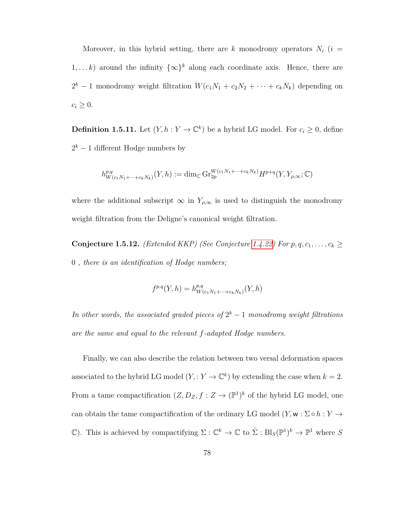Moreover, in this hybrid setting, there are  $k$  monodromy operators  $N_i$  ( $i =$ 1,...k) around the infinity  $\{\infty\}^k$  along each coordinate axis. Hence, there are  $2^k - 1$  monodromy weight filtration  $W(c_1N_1 + c_2N_2 + \cdots + c_kN_k)$  depending on  $c_i \geq 0$ .

**Definition 1.5.11.** Let  $(Y, h: Y \to \mathbb{C}^k)$  be a hybrid LG model. For  $c_i \geq 0$ , define  $2<sup>k</sup> - 1$  different Hodge numbers by

$$
h_{W(c_1N_1+\cdots+c_kN_k)}^{p,q}(Y,h) := \dim_{\mathbb{C}} \mathrm{Gr}_{2p}^{W(c_1N_1+\cdots+c_kN_k)} H^{p+q}(Y,Y_{\rho,\infty};\mathbb{C})
$$

where the additional subscript  $\infty$  in  $Y_{\rho,\infty}$  is used to distinguish the monodromy weight filtration from the Deligne's canonical weight filtration.

**Conjecture 1.5.12.** *(Extended KKP) (See Conjecture [1.4.22\)](#page-75-0) For*  $p, q, c_1, \ldots, c_k \geq 0$ 0 *, there is an identification of Hodge numbers;*

$$
f^{p,q}(Y,h) = h^{p,q}_{W(c_1N_1 + \dots + c_kN_k)}(Y,h)
$$

*In other words, the associated graded pieces of*  $2^k - 1$  *monodromy weight filtrations are the same and equal to the relevant f-adapted Hodge numbers.*

Finally, we can also describe the relation between two versal deformation spaces associated to the hybrid LG model  $(Y, Y \to \mathbb{C}^k)$  by extending the case when  $k = 2$ . From a tame compactification  $(Z, D_Z, f : Z \to (\mathbb{P}^1)^k$  of the hybrid LG model, one can obtain the tame compactification of the ordinary LG model  $(Y, w : \Sigma \circ h : Y \to Y)$ C). This is achieved by compactifying  $\Sigma : \mathbb{C}^k \to \mathbb{C}$  to  $\overline{\Sigma} : Bl_S(\mathbb{P}^1)^k \to \mathbb{P}^1$  where S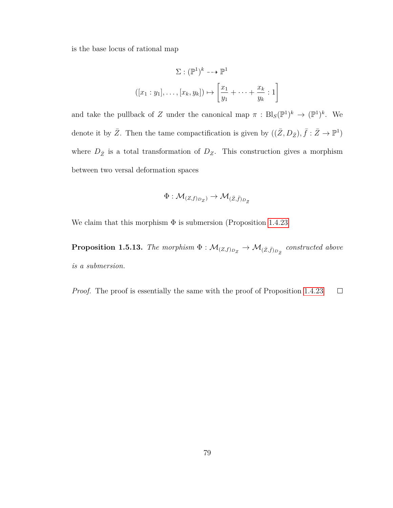is the base locus of rational map

$$
\Sigma : (\mathbb{P}^1)^k \dashrightarrow \mathbb{P}^1
$$

$$
([x_1 : y_1], \dots, [x_k, y_k]) \mapsto \left[\frac{x_1}{y_1} + \dots + \frac{x_k}{y_k} : 1\right]
$$

and take the pullback of *Z* under the canonical map  $\pi : Bl_S(\mathbb{P}^1)^k \to (\mathbb{P}^1)^k$ . We denote it by  $\bar{Z}$ . Then the tame compactification is given by  $((\bar{Z}, D_{\bar{Z}}), \bar{f} : \bar{Z} \to \mathbb{P}^1)$ where  $D_{\bar{Z}}$  is a total transformation of  $D_Z$ . This construction gives a morphism between two versal deformation spaces

$$
\Phi: \mathcal{M}_{(Z, f)_{D_Z}} \rightarrow \mathcal{M}_{(\bar{Z}, \bar{f})_{D_{\bar{Z}}}}
$$

We claim that this morphism  $\Phi$  is submersion (Proposition [1.4.23](#page-76-0))

**Proposition 1.5.13.** The morphism  $\Phi : \mathcal{M}_{(Z,f)_{D_Z}} \to \mathcal{M}_{(\bar{Z},\bar{f})_{D_{\bar{Z}}}}$  constructed above *is a submersion.*

*Proof.* The proof is essentially the same with the proof of Proposition [1.4.23](#page-76-0)  $\Box$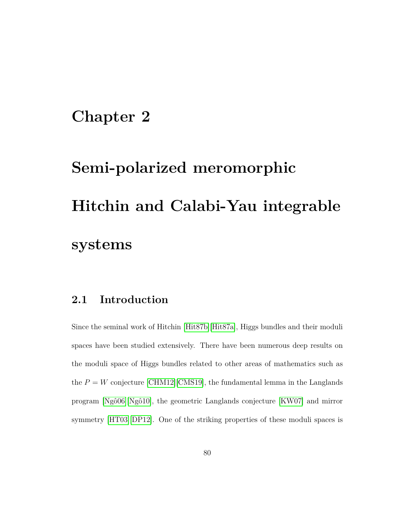### **Chapter 2**

# **Semi-polarized meromorphic Hitchin and Calabi-Yau integrable systems**

### **2.1 Introduction**

Since the seminal work of Hitchin [\[Hit87b\]](#page-158-0)[\[Hit87a\]](#page-158-1), Higgs bundles and their moduli spaces have been studied extensively. There have been numerous deep results on the moduli space of Higgs bundles related to other areas of mathematics such as the  $P = W$  conjecture [\[CHM12\]](#page-155-1)<sup>[\[CMS19\]](#page-155-2)</sup>, the fundamental lemma in the Langlands program [\[Ngô06\]](#page-160-0)[\[Ngô10\]](#page-160-1), the geometric Langlands conjecture [\[KW07\]](#page-160-2) and mirror symmetry [\[HT03\]](#page-159-0)[\[DP12\]](#page-157-0). One of the striking properties of these moduli spaces is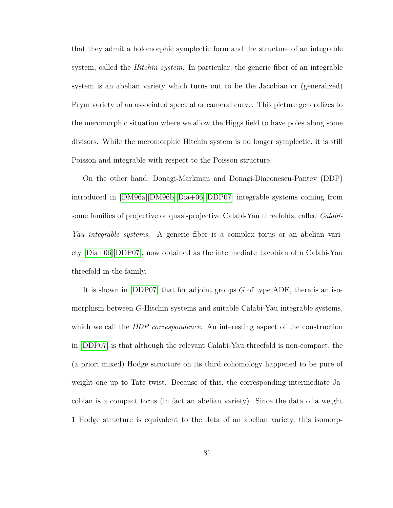that they admit a holomorphic symplectic form and the structure of an integrable system, called the *Hitchin system*. In particular, the generic fiber of an integrable system is an abelian variety which turns out to be the Jacobian or (generalized) Prym variety of an associated spectral or cameral curve. This picture generalizes to the meromorphic situation where we allow the Higgs field to have poles along some divisors. While the meromorphic Hitchin system is no longer symplectic, it is still Poisson and integrable with respect to the Poisson structure.

On the other hand, Donagi-Markman and Donagi-Diaconescu-Pantev (DDP) introduced in [\[DM96a\]](#page-156-0)[\[DM96b\]](#page-156-1)[\[Dia+06\]](#page-156-2)[\[DDP07\]](#page-155-3) integrable systems coming from some families of projective or quasi-projective Calabi-Yau threefolds, called *Calabi-Yau integrable systems*. A generic fiber is a complex torus or an abelian variety [\[Dia+06\]](#page-156-2)[\[DDP07\]](#page-155-3), now obtained as the intermediate Jacobian of a Calabi-Yau threefold in the family.

It is shown in [\[DDP07\]](#page-155-3) that for adjoint groups *G* of type ADE, there is an isomorphism between *G*-Hitchin systems and suitable Calabi-Yau integrable systems, which we call the *DDP correspondence*. An interesting aspect of the construction in [\[DDP07\]](#page-155-3) is that although the relevant Calabi-Yau threefold is non-compact, the (a priori mixed) Hodge structure on its third cohomology happened to be pure of weight one up to Tate twist. Because of this, the corresponding intermediate Jacobian is a compact torus (in fact an abelian variety). Since the data of a weight 1 Hodge structure is equivalent to the data of an abelian variety, this isomorp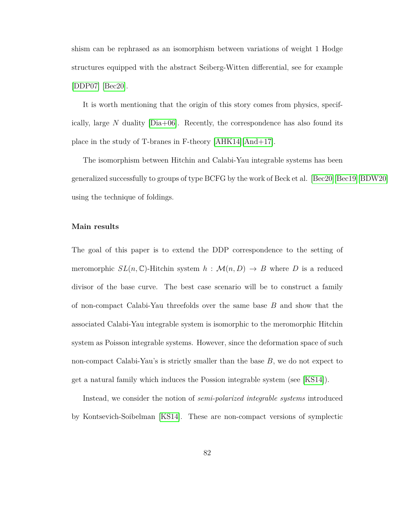shism can be rephrased as an isomorphism between variations of weight 1 Hodge structures equipped with the abstract Seiberg-Witten differential, see for example [\[DDP07\]](#page-155-3) [\[Bec20\]](#page-154-2).

It is worth mentioning that the origin of this story comes from physics, specifically, large *N* duality [\[Dia+06\]](#page-156-2). Recently, the correspondence has also found its place in the study of T-branes in F-theory [\[AHK14\]](#page-153-0)[\[And+17\]](#page-153-1).

The isomorphism between Hitchin and Calabi-Yau integrable systems has been generalized successfully to groups of type BCFG by the work of Beck et al. [\[Bec20\]](#page-154-2)[\[Bec19\]](#page-154-3)[\[BDW20\]](#page-154-4) using the technique of foldings.

#### **Main results**

The goal of this paper is to extend the DDP correspondence to the setting of meromorphic  $SL(n, \mathbb{C})$ -Hitchin system  $h : \mathcal{M}(n, D) \to B$  where D is a reduced divisor of the base curve. The best case scenario will be to construct a family of non-compact Calabi-Yau threefolds over the same base *B* and show that the associated Calabi-Yau integrable system is isomorphic to the meromorphic Hitchin system as Poisson integrable systems. However, since the deformation space of such non-compact Calabi-Yau's is strictly smaller than the base *B*, we do not expect to get a natural family which induces the Possion integrable system (see [\[KS14\]](#page-160-3)).

Instead, we consider the notion of *semi-polarized integrable systems* introduced by Kontsevich-Soibelman [\[KS14\]](#page-160-3). These are non-compact versions of symplectic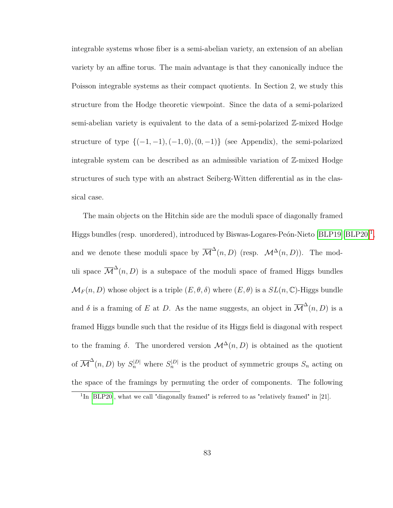integrable systems whose fiber is a semi-abelian variety, an extension of an abelian variety by an affine torus. The main advantage is that they canonically induce the Poisson integrable systems as their compact quotients. In Section 2, we study this structure from the Hodge theoretic viewpoint. Since the data of a semi-polarized semi-abelian variety is equivalent to the data of a semi-polarized Z-mixed Hodge structure of type  $\{(-1, -1), (-1, 0), (0, -1)\}$  (see Appendix), the semi-polarized integrable system can be described as an admissible variation of Z-mixed Hodge structures of such type with an abstract Seiberg-Witten differential as in the classical case.

The main objects on the Hitchin side are the moduli space of diagonally framed Higgs bundles (resp. unordered), introduced by Biswas-Logares-Peón-Nieto [\[BLP19\]](#page-155-4)[\[BLP20\]](#page-155-5)<sup>[1](#page-90-0)</sup>, and we denote these moduli space by  $\overline{\mathcal{M}}^{\Delta}(n, D)$  (resp.  $\mathcal{M}^{\Delta}(n, D)$ ). The moduli space  $\overline{\mathcal{M}}^{\Delta}(n, D)$  is a subspace of the moduli space of framed Higgs bundles  $\mathcal{M}_F(n, D)$  whose object is a triple  $(E, \theta, \delta)$  where  $(E, \theta)$  is a  $SL(n, \mathbb{C})$ -Higgs bundle and  $\delta$  is a framing of *E* at *D*. As the name suggests, an object in  $\overline{\mathcal{M}}^{\Delta}(n, D)$  is a framed Higgs bundle such that the residue of its Higgs field is diagonal with respect to the framing  $\delta$ . The unordered version  $\mathcal{M}^{\Delta}(n, D)$  is obtained as the quotient of  $\overline{\mathcal{M}}^{\Delta}(n, D)$  by  $S_n^{|D|}$  where  $S_n^{|D|}$  is the product of symmetric groups  $S_n$  acting on the space of the framings by permuting the order of components. The following

<span id="page-90-0"></span><sup>&</sup>lt;sup>1</sup>In [\[BLP20\]](#page-155-5), what we call "diagonally framed" is referred to as "relatively framed" in [21].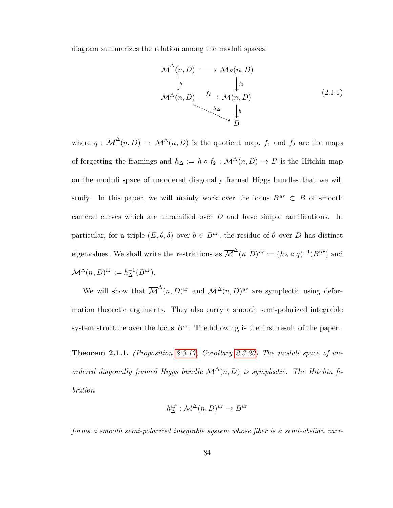diagram summarizes the relation among the moduli spaces:

$$
\overline{\mathcal{M}}^{\Delta}(n, D) \longrightarrow \mathcal{M}_F(n, D)
$$
\n
$$
\downarrow^{q} \qquad \qquad \downarrow^{f_1}
$$
\n
$$
\mathcal{M}^{\Delta}(n, D) \xrightarrow{f_2} \mathcal{M}(n, D)
$$
\n
$$
\downarrow^{h_{\Delta}} \qquad \qquad \downarrow^{h}
$$
\n
$$
\downarrow^{h}
$$
\n
$$
\downarrow^{p}
$$
\n
$$
(2.1.1)
$$

where  $q: \overline{\mathcal{M}}^{\Delta}(n, D) \rightarrow \mathcal{M}^{\Delta}(n, D)$  is the quotient map,  $f_1$  and  $f_2$  are the maps of forgetting the framings and  $h_{\Delta} := h \circ f_2 : \mathcal{M}^{\Delta}(n, D) \to B$  is the Hitchin map on the moduli space of unordered diagonally framed Higgs bundles that we will study. In this paper, we will mainly work over the locus  $B^{ur} \subset B$  of smooth cameral curves which are unramified over *D* and have simple ramifications. In particular, for a triple  $(E, \theta, \delta)$  over  $b \in B^{ur}$ , the residue of  $\theta$  over *D* has distinct eigenvalues. We shall write the restrictions as  $\overline{\mathcal{M}}^{\Delta}(n, D)^{ur} := (h_{\Delta} \circ q)^{-1}(B^{ur})$  and  $\mathcal{M}^{\Delta}(n, D)^{ur} := h_{\Delta}^{-1}(B^{ur}).$ 

We will show that  $\overline{\mathcal{M}}^{\Delta}(n, D)^{ur}$  and  $\mathcal{M}^{\Delta}(n, D)^{ur}$  are symplectic using deformation theoretic arguments. They also carry a smooth semi-polarized integrable system structure over the locus  $B^{ur}$ . The following is the first result of the paper.

**Theorem 2.1.1.** *(Proposition [2.3.17,](#page-124-0) Corollary [2.3.20\)](#page-126-0) The moduli space of unordered diagonally framed Higgs bundle*  $\mathcal{M}^{\Delta}(n, D)$  *is symplectic. The Hitchin fibration*

$$
h_{\Delta}^{ur}: \mathcal{M}^{\Delta}(n, D)^{ur} \to B^{ur}
$$

*forms a smooth semi-polarized integrable system whose fiber is a semi-abelian vari-*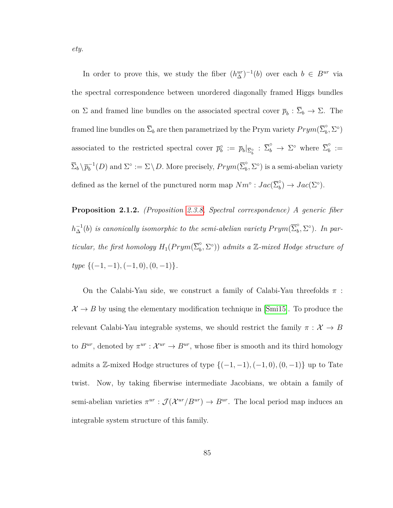In order to prove this, we study the fiber  $(h_{\Delta}^{ur})^{-1}(b)$  over each  $b \in B^{ur}$  via the spectral correspondence between unordered diagonally framed Higgs bundles on  $\Sigma$  and framed line bundles on the associated spectral cover  $\bar{p}_b : \Sigma_b \to \Sigma$ . The framed line bundles on  $\overline{\Sigma}_b$  are then parametrized by the Prym variety  $Prym(\overline{\Sigma}_b^\circ$  $_{b}^{\circ },\Sigma ^{\circ })$ associated to the restricted spectral cover  $\bar{p}_b^{\circ} := \bar{p}_b |_{\bar{\Sigma}_b^{\circ}} : \bar{\Sigma}_b^{\circ} \to \Sigma^{\circ}$  where  $\bar{\Sigma}_b^{\circ}$  $\frac{0}{b} :=$  $\overline{\Sigma}_b \setminus \overline{p}_b^{-1}(D)$  and  $\Sigma^{\circ} := \Sigma \setminus D$ . More precisely,  $Prym(\overline{\Sigma}_b^{\circ})$  $\int_b^{\circ}$ ,  $\Sigma^{\circ}$ ) is a semi-abelian variety defined as the kernel of the punctured norm map  $Nm^\circ : Jac(\overline{\Sigma}_b^\circ)$  $\phi_b^{\circ}) \to Jac(\Sigma^{\circ}).$ 

**Proposition 2.1.2.** *(Proposition [2.3.8,](#page-111-0) Spectral correspondence) A generic fiber*  $h_\Delta^{-1}(b)$  *is canonically isomorphic to the semi-abelian variety*  $Prym(\overline{\Sigma}^\circ_b)$  $\int_b^{\circ}$ ,  $\Sigma^{\circ}$ ). In par*ticular, the first homology*  $H_1(Prym(\overline{\Sigma}_b^\circ))$  $\binom{6}{b}$ ,  $\Sigma^{\circ}$ )) *admits a* Z-mixed Hodge structure of *type* {(−1*,* −1)*,*(−1*,* 0)*,*(0*,* −1)}*.*

On the Calabi-Yau side, we construct a family of Calabi-Yau threefolds *π* :  $\mathcal{X} \to B$  by using the elementary modification technique in [\[Smi15\]](#page-162-1). To produce the relevant Calabi-Yau integrable systems, we should restrict the family  $\pi : \mathcal{X} \to B$ to  $B^{ur}$ , denoted by  $\pi^{ur}: \mathcal{X}^{ur} \to B^{ur}$ , whose fiber is smooth and its third homology admits a  $\mathbb{Z}$ -mixed Hodge structures of type  $\{(-1, -1), (-1, 0), (0, -1)\}$  up to Tate twist. Now, by taking fiberwise intermediate Jacobians, we obtain a family of semi-abelian varieties  $\pi^{ur}: \mathcal{J}(\mathcal{X}^{ur}/B^{ur}) \to B^{ur}$ . The local period map induces an integrable system structure of this family.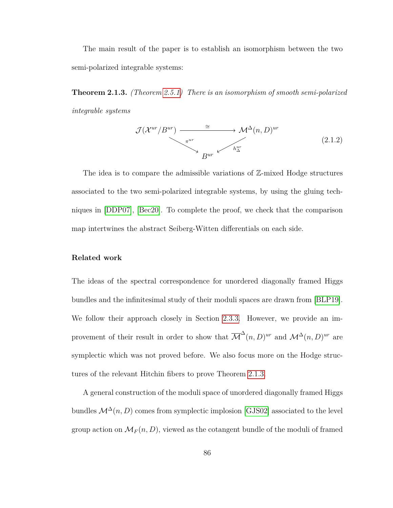The main result of the paper is to establish an isomorphism between the two semi-polarized integrable systems:

<span id="page-93-0"></span>**Theorem 2.1.3.** *(Theorem [2.5.1\)](#page-143-0) There is an isomorphism of smooth semi-polarized integrable systems*

$$
\mathcal{J}(\mathcal{X}^{ur}/B^{ur}) \xrightarrow{\cong} \mathcal{M}^{\Delta}(n,D)^{ur}
$$
\n
$$
\downarrow^{\pi^{ur}} \downarrow^{\pi^{ur}} \downarrow^{\pi^{ur}} \downarrow^{\pi^{ur}} \downarrow^{\pi^{ur}}
$$
\n
$$
(2.1.2)
$$

The idea is to compare the admissible variations of  $\mathbb{Z}$ -mixed Hodge structures associated to the two semi-polarized integrable systems, by using the gluing techniques in [\[DDP07\]](#page-155-3), [\[Bec20\]](#page-154-2). To complete the proof, we check that the comparison map intertwines the abstract Seiberg-Witten differentials on each side.

#### **Related work**

The ideas of the spectral correspondence for unordered diagonally framed Higgs bundles and the infinitesimal study of their moduli spaces are drawn from [\[BLP19\]](#page-155-4). We follow their approach closely in Section [2.3.3.](#page-116-0) However, we provide an improvement of their result in order to show that  $\overline{\mathcal{M}}^{\Delta}(n, D)^{ur}$  and  $\mathcal{M}^{\Delta}(n, D)^{ur}$  are symplectic which was not proved before. We also focus more on the Hodge structures of the relevant Hitchin fibers to prove Theorem [2.1.3.](#page-93-0)

A general construction of the moduli space of unordered diagonally framed Higgs bundles  $\mathcal{M}^{\Delta}(n, D)$  comes from symplectic implosion [\[GJS02\]](#page-157-1) associated to the level group action on  $\mathcal{M}_F(n, D)$ , viewed as the cotangent bundle of the moduli of framed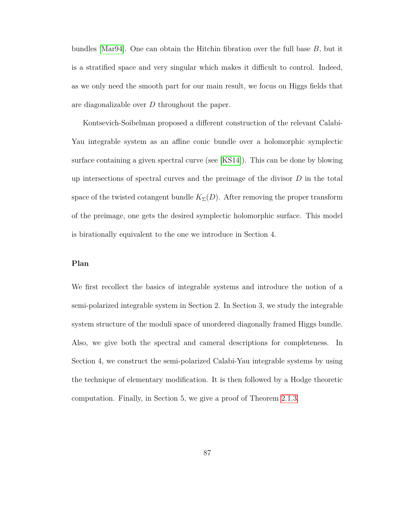bundles [\[Mar94\]](#page-160-4). One can obtain the Hitchin fibration over the full base *B*, but it is a stratified space and very singular which makes it difficult to control. Indeed, as we only need the smooth part for our main result, we focus on Higgs fields that are diagonalizable over *D* throughout the paper.

Kontsevich-Soibelman proposed a different construction of the relevant Calabi-Yau integrable system as an affine conic bundle over a holomorphic symplectic surface containing a given spectral curve (see [\[KS14\]](#page-160-3)). This can be done by blowing up intersections of spectral curves and the preimage of the divisor *D* in the total space of the twisted cotangent bundle  $K_{\Sigma}(D)$ . After removing the proper transform of the preimage, one gets the desired symplectic holomorphic surface. This model is birationally equivalent to the one we introduce in Section 4.

#### **Plan**

We first recollect the basics of integrable systems and introduce the notion of a semi-polarized integrable system in Section 2. In Section 3, we study the integrable system structure of the moduli space of unordered diagonally framed Higgs bundle. Also, we give both the spectral and cameral descriptions for completeness. In Section 4, we construct the semi-polarized Calabi-Yau integrable systems by using the technique of elementary modification. It is then followed by a Hodge theoretic computation. Finally, in Section 5, we give a proof of Theorem [2.1.3.](#page-93-0)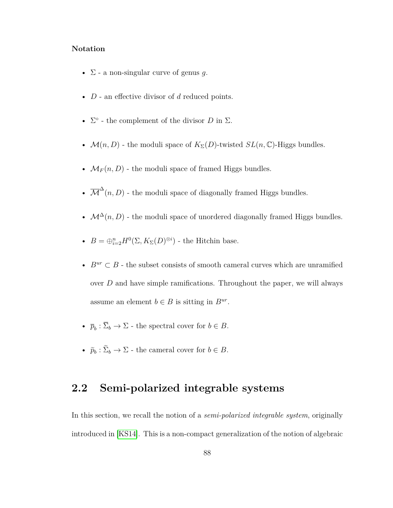#### **Notation**

- Σ a non-singular curve of genus *g*.
- *D* an effective divisor of *d* reduced points.
- $\Sigma^{\circ}$  the complement of the divisor *D* in  $\Sigma$ .
- $\mathcal{M}(n, D)$  the moduli space of  $K_{\Sigma}(D)$ -twisted  $SL(n, \mathbb{C})$ -Higgs bundles.
- $M_F(n, D)$  the moduli space of framed Higgs bundles.
- $\overline{\mathcal{M}}^{\Delta}(n, D)$  the moduli space of diagonally framed Higgs bundles.
- +  $\mathcal{M}^\Delta(n,D)$  the moduli space of unordered diagonally framed Higgs bundles.
- $B = \bigoplus_{i=2}^{n} H^0(\Sigma, K_{\Sigma}(D)^{\otimes i})$  the Hitchin base.
- $B^{ur} \subset B$  the subset consists of smooth cameral curves which are unramified over *D* and have simple ramifications. Throughout the paper, we will always assume an element  $b \in B$  is sitting in  $B^{ur}$ .
- $\bar{p}_b: \Sigma_b \to \Sigma$  the spectral cover for  $b \in B$ .
- $\tilde{p}_b : \Sigma_b \to \Sigma$  the cameral cover for  $b \in B$ .

### **2.2 Semi-polarized integrable systems**

In this section, we recall the notion of a *semi-polarized integrable system*, originally introduced in [\[KS14\]](#page-160-3). This is a non-compact generalization of the notion of algebraic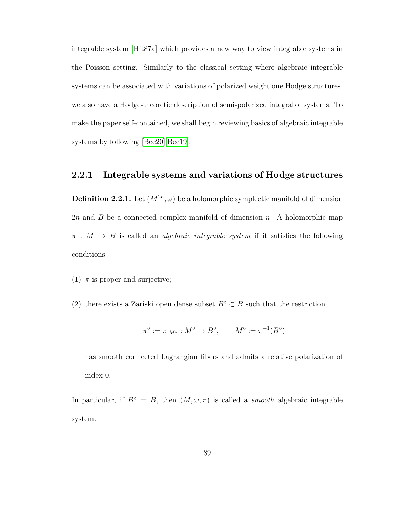integrable system [\[Hit87a\]](#page-158-1) which provides a new way to view integrable systems in the Poisson setting. Similarly to the classical setting where algebraic integrable systems can be associated with variations of polarized weight one Hodge structures, we also have a Hodge-theoretic description of semi-polarized integrable systems. To make the paper self-contained, we shall begin reviewing basics of algebraic integrable systems by following [\[Bec20\]](#page-154-2)[\[Bec19\]](#page-154-3).

#### **2.2.1 Integrable systems and variations of Hodge structures**

**Definition 2.2.1.** Let  $(M^{2n}, \omega)$  be a holomorphic symplectic manifold of dimension 2*n* and *B* be a connected complex manifold of dimension *n*. A holomorphic map  $\pi$  :  $M \rightarrow B$  is called an *algebraic integrable system* if it satisfies the following conditions.

- (1)  $\pi$  is proper and surjective;
- (2) there exists a Zariski open dense subset  $B^{\circ} \subset B$  such that the restriction

$$
\pi^{\circ} := \pi|_{M^{\circ}} : M^{\circ} \to B^{\circ}, \qquad M^{\circ} := \pi^{-1}(B^{\circ})
$$

has smooth connected Lagrangian fibers and admits a relative polarization of index 0.

In particular, if  $B^\circ = B$ , then  $(M, \omega, \pi)$  is called a *smooth* algebraic integrable system.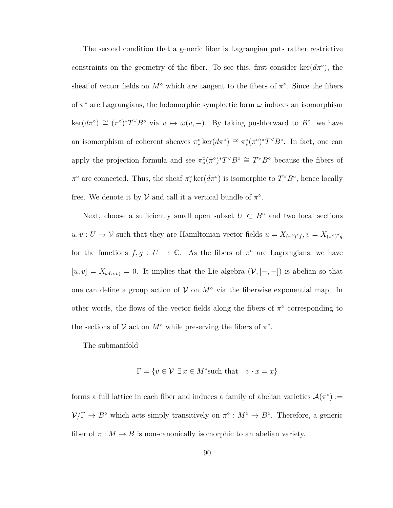The second condition that a generic fiber is Lagrangian puts rather restrictive constraints on the geometry of the fiber. To see this, first consider ker $(d\pi^{\circ})$ , the sheaf of vector fields on  $M^{\circ}$  which are tangent to the fibers of  $\pi^{\circ}$ . Since the fibers of  $\pi^{\circ}$  are Lagrangians, the holomorphic symplectic form  $\omega$  induces an isomorphism  $\ker(d\pi^{\circ}) \cong (\pi^{\circ})^*T^{\vee}B^{\circ}$  via  $v \mapsto \omega(v,-)$ . By taking pushforward to  $B^{\circ}$ , we have an isomorphism of coherent sheaves  $\pi^{\circ}_* \ker(d\pi^{\circ}) \cong \pi^{\circ}_*(\pi^{\circ})^* T^{\vee} B^{\circ}$ . In fact, one can apply the projection formula and see  $\pi^{\circ}_*(\pi^{\circ})^*T^{\vee}B^{\circ} \cong T^{\vee}B^{\circ}$  because the fibers of  $\pi$ <sup>°</sup> are connected. Thus, the sheaf  $\pi^{\circ}_*$  ker( $d\pi^{\circ}$ ) is isomorphic to  $T^{\vee}B^{\circ}$ , hence locally free. We denote it by  $V$  and call it a vertical bundle of  $\pi$ <sup>o</sup>.

Next, choose a sufficiently small open subset  $U \subset B^{\circ}$  and two local sections  $u, v: U \to V$  such that they are Hamiltonian vector fields  $u = X_{(\pi \circ)^* f}, v = X_{(\pi \circ)^* g}$ for the functions  $f, g: U \to \mathbb{C}$ . As the fibers of  $\pi^{\circ}$  are Lagrangians, we have  $[u, v] = X_{\omega(u,v)} = 0$ . It implies that the Lie algebra  $(\mathcal{V}, [-,-])$  is abelian so that one can define a group action of  $V$  on  $M^{\circ}$  via the fiberwise exponential map. In other words, the flows of the vector fields along the fibers of  $\pi^{\circ}$  corresponding to the sections of  $V$  act on  $M^{\circ}$  while preserving the fibers of  $\pi^{\circ}$ .

The submanifold

$$
\Gamma = \{ v \in \mathcal{V} \mid \exists x \in M^{\circ} \text{such that} \quad v \cdot x = x \}
$$

forms a full lattice in each fiber and induces a family of abelian varieties  $\mathcal{A}(\pi^{\circ}) :=$  $V/\Gamma \to B^{\circ}$  which acts simply transitively on  $\pi^{\circ}: M^{\circ} \to B^{\circ}$ . Therefore, a generic fiber of  $\pi : M \to B$  is non-canonically isomorphic to an abelian variety.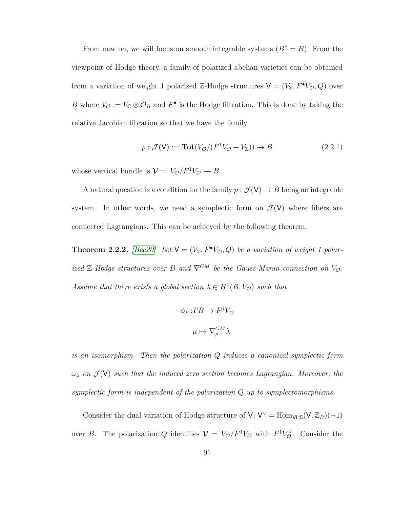From now on, we will focus on smooth integrable systems  $(B° = B)$ . From the viewpoint of Hodge theory, a family of polarized abelian varieties can be obtained from a variation of weight 1 polarized  $\mathbb{Z}$ -Hodge structures  $V = (V_{\mathbb{Z}}, F^{\bullet}V_{\mathcal{O}}, Q)$  over *B* where  $V_{\mathcal{O}} := V_{\mathbb{C}} \otimes \mathcal{O}_B$  and  $F^{\bullet}$  is the Hodge filtration. This is done by taking the relative Jacobian fibration so that we have the family

$$
p: \mathcal{J}(\mathsf{V}) := \mathbf{Tot}(V_{\mathcal{O}}/(F^1 V_{\mathcal{O}} + V_{\mathbb{Z}})) \to B \tag{2.2.1}
$$

whose vertical bundle is  $V := V_{\mathcal{O}}/F^1V_{\mathcal{O}} \to B$ .

A natural question is a condition for the family  $p : \mathcal{J}(\mathsf{V}) \to B$  being an integrable system. In other words, we need a symplectic form on  $\mathcal{J}(V)$  where fibers are connected Lagrangians. This can be achieved by the following theorem.

<span id="page-98-0"></span>**Theorem 2.2.2.** [\[Bec20\]](#page-154-2) Let  $V = (V_{\mathbb{Z}}, F^{\bullet}V_{\mathcal{O}}, Q)$  be a variation of weight 1 polar*ized*  $\mathbb{Z}$ -Hodge structures over  $B$  and  $\nabla^{GM}$  be the Gauss-Manin connection on  $V_{\mathcal{O}}$ . *Assume that there exists a global section*  $\lambda \in H^0(B, V_{\mathcal{O}})$  *such that* 

$$
\phi_{\lambda}: T B \to F^{1} V_{\mathcal{O}}
$$

$$
\mu \mapsto \nabla_{\mu}^{GM} \lambda
$$

*is an isomorphism. Then the polarization Q induces a canonical symplectic form*  $\omega_{\lambda}$  *on*  $\mathcal{J}(\mathsf{V})$  *such that the induced zero section becomes Lagrangian. Moreover, the symplectic form is independent of the polarization Q up to symplectomorphisms.*

Consider the dual variation of Hodge structure of  $V$ ,  $V^{\vee} =$  Hom<sub>VHS</sub>( $V$ ,  $\mathbb{Z}_B$ )(-1) over *B*. The polarization *Q* identifies  $V = V_{\mathcal{O}}/F^1V_{\mathcal{O}}$  with  $F^1V_{\mathcal{O}}^{\vee}$ . Consider the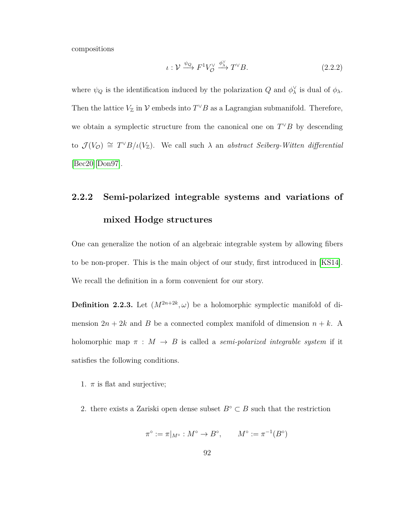compositions

$$
\iota: \mathcal{V} \xrightarrow{\psi_Q} F^1 V_Q^{\vee} \xrightarrow{\phi_X^{\vee}} T^{\vee} B. \tag{2.2.2}
$$

where  $\psi_Q$  is the identification induced by the polarization *Q* and  $\phi_\lambda^{\vee}$  is dual of  $\phi_\lambda$ . Then the lattice  $V_{\mathbb{Z}}$  in  $\mathcal{V}$  embeds into  $T^{\vee}B$  as a Lagrangian submanifold. Therefore, we obtain a symplectic structure from the canonical one on  $T^{\vee}B$  by descending to  $\mathcal{J}(V_{\mathcal{O}}) \cong T^{\vee}B/\iota(V_{\mathbb{Z}})$ . We call such  $\lambda$  an *abstract Seiberg-Witten differential* [\[Bec20\]](#page-154-2)[\[Don97\]](#page-157-2).

# **2.2.2 Semi-polarized integrable systems and variations of mixed Hodge structures**

One can generalize the notion of an algebraic integrable system by allowing fibers to be non-proper. This is the main object of our study, first introduced in [\[KS14\]](#page-160-3). We recall the definition in a form convenient for our story.

**Definition 2.2.3.** Let  $(M^{2n+2k}, \omega)$  be a holomorphic symplectic manifold of dimension  $2n + 2k$  and *B* be a connected complex manifold of dimension  $n + k$ . A holomorphic map  $\pi$  :  $M \rightarrow B$  is called a *semi-polarized integrable system* if it satisfies the following conditions.

- 1.  $\pi$  is flat and surjective;
- 2. there exists a Zariski open dense subset  $B<sup>°</sup> \subset B$  such that the restriction

$$
\pi^{\circ} := \pi|_{M^{\circ}} : M^{\circ} \to B^{\circ}, \qquad M^{\circ} := \pi^{-1}(B^{\circ})
$$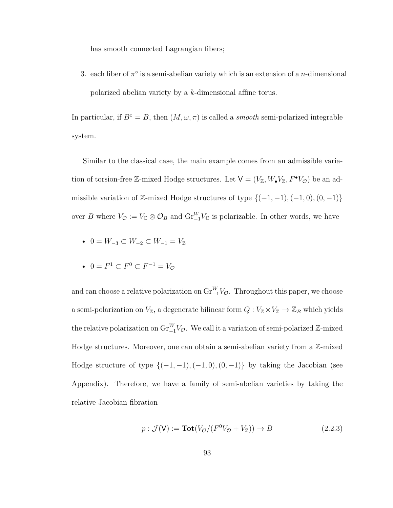has smooth connected Lagrangian fibers;

3. each fiber of  $\pi^{\circ}$  is a semi-abelian variety which is an extension of a *n*-dimensional polarized abelian variety by a *k*-dimensional affine torus.

In particular, if  $B^\circ = B$ , then  $(M, \omega, \pi)$  is called a *smooth* semi-polarized integrable system.

Similar to the classical case, the main example comes from an admissible variation of torsion-free Z-mixed Hodge structures. Let  $V = (V_{\mathbb{Z}}, W_{\bullet}V_{\mathbb{Z}}, F^{\bullet}V_{\mathcal{O}})$  be an admissible variation of  $\mathbb{Z}$ -mixed Hodge structures of type  $\{(-1, -1), (-1, 0), (0, -1)\}$ over *B* where  $V_{\mathcal{O}} := V_{\mathbb{C}} \otimes \mathcal{O}_B$  and  $\text{Gr}_{-1}^W V_{\mathbb{C}}$  is polarizable. In other words, we have

- $0 = W_{-3} \subset W_{-2} \subset W_{-1} = V_{\mathbb{Z}}$
- $0 = F^1 \subset F^0 \subset F^{-1} = V_{\mathcal{O}}$

and can choose a relative polarization on  $\mathrm{Gr}_{-1}^W V_{\mathcal{O}}$ . Throughout this paper, we choose a semi-polarization on  $V_{\mathbb{Z}}$ , a degenerate bilinear form  $Q: V_{\mathbb{Z}} \times V_{\mathbb{Z}} \to \mathbb{Z}_B$  which yields the relative polarization on  $\text{Gr}_{-1}^W V_{\mathcal{O}}$ . We call it a variation of semi-polarized Z-mixed Hodge structures. Moreover, one can obtain a semi-abelian variety from a Z-mixed Hodge structure of type  $\{(-1, -1), (-1, 0), (0, -1)\}$  by taking the Jacobian (see Appendix). Therefore, we have a family of semi-abelian varieties by taking the relative Jacobian fibration

$$
p: \mathcal{J}(\mathsf{V}) := \mathbf{Tot}(V_{\mathcal{O}}/(F^0 V_{\mathcal{O}} + V_{\mathbb{Z}})) \to B \tag{2.2.3}
$$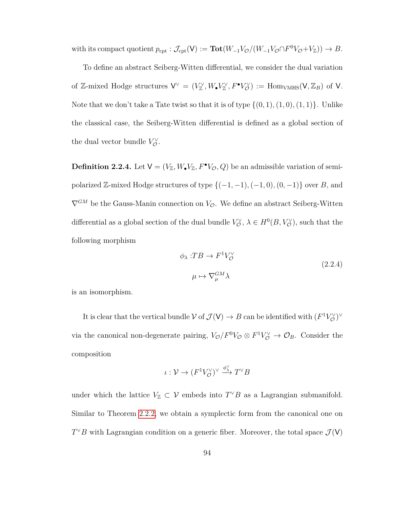with its compact quotient  $p_{\text{cpt}} : \mathcal{J}_{\text{cpt}}(\mathsf{V}) := \textbf{Tot}(W_{-1}V_{\mathcal{O}}/(W_{-1}V_{\mathcal{O}} \cap F^0V_{\mathcal{O}}+V_{\mathbb{Z}})) \to B.$ 

To define an abstract Seiberg-Witten differential, we consider the dual variation of Z-mixed Hodge structures  $V^{\vee} = (V^{\vee}_{\mathbb{Z}}, W_{\bullet}V^{\vee}_{\mathbb{Z}}, F^{\bullet}V^{\vee}_{\mathcal{O}}) := \text{Hom}_{VMHS}(V, \mathbb{Z}_B)$  of V. Note that we don't take a Tate twist so that it is of type  $\{(0,1), (1,0), (1,1)\}$ . Unlike the classical case, the Seiberg-Witten differential is defined as a global section of the dual vector bundle  $V_{\mathcal{O}}^{\vee}$ .

**Definition 2.2.4.** Let  $V = (V_{\mathbb{Z}}, W_{\bullet}V_{\mathbb{Z}}, F^{\bullet}V_{\mathcal{O}}, Q)$  be an admissible variation of semipolarized  $\mathbb{Z}$ -mixed Hodge structures of type  $\{(-1, -1), (-1, 0), (0, -1)\}$  over *B*, and  $\nabla^{GM}$  be the Gauss-Manin connection on  $V_{\mathcal{O}}$ . We define an abstract Seiberg-Witten differential as a global section of the dual bundle  $V^{\vee}_{\mathcal{O}}$ ,  $\lambda \in H^0(B, V^{\vee}_{\mathcal{O}})$ , such that the following morphism

$$
\phi_{\lambda}: T B \to F^{1} V_{\mathcal{O}}^{\vee}
$$
\n
$$
\mu \mapsto \nabla_{\mu}^{GM} \lambda
$$
\n(2.2.4)

is an isomorphism.

It is clear that the vertical bundle  $V$  of  $\mathcal{J}(V) \to B$  can be identified with  $(F^1V^{\vee}_{\mathcal{O}})^{\vee}$ via the canonical non-degenerate pairing,  $V_{\mathcal{O}}/F^0V_{\mathcal{O}} \otimes F^1V_{\mathcal{O}}^{\vee} \to \mathcal{O}_B$ . Consider the composition

$$
\iota: \mathcal{V} \to (F^1V^\vee_\mathcal{O})^\vee \xrightarrow{\phi^\vee_\lambda} T^\vee B
$$

under which the lattice  $V_{\mathbb{Z}} \subset \mathcal{V}$  embeds into  $T^{\vee}B$  as a Lagrangian submanifold. Similar to Theorem [2.2.2,](#page-98-0) we obtain a symplectic form from the canonical one on  $T^{\vee}B$  with Lagrangian condition on a generic fiber. Moreover, the total space  $\mathcal{J}(\mathsf{V})$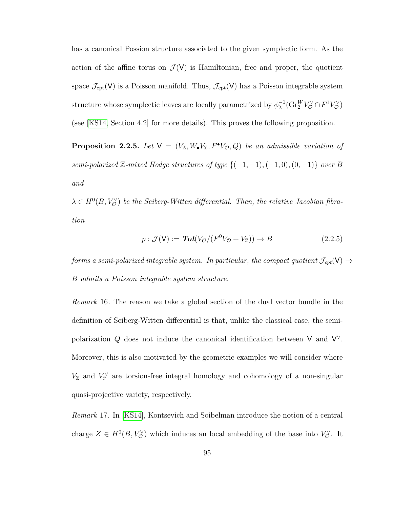has a canonical Possion structure associated to the given symplectic form. As the action of the affine torus on  $\mathcal{J}(V)$  is Hamiltonian, free and proper, the quotient space  $\mathcal{J}_{\text{cpt}}(V)$  is a Poisson manifold. Thus,  $\mathcal{J}_{\text{cpt}}(V)$  has a Poisson integrable system structure whose symplectic leaves are locally parametrized by  $\phi_\lambda^{-1}(\text{Gr}^W_Z V_\mathcal{O}^\vee \cap F^1V_\mathcal{O}^\vee)$ (see [\[KS14,](#page-160-3) Section 4.2] for more details). This proves the following proposition.

**Proposition 2.2.5.** Let  $V = (V_{\mathbb{Z}}, W_{\bullet}V_{\mathbb{Z}}, F^{\bullet}V_{\mathcal{O}}, Q)$  be an admissible variation of  $semi-polarized \mathbb{Z}-mixed \textit{Hodge structures of type } \{(-1,-1),(-1,0),(0,-1)\}$  over  $B$ *and*

 $\lambda \in H^0(B, V^{\vee}_{\mathcal{O}})$  *be the Seiberg-Witten differential. Then, the relative Jacobian fibration*

$$
p: \mathcal{J}(\mathsf{V}) := \mathbf{Tot}(V_{\mathcal{O}}/(F^0 V_{\mathcal{O}} + V_{\mathbb{Z}})) \to B \tag{2.2.5}
$$

*forms a semi-polarized integrable system. In particular, the compact quotient*  $\mathcal{J}_{cpt}(V) \rightarrow$ *B admits a Poisson integrable system structure.*

*Remark* 16*.* The reason we take a global section of the dual vector bundle in the definition of Seiberg-Witten differential is that, unlike the classical case, the semipolarization  $Q$  does not induce the canonical identification between V and  $V^{\vee}$ . Moreover, this is also motivated by the geometric examples we will consider where  $V_{\mathbb{Z}}$  and  $V_{\mathbb{Z}}^{\vee}$  are torsion-free integral homology and cohomology of a non-singular quasi-projective variety, respectively.

*Remark* 17*.* In [\[KS14\]](#page-160-3), Kontsevich and Soibelman introduce the notion of a central charge  $Z \in H^0(B, V^{\vee}_{\mathcal{O}})$  which induces an local embedding of the base into  $V^{\vee}_{\mathcal{O}}$ . It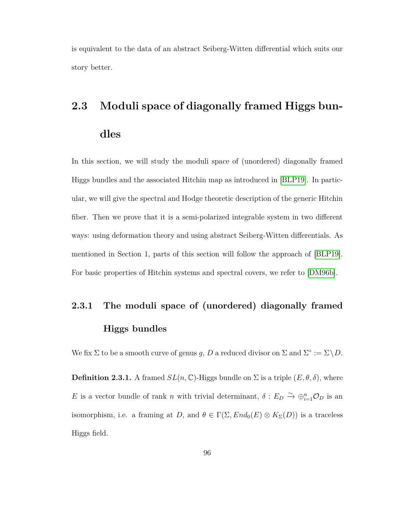is equivalent to the data of an abstract Seiberg-Witten differential which suits our story better.

# **2.3 Moduli space of diagonally framed Higgs bundles**

In this section, we will study the moduli space of (unordered) diagonally framed Higgs bundles and the associated Hitchin map as introduced in [\[BLP19\]](#page-155-4). In particular, we will give the spectral and Hodge theoretic description of the generic Hitchin fiber. Then we prove that it is a semi-polarized integrable system in two different ways: using deformation theory and using abstract Seiberg-Witten differentials. As mentioned in Section 1, parts of this section will follow the approach of [\[BLP19\]](#page-155-4). For basic properties of Hitchin systems and spectral covers, we refer to [\[DM96b\]](#page-156-1).

## **2.3.1 The moduli space of (unordered) diagonally framed Higgs bundles**

We fix  $\Sigma$  to be a smooth curve of genus *g*, *D* a reduced divisor on  $\Sigma$  and  $\Sigma^{\circ} := \Sigma \setminus D$ .

**Definition 2.3.1.** A framed  $SL(n, \mathbb{C})$ -Higgs bundle on  $\Sigma$  is a triple  $(E, \theta, \delta)$ , where *E* is a vector bundle of rank *n* with trivial determinant,  $\delta: E_D \to \bigoplus_{i=1}^n \mathcal{O}_D$  is an isomorphism, i.e. a framing at *D*, and  $\theta \in \Gamma(\Sigma, End_0(E) \otimes K_{\Sigma}(D))$  is a traceless Higgs field.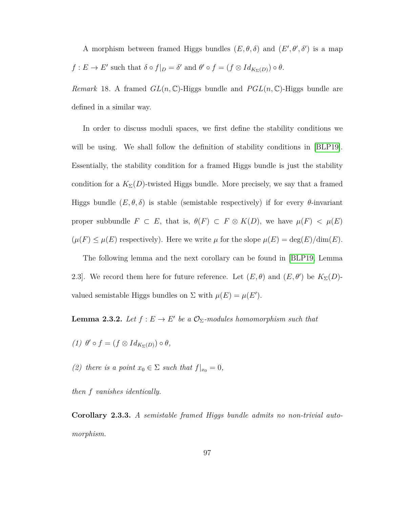A morphism between framed Higgs bundles  $(E, \theta, \delta)$  and  $(E', \theta', \delta')$  is a map  $f: E \to E'$  such that  $\delta \circ f|_{D} = \delta'$  and  $\theta' \circ f = (f \otimes Id_{K_{\Sigma}(D)}) \circ \theta$ .

*Remark* 18. A framed  $GL(n,\mathbb{C})$ -Higgs bundle and  $PGL(n,\mathbb{C})$ -Higgs bundle are defined in a similar way.

In order to discuss moduli spaces, we first define the stability conditions we will be using. We shall follow the definition of stability conditions in [\[BLP19\]](#page-155-4). Essentially, the stability condition for a framed Higgs bundle is just the stability condition for a  $K_{\Sigma}(D)$ -twisted Higgs bundle. More precisely, we say that a framed Higgs bundle  $(E, \theta, \delta)$  is stable (semistable respectively) if for every  $\theta$ -invariant proper subbundle  $F \subset E$ , that is,  $\theta(F) \subset F \otimes K(D)$ , we have  $\mu(F) < \mu(E)$  $(\mu(F) \le \mu(E)$  respectively). Here we write  $\mu$  for the slope  $\mu(E) = \deg(E)/\dim(E)$ .

The following lemma and the next corollary can be found in [\[BLP19,](#page-155-4) Lemma 2.3. We record them here for future reference. Let  $(E, \theta)$  and  $(E, \theta')$  be  $K_{\Sigma}(D)$ valued semistable Higgs bundles on  $\Sigma$  with  $\mu(E) = \mu(E')$ .

<span id="page-104-0"></span>**Lemma 2.3.2.** *Let*  $f: E \to E'$  *be a*  $\mathcal{O}_{\Sigma}$ *-modules homomorphism such that* 

 $(1)$   $\theta' \circ f = (f \otimes Id_{K_{\Sigma}(D)}) \circ \theta$ ,

*(2) there is a point*  $x_0 \in \Sigma$  *such that*  $f|_{x_0} = 0$ *,* 

*then f vanishes identically.*

**Corollary 2.3.3.** *A semistable framed Higgs bundle admits no non-trivial automorphism.*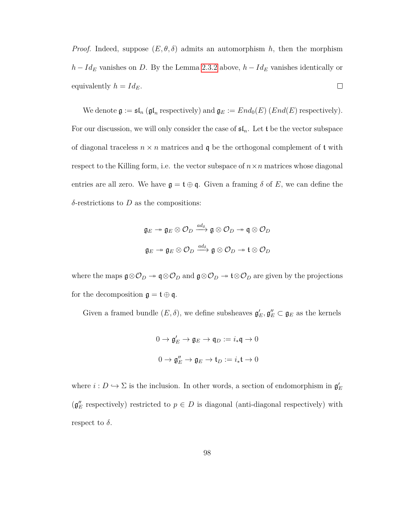*Proof.* Indeed, suppose  $(E, \theta, \delta)$  admits an automorphism *h*, then the morphism *h* − *Id*<sub>*E*</sub> vanishes on *D*. By the Lemma [2](#page-104-0)*.*3*.*2 above, *h* − *Id*<sub>*E*</sub> vanishes identically or equivalently  $h = Id_E$ .  $\Box$ 

We denote  $\mathfrak{g} := \mathfrak{sl}_n$  ( $\mathfrak{gl}_n$  respectively) and  $\mathfrak{g}_E := End_0(E)$  ( $End(E)$  respectively). For our discussion, we will only consider the case of  $\mathfrak{sl}_n$ . Let t be the vector subspace of diagonal traceless  $n \times n$  matrices and  $q$  be the orthogonal complement of  $t$  with respect to the Killing form, i.e. the vector subspace of  $n \times n$  matrices whose diagonal entries are all zero. We have  $\mathfrak{g} = \mathfrak{t} \oplus \mathfrak{q}$ . Given a framing  $\delta$  of E, we can define the *δ*-restrictions to *D* as the compositions:

$$
\mathfrak{g}_E \twoheadrightarrow \mathfrak{g}_E \otimes \mathcal{O}_D \xrightarrow{ad_\delta} \mathfrak{g} \otimes \mathcal{O}_D \twoheadrightarrow \mathfrak{q} \otimes \mathcal{O}_D
$$
  

$$
\mathfrak{g}_E \twoheadrightarrow \mathfrak{g}_E \otimes \mathcal{O}_D \xrightarrow{ad_\delta} \mathfrak{g} \otimes \mathcal{O}_D \twoheadrightarrow \mathfrak{t} \otimes \mathcal{O}_D
$$

where the maps  $\mathfrak{g} \otimes \mathcal{O}_D \twoheadrightarrow \mathfrak{q} \otimes \mathcal{O}_D$  and  $\mathfrak{g} \otimes \mathcal{O}_D \twoheadrightarrow \mathfrak{t} \otimes \mathcal{O}_D$  are given by the projections for the decomposition  $\mathfrak{g} = \mathfrak{t} \oplus \mathfrak{q}$ .

Given a framed bundle  $(E, \delta)$ , we define subsheaves  $\mathfrak{g}'_E, \mathfrak{g}''_E \subset \mathfrak{g}_E$  as the kernels

$$
0 \to \mathfrak{g}'_E \to \mathfrak{g}_E \to \mathfrak{q}_D := i_*\mathfrak{q} \to 0
$$
  

$$
0 \to \mathfrak{g}''_E \to \mathfrak{g}_E \to \mathfrak{t}_D := i_*\mathfrak{t} \to 0
$$

where  $i: D \hookrightarrow \Sigma$  is the inclusion. In other words, a section of endomorphism in  $\mathfrak{g}'_E$  $(g''_E$  respectively) restricted to  $p \in D$  is diagonal (anti-diagonal respectively) with respect to  $\delta$ .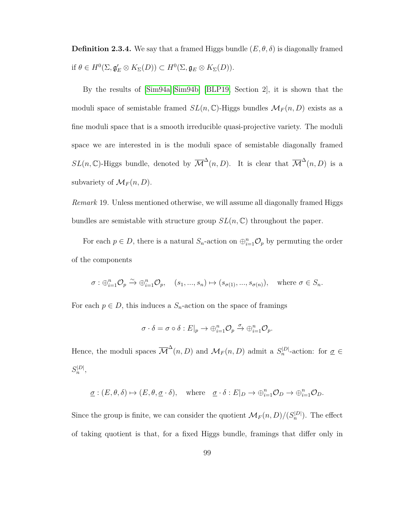**Definition 2.3.4.** We say that a framed Higgs bundle  $(E, \theta, \delta)$  is diagonally framed if  $\theta \in H^0(\Sigma, \mathfrak{g}'_E \otimes K_{\Sigma}(D)) \subset H^0(\Sigma, \mathfrak{g}_E \otimes K_{\Sigma}(D)).$ 

By the results of [\[Sim94a\]](#page-161-0)[\[Sim94b\]](#page-161-1) [\[BLP19,](#page-155-4) Section 2], it is shown that the moduli space of semistable framed  $SL(n, \mathbb{C})$ -Higgs bundles  $\mathcal{M}_F(n, D)$  exists as a fine moduli space that is a smooth irreducible quasi-projective variety. The moduli space we are interested in is the moduli space of semistable diagonally framed  $SL(n,\mathbb{C})$ -Higgs bundle, denoted by  $\overline{\mathcal{M}}^{\Delta}(n,D)$ . It is clear that  $\overline{\mathcal{M}}^{\Delta}(n,D)$  is a subvariety of  $\mathcal{M}_F(n, D)$ .

*Remark* 19*.* Unless mentioned otherwise, we will assume all diagonally framed Higgs bundles are semistable with structure group *SL*(*n,* C) throughout the paper.

For each  $p \in D$ , there is a natural  $S_n$ -action on  $\bigoplus_{i=1}^n \mathcal{O}_p$  by permuting the order of the components

$$
\sigma: \bigoplus_{i=1}^n \mathcal{O}_p \xrightarrow{\sim} \bigoplus_{i=1}^n \mathcal{O}_p, \quad (s_1, ..., s_n) \mapsto (s_{\sigma(1)}, ..., s_{\sigma(n)}), \quad \text{where } \sigma \in S_n.
$$

For each  $p \in D$ , this induces a  $S_n$ -action on the space of framings

$$
\sigma \cdot \delta = \sigma \circ \delta : E|_{p} \to \bigoplus_{i=1}^{n} \mathcal{O}_{p} \xrightarrow{\sigma} \bigoplus_{i=1}^{n} \mathcal{O}_{p}.
$$

Hence, the moduli spaces  $\overline{\mathcal{M}}^{\Delta}(n, D)$  and  $\mathcal{M}_F(n, D)$  admit a  $S_n^{|D|}$ -action: for  $\underline{\sigma} \in$  $S_n^{|D|}$ ,

$$
\underline{\sigma} : (E, \theta, \delta) \mapsto (E, \theta, \underline{\sigma} \cdot \delta), \quad \text{where} \quad \underline{\sigma} \cdot \delta : E|_{D} \to \oplus_{i=1}^{n} \mathcal{O}_{D} \to \oplus_{i=1}^{n} \mathcal{O}_{D}.
$$

Since the group is finite, we can consider the quotient  $\mathcal{M}_F(n, D)/(S_n^{|D|})$ . The effect of taking quotient is that, for a fixed Higgs bundle, framings that differ only in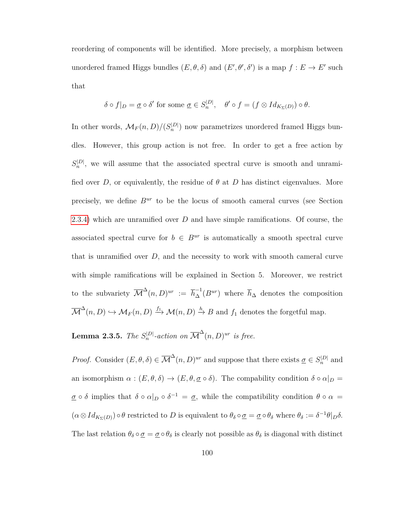reordering of components will be identified. More precisely, a morphism between unordered framed Higgs bundles  $(E, \theta, \delta)$  and  $(E', \theta', \delta')$  is a map  $f : E \to E'$  such that

$$
\delta \circ f|_{D} = \underline{\sigma} \circ \delta' \text{ for some } \underline{\sigma} \in S_n^{|D|}, \quad \theta' \circ f = (f \otimes Id_{K_{\Sigma}(D)}) \circ \theta.
$$

In other words,  $\mathcal{M}_F(n, D)/(S_n^{|D|})$  now parametrizes unordered framed Higgs bundles. However, this group action is not free. In order to get a free action by  $S_n^{|D|}$ , we will assume that the associated spectral curve is smooth and unramified over *D*, or equivalently, the residue of  $\theta$  at *D* has distinct eigenvalues. More precisely, we define *Bur* to be the locus of smooth cameral curves (see Section [2.3.4\)](#page-127-0) which are unramified over *D* and have simple ramifications. Of course, the associated spectral curve for  $b \in B^{ur}$  is automatically a smooth spectral curve that is unramified over *D*, and the necessity to work with smooth cameral curve with simple ramifications will be explained in Section 5. Moreover, we restrict to the subvariety  $\overline{\mathcal{M}}^{\Delta}(n, D)^{ur} := \overline{h}_{\Delta}^{-1}(B^{ur})$  where  $\overline{h}_{\Delta}$  denotes the composition  $\overline{\mathcal{M}}^{\Delta}(n, D) \hookrightarrow \mathcal{M}_F(n, D) \stackrel{f_1}{\longrightarrow} \mathcal{M}(n, D) \stackrel{h}{\rightarrow} B$  and  $f_1$  denotes the forgetful map.

**Lemma 2.3.5.** *The*  $S_n^{|D|}$ -action on  $\overline{\mathcal{M}}^{\Delta}(n, D)^{ur}$  is free.

*Proof.* Consider  $(E, \theta, \delta) \in \overline{\mathcal{M}}^{\Delta}(n, D)^{ur}$  and suppose that there exists  $\underline{\sigma} \in S_n^{|D|}$  and an isomorphism  $\alpha : (E, \theta, \delta) \to (E, \theta, \underline{\sigma} \circ \delta)$ . The compability condition  $\delta \circ \alpha|_{D} =$  $\underline{\sigma} \circ \delta$  implies that  $\delta \circ \alpha|_{D} \circ \delta^{-1} = \underline{\sigma}$ , while the compatibility condition  $\theta \circ \alpha =$  $(\alpha \otimes Id_{K_{\Sigma}(D)}) \circ \theta$  restricted to *D* is equivalent to  $\theta_{\delta} \circ \underline{\sigma} = \underline{\sigma} \circ \theta_{\delta}$  where  $\theta_{\delta} := \delta^{-1} \theta|_{D} \delta$ . The last relation  $\theta_\delta \circ \underline{\sigma} = \underline{\sigma} \circ \theta_\delta$  is clearly not possible as  $\theta_\delta$  is diagonal with distinct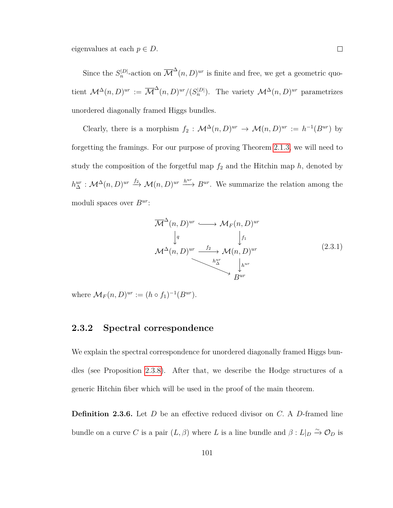eigenvalues at each  $p \in D$ .

Since the  $S_n^{|D|}$ -action on  $\overline{\mathcal{M}}^{\Delta}(n, D)^{ur}$  is finite and free, we get a geometric quotient  $\mathcal{M}^{\Delta}(n, D)^{ur} := \overline{\mathcal{M}}^{\Delta}(n, D)^{ur}/(S_n^{|D|})$ . The variety  $\mathcal{M}^{\Delta}(n, D)^{ur}$  parametrizes unordered diagonally framed Higgs bundles.

Clearly, there is a morphism  $f_2$ :  $\mathcal{M}^{\Delta}(n, D)^{ur} \to \mathcal{M}(n, D)^{ur} := h^{-1}(B^{ur})$  by forgetting the framings. For our purpose of proving Theorem [2.1.3,](#page-93-0) we will need to study the composition of the forgetful map  $f_2$  and the Hitchin map  $h$ , denoted by  $h_{\Delta}^{ur}: \mathcal{M}^{\Delta}(n, D)^{ur} \stackrel{f_2}{\longrightarrow} \mathcal{M}(n, D)^{ur} \stackrel{h^{ur}}{\longrightarrow} B^{ur}$ . We summarize the relation among the moduli spaces over *Bur*:

$$
\overline{\mathcal{M}}^{\Delta}(n, D)^{ur} \longrightarrow \mathcal{M}_F(n, D)^{ur}
$$
\n
$$
\downarrow^{q}_{\mathcal{M}^{\Delta}(n, D)^{ur}} \downarrow^{f_1}_{\mathcal{M}(n, D)^{ur}}
$$
\n
$$
\downarrow^{h^{ur}}_{\Delta} \downarrow^{h^{ur}}_{\mathcal{B}^{ur}}
$$
\n
$$
(2.3.1)
$$

where  $\mathcal{M}_F(n, D)^{ur} := (h \circ f_1)^{-1}(B^{ur}).$ 

### **2.3.2 Spectral correspondence**

We explain the spectral correspondence for unordered diagonally framed Higgs bundles (see Proposition [2.3.8\)](#page-111-0). After that, we describe the Hodge structures of a generic Hitchin fiber which will be used in the proof of the main theorem.

**Definition 2.3.6.** Let *D* be an effective reduced divisor on *C.* A *D*-framed line bundle on a curve *C* is a pair  $(L, \beta)$  where *L* is a line bundle and  $\beta : L|_D \overset{\sim}{\rightarrow} \mathcal{O}_D$  is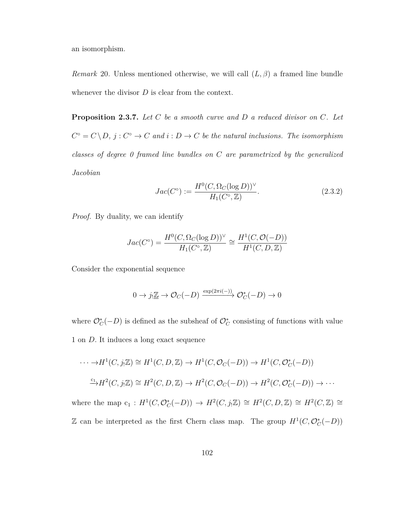an isomorphism.

*Remark* 20*.* Unless mentioned otherwise, we will call (*L, β*) a framed line bundle whenever the divisor *D* is clear from the context.

<span id="page-109-0"></span>**Proposition 2.3.7.** *Let C be a smooth curve and D a reduced divisor on C. Let*  $C^{\circ} = C \setminus D$ ,  $j : C^{\circ} \to C$  and  $i : D \to C$  be the natural inclusions. The isomorphism *classes of degree 0 framed line bundles on C are parametrized by the generalized Jacobian*

$$
Jac(C^{\circ}) := \frac{H^{0}(C, \Omega_{C}(\log D))^{\vee}}{H_{1}(C^{\circ}, \mathbb{Z})}.
$$
\n(2.3.2)

*Proof.* By duality, we can identify

$$
Jac(C^{\circ}) = \frac{H^{0}(C, \Omega_{C}(\log D))^{\vee}}{H_{1}(C^{\circ}, \mathbb{Z})} \cong \frac{H^{1}(C, \mathcal{O}(-D))}{H^{1}(C, D, \mathbb{Z})}
$$

Consider the exponential sequence

$$
0 \to j_! \underline{\mathbb{Z}} \to \mathcal{O}_C(-D) \xrightarrow{\exp(2\pi i(-))} \mathcal{O}_C^*(-D) \to 0
$$

where  $\mathcal{O}_C^*(-D)$  is defined as the subsheaf of  $\mathcal{O}_C^*$  consisting of functions with value 1 on *D.* It induces a long exact sequence

$$
\cdots \to H^1(C, j_! \mathbb{Z}) \cong H^1(C, D, \mathbb{Z}) \to H^1(C, \mathcal{O}_C(-D)) \to H^1(C, \mathcal{O}_C^*(-D))
$$
  

$$
\xrightarrow{c_1} H^2(C, j_! \mathbb{Z}) \cong H^2(C, D, \mathbb{Z}) \to H^2(C, \mathcal{O}_C(-D)) \to H^2(C, \mathcal{O}_C^*(-D)) \to \cdots
$$

where the map  $c_1 : H^1(C, \mathcal{O}_C^*(-D)) \to H^2(C, j_! \mathbb{Z}) \cong H^2(C, D, \mathbb{Z}) \cong H^2(C, \mathbb{Z}) \cong$ Z can be interpreted as the first Chern class map. The group  $H^1(C, \mathcal{O}_C^*(-D))$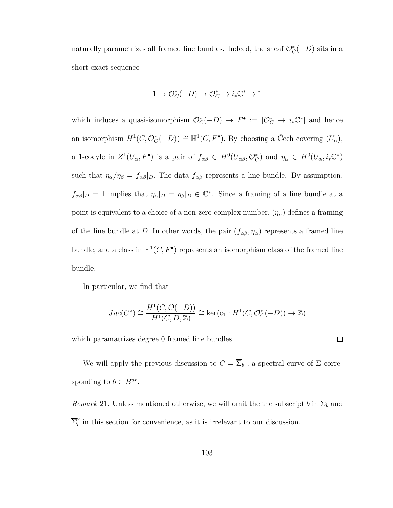naturally parametrizes all framed line bundles. Indeed, the sheaf  $\mathcal{O}_C^*(-D)$  sits in a short exact sequence

$$
1 \to \mathcal{O}_C^*(-D) \to \mathcal{O}_C^* \to i_*\mathbb{C}^* \to 1
$$

which induces a quasi-isomorphism  $\mathcal{O}_C^*(-D) \to F^{\bullet} := [\mathcal{O}_C^* \to i_*\mathbb{C}^*]$  and hence an isomorphism  $H^1(C, \mathcal{O}_C^*(-D)) \cong \mathbb{H}^1(C, F^{\bullet})$ . By choosing a Čech covering  $(U_{\alpha})$ , a 1-cocyle in  $Z^1(U_\alpha, F^{\bullet})$  is a pair of  $f_{\alpha\beta} \in H^0(U_{\alpha\beta}, \mathcal{O}_{\mathbb{C}}^*)$  and  $\eta_\alpha \in H^0(U_\alpha, i_*\mathbb{C}^*)$ such that  $\eta_{\alpha}/\eta_{\beta} = f_{\alpha\beta}|_D$ . The data  $f_{\alpha\beta}$  represents a line bundle. By assumption,  $f_{\alpha\beta}|_D = 1$  implies that  $\eta_\alpha|_D = \eta_\beta|_D \in \mathbb{C}^*$ . Since a framing of a line bundle at a point is equivalent to a choice of a non-zero complex number,  $(\eta_{\alpha})$  defines a framing of the line bundle at *D*. In other words, the pair  $(f_{\alpha\beta}, \eta_{\alpha})$  represents a framed line bundle, and a class in  $\mathbb{H}^1(C, F^{\bullet})$  represents an isomorphism class of the framed line bundle.

In particular, we find that

$$
Jac(C^{\circ}) \cong \frac{H^{1}(C, \mathcal{O}(-D))}{H^{1}(C, D, \mathbb{Z})} \cong \ker(\mathbf{c}_{1}: H^{1}(C, \mathcal{O}_{C}^{*}(-D)) \to \mathbb{Z})
$$

which paramatrizes degree 0 framed line bundles.

We will apply the previous discussion to  $C = \overline{\Sigma}_b$ , a spectral curve of  $\Sigma$  corresponding to  $b \in B^{ur}$ .

*Remark* 21. Unless mentioned otherwise, we will omit the the subscript *b* in  $\overline{\Sigma}_b$  and  $\overline{\Sigma}^\circ_b$  $\delta$  in this section for convenience, as it is irrelevant to our discussion.

 $\Box$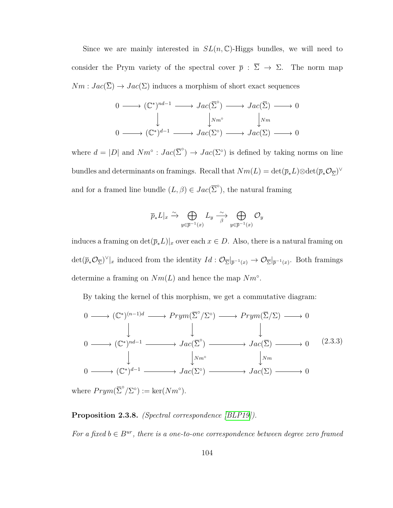Since we are mainly interested in  $SL(n,\mathbb{C})$ -Higgs bundles, we will need to consider the Prym variety of the spectral cover  $\bar{p}$  :  $\bar{\Sigma} \rightarrow \Sigma$ . The norm map  $Nm: Jac(\overline{\Sigma}) \to Jac(\Sigma)$  induces a morphism of short exact sequences

$$
0 \longrightarrow (\mathbb{C}^*)^{nd-1} \longrightarrow Jac(\overline{\Sigma}^{\circ}) \longrightarrow Jac(\overline{\Sigma}) \longrightarrow 0
$$
  

$$
\downarrow \qquad \qquad \downarrow Nm^{\circ} \qquad \qquad \downarrow Nm
$$
  

$$
0 \longrightarrow (\mathbb{C}^*)^{d-1} \longrightarrow Jac(\Sigma^{\circ}) \longrightarrow Jac(\Sigma) \longrightarrow 0
$$

where  $d = |D|$  and  $Nm^{\circ} : Jac(\overline{\Sigma}^{\circ}) \to Jac(\Sigma^{\circ})$  is defined by taking norms on line bundles and determinants on framings. Recall that  $Nm(L) = \det(\overline{p}_*L) \otimes \det(\overline{p}_* \mathcal{O}_{\overline{\Sigma}})^{\vee}$ and for a framed line bundle  $(L, \beta) \in Jac(\overline{\Sigma}^{\circ})$ , the natural framing

$$
\overline{p}_*L|_x \xrightarrow{\sim} \bigoplus_{y \in \overline{p}^{-1}(x)} L_y \xrightarrow[\beta]{\sim} \bigoplus_{y \in \overline{p}^{-1}(x)} \mathcal{O}_y
$$

induces a framing on  $\det(\overline{p}_*L)|_x$  over each  $x \in D$ . Also, there is a natural framing on  $\det(\bar{p}_*\mathcal{O}_{\overline{\Sigma}})^{\vee}|_x$  induced from the identity  $Id: \mathcal{O}_{\overline{\Sigma}}|_{\overline{p}^{-1}(x)} \to \mathcal{O}_{\overline{\Sigma}}|_{\overline{p}^{-1}(x)}$ . Both framings determine a framing on  $Nm(L)$  and hence the map  $Nm^{\circ}$ .

By taking the kernel of this morphism, we get a commutative diagram:

<span id="page-111-1"></span>
$$
0 \longrightarrow (\mathbb{C}^*)^{(n-1)d} \longrightarrow Prym(\overline{\Sigma}^{\circ}/\Sigma^{\circ}) \longrightarrow Prym(\overline{\Sigma}/\Sigma) \longrightarrow 0
$$
  
\n
$$
0 \longrightarrow (\mathbb{C}^*)^{nd-1} \longrightarrow Jac(\overline{\Sigma}^{\circ}) \longrightarrow Jac(\overline{\Sigma}) \longrightarrow 0 \qquad (2.3.3)
$$
  
\n
$$
0 \longrightarrow (\mathbb{C}^*)^{d-1} \longrightarrow Jac(\Sigma^{\circ}) \longrightarrow Jac(\Sigma) \longrightarrow Jac(\Sigma) \longrightarrow 0
$$

<span id="page-111-0"></span>where  $Prym(\overline{\Sigma}^{\circ}/\Sigma^{\circ}) := \ker(Nm^{\circ}).$ 

#### **Proposition 2.3.8.** *(Spectral correspondence [\[BLP19\]](#page-155-0)).*

*For a fixed*  $b \in B^{ur}$ *, there is a one-to-one correspondence between degree zero framed*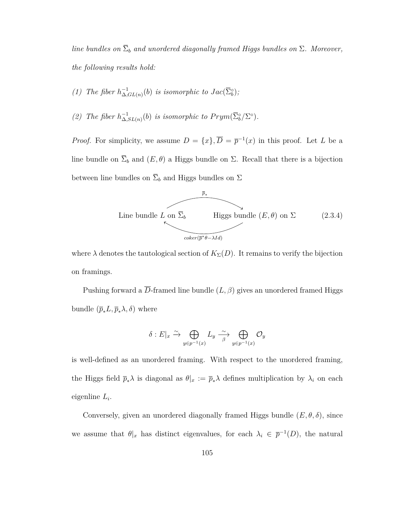*line bundles on*  $\overline{\Sigma}_b$  *and unordered diagonally framed Higgs bundles on*  $\Sigma$ *. Moreover, the following results hold:*

- *(1) The fiber*  $h_∧^{-1}$  $\bigcup_{\Delta, GL(n)}^{-1}(b)$  *is isomorphic to*  $Jac(\overline{\Sigma}_{b}^{\circ})$ *;*
- *(2) The fiber*  $h_∧^{-1}$  $\sum_{\Delta, SL(n)}^{-1}(b)$  *is isomorphic to*  $Prym(\overline{\Sigma}_b^{\circ}/\Sigma^{\circ}).$

*Proof.* For simplicity, we assume  $D = \{x\}, \overline{D} = \overline{p}^{-1}(x)$  in this proof. Let *L* be a line bundle on  $\overline{\Sigma}_b$  and  $(E, \theta)$  a Higgs bundle on  $\Sigma$ . Recall that there is a bijection between line bundles on  $\overline{\Sigma}_b$  and Higgs bundles on  $\Sigma$ 



where  $\lambda$  denotes the tautological section of  $K_{\Sigma}(D)$ . It remains to verify the bijection on framings.

Pushing forward a  $\overline{D}$ -framed line bundle  $(L, \beta)$  gives an unordered framed Higgs bundle  $(\bar{p}_*L, \bar{p}_*\lambda, \delta)$  where

$$
\delta: E|_x \xrightarrow{\sim} \bigoplus_{y \in p^{-1}(x)} L_y \xrightarrow{\sim} \bigoplus_{y \in p^{-1}(x)} \mathcal{O}_y
$$

is well-defined as an unordered framing. With respect to the unordered framing, the Higgs field  $\bar{p}_*\lambda$  is diagonal as  $\theta|_x := \bar{p}_*\lambda$  defines multiplication by  $\lambda_i$  on each eigenline *L<sup>i</sup>* .

Conversely, given an unordered diagonally framed Higgs bundle  $(E, \theta, \delta)$ , since we assume that  $\theta|_x$  has distinct eigenvalues, for each  $\lambda_i \in \bar{p}^{-1}(D)$ , the natural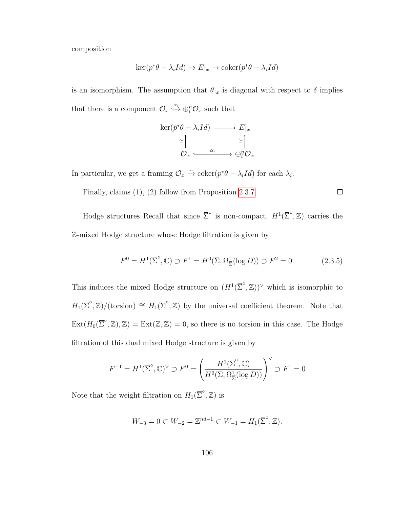composition

$$
\ker(\overline{p}^*\theta - \lambda_i Id) \to E|_x \to \text{coker}(\overline{p}^*\theta - \lambda_i Id)
$$

is an isomorphism. The assumption that  $\theta|_x$  is diagonal with respect to  $\delta$  implies that there is a component  $\mathcal{O}_x \xrightarrow{\alpha_i} \oplus_i^n \mathcal{O}_x$  such that

$$
\ker(\overline{p}^*\theta - \lambda_i Id) \longrightarrow E|_x
$$
  
\n
$$
\cong \uparrow \qquad \cong \uparrow
$$
  
\n
$$
\mathcal{O}_x \xrightarrow{\alpha_i} \oplus_i^n \mathcal{O}_x
$$

In particular, we get a framing  $\mathcal{O}_x \xrightarrow{\sim} \text{coker}(\bar{p}^*\theta - \lambda_i Id)$  for each  $\lambda_i$ .

Finally, claims (1), (2) follow from Proposition [2.3.7.](#page-109-0)

Hodge structures Recall that since  $\overline{\Sigma}^{\circ}$  is non-compact,  $H^{1}(\overline{\Sigma}^{\circ}, \mathbb{Z})$  carries the Z-mixed Hodge structure whose Hodge filtration is given by

$$
F^{0} = H^{1}(\bar{\Sigma}^{\circ}, \mathbb{C}) \supset F^{1} = H^{0}(\bar{\Sigma}, \Omega_{\bar{\Sigma}}^{1}(\log D)) \supset F^{2} = 0.
$$
 (2.3.5)

 $\Box$ 

This induces the mixed Hodge structure on  $(H^1(\overline{\Sigma}^\circ, \mathbb{Z}))^\vee$  which is isomorphic to  $H_1(\overline{\Sigma}^\circ, \mathbb{Z})/(\text{torsion}) \cong H_1(\overline{\Sigma}^\circ, \mathbb{Z})$  by the universal coefficient theorem. Note that  $\text{Ext}(H_0(\overline{\Sigma}^\circ, \mathbb{Z}), \mathbb{Z}) = \text{Ext}(\mathbb{Z}, \mathbb{Z}) = 0$ , so there is no torsion in this case. The Hodge filtration of this dual mixed Hodge structure is given by

$$
F^{-1}=H^1(\overline{\Sigma}^\circ,{\mathbb C})^\vee\supset F^0=\left(\frac{H^1(\overline{\Sigma}^\circ,{\mathbb C})}{H^0(\overline{\Sigma},\Omega^1_{\overline{\Sigma}}(\log D))}\right)^\vee\supset F^1=0
$$

Note that the weight filtration on  $H_1(\overline{\Sigma}^\circ, \mathbb{Z})$  is

$$
W_{-3} = 0 \subset W_{-2} = \mathbb{Z}^{nd-1} \subset W_{-1} = H_1(\overline{\Sigma}^\circ, \mathbb{Z}).
$$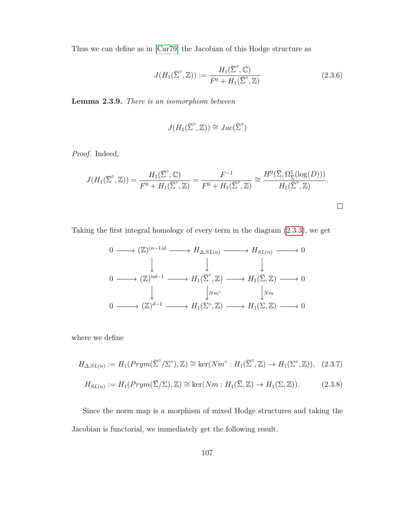Thus we can define as in [\[Car79\]](#page-155-1) the Jacobian of this Hodge structure as

$$
J(H_1(\overline{\Sigma}^\circ, \mathbb{Z})) := \frac{H_1(\overline{\Sigma}^\circ, \mathbb{C})}{F^0 + H_1(\overline{\Sigma}^\circ, \mathbb{Z})}
$$
(2.3.6)

**Lemma 2.3.9.** *There is an isomorphism between*

$$
J(H_1(\overline{\Sigma}^\circ, \mathbb{Z})) \cong Jac(\overline{\Sigma}^\circ)
$$

*Proof.* Indeed,

$$
J(H_1(\overline{\Sigma}^\circ, \mathbb{Z})) = \frac{H_1(\overline{\Sigma}^\circ, \mathbb{C})}{F^0 + H_1(\overline{\Sigma}^\circ, \mathbb{Z})} = \frac{F^{-1}}{F^0 + H_1(\overline{\Sigma}^\circ, \mathbb{Z})} \cong \frac{H^0(\overline{\Sigma}, \Omega_{\overline{\Sigma}}^1(\log(D)))}{H_1(\overline{\Sigma}^\circ, \mathbb{Z})}.
$$

Taking the first integral homology of every term in the diagram [\(2.3.3\)](#page-111-1), we get

$$
0 \longrightarrow (\mathbb{Z})^{(n-1)d} \longrightarrow H_{\Delta, SL(n)} \longrightarrow H_{SL(n)} \longrightarrow 0
$$
  

$$
0 \longrightarrow (\mathbb{Z})^{nd-1} \longrightarrow H_1(\overline{\Sigma}^{\circ}, \mathbb{Z}) \longrightarrow H_1(\overline{\Sigma}, \mathbb{Z}) \longrightarrow 0
$$
  

$$
\downarrow \qquad \qquad \downarrow Nm^{\circ} \qquad \qquad \downarrow Nm
$$
  

$$
0 \longrightarrow (\mathbb{Z})^{d-1} \longrightarrow H_1(\Sigma^{\circ}, \mathbb{Z}) \longrightarrow H_1(\Sigma, \mathbb{Z}) \longrightarrow 0
$$

where we define

$$
H_{\Delta, SL(n)} := H_1( Prym(\overline{\Sigma}^\circ/\Sigma^\circ), \mathbb{Z}) \cong \ker(Nm^\circ : H_1(\overline{\Sigma}^\circ, \mathbb{Z}) \to H_1(\Sigma^\circ, \mathbb{Z})), \quad (2.3.7)
$$

$$
H_{SL(n)} := H_1(Prym(\overline{\Sigma}/\Sigma), \mathbb{Z}) \cong \ker(Nm : H_1(\overline{\Sigma}, \mathbb{Z}) \to H_1(\Sigma, \mathbb{Z})).
$$
 (2.3.8)

<span id="page-114-0"></span>Since the norm map is a morphism of mixed Hodge structures and taking the Jacobian is functorial, we immediately get the following result.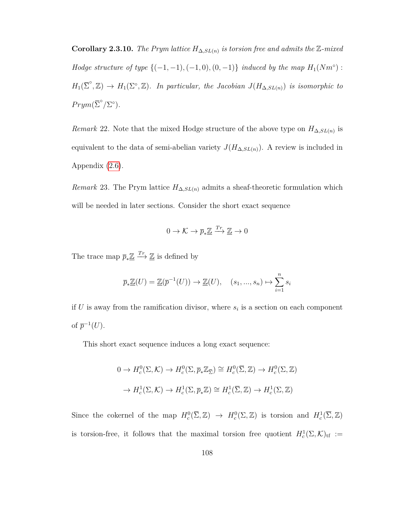**Corollary 2.3.10.** *The Prym lattice*  $H_{\Delta, SL(n)}$  *is torsion free and admits the* Z-mixed *Hodge structure of type*  $\{(-1, -1), (-1, 0), (0, -1)\}$  *induced by the map*  $H_1(Nm°)$ :  $H_1(\overline{\Sigma}^\circ, \mathbb{Z}) \to H_1(\Sigma^\circ, \mathbb{Z})$ *. In particular, the Jacobian*  $J(H_{\Delta, SL(n)})$  *is isomorphic to*  $Prym(\overline{\Sigma}^{\circ}/\Sigma^{\circ}).$ 

*Remark* 22. Note that the mixed Hodge structure of the above type on  $H_{\Delta, SL(n)}$  is equivalent to the data of semi-abelian variety  $J(H_{\Delta,SL(n)})$ . A review is included in Appendix [\(2.6\)](#page-150-0).

<span id="page-115-0"></span>*Remark* 23. The Prym lattice  $H_{\Delta, SL(n)}$  admits a sheaf-theoretic formulation which will be needed in later sections. Consider the short exact sequence

$$
0\to \mathcal{K}\to \overline{p}_*\underline{\mathbb{Z}}\xrightarrow{Tr}\underline{\mathbb{Z}}\to 0
$$

The trace map  $\overline{p}_*\underline{\mathbb{Z}} \xrightarrow{Tr} \underline{\mathbb{Z}}$  is defined by

$$
\overline{p}_*\underline{\mathbb{Z}}(U) = \underline{\mathbb{Z}}(\overline{p}^{-1}(U)) \to \underline{\mathbb{Z}}(U), \quad (s_1, ..., s_n) \mapsto \sum_{i=1}^n s_i
$$

if  $U$  is away from the ramification divisor, where  $s_i$  is a section on each component of  $\overline{p}^{-1}(U)$ .

This short exact sequence induces a long exact sequence:

$$
0 \to H_c^0(\Sigma, \mathcal{K}) \to H_c^0(\Sigma, \overline{p}_* \mathbb{Z}_{\overline{\Sigma}}) \cong H_c^0(\overline{\Sigma}, \mathbb{Z}) \to H_c^0(\Sigma, \mathbb{Z})
$$
  

$$
\to H_c^1(\Sigma, \mathcal{K}) \to H_c^1(\Sigma, \overline{p}_* \mathbb{Z}) \cong H_c^1(\overline{\Sigma}, \mathbb{Z}) \to H_c^1(\Sigma, \mathbb{Z})
$$

Since the cokernel of the map  $H_c^0(\overline{\Sigma}, \mathbb{Z}) \to H_c^0(\Sigma, \mathbb{Z})$  is torsion and  $H_c^1(\overline{\Sigma}, \mathbb{Z})$ is torsion-free, it follows that the maximal torsion free quotient  $H_c^1(\Sigma, \mathcal{K})_{\text{tf}} :=$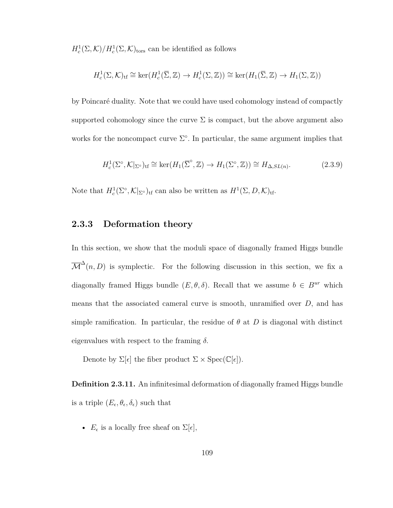$H_c^1(\Sigma, \mathcal{K})/H_c^1(\Sigma, \mathcal{K})$ <sub>tors</sub> can be identified as follows

$$
H_c^1(\Sigma, \mathcal{K})_{\text{tf}} \cong \ker(H_c^1(\overline{\Sigma}, \mathbb{Z}) \to H_c^1(\Sigma, \mathbb{Z})) \cong \ker(H_1(\overline{\Sigma}, \mathbb{Z}) \to H_1(\Sigma, \mathbb{Z}))
$$

by Poincaré duality. Note that we could have used cohomology instead of compactly supported cohomology since the curve  $\Sigma$  is compact, but the above argument also works for the noncompact curve  $\Sigma^{\circ}$ . In particular, the same argument implies that

$$
H_c^1(\Sigma^\circ, \mathcal{K}|_{\Sigma^\circ})_{\text{tf}} \cong \ker(H_1(\overline{\Sigma}^\circ, \mathbb{Z}) \to H_1(\Sigma^\circ, \mathbb{Z})) \cong H_{\Delta, SL(n)}.\tag{2.3.9}
$$

Note that  $H_c^1(\Sigma^\circ, \mathcal{K}|_{\Sigma^\circ})_{\text{tf}}$  can also be written as  $H^1(\Sigma, D, \mathcal{K})_{\text{tf}}$ .

## **2.3.3 Deformation theory**

In this section, we show that the moduli space of diagonally framed Higgs bundle  $\overline{\mathcal{M}}^{\Delta}(n, D)$  is symplectic. For the following discussion in this section, we fix a diagonally framed Higgs bundle  $(E, \theta, \delta)$ . Recall that we assume  $b \in B^{ur}$  which means that the associated cameral curve is smooth, unramified over *D*, and has simple ramification. In particular, the residue of  $\theta$  at  $D$  is diagonal with distinct eigenvalues with respect to the framing *δ.*

Denote by  $\Sigma[\epsilon]$  the fiber product  $\Sigma \times \operatorname{Spec}(\mathbb{C}[\epsilon])$ .

**Definition 2.3.11.** An infinitesimal deformation of diagonally framed Higgs bundle is a triple  $(E_{\epsilon}, \theta_{\epsilon}, \delta_{\epsilon})$  such that

•  $E_{\epsilon}$  is a locally free sheaf on  $\Sigma[\epsilon],$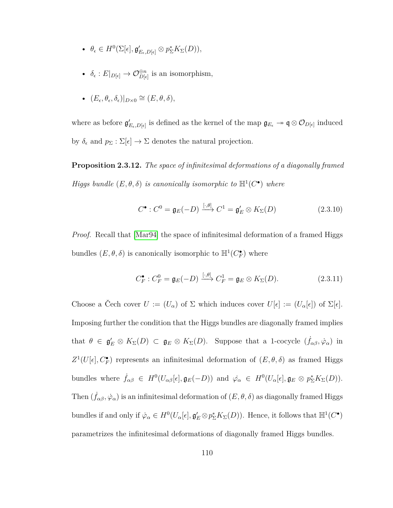- $\theta_{\epsilon} \in H^0(\Sigma[\epsilon], \mathfrak{g}'_{E_{\epsilon},D[\epsilon]} \otimes p_{\Sigma}^* K_{\Sigma}(D)),$
- $\delta_{\epsilon}: E|_{D[\epsilon]} \to \mathcal{O}_{D[\epsilon]}^{\oplus n}$  $D[\epsilon]$  is an isomorphism,
- $•$   $(E<sub>ε</sub>, θ<sub>ε</sub>, δ<sub>ε</sub>)|<sub>D×0</sub> ≅ (E, θ, δ),$

where as before  $\mathfrak{g}'_{E_{\epsilon},D[\epsilon]}$  is defined as the kernel of the map  $\mathfrak{g}_{E_{\epsilon}} \to \mathfrak{q} \otimes \mathcal{O}_{D[\epsilon]}$  induced by  $\delta_{\epsilon}$  and  $p_{\Sigma} : \Sigma[\epsilon] \to \Sigma$  denotes the natural projection.

<span id="page-117-0"></span>**Proposition 2.3.12.** *The space of infinitesimal deformations of a diagonally framed Higgs bundle*  $(E, \theta, \delta)$  *is canonically isomorphic to*  $\mathbb{H}^1(C^{\bullet})$  *where* 

$$
C^{\bullet}: C^{0} = \mathfrak{g}_{E}(-D) \xrightarrow{[\cdot,\theta]} C^{1} = \mathfrak{g}'_{E} \otimes K_{\Sigma}(D) \qquad (2.3.10)
$$

*Proof.* Recall that  $|\text{Mar94}|$  the space of infinitesimal deformation of a framed Higgs bundles  $(E, \theta, \delta)$  is canonically isomorphic to  $\mathbb{H}^1(C_F^{\bullet})$  where

$$
C_F^{\bullet}: C_F^0 = \mathfrak{g}_E(-D) \xrightarrow{[\cdot,\theta]} C_F^1 = \mathfrak{g}_E \otimes K_{\Sigma}(D). \tag{2.3.11}
$$

Choose a Čech cover  $U := (U_\alpha)$  of  $\Sigma$  which induces cover  $U[\epsilon] := (U_\alpha[\epsilon])$  of  $\Sigma[\epsilon]$ . Imposing further the condition that the Higgs bundles are diagonally framed implies that  $\theta \in \mathfrak{g}'_E \otimes K_\Sigma(D) \subset \mathfrak{g}_E \otimes K_\Sigma(D)$ . Suppose that a 1-cocycle  $(\dot{f}_{\alpha\beta}, \dot{\varphi}_\alpha)$  in  $Z^1(U[\epsilon], C_F^{\bullet})$  represents an infinitesimal deformation of  $(E, \theta, \delta)$  as framed Higgs bundles where  $\dot{f}_{\alpha\beta} \in H^0(U_{\alpha\beta}[\epsilon], \mathfrak{g}_E(-D))$  and  $\dot{\varphi}_\alpha \in H^0(U_{\alpha}[\epsilon], \mathfrak{g}_E \otimes p_{\Sigma}^* K_{\Sigma}(D)).$ Then  $(f_{\alpha\beta}, \dot{\varphi}_\alpha)$  is an infinitesimal deformation of  $(E, \theta, \delta)$  as diagonally framed Higgs bundles if and only if  $\dot{\varphi}_{\alpha} \in H^0(U_{\alpha}[\epsilon], \mathfrak{g}'_E \otimes p_{\Sigma}^* K_{\Sigma}(D))$ . Hence, it follows that  $\mathbb{H}^1(C^{\bullet})$ parametrizes the infinitesimal deformations of diagonally framed Higgs bundles.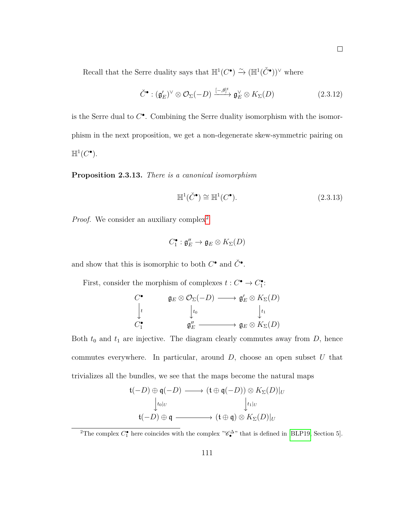Recall that the Serre duality says that  $\mathbb{H}^1(C^{\bullet}) \xrightarrow{\sim} (\mathbb{H}^1(\check{C}^{\bullet}))^{\vee}$  where

$$
\check{C}^{\bullet} : (\mathfrak{g}'_{E})^{\vee} \otimes \mathcal{O}_{\Sigma}(-D) \xrightarrow{[-,\theta]^{t}} \mathfrak{g}_{E}^{\vee} \otimes K_{\Sigma}(D) \qquad (2.3.12)
$$

is the Serre dual to *C* • . Combining the Serre duality isomorphism with the isomorphism in the next proposition, we get a non-degenerate skew-symmetric pairing on  $\mathbb{H}^1(C^{\bullet}).$ 

<span id="page-118-1"></span>**Proposition 2.3.13.** *There is a canonical isomorphism*

$$
\mathbb{H}^1(\check{C}^{\bullet}) \cong \mathbb{H}^1(C^{\bullet}).\tag{2.3.13}
$$

*Proof.* We consider an auxiliary complex<sup>[2](#page-118-0)</sup>

$$
C_1^\bullet: \mathfrak{g}''_E\to \mathfrak{g}_E\otimes K_\Sigma(D)
$$

and show that this is isomorphic to both  $C^{\bullet}$  and  $\check{C}^{\bullet}$ .

First, consider the morphism of complexes  $t: C^{\bullet} \to C_{1}^{\bullet}$ :

$$
\begin{array}{ccc}\nC^{\bullet} & & \mathfrak{g}_{E} \otimes \mathcal{O}_{\Sigma}(-D) \longrightarrow \mathfrak{g}'_{E} \otimes K_{\Sigma}(D) \\
\downarrow & & \downarrow t_{0} & \downarrow t_{1} \\
C_{1}^{\bullet} & & \mathfrak{g}''_{E} \longrightarrow \mathfrak{g}_{E} \otimes K_{\Sigma}(D)\n\end{array}
$$

Both  $t_0$  and  $t_1$  are injective. The diagram clearly commutes away from  $D$ , hence commutes everywhere. In particular, around *D*, choose an open subset *U* that trivializes all the bundles, we see that the maps become the natural maps

$$
\mathfrak{t}(-D) \oplus \mathfrak{q}(-D) \longrightarrow (\mathfrak{t} \oplus \mathfrak{q}(-D)) \otimes K_{\Sigma}(D)|_{U}
$$
  

$$
\downarrow_{\mathfrak{t}_{0}|_{U}} \qquad \qquad \downarrow_{\mathfrak{t}_{1}|_{U}}
$$
  

$$
\mathfrak{t}(-D) \oplus \mathfrak{q} \longrightarrow (\mathfrak{t} \oplus \mathfrak{q}) \otimes K_{\Sigma}(D)|_{U}
$$

<span id="page-118-0"></span><sup>2</sup>The complex  $C_1^{\bullet}$  here coincides with the complex " $\mathscr{C}_{\bullet}^{\Delta}$ " that is defined in [\[BLP19,](#page-155-0) Section 5].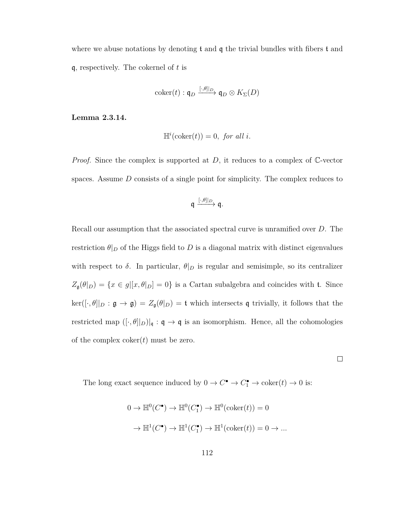where we abuse notations by denoting  $t$  and  $q$  the trivial bundles with fibers  $t$  and q, respectively. The cokernel of *t* is

$$
\mathrm{coker}(t): \mathfrak{q}_D \xrightarrow{[\cdot,\theta]|_D} \mathfrak{q}_D \otimes K_{\Sigma}(D)
$$

**Lemma 2.3.14.**

$$
\mathbb{H}^i(\text{coker}(t)) = 0, \text{ for all } i.
$$

*Proof.* Since the complex is supported at *D*, it reduces to a complex of C-vector spaces. Assume *D* consists of a single point for simplicity. The complex reduces to

$$
\mathfrak{q} \xrightarrow{[\cdot,\theta]|_D} \mathfrak{q}.
$$

Recall our assumption that the associated spectral curve is unramified over *D*. The restriction  $\theta|_D$  of the Higgs field to *D* is a diagonal matrix with distinct eigenvalues with respect to  $\delta$ . In particular,  $\theta|_D$  is regular and semisimple, so its centralizer  $Z_{\mathfrak{g}}(\theta|_D) = \{x \in g | [x, \theta|_D] = 0\}$  is a Cartan subalgebra and coincides with t. Since  $\ker([\cdot,\theta]|_D : \mathfrak{g} \to \mathfrak{g}) = Z_{\mathfrak{g}}(\theta|_D) = \mathfrak{t}$  which intersects q trivially, it follows that the restricted map  $([\cdot,\theta]|_D)|_{\mathfrak{q}}: \mathfrak{q} \to \mathfrak{q}$  is an isomorphism. Hence, all the cohomologies of the complex coker(*t*) must be zero.

The long exact sequence induced by  $0 \to C^{\bullet} \to C_1^{\bullet} \to \text{coker}(t) \to 0$  is:

$$
0 \to \mathbb{H}^0(C^{\bullet}) \to \mathbb{H}^0(C_1^{\bullet}) \to \mathbb{H}^0(\mathrm{coker}(t)) = 0
$$
  

$$
\to \mathbb{H}^1(C^{\bullet}) \to \mathbb{H}^1(C_1^{\bullet}) \to \mathbb{H}^1(\mathrm{coker}(t)) = 0 \to \dots
$$

 $\Box$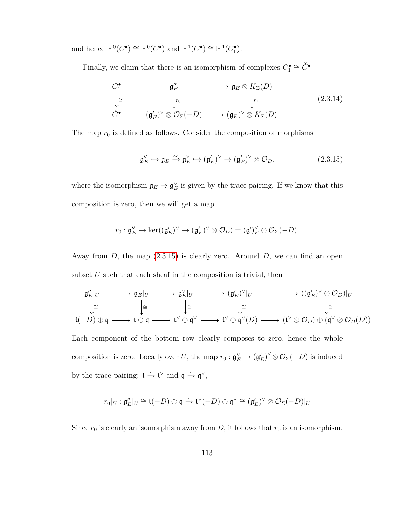and hence  $\mathbb{H}^0(C^{\bullet}) \cong \mathbb{H}^0(C_1^{\bullet})$  and  $\mathbb{H}^1(C^{\bullet}) \cong \mathbb{H}^1(C_1^{\bullet})$ .

Finally, we claim that there is an isomorphism of complexes  $C_1^{\bullet} \cong \check{C}^{\bullet}$ 

<span id="page-120-1"></span>
$$
C_1^{\bullet} \qquad \qquad \mathfrak{g}_E'' \longrightarrow \mathfrak{g}_E \otimes K_{\Sigma}(D)
$$
  
\n
$$
\downarrow^{\cong} \qquad \qquad \downarrow r_0 \qquad \qquad \downarrow r_1 \qquad \qquad (2.3.14)
$$
  
\n
$$
\check{C}^{\bullet} \qquad (\mathfrak{g}_E')^{\vee} \otimes \mathcal{O}_{\Sigma}(-D) \longrightarrow (\mathfrak{g}_E)^{\vee} \otimes K_{\Sigma}(D)
$$

The map  $r_0$  is defined as follows. Consider the composition of morphisms

<span id="page-120-0"></span>
$$
\mathfrak{g}_E'' \hookrightarrow \mathfrak{g}_E \xrightarrow{\sim} \mathfrak{g}_E^{\vee} \hookrightarrow (\mathfrak{g}_E')^{\vee} \to (\mathfrak{g}_E')^{\vee} \otimes \mathcal{O}_D.
$$
 (2.3.15)

where the isomorphism  $\mathfrak{g}_E \to \mathfrak{g}_E^{\vee}$  is given by the trace pairing. If we know that this composition is zero, then we will get a map

$$
r_0: \mathfrak{g}''_E \to \ker((\mathfrak{g}'_E)^\vee \to (\mathfrak{g}'_E)^\vee \otimes \mathcal{O}_D) = (\mathfrak{g}')_E^\vee \otimes \mathcal{O}_\Sigma(-D).
$$

Away from *D*, the map [\(2.3.15\)](#page-120-0) is clearly zero. Around *D*, we can find an open subset  $U$  such that each sheaf in the composition is trivial, then

$$
\mathfrak{g}_E''|_U \longrightarrow \mathfrak{g}_E|_U \longrightarrow \mathfrak{g}_E^{\vee}|_U \longrightarrow (\mathfrak{g}_E')^{\vee}|_U \longrightarrow ((\mathfrak{g}_E')^{\vee} \otimes \mathcal{O}_D)|_U
$$
\n
$$
\downarrow \cong \qquad \qquad \downarrow \cong \qquad \qquad \downarrow \cong \qquad \qquad \downarrow \cong \qquad \qquad \downarrow \cong \qquad \qquad \downarrow \cong
$$
\n
$$
\mathfrak{t}(-D) \oplus \mathfrak{q} \longrightarrow \mathfrak{t} \oplus \mathfrak{q} \longrightarrow \mathfrak{t}^{\vee} \oplus \mathfrak{q}^{\vee} \longrightarrow \mathfrak{t}^{\vee} \oplus \mathfrak{q}^{\vee}(D) \longrightarrow (\mathfrak{t}^{\vee} \otimes \mathcal{O}_D) \oplus (\mathfrak{q}^{\vee} \otimes \mathcal{O}_D(D))
$$

Each component of the bottom row clearly composes to zero, hence the whole composition is zero. Locally over *U*, the map  $r_0 : \mathfrak{g}_E'' \to (\mathfrak{g}_E')^\vee \otimes \mathcal{O}_\Sigma(-D)$  is induced by the trace pairing:  $\mathfrak{t} \stackrel{\sim}{\to} \mathfrak{t}^{\vee}$  and  $\mathfrak{q} \stackrel{\sim}{\to} \mathfrak{q}^{\vee}$ ,

$$
r_0|_U : \mathfrak{g}''_E|_U \cong \mathfrak{t}(-D) \oplus \mathfrak{q} \xrightarrow{\sim} \mathfrak{t}^\vee(-D) \oplus \mathfrak{q}^\vee \cong (\mathfrak{g}'_E)^\vee \otimes \mathcal{O}_\Sigma(-D)|_U
$$

Since  $r_0$  is clearly an isomorphism away from *D*, it follows that  $r_0$  is an isomorphism.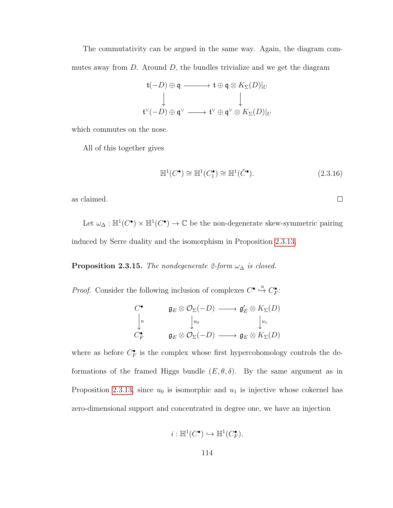The commutativity can be argued in the same way. Again, the diagram commutes away from *D*. Around *D*, the bundles trivialize and we get the diagram

$$
\begin{array}{ccc}\n\mathfrak{t}(-D) \oplus \mathfrak{q} & \longrightarrow & \mathfrak{t} \oplus \mathfrak{q} \otimes K_{\Sigma}(D)|_{U} \\
\downarrow & & \downarrow \\
\mathfrak{t}^{\vee}(-D) \oplus \mathfrak{q}^{\vee} & \longrightarrow & \mathfrak{t}^{\vee} \oplus \mathfrak{q}^{\vee} \otimes K_{\Sigma}(D)|_{U}\n\end{array}
$$

which commutes on the nose.

All of this together gives

$$
\mathbb{H}^1(C^{\bullet}) \cong \mathbb{H}^1(C_1^{\bullet}) \cong \mathbb{H}^1(\check{C}^{\bullet}).\tag{2.3.16}
$$

 $\Box$ 

as claimed.

Let  $\omega_{\Delta} : \mathbb{H}^1(C^{\bullet}) \times \mathbb{H}^1(C^{\bullet}) \to \mathbb{C}$  be the non-degenerate skew-symmetric pairing induced by Serre duality and the isomorphism in Proposition [2.3.13.](#page-118-1)

<span id="page-121-0"></span>**Proposition 2.3.15.** *The nondegenerate 2-form*  $\omega_{\Delta}$  *is closed.* 

*Proof.* Consider the following inclusion of complexes  $C^{\bullet} \xrightarrow{u} C^{\bullet}_F$ :

$$
\begin{array}{ccc}\nC^{\bullet} & & \mathfrak{g}_{E} \otimes \mathcal{O}_{\Sigma}(-D) \longrightarrow \mathfrak{g}'_{E} \otimes K_{\Sigma}(D) \\
\downarrow u & & \downarrow u_0 & & \downarrow u_1 \\
C^{\bullet}_{F} & & \mathfrak{g}_{E} \otimes \mathcal{O}_{\Sigma}(-D) \longrightarrow \mathfrak{g}_{E} \otimes K_{\Sigma}(D)\n\end{array}
$$

where as before  $C_F^{\bullet}$  is the complex whose first hypercohomology controls the deformations of the framed Higgs bundle  $(E, \theta, \delta)$ . By the same argument as in Proposition [2.3.13,](#page-118-1) since  $u_0$  is isomorphic and  $u_1$  is injective whose cokernel has zero-dimensional support and concentrated in degree one, we have an injection

$$
i: \mathbb{H}^1(C^\bullet) \hookrightarrow \mathbb{H}^1(C_F^\bullet).
$$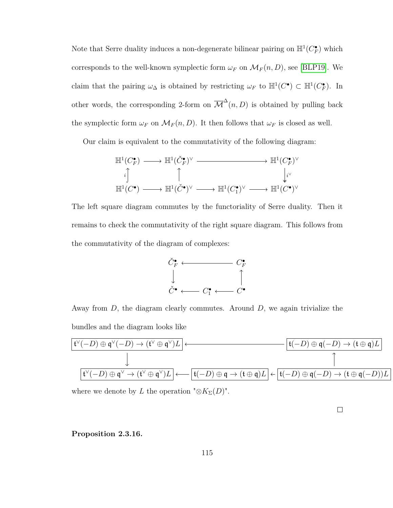Note that Serre duality induces a non-degenerate bilinear pairing on  $\mathbb{H}^1(C_F^{\bullet})$  which corresponds to the well-known symplectic form  $\omega_F$  on  $\mathcal{M}_F(n, D)$ , see [\[BLP19\]](#page-155-0). We claim that the pairing  $\omega_{\Delta}$  is obtained by restricting  $\omega_F$  to  $\mathbb{H}^1(C^{\bullet}) \subset \mathbb{H}^1(C_F^{\bullet})$ . In other words, the corresponding 2-form on  $\overline{\mathcal{M}}^{\Delta}(n, D)$  is obtained by pulling back the symplectic form  $\omega_F$  on  $\mathcal{M}_F(n, D)$ . It then follows that  $\omega_F$  is closed as well.

Our claim is equivalent to the commutativity of the following diagram:

$$
\mathbb{H}^1(C_F^{\bullet}) \longrightarrow \mathbb{H}^1(\check{C}_F^{\bullet})^{\vee} \longrightarrow \mathbb{H}^1(C_F^{\bullet})^{\vee}
$$
\n
$$
\downarrow \downarrow^{\vee}
$$
\n
$$
\mathbb{H}^1(C^{\bullet}) \longrightarrow \mathbb{H}^1(\check{C}^{\bullet})^{\vee} \longrightarrow \mathbb{H}^1(C_1^{\bullet})^{\vee} \longrightarrow \mathbb{H}^1(C^{\bullet})^{\vee}
$$

The left square diagram commutes by the functoriality of Serre duality. Then it remains to check the commutativity of the right square diagram. This follows from the commutativity of the diagram of complexes:



Away from *D*, the diagram clearly commutes. Around *D*, we again trivialize the bundles and the diagram looks like

$$
\frac{\mathfrak{t}^{\vee}(-D) \oplus \mathfrak{q}^{\vee}(-D) \to (\mathfrak{t}^{\vee} \oplus \mathfrak{q}^{\vee})L}{\downarrow}
$$
\n
$$
\downarrow \qquad \qquad \frac{\mathfrak{t}^{\vee}(-D) \oplus \mathfrak{q}(-D) \to (\mathfrak{t} \oplus \mathfrak{q})L}{\mathfrak{t}^{\vee}(-D) \oplus \mathfrak{q}^{\vee} \to (\mathfrak{t}^{\vee} \oplus \mathfrak{q}^{\vee})L} \longleftarrow \boxed{\mathfrak{t}(-D) \oplus \mathfrak{q}(-D) \oplus \mathfrak{q}(-D) \to (\mathfrak{t} \oplus \mathfrak{q}(-D))L}
$$

where we denote by *L* the operation " $\otimes K_{\Sigma}(D)$ ".

 $\Box$ 

<span id="page-122-0"></span>**Proposition 2.3.16.**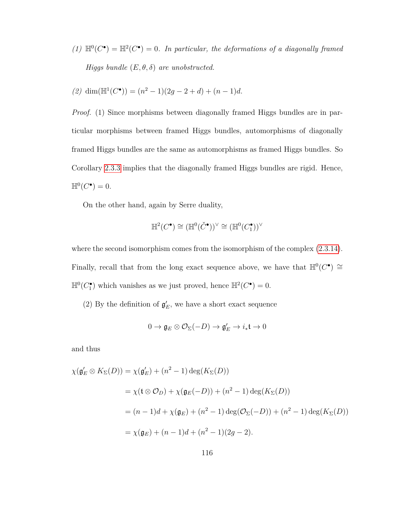(1)  $\mathbb{H}^0(C^{\bullet}) = \mathbb{H}^2(C^{\bullet}) = 0$ . In particular, the deformations of a diagonally framed *Higgs bundle* (*E, θ, δ*) *are unobstructed.*

(2) dim(
$$
\mathbb{H}^1(C^{\bullet}
$$
)) =  $(n^2 - 1)(2g - 2 + d) + (n - 1)d$ .

*Proof.* (1) Since morphisms between diagonally framed Higgs bundles are in particular morphisms between framed Higgs bundles, automorphisms of diagonally framed Higgs bundles are the same as automorphisms as framed Higgs bundles. So Corollary [2.3.3](#page-104-0) implies that the diagonally framed Higgs bundles are rigid. Hence,  $\mathbb{H}^0(C^{\bullet})=0.$ 

On the other hand, again by Serre duality,

$$
\mathbb{H}^2(C^\bullet) \cong (\mathbb{H}^0(\check{C}^\bullet))^\vee \cong (\mathbb{H}^0(C_1^\bullet))^\vee
$$

where the second isomorphism comes from the isomorphism of the complex  $(2.3.14)$ . Finally, recall that from the long exact sequence above, we have that  $\mathbb{H}^0(C^{\bullet}) \cong$  $\mathbb{H}^0(C_1^{\bullet})$  which vanishes as we just proved, hence  $\mathbb{H}^2(C^{\bullet}) = 0$ .

(2) By the definition of  $\mathfrak{g}'_E$ , we have a short exact sequence

$$
0\to \mathfrak{g}_{E}\otimes \mathcal{O}_{\Sigma}(-D)\to \mathfrak{g}_{E}'\to i_{*}\mathfrak{t}\to 0
$$

and thus

$$
\chi(\mathfrak{g}'_E \otimes K_{\Sigma}(D)) = \chi(\mathfrak{g}'_E) + (n^2 - 1) \deg(K_{\Sigma}(D))
$$
  
=  $\chi(\mathfrak{t} \otimes \mathcal{O}_D) + \chi(\mathfrak{g}_E(-D)) + (n^2 - 1) \deg(K_{\Sigma}(D))$   
=  $(n - 1)d + \chi(\mathfrak{g}_E) + (n^2 - 1) \deg(\mathcal{O}_{\Sigma}(-D)) + (n^2 - 1) \deg(K_{\Sigma}(D))$   
=  $\chi(\mathfrak{g}_E) + (n - 1)d + (n^2 - 1)(2g - 2).$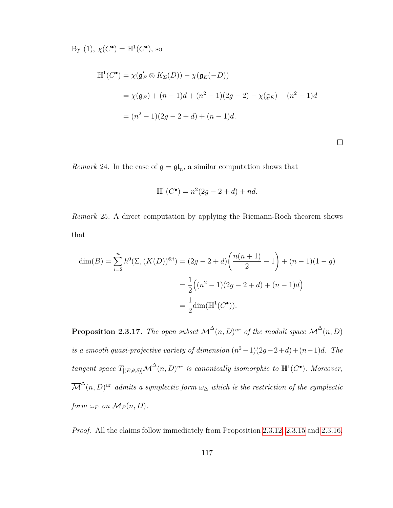By (1),  $\chi(C^{\bullet}) = \mathbb{H}^{1}(C^{\bullet}),$  so

$$
\mathbb{H}^{1}(C^{\bullet}) = \chi(\mathfrak{g}'_{E} \otimes K_{\Sigma}(D)) - \chi(\mathfrak{g}_{E}(-D))
$$
  
=  $\chi(\mathfrak{g}_{E}) + (n - 1)d + (n^{2} - 1)(2g - 2) - \chi(\mathfrak{g}_{E}) + (n^{2} - 1)d$   
=  $(n^{2} - 1)(2g - 2 + d) + (n - 1)d$ .

 $\Box$ 

*Remark* 24. In the case of  $\mathfrak{g} = \mathfrak{gl}_n$ , a similar computation shows that

$$
\mathbb{H}^{1}(C^{\bullet}) = n^{2}(2g - 2 + d) + nd.
$$

<span id="page-124-0"></span>*Remark* 25*.* A direct computation by applying the Riemann-Roch theorem shows that

$$
\dim(B) = \sum_{i=2}^{n} h^{0}(\Sigma, (K(D))^{\otimes i}) = (2g - 2 + d) \left( \frac{n(n+1)}{2} - 1 \right) + (n-1)(1-g)
$$

$$
= \frac{1}{2} \left( (n^{2} - 1)(2g - 2 + d) + (n - 1)d \right)
$$

$$
= \frac{1}{2} \dim(\mathbb{H}^{1}(C^{\bullet})).
$$

**Proposition 2.3.17.** The open subset  $\overline{\mathcal{M}}^{\Delta}(n, D)^{ur}$  of the moduli space  $\overline{\mathcal{M}}^{\Delta}(n, D)$ *is a smooth quasi-projective variety of dimension*  $(n^2-1)(2g-2+d)+(n-1)d$ *. The tangent space*  $T_{[(E,\theta,\delta)]} \overline{\mathcal{M}}^{\Delta}(n,D)^{ur}$  *is canonically isomorphic to*  $\mathbb{H}^1(C^{\bullet})$ *. Moreover,*  $\overline{\mathcal{M}}^{\Delta}(n,D)^{ur}$  *admits a symplectic form*  $\omega_{\Delta}$  *which is the restriction of the symplectic form*  $\omega_F$  *on*  $\mathcal{M}_F(n, D)$ *.* 

*Proof.* All the claims follow immediately from Proposition [2.3.12,](#page-117-0) [2.3.15](#page-121-0) and [2.3.16.](#page-122-0)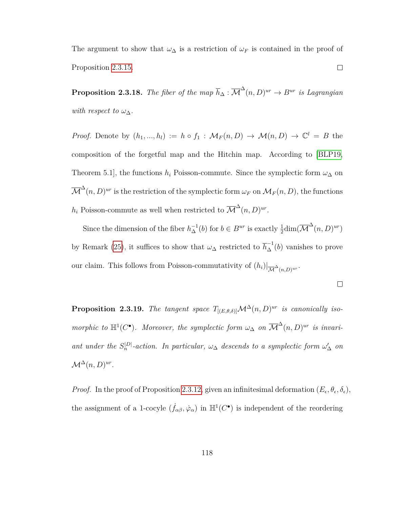The argument to show that  $\omega_{\Delta}$  is a restriction of  $\omega_F$  is contained in the proof of Proposition [2.3.15.](#page-121-0)  $\Box$ 

<span id="page-125-0"></span>**Proposition 2.3.18.** *The fiber of the map*  $\overline{h}_{\Delta} : \overline{\mathcal{M}}^{\Delta}(n, D)^{ur} \rightarrow B^{ur}$  *is Lagrangian with respect to*  $\omega_{\Delta}$ *.* 

*Proof.* Denote by  $(h_1, ..., h_l) := h \circ f_1 : \mathcal{M}_F(n, D) \to \mathcal{M}(n, D) \to \mathbb{C}^l = B$  the composition of the forgetful map and the Hitchin map. According to [\[BLP19,](#page-155-0) Theorem 5.1], the functions  $h_i$  Poisson-commute. Since the symplectic form  $\omega_{\Delta}$  on  $\overline{\mathcal{M}}^{\Delta}(n, D)^{ur}$  is the restriction of the symplectic form  $\omega_F$  on  $\mathcal{M}_F(n, D)$ , the functions  $h_i$  Poisson-commute as well when restricted to  $\overline{\mathcal{M}}^{\Delta}(n, D)^{ur}$ .

Since the dimension of the fiber  $h_{\Delta}^{-1}(b)$  for  $b \in B^{ur}$  is exactly  $\frac{1}{2}dim(\overline{\mathcal{M}}^{\Delta}(n, D)^{ur})$ by Remark [\(25\)](#page-124-0), it suffices to show that  $\omega_{\Delta}$  restricted to  $\overline{h}_{\Delta}^{-1}(b)$  vanishes to prove our claim. This follows from Poisson-commutativity of  $(h_i)|_{\overline{\mathcal{M}}^{\Delta}(n,D)^{ur}}$ .

 $\Box$ 

**Proposition 2.3.19.** *The tangent space*  $T_{[(E,\theta,\delta)]}\mathcal{M}^{\Delta}(n,D)^{ur}$  *is canonically isomorphic to*  $\mathbb{H}^1(C^{\bullet})$ *. Moreover, the symplectic form*  $\omega_{\Delta}$  *on*  $\overline{\mathcal{M}}^{\Delta}(n, D)^{ur}$  *is invariant under the*  $S_n^{|D|}$ -action. In particular,  $\omega_{\Delta}$  descends to a symplectic form  $\omega'_{\Delta}$  on  $\mathcal{M}^{\Delta}(n, D)^{ur}.$ 

*Proof.* In the proof of Proposition 2.3.[12,](#page-117-0) given an infinitesimal deformation  $(E_{\epsilon}, \theta_{\epsilon}, \delta_{\epsilon})$ , the assignment of a 1-cocyle  $(\dot{f}_{\alpha\beta}, \dot{\varphi}_\alpha)$  in  $\mathbb{H}^1(C^{\bullet})$  is independent of the reordering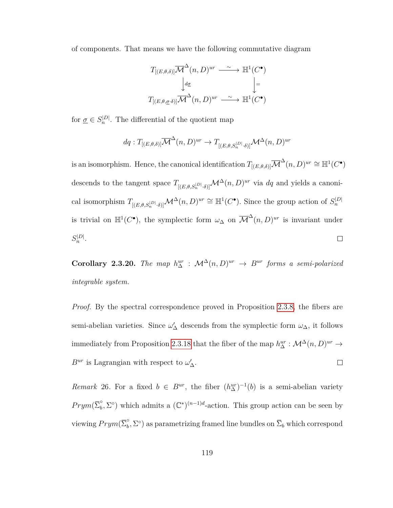of components. That means we have the following commutative diagram

$$
T_{[(E,\theta,\delta)]}\overline{\mathcal{M}}^{\Delta}(n,D)^{ur} \xrightarrow{\sim} \mathbb{H}^{1}(C^{\bullet})
$$

$$
\downarrow d\underline{\sigma} \qquad \qquad \downarrow \equiv
$$

$$
T_{[(E,\theta,\underline{\sigma}\cdot\delta)]}\overline{\mathcal{M}}^{\Delta}(n,D)^{ur} \xrightarrow{\sim} \mathbb{H}^{1}(C^{\bullet})
$$

for  $\underline{\sigma} \in S_n^{|D|}$ . The differential of the quotient map

$$
dq: T_{[(E,\theta,\delta)]}\overline{\mathcal{M}}^{\Delta}(n,D)^{ur} \to T_{[(E,\theta,S_n^{|D|}\cdot\delta)]}\mathcal{M}^{\Delta}(n,D)^{ur}
$$

is an isomorphism. Hence, the canonical identification  $T_{[(E,\theta,\delta)]}\overline{\mathcal{M}}^{\Delta}(n,D)^{ur}\cong \mathbb{H}^1(C^{\bullet})$ descends to the tangent space  $T_{[(E,\theta,S_n^{|D|}\cdot\delta)]}\mathcal{M}^{\Delta}(n,D)^{ur}$  via dq and yields a canonical isomorphism  $T_{[(E,\theta,S_n^{|D|}\cdot\delta)]}\mathcal{M}^{\Delta}(n,D)^{ur} \cong \mathbb{H}^1(C^{\bullet})$ . Since the group action of  $S_n^{|D|}$ is trivial on  $\mathbb{H}^1(C^{\bullet})$ , the symplectic form  $\omega_{\Delta}$  on  $\overline{\mathcal{M}}^{\Delta}(n, D)^{ur}$  is invariant under  $S_n^{|D|}$ .  $\Box$ 

**Corollary 2.3.20.** *The map*  $h_{\Delta}^{ur}$  :  $\mathcal{M}^{\Delta}(n, D)^{ur} \rightarrow B^{ur}$  forms a semi-polarized *integrable system.*

*Proof.* By the spectral correspondence proved in Proposition [2.3.8,](#page-111-0) the fibers are semi-abelian varieties. Since  $\omega'_{\Delta}$  descends from the symplectic form  $\omega_{\Delta}$ , it follows immediately from Proposition [2.3.18](#page-125-0) that the fiber of the map  $h_{\Delta}^{ur}: \mathcal{M}^{\Delta}(n, D)^{ur} \to$  $B^{ur}$  is Lagrangian with respect to  $\omega'_{\Delta}$ .  $\Box$ 

*Remark* 26. For a fixed  $b \in B^{ur}$ , the fiber  $(h_{\Delta}^{ur})^{-1}(b)$  is a semi-abelian variety  $Prym(\overline{\Sigma}_{b}^{\circ})$  $\int_b^{\circ}$ ,  $\Sigma^{\circ}$ ) which admits a  $(\mathbb{C}^*)^{(n-1)d}$ -action. This group action can be seen by viewing  $Prym(\overline{\Sigma}_{b}^{\circ})$  $\sum_b$ ,  $\Sigma$ <sup>o</sup>) as parametrizing framed line bundles on  $\overline{\Sigma}_b$  which correspond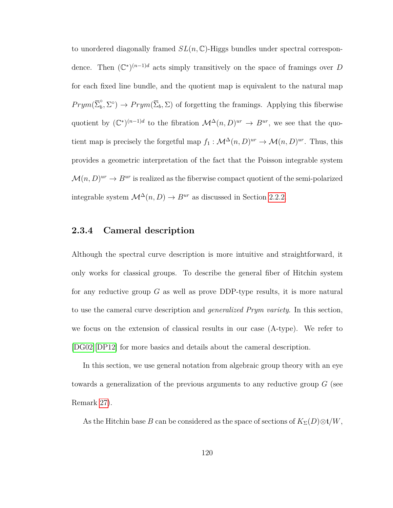to unordered diagonally framed *SL*(*n,* C)-Higgs bundles under spectral correspondence. Then  $(\mathbb{C}^*)^{(n-1)d}$  acts simply transitively on the space of framings over *D* for each fixed line bundle, and the quotient map is equivalent to the natural map  $Prym(\overline{\Sigma}_{b}^{\circ})$  $\phi_b^{\circ}, \Sigma^{\circ}$ )  $\rightarrow Prym(\overline{\Sigma}_b, \Sigma)$  of forgetting the framings. Applying this fiberwise quotient by  $(\mathbb{C}^*)^{(n-1)d}$  to the fibration  $\mathcal{M}^{\Delta}(n, D)^{ur} \to B^{ur}$ , we see that the quotient map is precisely the forgetful map  $f_1: \mathcal{M}^{\Delta}(n, D)^{ur} \to \mathcal{M}(n, D)^{ur}$ . Thus, this provides a geometric interpretation of the fact that the Poisson integrable system  $\mathcal{M}(n, D)^{ur} \to B^{ur}$  is realized as the fiberwise compact quotient of the semi-polarized integrable system  $\mathcal{M}^\Delta(n,D) \to B^{ur}$  as discussed in Section [2.2.2.](#page-99-0)

## **2.3.4 Cameral description**

Although the spectral curve description is more intuitive and straightforward, it only works for classical groups. To describe the general fiber of Hitchin system for any reductive group *G* as well as prove DDP-type results, it is more natural to use the cameral curve description and *generalized Prym variety*. In this section, we focus on the extension of classical results in our case (A-type). We refer to [\[DG02\]](#page-156-0)[\[DP12\]](#page-157-0) for more basics and details about the cameral description.

In this section, we use general notation from algebraic group theory with an eye towards a generalization of the previous arguments to any reductive group *G* (see Remark [27\)](#page-129-0).

As the Hitchin base *B* can be considered as the space of sections of  $K_{\Sigma}(D) \otimes \mathfrak{t}/W$ ,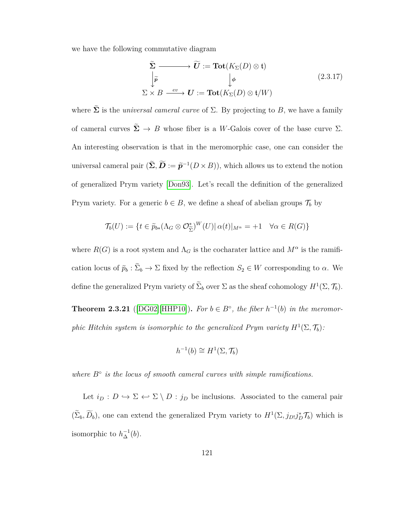we have the following commutative diagram

$$
\sum_{i=1}^{\infty} \longrightarrow \widetilde{U} := \text{Tot}(K_{\Sigma}(D) \otimes \mathfrak{t})
$$
\n
$$
\downarrow \widetilde{p} \qquad \qquad \downarrow \phi \qquad (2.3.17)
$$
\n
$$
\Sigma \times B \xrightarrow{ev} U := \text{Tot}(K_{\Sigma}(D) \otimes \mathfrak{t}/W)
$$

where  $\tilde{\Sigma}$  is the *universal cameral curve* of  $\Sigma$ . By projecting to *B*, we have a family of cameral curves  $\tilde{\Sigma} \rightarrow B$  whose fiber is a *W*-Galois cover of the base curve  $\Sigma$ . An interesting observation is that in the meromorphic case, one can consider the universal cameral pair  $(\widetilde{\Sigma}, \widetilde{D} := \widetilde{p}^{-1}(D \times B))$ , which allows us to extend the notion of generalized Prym variety [\[Don93\]](#page-157-1). Let's recall the definition of the generalized Prym variety. For a generic  $b \in B$ , we define a sheaf of abelian groups  $\mathcal{T}_b$  by

$$
\mathcal{T}_{b}(U) := \{ t \in \widetilde{p}_{b*}(\Lambda_G \otimes \mathcal{O}_{\widetilde{\Sigma}}^*)^W(U) | \alpha(t) |_{M^{\alpha}} = +1 \quad \forall \alpha \in R(G) \}
$$

where  $R(G)$  is a root system and  $\Lambda_G$  is the cocharater lattice and  $M^{\alpha}$  is the ramification locus of  $\tilde{p}_b : \Sigma_b \to \Sigma$  fixed by the reflection  $S_2 \in W$  corresponding to *α*. We define the generalized Prym variety of  $\tilde{\Sigma}_b$  over  $\Sigma$  as the sheaf cohomology  $H^1(\Sigma, \mathcal{T}_b)$ .

**Theorem 2.3.21** ([\[DG02\]](#page-156-0)[\[HHP10\]](#page-158-0)). For  $b \in B^{\circ}$ , the fiber  $h^{-1}(b)$  in the meromor*phic Hitchin system is isomorphic to the generalized Prym variety*  $H^1(\Sigma, \mathcal{T}_b)$ :

$$
h^{-1}(b) \cong H^1(\Sigma, \mathcal{T}_b)
$$

*where B*◦ *is the locus of smooth cameral curves with simple ramifications.*

Let  $i_D: D \hookrightarrow \Sigma \hookleftarrow \Sigma \setminus D : j_D$  be inclusions. Associated to the cameral pair  $(\tilde{\Sigma}_b, \tilde{D}_b)$ , one can extend the generalized Prym variety to  $H^1(\Sigma, j_{D!}j_D^*\mathcal{T}_b)$  which is isomorphic to  $h_{\Delta}^{-1}(b)$ .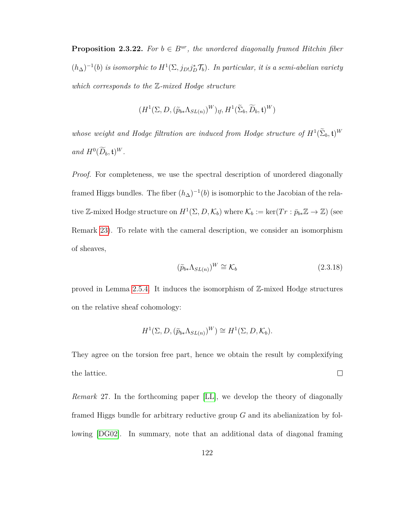**Proposition 2.3.22.** For  $b \in B^{ur}$ , the unordered diagonally framed Hitchin fiber  $(h_{\Delta})^{-1}(b)$  *is isomorphic to*  $H^1(\Sigma, j_{D!}j_D^*\mathcal{T}_b)$ *. In particular, it is a semi-abelian variety which corresponds to the* Z*-mixed Hodge structure*

$$
(H^1(\Sigma, D, (\widetilde{p}_{b*}\Lambda_{SL(n)})^W)_{tf}, H^1(\widetilde{\Sigma}_b, \widetilde{D}_b, \mathfrak{t})^W)
$$

*whose weight and Hodge filtration are induced from Hodge structure of*  $H^1(\tilde{\Sigma}_b, \mathfrak{t})^W$  $and H^0(D_b, \mathfrak{t})^W$ .

*Proof.* For completeness, we use the spectral description of unordered diagonally framed Higgs bundles. The fiber  $(h_{\Delta})^{-1}(b)$  is isomorphic to the Jacobian of the relative Z-mixed Hodge structure on  $H^1(\Sigma, D, \mathcal{K}_b)$  where  $\mathcal{K}_b := \ker(Tr : \bar{p}_{b*}\mathbb{Z} \to \mathbb{Z})$  (see Remark [23\)](#page-115-0). To relate with the cameral description, we consider an isomorphism of sheaves,

$$
(\widetilde{p}_{b*}\Lambda_{SL(n)})^W \cong \mathcal{K}_b \tag{2.3.18}
$$

proved in Lemma [2.5.4.](#page-146-0) It induces the isomorphism of Z-mixed Hodge structures on the relative sheaf cohomology:

$$
H^{1}(\Sigma, D, (\widetilde{p}_{b*}\Lambda_{SL(n)})^{W}) \cong H^{1}(\Sigma, D, \mathcal{K}_{b}).
$$

They agree on the torsion free part, hence we obtain the result by complexifying the lattice.  $\Box$ 

<span id="page-129-0"></span>*Remark* 27*.* In the forthcoming paper [\[LL\]](#page-160-1), we develop the theory of diagonally framed Higgs bundle for arbitrary reductive group *G* and its abelianization by following [\[DG02\]](#page-156-0). In summary, note that an additional data of diagonal framing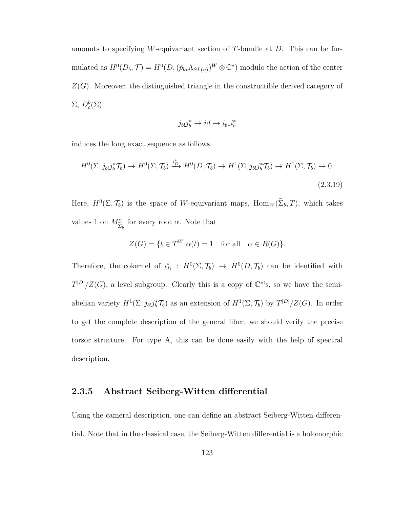amounts to specifying *W*-equivariant section of *T*-bundle at *D*. This can be formulated as  $H^0(D_b, \mathcal{T}) = H^0(D, (\widetilde{p}_{b*} \Lambda_{SL(n)})^W \otimes \mathbb{C}^*)$  modulo the action of the center *Z*(*G*). Moreover, the distinguished triangle in the constructible derived category of  $\Sigma, D_c^b(\Sigma)$ 

$$
j_{b!}j_b^*\to id\to i_{b*}i_b^*
$$

induces the long exact sequence as follows

$$
H^{0}(\Sigma, j_{b!}j_{b}^{*}\mathcal{T}_{b}) \to H^{0}(\Sigma, \mathcal{T}_{b}) \xrightarrow{i_{D}^{*}} H^{0}(D, \mathcal{T}_{b}) \to H^{1}(\Sigma, j_{b!}j_{b}^{*}\mathcal{T}_{b}) \to H^{1}(\Sigma, \mathcal{T}_{b}) \to 0.
$$
\n(2.3.19)

Here,  $H^0(\Sigma, \mathcal{T}_b)$  is the space of *W*-equivariant maps,  $\text{Hom}_W(\Sigma_b, T)$ , which takes values 1 on *M<sup>α</sup>*  $\Sigma_b$ for every root *α*. Note that

$$
Z(G) = \{ t \in T^W | \alpha(t) = 1 \text{ for all } \alpha \in R(G) \}.
$$

Therefore, the cokernel of  $i_D^*$ :  $H^0(\Sigma, \mathcal{T}_b) \to H^0(D, \mathcal{T}_b)$  can be identified with  $T^{|D|}/Z(G)$ , a level subgroup. Clearly this is a copy of  $\mathbb{C}^*$ 's, so we have the semiabelian variety  $H^1(\Sigma, j_{b!}j_b^*\mathcal{T}_b)$  as an extension of  $H^1(\Sigma, \mathcal{T}_b)$  by  $T^{|D|}/Z(G)$ . In order to get the complete description of the general fiber, we should verify the precise torsor structure. For type A, this can be done easily with the help of spectral description.

#### **2.3.5 Abstract Seiberg-Witten differential**

Using the cameral description, one can define an abstract Seiberg-Witten differential. Note that in the classical case, the Seiberg-Witten differential is a holomorphic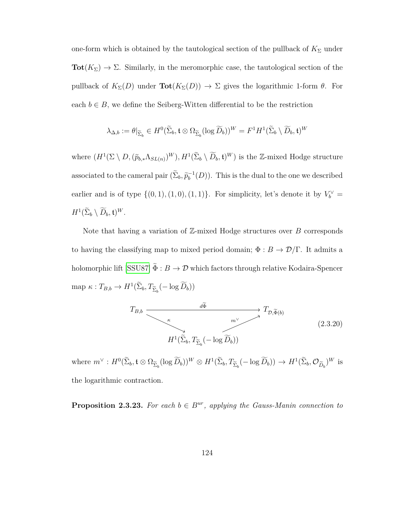one-form which is obtained by the tautological section of the pullback of  $K_{\Sigma}$  under **Tot** $(K_{\Sigma}) \to \Sigma$ . Similarly, in the meromorphic case, the tautological section of the pullback of  $K_{\Sigma}(D)$  under  $\text{Tot}(K_{\Sigma}(D)) \to \Sigma$  gives the logarithmic 1-form  $\theta$ . For each  $b \in B$ , we define the Seiberg-Witten differential to be the restriction

$$
\lambda_{\Delta,b} := \theta|_{\widetilde{\Sigma}_b} \in H^0(\widetilde{\Sigma}_b, \mathfrak{t} \otimes \Omega_{\widetilde{\Sigma}_b}(\log \widetilde{D}_b))^W = F^1 H^1(\widetilde{\Sigma}_b \setminus \widetilde{D}_b, \mathfrak{t})^W
$$

where  $(H^1(\Sigma \setminus D, (\tilde{p}_{b,*}\Lambda_{SL(n)})^W), H^1(\tilde{\Sigma}_b \setminus \widetilde{D}_b, \mathfrak{t})^W)$  is the Z-mixed Hodge structure associated to the cameral pair  $(\tilde{\Sigma}_b, \tilde{p}_b^{-1}(D))$ . This is the dual to the one we described earlier and is of type  $\{(0,1), (1,0), (1,1)\}$ . For simplicity, let's denote it by  $V_b^{\vee}$  =  $H^1(\widetilde{\Sigma}_b\setminus \widetilde{D}_b, \mathfrak{t})^W.$ 

Note that having a variation of Z-mixed Hodge structures over *B* corresponds to having the classifying map to mixed period domain;  $\Phi : B \to \mathcal{D}/\Gamma$ . It admits a holomorphic lift [\[SSU87\]](#page-162-0)  $\tilde{\Phi}:B\to \mathcal{D}$  which factors through relative Kodaira-Spencer  $\text{map } \kappa : T_{B,b} \to H^1(\Sigma_b, T_{\widetilde{\Sigma}_b}(-\log \widetilde{D}_b))$ 

<span id="page-131-0"></span>
$$
T_{B,b} \xrightarrow{\overbrace{\overbrace{\overbrace{\overbrace{\overline{A}}^{k}}^{k}}}} T_{\mathcal{D}, \widetilde{\Phi}(b)} T_{\mathcal{D}, \widetilde{\Phi}(b)}
$$
\n
$$
H^{1}(\widetilde{\Sigma}_{b}, T_{\widetilde{\Sigma}_{b}}(-\log \widetilde{D}_{b}))
$$
\n
$$
(2.3.20)
$$

where  $m^{\vee}: H^0(\tilde{\Sigma}_b, \mathfrak{t} \otimes \Omega_{\widetilde{\Sigma}_b}(\log \tilde{D}_b))^W \otimes H^1(\tilde{\Sigma}_b, T_{\widetilde{\Sigma}_b}(-\log \tilde{D}_b)) \to H^1(\tilde{\Sigma}_b, \mathcal{O}_{\widetilde{D}_b})^W$  is the logarithmic contraction.

**Proposition 2.3.23.** For each  $b \in B^{ur}$ , applying the Gauss-Manin connection to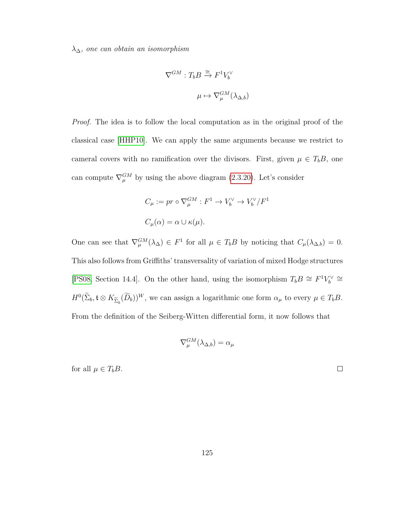*λ*∆*, one can obtain an isomorphism*

$$
\nabla^{GM} : T_b B \xrightarrow{\cong} F^1 V_b^{\vee}
$$

$$
\mu \mapsto \nabla_{\mu}^{GM} (\lambda_{\Delta, b})
$$

*Proof.* The idea is to follow the local computation as in the original proof of the classical case [\[HHP10\]](#page-158-0). We can apply the same arguments because we restrict to cameral covers with no ramification over the divisors. First, given  $\mu \in T_b B$ , one can compute  $\nabla_{\mu}^{GM}$  by using the above diagram [\(2.3.20\)](#page-131-0). Let's consider

$$
C_{\mu} := pr \circ \nabla_{\mu}^{GM} : F^{1} \to V_{b}^{\vee} \to V_{b}^{\vee}/F^{1}
$$
  

$$
C_{\mu}(\alpha) = \alpha \cup \kappa(\mu).
$$

One can see that  $\nabla_{\mu}^{GM}(\lambda_{\Delta}) \in F^1$  for all  $\mu \in T_bB$  by noticing that  $C_{\mu}(\lambda_{\Delta,b}) = 0$ . This also follows from Griffiths' transversality of variation of mixed Hodge structures [\[PS08,](#page-161-0) Section 14.4]. On the other hand, using the isomorphism  $T_bB \cong F^1V_b^{\vee} \cong$  $H^0(\Sigma_b, \mathfrak{t} \otimes K_{\widetilde{\Sigma}_b}(\widetilde{D}_b))^W$ , we can assign a logarithmic one form  $\alpha_\mu$  to every  $\mu \in T_bB$ . From the definition of the Seiberg-Witten differential form, it now follows that

$$
\nabla_{\mu}^{GM}(\lambda_{\Delta,b})=\alpha_{\mu}
$$

for all  $\mu \in T_bB$ .

 $\Box$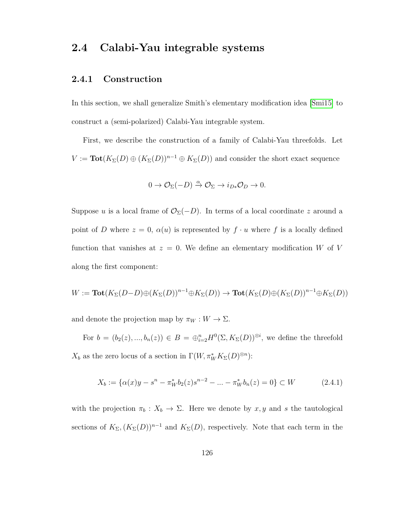# **2.4 Calabi-Yau integrable systems**

### **2.4.1 Construction**

In this section, we shall generalize Smith's elementary modification idea [\[Smi15\]](#page-162-1) to construct a (semi-polarized) Calabi-Yau integrable system.

First, we describe the construction of a family of Calabi-Yau threefolds. Let  $V := \text{Tot}(K_{\Sigma}(D) \oplus (K_{\Sigma}(D))^{n-1} \oplus K_{\Sigma}(D))$  and consider the short exact sequence

$$
0 \to \mathcal{O}_{\Sigma}(-D) \xrightarrow{\alpha} \mathcal{O}_{\Sigma} \to i_{D*} \mathcal{O}_D \to 0.
$$

Suppose *u* is a local frame of  $\mathcal{O}_{\Sigma}(-D)$ . In terms of a local coordinate *z* around a point of *D* where  $z = 0$ ,  $\alpha(u)$  is represented by  $f \cdot u$  where f is a locally defined function that vanishes at  $z = 0$ . We define an elementary modification *W* of *V* along the first component:

$$
W := \textbf{Tot}(K_{\Sigma}(D-D) \oplus (K_{\Sigma}(D))^{n-1} \oplus K_{\Sigma}(D)) \to \textbf{Tot}(K_{\Sigma}(D) \oplus (K_{\Sigma}(D))^{n-1} \oplus K_{\Sigma}(D))
$$

and denote the projection map by  $\pi_W : W \to \Sigma$ .

For  $b = (b_2(z), ..., b_n(z)) \in B = \bigoplus_{i=2}^n H^0(\Sigma, K_{\Sigma}(D))^{\otimes i}$ , we define the threefold  $X_b$  as the zero locus of a section in  $\Gamma(W, \pi^*_{W} K_{\Sigma}(D)^{\otimes n})$ :

<span id="page-133-0"></span>
$$
X_b := \{ \alpha(x)y - s^n - \pi_W^* b_2(z)s^{n-2} - \dots - \pi_W^* b_n(z) = 0 \} \subset W \tag{2.4.1}
$$

with the projection  $\pi_b : X_b \to \Sigma$ . Here we denote by  $x, y$  and *s* the tautological sections of  $K_{\Sigma}$ ,  $(K_{\Sigma}(D))^{n-1}$  and  $K_{\Sigma}(D)$ , respectively. Note that each term in the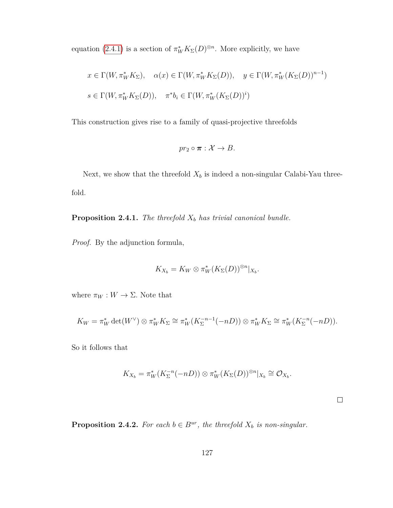equation [\(2.4.1\)](#page-133-0) is a section of  $\pi^*_{W} K_{\Sigma}(D)^{\otimes n}$ . More explicitly, we have

$$
x \in \Gamma(W, \pi_W^* K_\Sigma), \quad \alpha(x) \in \Gamma(W, \pi_W^* K_\Sigma(D)), \quad y \in \Gamma(W, \pi_W^* (K_\Sigma(D))^{n-1})
$$
  

$$
s \in \Gamma(W, \pi_W^* K_\Sigma(D)), \quad \pi^* b_i \in \Gamma(W, \pi_W^* (K_\Sigma(D))^i)
$$

This construction gives rise to a family of quasi-projective threefolds

$$
pr_2 \circ \pi : \mathcal{X} \to B.
$$

Next, we show that the threefold  $X_b$  is indeed a non-singular Calabi-Yau threefold.

**Proposition 2.4.1.** *The threefold X<sup>b</sup> has trivial canonical bundle.*

*Proof.* By the adjunction formula,

$$
K_{X_b}=K_W\otimes \pi_W^*(K_{\Sigma}(D))^{\otimes n}|_{X_b}.
$$

where  $\pi_W : W \to \Sigma$ . Note that

$$
K_W = \pi_W^* \det(W^\vee) \otimes \pi_W^* K_\Sigma \cong \pi_W^* (K_\Sigma^{-n-1}(-nD)) \otimes \pi_W^* K_\Sigma \cong \pi_W^* (K_\Sigma^{-n}(-nD)).
$$

So it follows that

$$
K_{X_b} = \pi_W^* (K_{\Sigma}^{-n} (-nD)) \otimes \pi_W^* (K_{\Sigma}(D))^{\otimes n} |_{X_b} \cong \mathcal{O}_{X_b}.
$$

 $\Box$ 

**Proposition 2.4.2.** *For each*  $b \in B^{ur}$ *, the threefold*  $X_b$  *is non-singular.*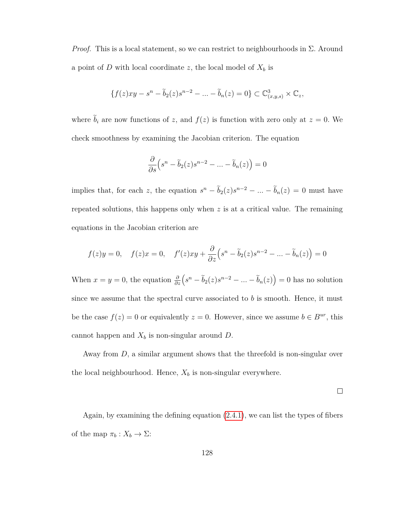*Proof.* This is a local statement, so we can restrict to neighbourhoods in Σ*.* Around a point of  $D$  with local coordinate  $z$ , the local model of  $X_b$  is

$$
\{f(z)xy - s^n - \widetilde{b}_2(z)s^{n-2} - \dots - \widetilde{b}_n(z) = 0\} \subset \mathbb{C}^3_{(x,y,s)} \times \mathbb{C}_z,
$$

where  $\tilde{b}_i$  are now functions of *z*, and  $f(z)$  is function with zero only at  $z = 0$ . We check smoothness by examining the Jacobian criterion. The equation

$$
\frac{\partial}{\partial s} (s^n - \tilde{b}_2(z)s^{n-2} - \dots - \tilde{b}_n(z)) = 0
$$

implies that, for each *z*, the equation  $s^n - \tilde{b}_2(z)s^{n-2} - \dots - \tilde{b}_n(z) = 0$  must have repeated solutions, this happens only when *z* is at a critical value. The remaining equations in the Jacobian criterion are

$$
f(z)y = 0, \quad f(z)x = 0, \quad f'(z)xy + \frac{\partial}{\partial z}(s^n - \tilde{b}_2(z)s^{n-2} - \dots - \tilde{b}_n(z)) = 0
$$

When  $x = y = 0$ , the equation  $\frac{\partial}{\partial z} \left( s^n - \tilde{b}_2(z) s^{n-2} - \dots - \tilde{b}_n(z) \right) = 0$  has no solution since we assume that the spectral curve associated to *b* is smooth. Hence, it must be the case  $f(z) = 0$  or equivalently  $z = 0$ . However, since we assume  $b \in B^{ur}$ , this cannot happen and  $X_b$  is non-singular around  $D$ .

Away from *D*, a similar argument shows that the threefold is non-singular over the local neighbourhood. Hence,  $X_b$  is non-singular everywhere.

 $\Box$ 

Again, by examining the defining equation [\(2.4.1\)](#page-133-0), we can list the types of fibers of the map  $\pi_b: X_b \to \Sigma$ :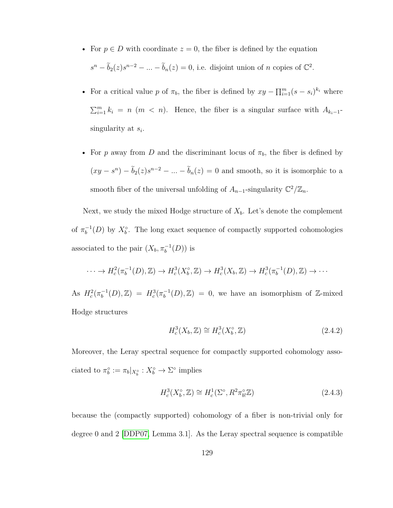- For  $p \in D$  with coordinate  $z = 0$ , the fiber is defined by the equation  $s^{n} - \tilde{b}_{2}(z)s^{n-2} - \ldots - \tilde{b}_{n}(z) = 0$ , i.e. disjoint union of *n* copies of  $\mathbb{C}^{2}$ .
- For a critical value *p* of  $\pi_b$ , the fiber is defined by  $xy \prod_{i=1}^m (s s_i)^{k_i}$  where  $\sum_{i=1}^{m} k_i = n \ (m \ < n)$ . Hence, the fiber is a singular surface with  $A_{k_i-1}$ singularity at *s<sup>i</sup>* .
- For *p* away from *D* and the discriminant locus of  $\pi_b$ , the fiber is defined by  $(xy - s^n) - \tilde{b}_2(z)s^{n-2} - \ldots - \tilde{b}_n(z) = 0$  and smooth, so it is isomorphic to a smooth fiber of the universal unfolding of  $A_{n-1}$ -singularity  $\mathbb{C}^2/\mathbb{Z}_n$ .

Next, we study the mixed Hodge structure of  $X_b$ . Let's denote the complement of  $\pi_b^{-1}(D)$  by  $X_b^{\circ}$ . The long exact sequence of compactly supported cohomologies associated to the pair  $(X_b, \pi_b^{-1}(D))$  is

$$
\cdots \to H_c^2(\pi_b^{-1}(D), \mathbb{Z}) \to H_c^3(X_b^{\circ}, \mathbb{Z}) \to H_c^3(X_b, \mathbb{Z}) \to H_c^3(\pi_b^{-1}(D), \mathbb{Z}) \to \cdots
$$

As  $H_c^2(\pi_b^{-1}(D), \mathbb{Z}) = H_c^3(\pi_b^{-1}(D), \mathbb{Z}) = 0$ , we have an isomorphism of Z-mixed Hodge structures

<span id="page-136-0"></span>
$$
H_c^3(X_b, \mathbb{Z}) \cong H_c^3(X_b^\circ, \mathbb{Z}) \tag{2.4.2}
$$

Moreover, the Leray spectral sequence for compactly supported cohomology associated to  $\pi_b^{\circ} := \pi_b |_{X_b^{\circ}} : X_b^{\circ} \to \Sigma^{\circ}$  implies

$$
H_c^3(X_b^\circ, \mathbb{Z}) \cong H_c^1(\Sigma^\circ, R^2 \pi_b^\circ, \mathbb{Z}) \tag{2.4.3}
$$

because the (compactly supported) cohomology of a fiber is non-trivial only for degree 0 and 2 [\[DDP07,](#page-155-2) Lemma 3.1]. As the Leray spectral sequence is compatible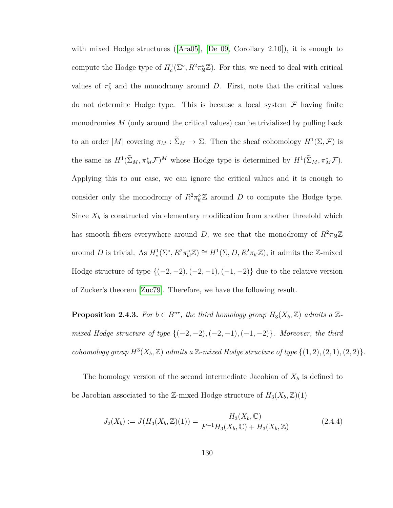with mixed Hodge structures ([\[Ara05\]](#page-153-0), [\[De 09,](#page-156-1) Corollary 2.10]), it is enough to compute the Hodge type of  $H_c^1(\Sigma^{\circ}, R^2 \pi_{b}^{\circ} \mathbb{Z})$ . For this, we need to deal with critical values of  $\pi_b^{\circ}$  and the monodromy around *D*. First, note that the critical values do not determine Hodge type. This is because a local system  $\mathcal F$  having finite monodromies *M* (only around the critical values) can be trivialized by pulling back to an order  $|M|$  covering  $\pi_M : \tilde{\Sigma}_M \to \Sigma$ . Then the sheaf cohomology  $H^1(\Sigma, \mathcal{F})$  is the same as  $H^1(\tilde{\Sigma}_M, \pi_M^* \mathcal{F})^M$  whose Hodge type is determined by  $H^1(\tilde{\Sigma}_M, \pi_M^* \mathcal{F})$ . Applying this to our case, we can ignore the critical values and it is enough to consider only the monodromy of  $R^2 \pi_{bl}^{\circ} \mathbb{Z}$  around *D* to compute the Hodge type. Since  $X_b$  is constructed via elementary modification from another threefold which has smooth fibers everywhere around *D*, we see that the monodromy of  $R^2 \pi_{b} \mathbb{Z}$ around *D* is trivial. As  $H_c^1(\Sigma^{\circ}, R^2 \pi_{b}^{\circ} \mathbb{Z}) \cong H^1(\Sigma, D, R^2 \pi_{b} \mathbb{Z})$ , it admits the Z-mixed Hodge structure of type {(−2*,* −2)*,*(−2*,* −1)*,*(−1*,* −2)} due to the relative version of Zucker's theorem [\[Zuc79\]](#page-162-2). Therefore, we have the following result.

**Proposition 2.4.3.** *For*  $b \in B^{ur}$ *, the third homology group*  $H_3(X_b, \mathbb{Z})$  *admits a*  $\mathbb{Z}$ *mixed Hodge structure of type* {(−2*,* −2)*,*(−2*,* −1)*,*(−1*,* −2)}*. Moreover, the third cohomology group*  $H^3(X_b, \mathbb{Z})$  *admits a*  $\mathbb{Z}$ *-mixed Hodge structure of type*  $\{(1, 2), (2, 1), (2, 2)\}.$ 

The homology version of the second intermediate Jacobian of  $X_b$  is defined to be Jacobian associated to the Z-mixed Hodge structure of  $H_3(X_b, \mathbb{Z})(1)$ 

$$
J_2(X_b) := J(H_3(X_b, \mathbb{Z})(1)) = \frac{H_3(X_b, \mathbb{C})}{F^{-1}H_3(X_b, \mathbb{C}) + H_3(X_b, \mathbb{Z})}
$$
(2.4.4)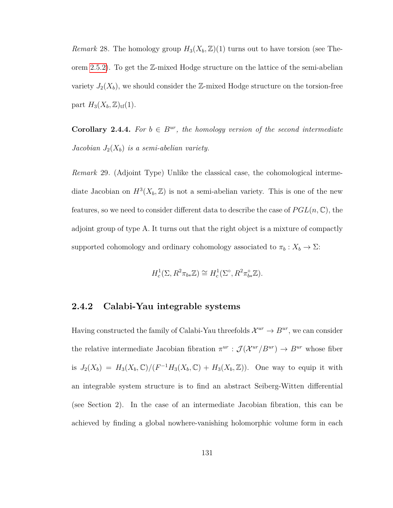*Remark* 28. The homology group  $H_3(X_b, \mathbb{Z})(1)$  turns out to have torsion (see Theorem [2.5.2\)](#page-143-0). To get the Z-mixed Hodge structure on the lattice of the semi-abelian variety  $J_2(X_b)$ , we should consider the Z-mixed Hodge structure on the torsion-free part  $H_3(X_b, \mathbb{Z})_{\text{tf}}(1)$ .

**Corollary 2.4.4.** For  $b \in B^{ur}$ , the homology version of the second intermediate *Jacobian J*2(*Xb*) *is a semi-abelian variety.*

*Remark* 29*.* (Adjoint Type) Unlike the classical case, the cohomological intermediate Jacobian on  $H^3(X_b, \mathbb{Z})$  is not a semi-abelian variety. This is one of the new features, so we need to consider different data to describe the case of *P GL*(*n,* C), the adjoint group of type A. It turns out that the right object is a mixture of compactly supported cohomology and ordinary cohomology associated to  $\pi_b: X_b \to \Sigma$ :

$$
H_c^1(\Sigma, R^2 \pi_{b*} \mathbb{Z}) \cong H_c^1(\Sigma^{\circ}, R^2 \pi_{b*}^{\circ} \mathbb{Z}).
$$

### **2.4.2 Calabi-Yau integrable systems**

Having constructed the family of Calabi-Yau threefolds  $\mathcal{X}^{ur} \to B^{ur}$ , we can consider the relative intermediate Jacobian fibration  $\pi^{ur}$  :  $\mathcal{J}(\mathcal{X}^{ur}/B^{ur}) \to B^{ur}$  whose fiber is  $J_2(X_b) = H_3(X_b, \mathbb{C})/(F^{-1}H_3(X_b, \mathbb{C}) + H_3(X_b, \mathbb{Z}))$ . One way to equip it with an integrable system structure is to find an abstract Seiberg-Witten differential (see Section 2). In the case of an intermediate Jacobian fibration, this can be achieved by finding a global nowhere-vanishing holomorphic volume form in each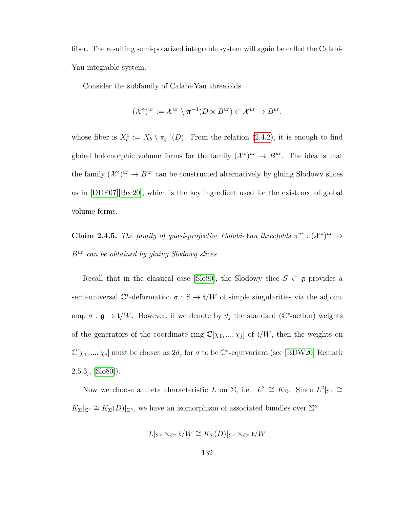fiber. The resulting semi-polarized integrable system will again be called the Calabi-Yau integrable system.

Consider the subfamily of Calabi-Yau threefolds

$$
(\mathcal{X}^{\circ})^{ur} := \mathcal{X}^{ur} \setminus \pi^{-1}(D \times B^{ur}) \subset \mathcal{X}^{ur} \to B^{ur}.
$$

whose fiber is  $X_b^{\circ} := X_b \setminus \pi_b^{-1}(D)$ . From the relation [\(2.4.2\)](#page-136-0), it is enough to find global holomorphic volume forms for the family  $({\cal X}^{\circ})^{ur} \to B^{ur}$ . The idea is that the family  $({\cal X}^{\circ})^{ur} \to B^{ur}$  can be constructed alternatively by gluing Slodowy slices as in [\[DDP07\]](#page-155-2)[\[Bec20\]](#page-154-0), which is the key ingredient used for the existence of global volume forms.

**Claim 2.4.5.** *The family of quasi-projective Calabi-Yau threefolds*  $\pi^{ur}$  :  $(\mathcal{X}^{\circ})^{ur} \rightarrow$ *Bur can be obtained by gluing Slodowy slices.*

Recall that in the classical case [\[Slo80\]](#page-161-1), the Slodowy slice  $S \subset \mathfrak{g}$  provides a semi-universal  $\mathbb{C}^*$ -deformation  $\sigma : S \to \mathfrak{t}/W$  of simple singularities via the adjoint map  $\sigma : \mathfrak{g} \to \mathfrak{t}/W$ . However, if we denote by  $d_j$  the standard ( $\mathbb{C}^*$ -action) weights of the generators of the coordinate ring  $\mathbb{C}[\chi_1, ..., \chi_j]$  of  $\mathfrak{t}/W$ , then the weights on  $\mathbb{C}[\chi_1, ..., \chi_j]$  must be chosen as  $2d_j$  for  $\sigma$  to be  $\mathbb{C}^*$ -equivariant (see [\[BDW20,](#page-154-1) Remark  $[3.5.3]$ ,  $[5.80]$ .

Now we choose a theta characteristic *L* on  $\Sigma$ , i.e.  $L^2 \cong K_{\Sigma}$ . Since  $L^2|_{\Sigma^{\circ}} \cong$  $K_{\Sigma}|_{\Sigma^{\circ}} \cong K_{\Sigma}(D)|_{\Sigma^{\circ}},$  we have an isomorphism of associated bundles over  $\Sigma^{\circ}$ 

$$
L|_{\Sigma^{\circ}} \times_{\mathbb{C}^*} \mathfrak{t}/W \cong K_{\Sigma}(D)|_{\Sigma^{\circ}} \times_{\mathbb{C}^*} \mathfrak{t}/W
$$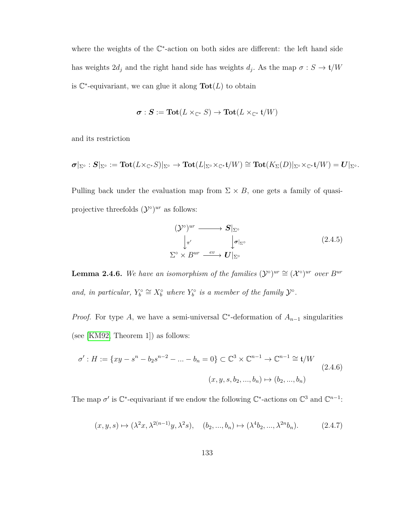where the weights of the  $\mathbb{C}^*$ -action on both sides are different: the left hand side has weights  $2d_j$  and the right hand side has weights  $d_j$ . As the map  $\sigma : S \to \mathfrak{t}/W$ is  $\mathbb{C}^*$ -equivariant, we can glue it along  $\text{Tot}(L)$  to obtain

$$
\pmb{\sigma}:\pmb{S}:=\textbf{Tot}(L\times_{\mathbb{C}^*}S)\to \textbf{Tot}(L\times_{\mathbb{C}^*}\mathfrak{t}/W)
$$

and its restriction

$$
\pmb{\sigma}|_{\Sigma^\circ}: \pmb{S}|_{\Sigma^\circ}:=\textbf{Tot}(L\times_{\mathbb{C}^*} S)|_{\Sigma^\circ}\to \textbf{Tot}(L|_{\Sigma^\circ}\times_{\mathbb{C}^*}\mathfrak{t}/W)\cong \textbf{Tot}(K_\Sigma(D)|_{\Sigma^\circ}\times_{\mathbb{C}^*}\mathfrak{t}/W)=\pmb{U}|_{\Sigma^\circ}.
$$

Pulling back under the evaluation map from  $\Sigma \times B$ , one gets a family of quasiprojective threefolds  $({\cal Y}^{\circ})^{ur}$  as follows:

$$
(\mathcal{Y}^{\circ})^{ur} \longrightarrow S|_{\Sigma^{\circ}}
$$
  
\n
$$
\downarrow_{\pi'} \qquad \qquad \downarrow_{\sigma|_{\Sigma^{\circ}}}
$$
  
\n
$$
\Sigma^{\circ} \times B^{ur} \xrightarrow{ev} U|_{\Sigma^{\circ}}
$$
  
\n(2.4.5)

**Lemma 2.4.6.** We have an isomorphism of the families  $(\mathcal{Y}^{\circ})^{ur} \cong (\mathcal{X}^{\circ})^{ur}$  over  $B^{ur}$ and, in particular,  $Y_b^{\circ} \cong X_b^{\circ}$  where  $Y_b^{\circ}$  is a member of the family  $\mathcal{Y}^{\circ}$ .

*Proof.* For type *A*, we have a semi-universal  $\mathbb{C}^*$ -deformation of  $A_{n-1}$  singularities (see [\[KM92,](#page-159-0) Theorem 1]) as follows:

$$
\sigma': H := \{xy - s^n - b_2 s^{n-2} - \dots - b_n = 0\} \subset \mathbb{C}^3 \times \mathbb{C}^{n-1} \to \mathbb{C}^{n-1} \cong \mathfrak{t}/W
$$
  

$$
(x, y, s, b_2, ..., b_n) \mapsto (b_2, ..., b_n)
$$
  
(2.4.6)

The map  $\sigma'$  is  $\mathbb{C}^*$ -equivariant if we endow the following  $\mathbb{C}^*$ -actions on  $\mathbb{C}^3$  and  $\mathbb{C}^{n-1}$ :

<span id="page-140-0"></span>
$$
(x, y, s) \mapsto (\lambda^2 x, \lambda^{2(n-1)} y, \lambda^2 s), \quad (b_2, ..., b_n) \mapsto (\lambda^4 b_2, ..., \lambda^{2n} b_n). \tag{2.4.7}
$$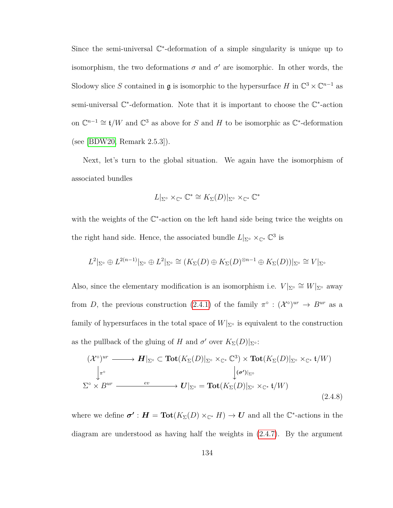Since the semi-universal  $\mathbb{C}^*$ -deformation of a simple singularity is unique up to isomorphism, the two deformations  $\sigma$  and  $\sigma'$  are isomorphic. In other words, the Slodowy slice *S* contained in **g** is isomorphic to the hypersurface *H* in  $\mathbb{C}^3 \times \mathbb{C}^{n-1}$  as semi-universal  $\mathbb{C}^*$ -deformation. Note that it is important to choose the  $\mathbb{C}^*$ -action on  $\mathbb{C}^{n-1} \cong \mathfrak{t}/W$  and  $\mathbb{C}^3$  as above for *S* and *H* to be isomorphic as  $\mathbb{C}^*$ -deformation (see [\[BDW20,](#page-154-1) Remark 2.5.3]).

Next, let's turn to the global situation. We again have the isomorphism of associated bundles

$$
L|_{\Sigma^{\circ}} \times_{\mathbb{C}^*} \mathbb{C}^* \cong K_{\Sigma}(D)|_{\Sigma^{\circ}} \times_{\mathbb{C}^*} \mathbb{C}^*
$$

with the weights of the  $\mathbb{C}^*$ -action on the left hand side being twice the weights on the right hand side. Hence, the associated bundle  $L|_{\Sigma} \times_{\mathbb{C}^*} \mathbb{C}^3$  is

$$
L^2|_{\Sigma^{\circ}} \oplus L^{2(n-1)}|_{\Sigma^{\circ}} \oplus L^2|_{\Sigma^{\circ}} \cong (K_{\Sigma}(D) \oplus K_{\Sigma}(D)^{\otimes n-1} \oplus K_{\Sigma}(D))|_{\Sigma^{\circ}} \cong V|_{\Sigma^{\circ}}
$$

Also, since the elementary modification is an isomorphism i.e.  $V|_{\Sigma} \cong W|_{\Sigma} \cong W|_{\Sigma}$  away from *D*, the previous construction [\(2.4.1\)](#page-133-0) of the family  $\pi^{\circ}$  :  $({\cal X}^{\circ})^{ur} \to B^{ur}$  as a family of hypersurfaces in the total space of  $W|_{\Sigma}$  is equivalent to the construction as the pullback of the gluing of *H* and  $\sigma'$  over  $K_{\Sigma}(D)|_{\Sigma^{\circ}}$ :

$$
(\mathcal{X}^{\circ})^{ur} \longrightarrow \mathbf{H}|_{\Sigma^{\circ}} \subset \mathbf{Tot}(K_{\Sigma}(D)|_{\Sigma^{\circ}} \times_{\mathbb{C}^*} \mathbb{C}^3) \times \mathbf{Tot}(K_{\Sigma}(D)|_{\Sigma^{\circ}} \times_{\mathbb{C}^*} \mathfrak{t}/W)
$$
  
\n
$$
\downarrow^{\tau^{\circ}} \downarrow^{\sigma'}|_{\Sigma^{\circ}}
$$
  
\n
$$
\Sigma^{\circ} \times B^{ur} \longrightarrow \mathbf{U}|_{\Sigma^{\circ}} = \mathbf{Tot}(K_{\Sigma}(D)|_{\Sigma^{\circ}} \times_{\mathbb{C}^*} \mathfrak{t}/W)
$$
  
\n
$$
(2.4.8)
$$

where we define  $\sigma' : H = \text{Tot}(K_{\Sigma}(D) \times_{\mathbb{C}^*} H) \to U$  and all the  $\mathbb{C}^*$ -actions in the diagram are understood as having half the weights in [\(2.4.7\)](#page-140-0). By the argument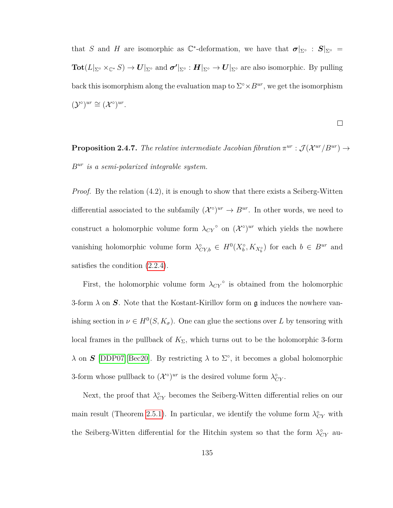that *S* and *H* are isomorphic as  $\mathbb{C}^*$ -deformation, we have that  $\sigma|_{\Sigma^{\circ}}$  :  $S|_{\Sigma^{\circ}}$  =  $\textbf{Tot}(L|_{\Sigma^{\circ}}\times_{\mathbb C^*}S)\to \bm{U}|_{\Sigma^{\circ}} \text{ and } \bm{\sigma'}|_{\Sigma^{\circ}}:\bm{H}|_{\Sigma^{\circ}}\to \bm{U}|_{\Sigma^{\circ}} \text{ are also isomorphic. By pulling}$ back this isomorphism along the evaluation map to  $\Sigma^{\circ} \times B^{ur}$ , we get the isomorphism  $(\mathcal{Y}^{\circ})^{ur} \cong (\mathcal{X}^{\circ})^{ur}.$ 

$$
\qquad \qquad \Box
$$

**Proposition 2.4.7.** *The relative intermediate Jacobian fibration*  $\pi^{ur}: \mathcal{J}(\mathcal{X}^{ur}/B^{ur}) \rightarrow$ *Bur is a semi-polarized integrable system.*

*Proof.* By the relation (4.2), it is enough to show that there exists a Seiberg-Witten differential associated to the subfamily  $({\cal X}^{\circ})^{ur} \to B^{ur}$ . In other words, we need to construct a holomorphic volume form  $\lambda_{CY}^{\circ}$  on  $({\cal X}^{\circ})^{ur}$  which yields the nowhere vanishing holomorphic volume form  $\lambda_{CY,b}^{\circ} \in H^0(X_b^{\circ}, K_{X_b^{\circ}})$  for each  $b \in B^{ur}$  and satisfies the condition [\(2.2.4\)](#page-101-0).

First, the holomorphic volume form  $\lambda_{CY}$ <sup>°</sup> is obtained from the holomorphic 3-form  $\lambda$  on  $S$ . Note that the Kostant-Kirillov form on  $\mathfrak g$  induces the nowhere vanishing section in  $\nu \in H^0(S, K_{\sigma})$ . One can glue the sections over *L* by tensoring with local frames in the pullback of  $K_{\Sigma}$ , which turns out to be the holomorphic 3-form *λ* on S [\[DDP07\]](#page-155-2)[\[Bec20\]](#page-154-0). By restricting *λ* to  $\Sigma^{\circ}$ , it becomes a global holomorphic 3-form whose pullback to  $({\cal X}^{\circ})^{ur}$  is the desired volume form  $\lambda_{CY}^{\circ}$ .

Next, the proof that  $\lambda_{CY}^{\circ}$  becomes the Seiberg-Witten differential relies on our main result (Theorem [2.5.1\)](#page-143-1). In particular, we identify the volume form  $\lambda_{CY}^{\circ}$  with the Seiberg-Witten differential for the Hitchin system so that the form  $\lambda_{CY}^{\circ}$  au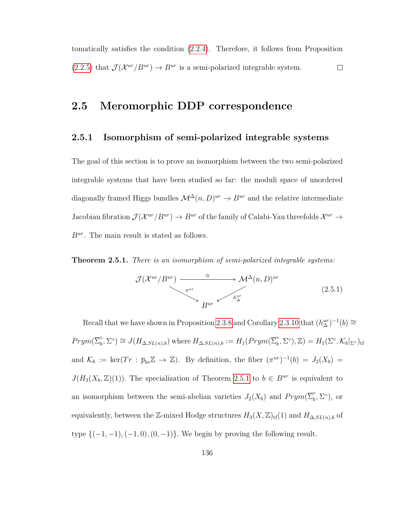tomatically satisfies the condition [\(2.2.4\)](#page-101-0). Therefore, it follows from Proposition  $(2.2.5)$  that  $\mathcal{J}(\mathcal{X}^{ur}/B^{ur}) \to B^{ur}$  is a semi-polarized integrable system.  $\Box$ 

# **2.5 Meromorphic DDP correspondence**

### **2.5.1 Isomorphism of semi-polarized integrable systems**

The goal of this section is to prove an isomorphism between the two semi-polarized integrable systems that have been studied so far: the moduli space of unordered diagonally framed Higgs bundles  $\mathcal{M}^{\Delta}(n, D)^{ur} \rightarrow B^{ur}$  and the relative intermediate Jacobian fibration  $\mathcal{J}(\mathcal{X}^{ur}/B^{ur}) \to B^{ur}$  of the family of Calabi-Yau threefolds  $\mathcal{X}^{ur} \to$ *Bur*. The main result is stated as follows.

<span id="page-143-1"></span>**Theorem 2.5.1.** *There is an isomorphism of semi-polarized integrable systems:*

$$
\mathcal{J}(\mathcal{X}^{ur}/B^{ur}) \longrightarrow \mathcal{M}^{\Delta}(n,D)^{ur}
$$
\n
$$
\downarrow^{\pi^{ur}} \downarrow^{\pi^{ur}} \downarrow^{\pi^{ur}} \downarrow^{\pi^{ur}} \downarrow^{\pi^{ur}}
$$
\n
$$
(2.5.1)
$$

<span id="page-143-0"></span>Recall that we have shown in Proposition [2.3.8](#page-111-0) and Corollary [2.3.10](#page-114-0) that  $(h_{\Delta}^{ur})^{-1}(b) \cong$  $Prym(\overline{\Sigma}_{b}^{\circ})$  $\phi$ <sup>o</sup>,  $\Sigma$ <sup>o</sup>)  $\cong J(H_{\Delta,SL(n),b})$  where  $H_{\Delta,SL(n),b} := H_1(Prym(\overline{\Sigma}_b^{\circ}))$  $\mathcal{L}_b^{\circ}, \Sigma^{\circ}), \mathbb{Z}$ ) =  $H_1(\Sigma^{\circ}, \mathcal{K}_b|_{\Sigma^{\circ}})_{\text{tf}}$ and  $\mathcal{K}_b := \ker(Tr : \overline{p}_{b*}\mathbb{Z} \to \mathbb{Z})$ . By definition, the fiber  $(\pi^{ur})^{-1}(b) = J_2(X_b) =$  $J(H_3(X_b, \mathbb{Z})(1))$ . The specialization of Theorem [2.5.1](#page-143-1) to  $b \in B^{ur}$  is equivalent to an isomorphism between the semi-abelian varieties  $J_2(X_b)$  and  $Prym(\overline{\Sigma}_b^{\circ})$  $\int_b^{\circ}$ ,  $\Sigma^{\circ}$ ), or equivalently, between the Z-mixed Hodge structures  $H_3(X, \mathbb{Z})_{\text{tf}}(1)$  and  $H_{\Delta, SL(n), b}$  of type {(−1*,* −1)*,*(−1*,* 0)*,*(0*,* −1)}*.* We begin by proving the following result.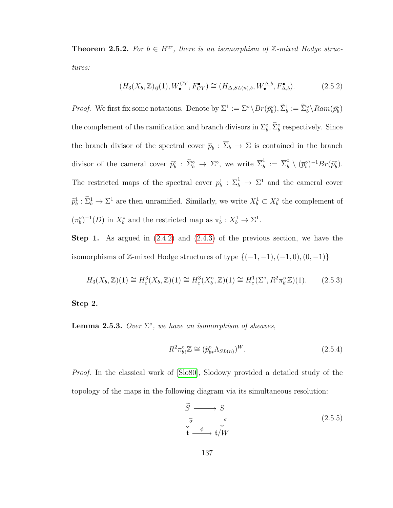**Theorem 2.5.2.** For  $b \in B^{ur}$ , there is an isomorphism of  $\mathbb{Z}$ -mixed Hodge struc*tures:*

$$
(H_3(X_b, \mathbb{Z})_{tf}(1), W_{\bullet}^{CY}, F_{CY}^{\bullet}) \cong (H_{\Delta, SL(n), b}, W_{\bullet}^{\Delta, b}, F_{\Delta, b}^{\bullet}).
$$
\n(2.5.2)

*Proof.* We first fix some notations. Denote by  $\Sigma^1 := \Sigma^{\circ} \backslash Br(\tilde{p}_b^{\circ}), \tilde{\Sigma}_b^1 := \tilde{\Sigma}_b^{\circ} \backslash Ram(\tilde{p}_b^{\circ})$ the complement of the ramification and branch divisors in  $\Sigma_b^{\circ}, \tilde{\Sigma}_b^{\circ}$  respectively. Since the branch divisor of the spectral cover  $\bar{p}_b$  :  $\bar{\Sigma}_b \to \Sigma$  is contained in the branch divisor of the cameral cover  $\tilde{p}_b^{\circ}$  :  $\tilde{\Sigma}_b^{\circ} \to \Sigma^{\circ}$ , we write  $\overline{\Sigma}_b^1$  $\bar{b}$  :=  $\overline{\Sigma}_{b}^{\circ} \setminus (\overline{p}_{b}^{\circ})^{-1}Br(\widetilde{p}_{b}^{\circ}).$ The restricted maps of the spectral cover  $\overline{p}_b^1$  :  $\overline{\Sigma}_b^1 \rightarrow \Sigma^1$  and the cameral cover  $\tilde{p}_b^1: \tilde{\Sigma}_b^1 \to \Sigma^1$  are then unramified. Similarly, we write  $X_b^1 \subset X_b^{\circ}$  the complement of  $(\pi_b^{\circ})^{-1}(D)$  in  $X_b^{\circ}$  and the restricted map as  $\pi_b^1: X_b^1 \to \Sigma^1$ .

**Step 1.** As argued in [\(2.4.2\)](#page-136-0) and [\(2.4.3\)](#page-136-1) of the previous section, we have the isomorphisms of  $\mathbb{Z}$ -mixed Hodge structures of type  $\{(-1, -1), (-1, 0), (0, -1)\}$ 

$$
H_3(X_b, \mathbb{Z})(1) \cong H_c^3(X_b, \mathbb{Z})(1) \cong H_c^3(X_b^{\circ}, \mathbb{Z})(1) \cong H_c^1(\Sigma^{\circ}, R^2 \pi_{b!}^{\circ} \mathbb{Z})(1). \tag{2.5.3}
$$

**Step 2.**

**Lemma 2.5.3.** Over  $\Sigma^{\circ}$ , we have an isomorphism of sheaves,

$$
R^2 \pi_b^{\circ} \mathbb{Z} \cong (\tilde{p}_{b*}^{\circ} \Lambda_{SL(n)})^W.
$$
 (2.5.4)

*Proof.* In the classical work of [\[Slo80\]](#page-161-0), Slodowy provided a detailed study of the topology of the maps in the following diagram via its simultaneous resolution:

$$
\widetilde{S} \longrightarrow S
$$
\n
$$
\begin{array}{c}\n\widetilde{\sigma} \\
\downarrow \sigma \\
\downarrow \rightarrow \star/W\n\end{array}
$$
\n(2.5.5)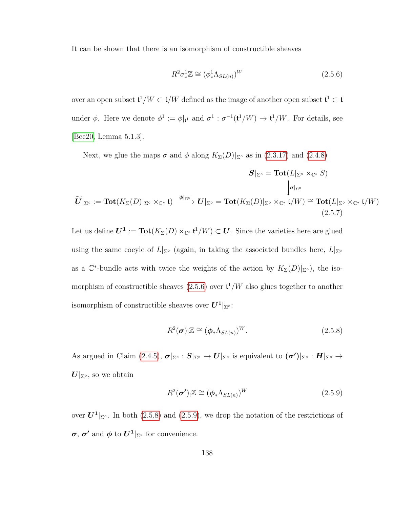It can be shown that there is an isomorphism of constructible sheaves

<span id="page-145-0"></span>
$$
R^2 \sigma_*^1 \mathbb{Z} \cong (\phi_*^1 \Lambda_{SL(n)})^W \tag{2.5.6}
$$

over an open subset  $\mathfrak{t}^1/W \subset \mathfrak{t}/W$  defined as the image of another open subset  $\mathfrak{t}^1 \subset \mathfrak{t}$ under  $\phi$ . Here we denote  $\phi^1 := \phi|_{\mathfrak{t}^1}$  and  $\sigma^1 : \sigma^{-1}(\mathfrak{t}^1/W) \to \mathfrak{t}^1/W$ . For details, see [\[Bec20,](#page-154-0) Lemma 5.1.3].

Next, we glue the maps  $\sigma$  and  $\phi$  along  $K_{\Sigma}(D)|_{\Sigma}$  as in [\(2.3.17\)](#page-128-0) and [\(2.4.8\)](#page-141-0)

<span id="page-145-3"></span>
$$
\mathbf{S}|_{\Sigma^{\circ}} = \mathbf{Tot}(L|_{\Sigma^{\circ}} \times_{\mathbb{C}^*} S) \n\downarrow_{\sigma|_{\Sigma^{\circ}}} \mathbf{Fot}(L|_{\Sigma^{\circ}} \times_{\mathbb{C}^*} \mathbf{C}^*) \downarrow_{\sigma|_{\Sigma^{\circ}}} \n\mathbf{Fot}(L|_{\Sigma^{\circ}} \times_{\mathbb{C}^*} \mathbf{C}^*) \downarrow_{\sigma|_{\Sigma^{\circ}}} \n\mathbf{Fot}(L|_{\Sigma^{\circ}} \times_{\mathbb{C}^*} \mathbf{C}^*) \downarrow_{\sigma|_{\Sigma^{\circ}}} \n\mathbf{Fot}(L|_{\Sigma^{\circ}} \times_{\mathbb{C}^*} \mathbf{C}^*) \downarrow_{\sigma|_{\Sigma^{\circ}}} \n\mathbf{Fot}(L|_{\Sigma^{\circ}} \times_{\mathbb{C}^*} \mathbf{C}^*) \downarrow_{\sigma|_{\Sigma^{\circ}}} \n\mathbf{Fot}(L|_{\Sigma^{\circ}} \times_{\mathbb{C}^*} \mathbf{C}^*) \downarrow_{\sigma|_{\Sigma^{\circ}}} \n\mathbf{Fot}(L|_{\Sigma^{\circ}} \times_{\mathbb{C}^*} \mathbf{C}^*) \downarrow_{\sigma|_{\Sigma^{\circ}}} \n\mathbf{Fot}(L|_{\Sigma^{\circ}} \times_{\mathbb{C}^*} \mathbf{C}^*) \downarrow_{\sigma|_{\Sigma^{\circ}}} \n\mathbf{Fot}(L|_{\Sigma^{\circ}} \times_{\mathbb{C}^*} \mathbf{C}^*) \downarrow_{\sigma|_{\Sigma^{\circ}}} \n\mathbf{Fot}(L|_{\Sigma^{\circ}} \times_{\mathbb{C}^*} \mathbf{C}^*) \downarrow_{\sigma|_{\Sigma^{\circ}}} \n\mathbf{Fot}(L|_{\Sigma^{\circ}} \times_{\mathbb{C}^*} \mathbf{C}^*) \downarrow_{\sigma|_{\Sigma^{\circ}}} \n\mathbf{Fot}(L|_{\Sigma^{\circ}} \times_{\mathbb{C}^*} \mathbf{C}^*) \downarrow_{\sigma|_{\Sigma^{\circ}}} \n\mathbf{Fot}(L|_{\Sigma^{\circ}} \times_{\mathbb{C}^*} \mathbf{C}^*) \downarrow_{\sigma|_{\Sigma^{\circ}}} <
$$

Let us define  $U^1 := \text{Tot}(K_\Sigma(D) \times_{\mathbb{C}^*} {\mathfrak{t}}^1/W) \subset U$ . Since the varieties here are glued using the same cocyle of  $L|_{\Sigma}$ ∘ (again, in taking the associated bundles here,  $L|_{\Sigma}$ ∘ as a  $\mathbb{C}^*$ -bundle acts with twice the weights of the action by  $K_{\Sigma}(D)|_{\Sigma^{\circ}})$ , the isomorphism of constructible sheaves  $(2.5.6)$  over  $\mathfrak{t}^1/W$  also glues together to another isomorphism of constructible sheaves over  $U^1|_{\Sigma^\circ}$ :

<span id="page-145-1"></span>
$$
R^2(\boldsymbol{\sigma})_! \mathbb{Z} \cong (\boldsymbol{\phi}_* \Lambda_{SL(n)})^W. \tag{2.5.8}
$$

As argued in Claim [\(2.4.5\)](#page-139-0),  $\sigma|_{\Sigma^{\circ}} : S|_{\Sigma^{\circ}} \to U|_{\Sigma^{\circ}}$  is equivalent to  $(\sigma')|_{\Sigma^{\circ}} : H|_{\Sigma^{\circ}} \to$  $U|_{\Sigma^\circ}$ , so we obtain

<span id="page-145-2"></span>
$$
R^2(\boldsymbol{\sigma'})_! \mathbb{Z} \cong (\boldsymbol{\phi}_* \Lambda_{SL(n)})^W
$$
 (2.5.9)

over  $\mathbf{U}^1|_{\Sigma}$ . In both [\(2.5.8\)](#page-145-1) and [\(2.5.9\)](#page-145-2), we drop the notation of the restrictions of  $\sigma$ ,  $\sigma'$  and  $\phi$  to  $U^1|_{\Sigma}$  for convenience.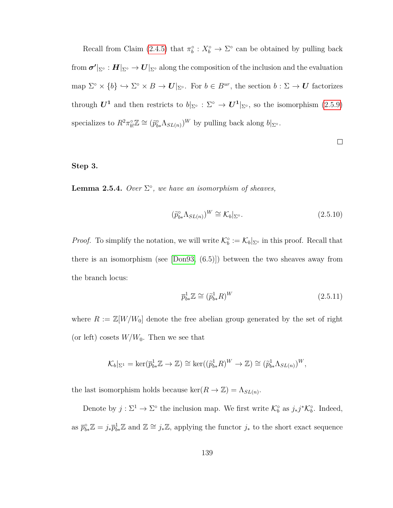Recall from Claim [\(2.4.5\)](#page-139-0) that  $\pi_b^{\circ}: X_b^{\circ} \to \Sigma^{\circ}$  can be obtained by pulling back  ${\bf f}$ rom  ${\bf \sigma'}|_{\Sigma^\circ}:H|_{\Sigma^\circ}\to U|_{\Sigma^\circ}$  along the composition of the inclusion and the evaluation map  $\Sigma^{\circ} \times \{b\} \hookrightarrow \Sigma^{\circ} \times B \to U|_{\Sigma^{\circ}}$ . For  $b \in B^{ur}$ , the section  $b : \Sigma \to U$  factorizes through  $U^1$  and then restricts to  $b|_{\Sigma^{\circ}} : \Sigma^{\circ} \to U^1|_{\Sigma^{\circ}}$ , so the isomorphism  $(2.5.9)$ specializes to  $R^2 \pi_{bl}^{\circ} \mathbb{Z} \cong (\tilde{p}_{b*}^{\circ} \Lambda_{SL(n)})^W$  by pulling back along  $b|_{\Sigma^{\circ}}$ .

## $\Box$

## **Step 3.**

**Lemma 2.5.4.** Over  $\Sigma^{\circ}$ , we have an isomorphism of sheaves,

$$
(\widetilde{p}_{b*}^{\circ} \Lambda_{SL(n)})^W \cong \mathcal{K}_b|_{\Sigma^{\circ}}.
$$
\n(2.5.10)

*Proof.* To simplify the notation, we will write  $\mathcal{K}_b^\circ := \mathcal{K}_b|_{\Sigma^\circ}$  in this proof. Recall that there is an isomorphism (see [\[Don93,](#page-157-0) (6.5)]) between the two sheaves away from the branch locus:

<span id="page-146-0"></span>
$$
\overline{p}_{b*}^1 \mathbb{Z} \cong (\widetilde{p}_{b*}^1 R)^W \tag{2.5.11}
$$

where  $R := \mathbb{Z}[W/W_0]$  denote the free abelian group generated by the set of right (or left) cosets  $W/W_0$ . Then we see that

$$
\mathcal{K}_b|_{\Sigma^1} = \ker(\overline{p}_{b*}^1 \mathbb{Z} \to \mathbb{Z}) \cong \ker((\widetilde{p}_{b*}^1 R)^W \to \mathbb{Z}) \cong (\widetilde{p}_{b*}^1 \Lambda_{SL(n)})^W,
$$

the last isomorphism holds because  $\ker(R \to \mathbb{Z}) = \Lambda_{SL(n)}$ .

Denote by  $j: \Sigma^1 \to \Sigma^{\circ}$  the inclusion map. We first write  $\mathcal{K}_{b}^{\circ}$  as  $j_*j^*\mathcal{K}_{b}^{\circ}$ . Indeed, as  $\bar{p}_{b*}^{\circ}\mathbb{Z} = j_*\bar{p}_{b*}^1\mathbb{Z}$  and  $\mathbb{Z} \cong j_*\mathbb{Z}$ , applying the functor  $j_*$  to the short exact sequence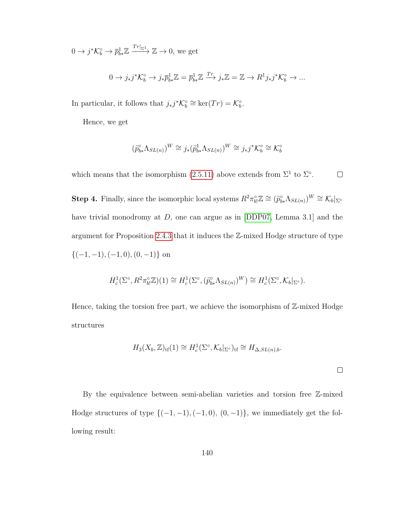$0 \to j^* \mathcal{K}_b^{\circ} \to \overline{p}_{b*}^1 \mathbb{Z} \xrightarrow{Tr|_{\Sigma^1}} \mathbb{Z} \to 0$ , we get

$$
0 \to j_*j^* \mathcal{K}_b^{\circ} \to j_* \overline{p}_{b*}^1 \mathbb{Z} = \overline{p}_{b*}^1 \mathbb{Z} \xrightarrow{T_r} j_* \mathbb{Z} = \mathbb{Z} \to R^1 j_* j^* \mathcal{K}_b^{\circ} \to \dots
$$

In particular, it follows that  $j_*j^*{\mathcal{K}}_b^{\circ} \cong \ker(Tr) = {\mathcal{K}}_b^{\circ}$ .

Hence, we get

$$
(\widetilde{p}_{b*}^{\circ} \Lambda_{SL(n)})^W \cong j_*(\widetilde{p}_{b*}^1 \Lambda_{SL(n)})^W \cong j_*j^* \mathcal{K}_b^{\circ} \cong \mathcal{K}_b^{\circ}
$$

which means that the isomorphism  $(2.5.11)$  above extends from  $\Sigma^1$  to  $\Sigma^{\circ}$ .  $\Box$ 

**Step 4.** Finally, since the isomorphic local systems  $R^2 \pi_{b}^{\circ} \mathbb{Z} \cong (\tilde{p}_{b*}^{\circ} \Lambda_{SL(n)})^W \cong \mathcal{K}_b|_{\Sigma^{\circ}}$ have trivial monodromy at *D*, one can argue as in [\[DDP07,](#page-155-0) Lemma 3.1] and the argument for Proposition [2.4.3](#page-137-0) that it induces the Z-mixed Hodge structure of type {(−1*,* −1)*,*(−1*,* 0)*,*(0*,* −1)} on

$$
H_c^1(\Sigma^\circ, R^2 \pi_{b!}^\circ \mathbb{Z})(1) \cong H_c^1(\Sigma^\circ, (\widetilde{p}_{b*}^\circ \Lambda_{SL(n)})^W) \cong H_c^1(\Sigma^\circ, \mathcal{K}_b|_{\Sigma^\circ}).
$$

Hence, taking the torsion free part, we achieve the isomorphism of  $\mathbb{Z}$ -mixed Hodge structures

$$
H_3(X_b, \mathbb{Z})_{\rm tf}(1) \cong H_c^1(\Sigma^\circ, \mathcal{K}_b|_{\Sigma^\circ})_{\rm tf} \cong H_{\Delta, SL(n), b}.
$$

By the equivalence between semi-abelian varieties and torsion free Z-mixed Hodge structures of type  $\{(-1, -1), (-1, 0), (0, -1)\}$ , we immediately get the following result: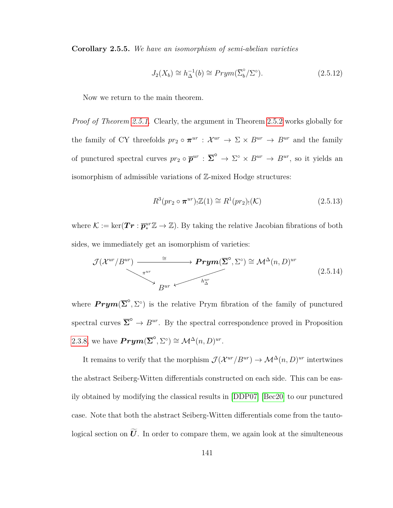**Corollary 2.5.5.** *We have an isomorphism of semi-abelian varieties*

$$
J_2(X_b) \cong h_{\Delta}^{-1}(b) \cong Prym(\overline{\Sigma}_b^{\circ}/\Sigma^{\circ}). \tag{2.5.12}
$$

Now we return to the main theorem.

*Proof of Theorem [2.5.1.](#page-143-0)* Clearly, the argument in Theorem [2.5.2](#page-143-1) works globally for the family of CY threefolds  $pr_2 \circ \pi^{ur} : \mathcal{X}^{ur} \to \Sigma \times B^{ur} \to B^{ur}$  and the family of punctured spectral curves  $pr_2 \circ \overline{\mathbf{p}}^{ur}$  :  $\overline{\Sigma}^{\circ} \to \Sigma^{\circ} \times B^{ur} \to B^{ur}$ , so it yields an isomorphism of admissible variations of Z-mixed Hodge structures:

$$
R^3(pr_2 \circ \pi^{ur}) \cdot \mathbb{Z}(1) \cong R^1(pr_2) \cdot (\mathcal{K}) \tag{2.5.13}
$$

where  $\mathcal{K} := \ker(\mathbf{Tr}: \overline{\mathbf{p}}_{*}^{ur}\mathbb{Z} \to \mathbb{Z})$ . By taking the relative Jacobian fibrations of both sides, we immediately get an isomorphism of varieties:

$$
\mathcal{J}(\mathcal{X}^{ur}/B^{ur}) \longrightarrow \mathbf{Prym}(\overline{\Sigma}^{\circ}, \Sigma^{\circ}) \cong \mathcal{M}^{\Delta}(n, D)^{ur}
$$
\n
$$
B^{ur} \longleftarrow h_{\Delta}^{ur}
$$
\n(2.5.14)

where  $Prym(\overline{\Sigma}^{\circ}, \Sigma^{\circ})$  is the relative Prym fibration of the family of punctured spectral curves  $\overline{\Sigma}^{\circ} \to B^{ur}$ . By the spectral correspondence proved in Proposition [2.3.8,](#page-111-0) we have  $\operatorname{Prym}(\overline{\Sigma}^{\circ}, \Sigma^{\circ}) \cong \mathcal{M}^{\Delta}(n, D)^{ur}$ .

It remains to verify that the morphism  $\mathcal{J}(\mathcal{X}^{ur}/B^{ur}) \to \mathcal{M}^{\Delta}(n, D)^{ur}$  intertwines the abstract Seiberg-Witten differentials constructed on each side. This can be easily obtained by modifying the classical results in [\[DDP07\]](#page-155-0) [\[Bec20\]](#page-154-0) to our punctured case. Note that both the abstract Seiberg-Witten differentials come from the tautological section on  $\widetilde{U}$ . In order to compare them, we again look at the simulteneous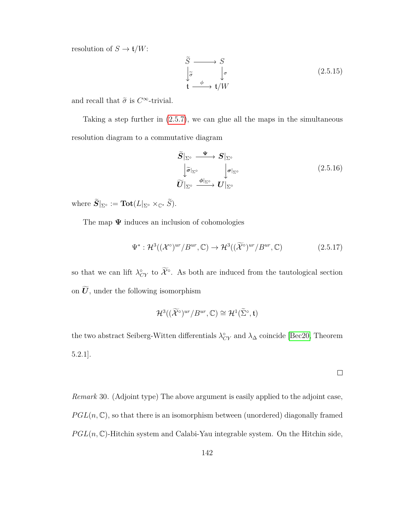resolution of  $S \to \mathfrak{t}/W$ :

$$
\widetilde{S} \longrightarrow S
$$
\n
$$
\downarrow \widetilde{\sigma} \qquad \downarrow \sigma
$$
\n
$$
\mathfrak{t} \longrightarrow \mathfrak{t}/W
$$
\n(2.5.15)

and recall that  $\tilde{\sigma}$  is  $C^{\infty}$ -trivial.

Taking a step further in [\(2.5.7\)](#page-145-3), we can glue all the maps in the simultaneous resolution diagram to a commutative diagram

$$
\widetilde{S}|_{\Sigma^{\circ}} \xrightarrow{\Psi} S|_{\Sigma^{\circ}}
$$
\n
$$
\downarrow \widetilde{\sigma}|_{\Sigma^{\circ}} \qquad \downarrow \sigma|_{\Sigma^{\circ}}
$$
\n
$$
\widetilde{U}|_{\Sigma^{\circ}} \xrightarrow{\phi|_{\Sigma^{\circ}}} U|_{\Sigma^{\circ}}
$$
\n
$$
(2.5.16)
$$

where  $S|_{\Sigma^{\circ}} := \textbf{Tot}(L|_{\Sigma^{\circ}} \times_{\mathbb{C}^*} S).$ 

The map  $\Psi$  induces an inclusion of cohomologies

$$
\Psi^* : \mathcal{H}^3((\mathcal{X}^\circ)^{ur}/B^{ur}, \mathbb{C}) \to \mathcal{H}^3((\widetilde{\mathcal{X}}^\circ)^{ur}/B^{ur}, \mathbb{C}) \tag{2.5.17}
$$

so that we can lift  $\lambda_{CY}^{\circ}$  to  $\widetilde{\mathcal{X}}^{\circ}$ . As both are induced from the tautological section on  $\widetilde{U}$ , under the following isomorphism

$$
\mathcal{H}^{3}((\widetilde{\mathcal{X}}^{\circ})^{ur}/B^{ur},\mathbb{C})\cong\mathcal{H}^{1}(\widetilde{\Sigma}^{\circ},\mathfrak{t})
$$

the two abstract Seiberg-Witten differentials  $\lambda_{CY}^{\circ}$  and  $\lambda_{\Delta}$  coincide [\[Bec20,](#page-154-0) Theorem 5.2.1].

 $\Box$ 

*Remark* 30*.* (Adjoint type) The above argument is easily applied to the adjoint case,  $PGL(n,\mathbb{C})$ , so that there is an isomorphism between (unordered) diagonally framed  $PGL(n,\mathbb{C})$ -Hitchin system and Calabi-Yau integrable system. On the Hitchin side,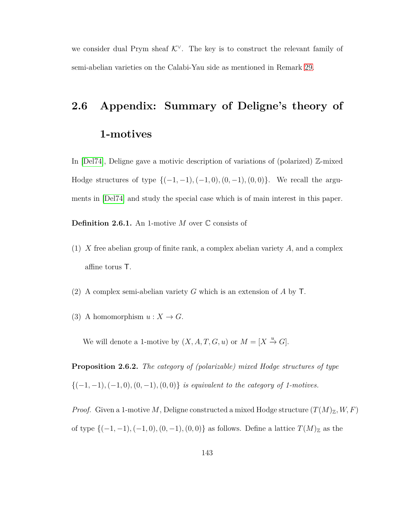we consider dual Prym sheaf  $K^{\vee}$ . The key is to construct the relevant family of semi-abelian varieties on the Calabi-Yau side as mentioned in Remark [29.](#page-138-0)

## **2.6 Appendix: Summary of Deligne's theory of 1-motives**

In [\[Del74\]](#page-156-0), Deligne gave a motivic description of variations of (polarized) Z-mixed Hodge structures of type {(−1*,* −1)*,*(−1*,* 0)*,*(0*,* −1)*,*(0*,* 0)}. We recall the arguments in [\[Del74\]](#page-156-0) and study the special case which is of main interest in this paper.

**Definition 2.6.1.** An 1-motive *M* over C consists of

- (1) *X* free abelian group of finite rank, a complex abelian variety *A*, and a complex affine torus T.
- (2) A complex semi-abelian variety *G* which is an extension of *A* by T.
- (3) A homomorphism  $u: X \to G$ .

<span id="page-150-0"></span>We will denote a 1-motive by  $(X, A, T, G, u)$  or  $M = [X \stackrel{u}{\rightarrow} G].$ 

**Proposition 2.6.2.** *The category of (polarizable) mixed Hodge structures of type* {(−1*,* −1)*,*(−1*,* 0)*,*(0*,* −1)*,*(0*,* 0)} *is equivalent to the category of 1-motives.*

*Proof.* Given a 1-motive *M*, Deligne constructed a mixed Hodge structure  $(T(M)_\mathbb{Z}, W, F)$ of type  $\{(-1, -1), (-1, 0), (0, -1), (0, 0)\}$  as follows. Define a lattice  $T(M)_{\mathbb{Z}}$  as the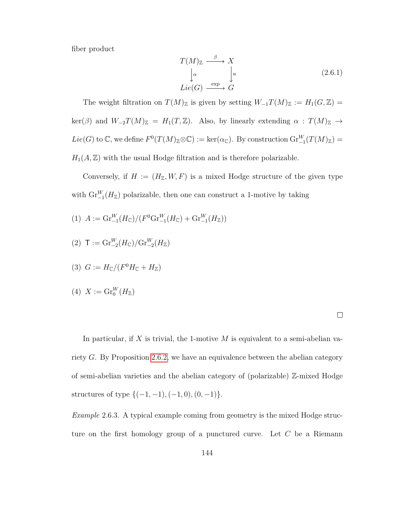fiber product

$$
T(M)_{\mathbb{Z}} \xrightarrow{\beta} X
$$
  
\n
$$
\downarrow^{\alpha} \qquad \downarrow^{\nu}
$$
  
\n
$$
Lie(G) \xrightarrow{\exp} G
$$
  
\n(2.6.1)

The weight filtration on  $T(M)_{\mathbb{Z}}$  is given by setting  $W_{-1}T(M)_{\mathbb{Z}} := H_1(G,\mathbb{Z}) =$  $\ker(\beta)$  and  $W_{-2}T(M)_{\mathbb{Z}} = H_1(T, \mathbb{Z})$ . Also, by linearly extending  $\alpha : T(M)_{\mathbb{Z}} \to$  $Lie(G)$  to  $\mathbb{C}$ , we define  $F^0(T(M)_{\mathbb{Z}}\otimes\mathbb{C}) := \ker(\alpha_{\mathbb{C}})$ . By construction  $\text{Gr}_{-1}^W(T(M)_{\mathbb{Z}}) =$  $H_1(A, \mathbb{Z})$  with the usual Hodge filtration and is therefore polarizable.

Conversely, if  $H := (H_{\mathbb{Z}}, W, F)$  is a mixed Hodge structure of the given type with  $\text{Gr}_{-1}^W(H_{\mathbb{Z}})$  polarizable, then one can construct a 1-motive by taking

- $(1)$   $A := \mathrm{Gr}_{-1}^W(H_{\mathbb{C}})/(F^0\mathrm{Gr}_{-1}^W(H_{\mathbb{C}}) + \mathrm{Gr}_{-1}^W(H_{\mathbb{Z}}))$
- $(2)$  **T** := Gr<sup>W</sup><sub>-2</sub>( $H_{\mathbb{C}}$ )/Gr<sup>W</sup><sub>-2</sub>( $H_{\mathbb{Z}}$ )

$$
(3) G := H_{\mathbb{C}}/(F^0 H_{\mathbb{C}} + H_{\mathbb{Z}})
$$

$$
(4) X := \mathrm{Gr}^W_0(H_{\mathbb{Z}})
$$

In particular, if *X* is trivial, the 1-motive *M* is equivalent to a semi-abelian variety *G*. By Proposition [2.6.2,](#page-150-0) we have an equivalence between the abelian category of semi-abelian varieties and the abelian category of (polarizable) Z-mixed Hodge structures of type {(−1*,* −1)*,*(−1*,* 0)*,*(0*,* −1)}.

*Example* 2.6.3*.* A typical example coming from geometry is the mixed Hodge structure on the first homology group of a punctured curve. Let *C* be a Riemann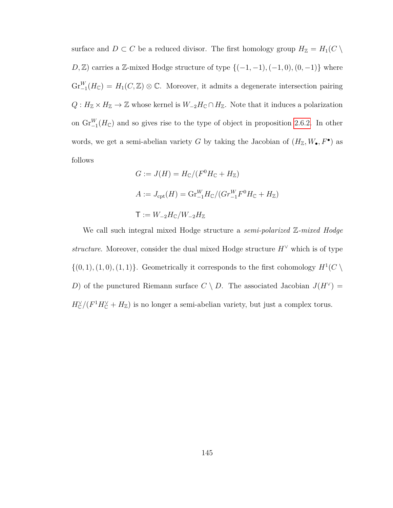surface and  $D \subset C$  be a reduced divisor. The first homology group  $H_{\mathbb{Z}} = H_1(C \setminus$ *D*,  $\mathbb{Z}$ ) carries a  $\mathbb{Z}$ -mixed Hodge structure of type  $\{(-1, -1), (-1, 0), (0, -1)\}$  where  $\mathrm{Gr}_{-1}^W(H_{\mathbb{C}}) = H_1(C, \mathbb{Z}) \otimes \mathbb{C}$ . Moreover, it admits a degenerate intersection pairing  $Q: H_{\mathbb{Z}} \times H_{\mathbb{Z}} \to \mathbb{Z}$  whose kernel is  $W_{-2}H_{\mathbb{C}} \cap H_{\mathbb{Z}}$ . Note that it induces a polarization on  $\text{Gr}_{-1}^W(H_{\mathbb{C}})$  and so gives rise to the type of object in proposition [2.6.2.](#page-150-0) In other words, we get a semi-abelian variety *G* by taking the Jacobian of  $(H_{\mathbb{Z}}, W_{\bullet}, F^{\bullet})$  as follows

$$
G := J(H) = H_{\mathbb{C}}/(F^0 H_{\mathbb{C}} + H_{\mathbb{Z}})
$$
  

$$
A := J_{\text{cpt}}(H) = \text{Gr}_{-1}^W H_{\mathbb{C}}/(Gr_{-1}^W F^0 H_{\mathbb{C}} + H_{\mathbb{Z}})
$$
  

$$
T := W_{-2} H_{\mathbb{C}}/W_{-2} H_{\mathbb{Z}}
$$

We call such integral mixed Hodge structure a *semi-polarized* Z*-mixed Hodge structure*. Moreover, consider the dual mixed Hodge structure  $H^{\vee}$  which is of type  $\{(0,1), (1,0), (1,1)\}$ . Geometrically it corresponds to the first cohomology  $H^1(C \setminus$ *D*) of the punctured Riemann surface  $C \setminus D$ . The associated Jacobian  $J(H^{\vee}) =$  $H_C^{\vee}/(F^1H_C^{\vee} + H_{\mathbb{Z}})$  is no longer a semi-abelian variety, but just a complex torus.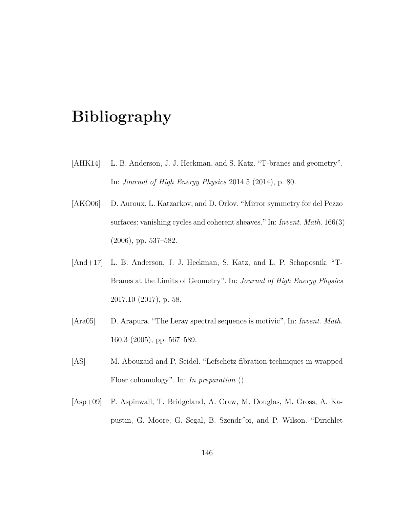## **Bibliography**

- [AHK14] L. B. Anderson, J. J. Heckman, and S. Katz. "T-branes and geometry". In: *Journal of High Energy Physics* 2014.5 (2014), p. 80.
- [AKO06] D. Auroux, L. Katzarkov, and D. Orlov. "Mirror symmetry for del Pezzo surfaces: vanishing cycles and coherent sheaves." In: *Invent. Math.* 166(3) (2006), pp. 537–582.
- [And+17] L. B. Anderson, J. J. Heckman, S. Katz, and L. P. Schaposnik. "T-Branes at the Limits of Geometry". In: *Journal of High Energy Physics* 2017.10 (2017), p. 58.
- [Ara05] D. Arapura. "The Leray spectral sequence is motivic". In: *Invent. Math.* 160.3 (2005), pp. 567–589.
- [AS] M. Abouzaid and P. Seidel. "Lefschetz fibration techniques in wrapped Floer cohomology". In: *In preparation* ().
- [Asp+09] P. Aspinwall, T. Bridgeland, A. Craw, M. Douglas, M. Gross, A. Kapustin, G. Moore, G. Segal, B. Szendr˝oi, and P. Wilson. "Dirichlet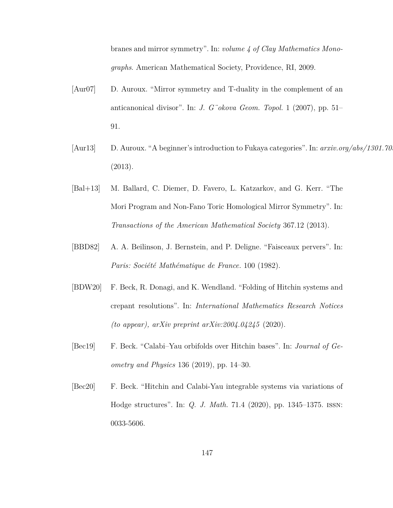branes and mirror symmetry". In: *volume 4 of Clay Mathematics Monographs*. American Mathematical Society, Providence, RI, 2009.

- [Aur07] D. Auroux. "Mirror symmetry and T-duality in the complement of an anticanonical divisor". In: *J. G¨okova Geom. Topol.* 1 (2007), pp. 51– 91.
- [Aur13] D. Auroux. "A beginner's introduction to Fukaya categories". In: *arxiv.org/abs/1301.70* (2013).
- [Bal+13] M. Ballard, C. Diemer, D. Favero, L. Katzarkov, and G. Kerr. "The Mori Program and Non-Fano Toric Homological Mirror Symmetry". In: *Transactions of the American Mathematical Society* 367.12 (2013).
- [BBD82] A. A. Beilinson, J. Bernstein, and P. Deligne. "Faisceaux pervers". In: *Paris: Société Mathématique de France.* 100 (1982).
- [BDW20] F. Beck, R. Donagi, and K. Wendland. "Folding of Hitchin systems and crepant resolutions". In: *International Mathematics Research Notices (to appear), arXiv preprint arXiv:2004.04245* (2020).
- [Bec19] F. Beck. "Calabi–Yau orbifolds over Hitchin bases". In: *Journal of Geometry and Physics* 136 (2019), pp. 14–30.
- <span id="page-154-0"></span>[Bec20] F. Beck. "Hitchin and Calabi-Yau integrable systems via variations of Hodge structures". In: *Q. J. Math.* 71.4 (2020), pp. 1345–1375. issn: 0033-5606.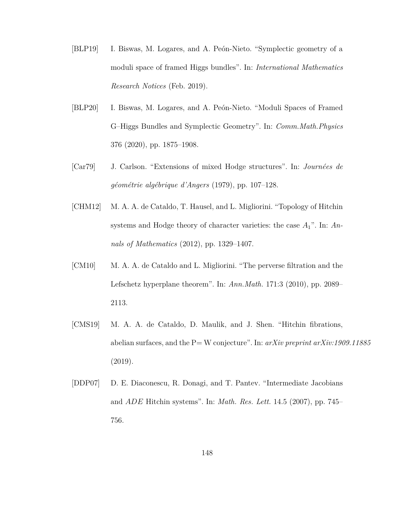- [BLP19] I. Biswas, M. Logares, and A. Peón-Nieto. "Symplectic geometry of a moduli space of framed Higgs bundles". In: *International Mathematics Research Notices* (Feb. 2019).
- [BLP20] I. Biswas, M. Logares, and A. Peón-Nieto. "Moduli Spaces of Framed G–Higgs Bundles and Symplectic Geometry". In: *Comm.Math.Physics* 376 (2020), pp. 1875–1908.
- [Car79] J. Carlson. "Extensions of mixed Hodge structures". In: *Journées de géométrie algébrique d'Angers* (1979), pp. 107–128.
- [CHM12] M. A. A. de Cataldo, T. Hausel, and L. Migliorini. "Topology of Hitchin systems and Hodge theory of character varieties: the case *A*1". In: *Annals of Mathematics* (2012), pp. 1329–1407.
- [CM10] M. A. A. de Cataldo and L. Migliorini. "The perverse filtration and the Lefschetz hyperplane theorem". In: *Ann.Math.* 171:3 (2010), pp. 2089– 2113.
- [CMS19] M. A. A. de Cataldo, D. Maulik, and J. Shen. "Hitchin fibrations, abelian surfaces, and the P= W conjecture". In: *arXiv preprint arXiv:1909.11885* (2019).
- <span id="page-155-0"></span>[DDP07] D. E. Diaconescu, R. Donagi, and T. Pantev. "Intermediate Jacobians and *ADE* Hitchin systems". In: *Math. Res. Lett.* 14.5 (2007), pp. 745– 756.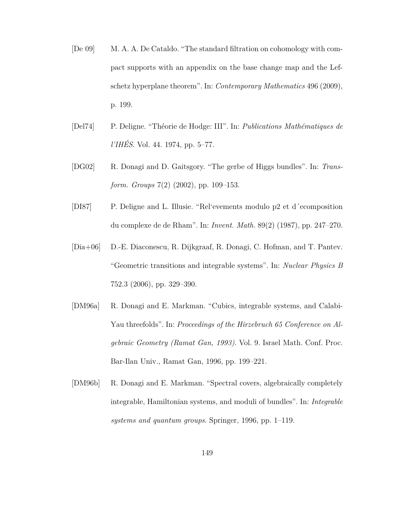- [De 09] M. A. A. De Cataldo. "The standard filtration on cohomology with compact supports with an appendix on the base change map and the Lefschetz hyperplane theorem". In: *Contemporary Mathematics* 496 (2009), p. 199.
- <span id="page-156-0"></span>[Del74] P. Deligne. "Théorie de Hodge: III". In: *Publications Mathématiques de l'IHÉS*. Vol. 44. 1974, pp. 5–77.
- [DG02] R. Donagi and D. Gaitsgory. "The gerbe of Higgs bundles". In: *Transform. Groups* 7(2) (2002), pp. 109–153.
- [DI87] P. Deligne and L. Illusie. "Rel'evements modulo p2 et d´ecomposition du complexe de de Rham". In: *Invent. Math.* 89(2) (1987), pp. 247–270.
- [Dia+06] D.-E. Diaconescu, R. Dijkgraaf, R. Donagi, C. Hofman, and T. Pantev. "Geometric transitions and integrable systems". In: *Nuclear Physics B* 752.3 (2006), pp. 329–390.
- [DM96a] R. Donagi and E. Markman. "Cubics, integrable systems, and Calabi-Yau threefolds". In: *Proceedings of the Hirzebruch 65 Conference on Algebraic Geometry (Ramat Gan, 1993)*. Vol. 9. Israel Math. Conf. Proc. Bar-Ilan Univ., Ramat Gan, 1996, pp. 199–221.
- [DM96b] R. Donagi and E. Markman. "Spectral covers, algebraically completely integrable, Hamiltonian systems, and moduli of bundles". In: *Integrable systems and quantum groups*. Springer, 1996, pp. 1–119.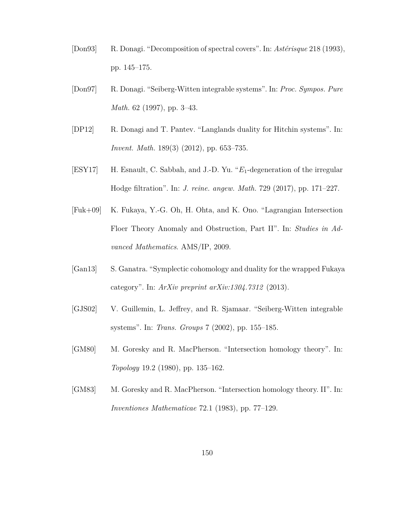- <span id="page-157-0"></span>[Don93] R. Donagi. "Decomposition of spectral covers". In: *Astérisque* 218 (1993), pp. 145–175.
- [Don97] R. Donagi. "Seiberg-Witten integrable systems". In: *Proc. Sympos. Pure Math.* 62 (1997), pp. 3–43.
- [DP12] R. Donagi and T. Pantev. "Langlands duality for Hitchin systems". In: *Invent. Math.* 189(3) (2012), pp. 653–735.
- [ESY17] H. Esnault, C. Sabbah, and J.-D. Yu. "*E*1-degeneration of the irregular Hodge filtration". In: *J. reine. angew. Math.* 729 (2017), pp. 171–227.
- [Fuk+09] K. Fukaya, Y.-G. Oh, H. Ohta, and K. Ono. "Lagrangian Intersection Floer Theory Anomaly and Obstruction, Part II". In: *Studies in Advanced Mathematics*. AMS/IP, 2009.
- [Gan13] S. Ganatra. "Symplectic cohomology and duality for the wrapped Fukaya category". In: *ArXiv preprint arXiv:1304.7312* (2013).
- [GJS02] V. Guillemin, L. Jeffrey, and R. Sjamaar. "Seiberg-Witten integrable systems". In: *Trans. Groups* 7 (2002), pp. 155–185.
- [GM80] M. Goresky and R. MacPherson. "Intersection homology theory". In: *Topology* 19.2 (1980), pp. 135–162.
- [GM83] M. Goresky and R. MacPherson. "Intersection homology theory. II". In: *Inventiones Mathematicae* 72.1 (1983), pp. 77–129.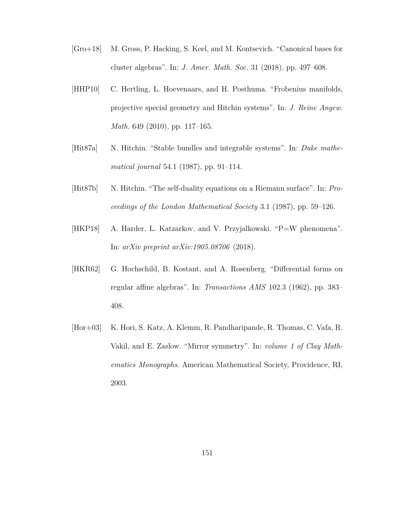- [Gro+18] M. Gross, P. Hacking, S. Keel, and M. Kontsevich. "Canonical bases for cluster algebras". In: *J. Amer. Math. Soc.* 31 (2018), pp. 497–608.
- [HHP10] C. Hertling, L. Hoevenaars, and H. Posthuma. "Frobenius manifolds, projective special geometry and Hitchin systems". In: *J. Reine Angew. Math.* 649 (2010), pp. 117–165.
- [Hit87a] N. Hitchin. "Stable bundles and integrable systems". In: *Duke mathematical journal* 54.1 (1987), pp. 91–114.
- [Hit87b] N. Hitchin. "The self-duality equations on a Riemann surface". In: *Proceedings of the London Mathematical Society* 3.1 (1987), pp. 59–126.
- [HKP18] A. Harder, L. Katzarkov, and V. Przyjalkowski. "P=W phenomena". In: *arXiv preprint arXiv:1905.08706* (2018).
- [HKR62] G. Hochschild, B. Kostant, and A. Rosenberg. "Differential forms on regular affine algebras". In: *Transactions AMS* 102.3 (1962), pp. 383– 408.
- [Hor+03] K. Hori, S. Katz, A. Klemm, R. Pandharipande, R. Thomas, C. Vafa, R. Vakil, and E. Zaslow. "Mirror symmetry". In: *volume 1 of Clay Mathematics Monographs*. American Mathematical Society, Providence, RI, 2003.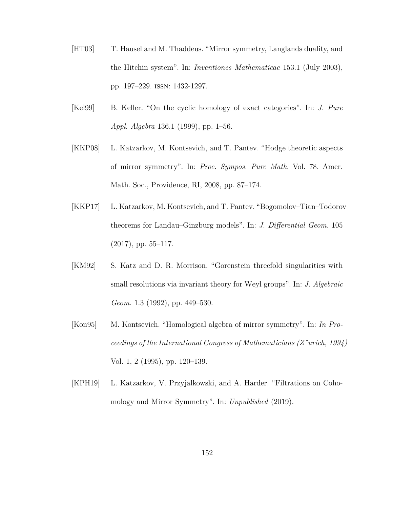- [HT03] T. Hausel and M. Thaddeus. "Mirror symmetry, Langlands duality, and the Hitchin system". In: *Inventiones Mathematicae* 153.1 (July 2003), pp. 197–229. issn: 1432-1297.
- [Kel99] B. Keller. "On the cyclic homology of exact categories". In: *J. Pure Appl. Algebra* 136.1 (1999), pp. 1–56.
- [KKP08] L. Katzarkov, M. Kontsevich, and T. Pantev. "Hodge theoretic aspects of mirror symmetry". In: *Proc. Sympos. Pure Math*. Vol. 78. Amer. Math. Soc., Providence, RI, 2008, pp. 87–174.
- [KKP17] L. Katzarkov, M. Kontsevich, and T. Pantev. "Bogomolov–Tian–Todorov theorems for Landau–Ginzburg models". In: *J. Differential Geom.* 105  $(2017)$ , pp. 55–117.
- [KM92] S. Katz and D. R. Morrison. "Gorenstein threefold singularities with small resolutions via invariant theory for Weyl groups". In: *J. Algebraic Geom.* 1.3 (1992), pp. 449–530.
- [Kon95] M. Kontsevich. "Homological algebra of mirror symmetry". In: *In Proceedings of the International Congress of Mathematicians (Z¨urich, 1994)* Vol. 1, 2 (1995), pp. 120–139.
- [KPH19] L. Katzarkov, V. Przyjalkowski, and A. Harder. "Filtrations on Cohomology and Mirror Symmetry". In: *Unpublished* (2019).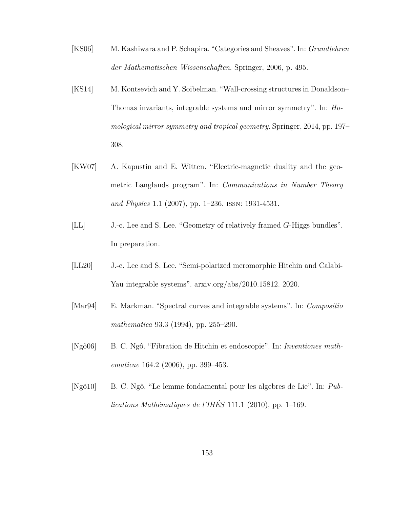- [KS06] M. Kashiwara and P. Schapira. "Categories and Sheaves". In: *Grundlehren der Mathematischen Wissenschaften*. Springer, 2006, p. 495.
- [KS14] M. Kontsevich and Y. Soibelman. "Wall-crossing structures in Donaldson– Thomas invariants, integrable systems and mirror symmetry". In: *Homological mirror symmetry and tropical geometry*. Springer, 2014, pp. 197– 308.
- [KW07] A. Kapustin and E. Witten. "Electric-magnetic duality and the geometric Langlands program". In: *Communications in Number Theory and Physics* 1.1 (2007), pp. 1–236. issn: 1931-4531.
- [LL] J.-c. Lee and S. Lee. "Geometry of relatively framed *G*-Higgs bundles". In preparation.
- [LL20] J.-c. Lee and S. Lee. "Semi-polarized meromorphic Hitchin and Calabi-Yau integrable systems". arxiv.org/abs/2010.15812. 2020.
- [Mar94] E. Markman. "Spectral curves and integrable systems". In: *Compositio mathematica* 93.3 (1994), pp. 255–290.
- [Ngô06] B. C. Ngô. "Fibration de Hitchin et endoscopie". In: *Inventiones mathematicae* 164.2 (2006), pp. 399–453.
- [Ngô10] B. C. Ngô. "Le lemme fondamental pour les algebres de Lie". In: *Publications Mathématiques de l'IHÉS* 111.1 (2010), pp. 1–169.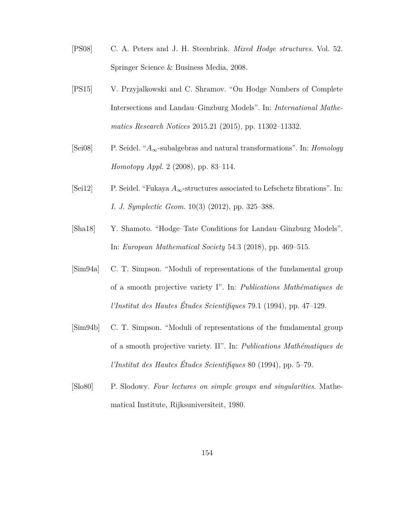- [PS08] C. A. Peters and J. H. Steenbrink. *Mixed Hodge structures*. Vol. 52. Springer Science & Business Media, 2008.
- [PS15] V. Przyjalkowski and C. Shramov. "On Hodge Numbers of Complete Intersections and Landau–Ginzburg Models". In: *International Mathematics Research Notices* 2015.21 (2015), pp. 11302–11332.
- [Sei08] P. Seidel. "*A*∞-subalgebras and natural transformations". In: *Homology Homotopy Appl.* 2 (2008), pp. 83–114.
- [Sei12] P. Seidel. "Fukaya *A*∞-structures associated to Lefschetz fibrations". In: *I. J. Symplectic Geom.* 10(3) (2012), pp. 325–388.
- [Sha18] Y. Shamoto. "Hodge–Tate Conditions for Landau–Ginzburg Models". In: *European Mathematical Society* 54.3 (2018), pp. 469–515.
- [Sim94a] C. T. Simpson. "Moduli of representations of the fundamental group of a smooth projective variety I". In: *Publications Mathématiques de l'Institut des Hautes Études Scientifiques* 79.1 (1994), pp. 47–129.
- [Sim94b] C. T. Simpson. "Moduli of representations of the fundamental group of a smooth projective variety. II". In: *Publications Mathématiques de l'Institut des Hautes Études Scientifiques* 80 (1994), pp. 5–79.
- <span id="page-161-0"></span>[Slo80] P. Slodowy. *Four lectures on simple groups and singularities*. Mathematical Institute, Rijksuniversiteit, 1980.